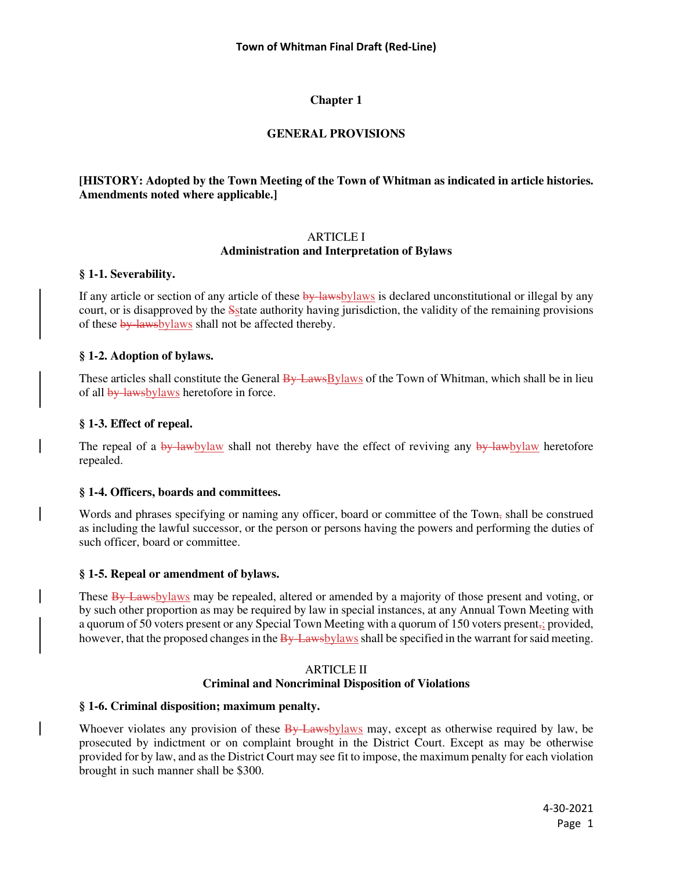# **GENERAL PROVISIONS**

# **[HISTORY: Adopted by the Town Meeting of the Town of Whitman as indicated in article histories. Amendments noted where applicable.]**

### ARTICLE I **Administration and Interpretation of Bylaws**

### **§ 1-1. Severability.**

If any article or section of any article of these by-lawsbylaws is declared unconstitutional or illegal by any court, or is disapproved by the Sstate authority having jurisdiction, the validity of the remaining provisions of these by-lawsbylaws shall not be affected thereby.

# **§ 1-2. Adoption of bylaws.**

These articles shall constitute the General By-LawsBylaws of the Town of Whitman, which shall be in lieu of all by-lawsbylaws heretofore in force.

# **§ 1-3. Effect of repeal.**

The repeal of a by-lawbylaw shall not thereby have the effect of reviving any by-lawbylaw heretofore repealed.

### **§ 1-4. Officers, boards and committees.**

Words and phrases specifying or naming any officer, board or committee of the Town, shall be construed as including the lawful successor, or the person or persons having the powers and performing the duties of such officer, board or committee.

### **§ 1-5. Repeal or amendment of bylaws.**

These By-Lawsbylaws may be repealed, altered or amended by a majority of those present and voting, or by such other proportion as may be required by law in special instances, at any Annual Town Meeting with a quorum of 50 voters present or any Special Town Meeting with a quorum of 150 voters present,; provided, however, that the proposed changes in the  $\frac{B_y}{A_w}$  has been shall be specified in the warrant for said meeting.

# ARTICLE II **Criminal and Noncriminal Disposition of Violations**

### **§ 1-6. Criminal disposition; maximum penalty.**

Whoever violates any provision of these  $\frac{By$  Lawsbylaws may, except as otherwise required by law, be prosecuted by indictment or on complaint brought in the District Court. Except as may be otherwise provided for by law, and as the District Court may see fit to impose, the maximum penalty for each violation brought in such manner shall be \$300.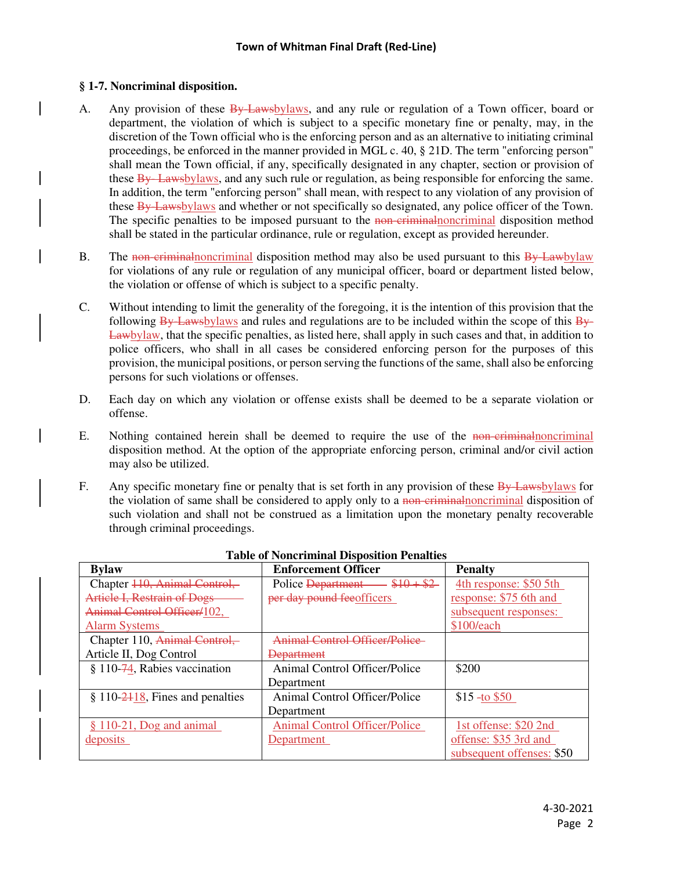# **§ 1-7. Noncriminal disposition.**

- A. Any provision of these **By Laws** by laws, and any rule or regulation of a Town officer, board or department, the violation of which is subject to a specific monetary fine or penalty, may, in the discretion of the Town official who is the enforcing person and as an alternative to initiating criminal proceedings, be enforced in the manner provided in MGL c. 40, § 21D. The term "enforcing person" shall mean the Town official, if any, specifically designated in any chapter, section or provision of these By-Lawsbylaws, and any such rule or regulation, as being responsible for enforcing the same. In addition, the term "enforcing person" shall mean, with respect to any violation of any provision of these By-Lawsbylaws and whether or not specifically so designated, any police officer of the Town. The specific penalties to be imposed pursuant to the non-criminalnoncriminal disposition method shall be stated in the particular ordinance, rule or regulation, except as provided hereunder.
- B. The non-criminal noncriminal disposition method may also be used pursuant to this By-Lawbylaw for violations of any rule or regulation of any municipal officer, board or department listed below, the violation or offense of which is subject to a specific penalty.
- C. Without intending to limit the generality of the foregoing, it is the intention of this provision that the following  $\frac{By$ -Lawsbylaws and rules and regulations are to be included within the scope of this  $\frac{By}{g}$ -Lawbylaw, that the specific penalties, as listed here, shall apply in such cases and that, in addition to police officers, who shall in all cases be considered enforcing person for the purposes of this provision, the municipal positions, or person serving the functions of the same, shall also be enforcing persons for such violations or offenses.
- D. Each day on which any violation or offense exists shall be deemed to be a separate violation or offense.
- E. Nothing contained herein shall be deemed to require the use of the non-criminalnoncriminal disposition method. At the option of the appropriate enforcing person, criminal and/or civil action may also be utilized.
- F. Any specific monetary fine or penalty that is set forth in any provision of these By-Lawsbylaws for the violation of same shall be considered to apply only to a non-eximinal noncriminal disposition of such violation and shall not be construed as a limitation upon the monetary penalty recoverable through criminal proceedings.

| иміс от 1 топісі пінніці 19 королітоп 1 спінніся |                                      |                           |  |  |  |
|--------------------------------------------------|--------------------------------------|---------------------------|--|--|--|
| <b>Bylaw</b>                                     | <b>Enforcement Officer</b>           | <b>Penalty</b>            |  |  |  |
| Chapter 440, Animal Control,                     | $-$ \$10 + \$2<br>Police Department  | 4th response: \$50 5th    |  |  |  |
| <b>Article I, Restrain of Dogs</b>               | per day pound feeofficers            | response: \$75 6th and    |  |  |  |
| Animal Control Officer/102,                      |                                      | subsequent responses:     |  |  |  |
| <b>Alarm Systems</b>                             |                                      | \$100/each                |  |  |  |
| Chapter 110, Animal Control,                     | Animal Control Officer/Police        |                           |  |  |  |
| Article II, Dog Control                          | Department                           |                           |  |  |  |
| $§ 110-74$ , Rabies vaccination                  | Animal Control Officer/Police        | \$200                     |  |  |  |
|                                                  | Department                           |                           |  |  |  |
| $$110-2418$ , Fines and penalties                | Animal Control Officer/Police        | $$15 - to $50$            |  |  |  |
|                                                  | Department                           |                           |  |  |  |
| $§ 110-21$ , Dog and animal                      | <b>Animal Control Officer/Police</b> | 1st offense: \$20 2nd     |  |  |  |
| deposits                                         | Department                           | offense: \$35 3rd and     |  |  |  |
|                                                  |                                      | subsequent offenses: \$50 |  |  |  |

# **Table of Noncriminal Disposition Penalties**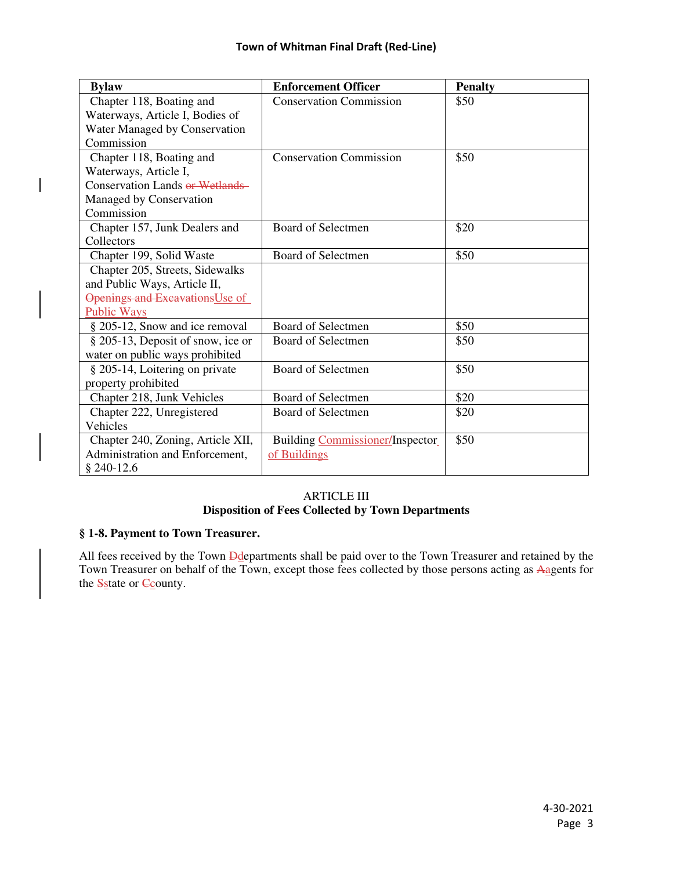| <b>Bylaw</b>                      | <b>Enforcement Officer</b>      | <b>Penalty</b> |
|-----------------------------------|---------------------------------|----------------|
| Chapter 118, Boating and          | <b>Conservation Commission</b>  | \$50           |
| Waterways, Article I, Bodies of   |                                 |                |
| Water Managed by Conservation     |                                 |                |
| Commission                        |                                 |                |
| Chapter 118, Boating and          | <b>Conservation Commission</b>  | \$50           |
| Waterways, Article I,             |                                 |                |
| Conservation Lands or Wetlands    |                                 |                |
| Managed by Conservation           |                                 |                |
| Commission                        |                                 |                |
| Chapter 157, Junk Dealers and     | <b>Board of Selectmen</b>       | \$20           |
| Collectors                        |                                 |                |
| Chapter 199, Solid Waste          | Board of Selectmen              | \$50           |
| Chapter 205, Streets, Sidewalks   |                                 |                |
| and Public Ways, Article II,      |                                 |                |
| Openings and Excavations Use of   |                                 |                |
| <b>Public Ways</b>                |                                 |                |
| § 205-12, Snow and ice removal    | Board of Selectmen              | \$50           |
| § 205-13, Deposit of snow, ice or | <b>Board of Selectmen</b>       | \$50           |
| water on public ways prohibited   |                                 |                |
| § 205-14, Loitering on private    | <b>Board of Selectmen</b>       | \$50           |
| property prohibited               |                                 |                |
| Chapter 218, Junk Vehicles        | <b>Board of Selectmen</b>       | \$20           |
| Chapter 222, Unregistered         | Board of Selectmen              | \$20           |
| Vehicles                          |                                 |                |
| Chapter 240, Zoning, Article XII, | Building Commissioner/Inspector | \$50           |
| Administration and Enforcement,   | of Buildings                    |                |
| $$240-12.6$                       |                                 |                |

# ARTICLE III **Disposition of Fees Collected by Town Departments**

### **§ 1-8. Payment to Town Treasurer.**

All fees received by the Town **Dd**epartments shall be paid over to the Town Treasurer and retained by the Town Treasurer on behalf of the Town, except those fees collected by those persons acting as Aagents for the **S**state or **C**<sub>c</sub>ounty.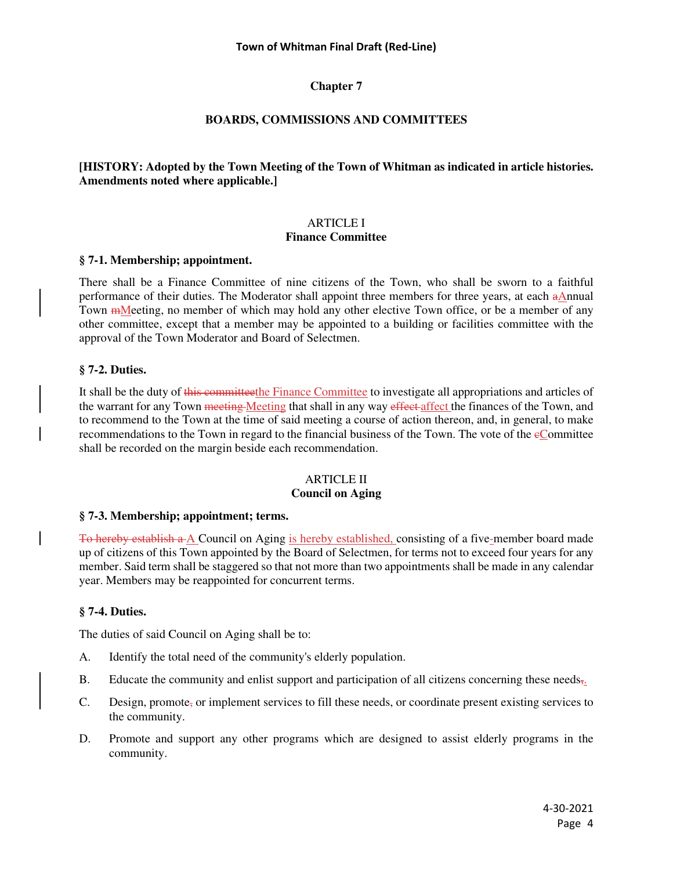# **BOARDS, COMMISSIONS AND COMMITTEES**

## **[HISTORY: Adopted by the Town Meeting of the Town of Whitman as indicated in article histories. Amendments noted where applicable.]**

### ARTICLE I **Finance Committee**

### **§ 7-1. Membership; appointment.**

There shall be a Finance Committee of nine citizens of the Town, who shall be sworn to a faithful performance of their duties. The Moderator shall appoint three members for three years, at each aAnnual Town <del>m</del>Meeting, no member of which may hold any other elective Town office, or be a member of any other committee, except that a member may be appointed to a building or facilities committee with the approval of the Town Moderator and Board of Selectmen.

### **§ 7-2. Duties.**

It shall be the duty of this committeethe Finance Committee to investigate all appropriations and articles of the warrant for any Town meeting Meeting that shall in any way effect affect the finances of the Town, and to recommend to the Town at the time of said meeting a course of action thereon, and, in general, to make recommendations to the Town in regard to the financial business of the Town. The vote of the eCommittee shall be recorded on the margin beside each recommendation.

#### ARTICLE II **Council on Aging**

### **§ 7-3. Membership; appointment; terms.**

To hereby establish a A Council on Aging is hereby established, consisting of a five-member board made up of citizens of this Town appointed by the Board of Selectmen, for terms not to exceed four years for any member. Said term shall be staggered so that not more than two appointments shall be made in any calendar year. Members may be reappointed for concurrent terms.

### **§ 7-4. Duties.**

The duties of said Council on Aging shall be to:

- A. Identify the total need of the community's elderly population.
- B. Educate the community and enlist support and participation of all citizens concerning these needs<sub> $\overline{s}$ </sub>.
- C. Design, promote, or implement services to fill these needs, or coordinate present existing services to the community.
- D. Promote and support any other programs which are designed to assist elderly programs in the community.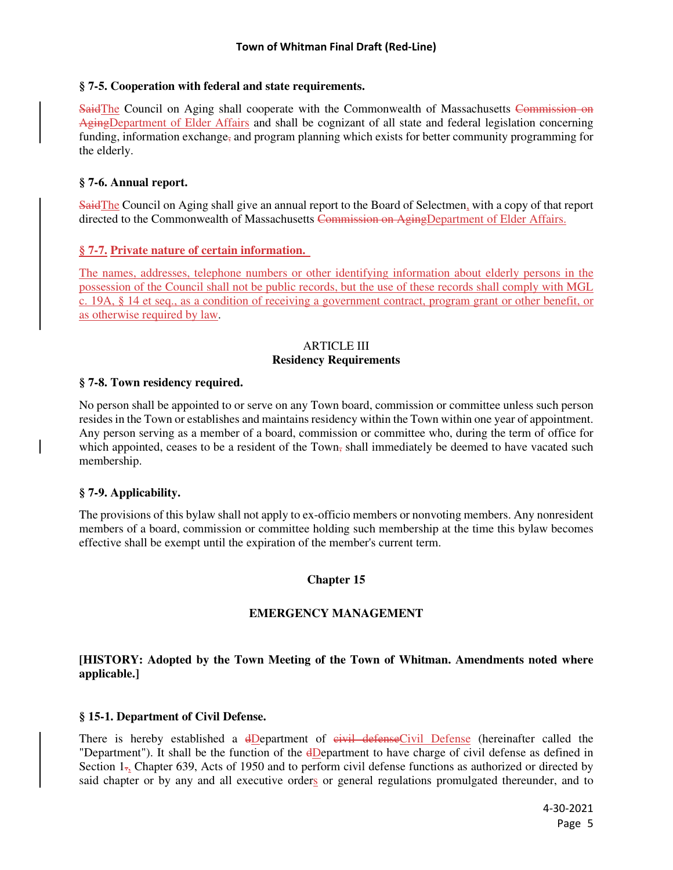### **§ 7-5. Cooperation with federal and state requirements.**

SaidThe Council on Aging shall cooperate with the Commonwealth of Massachusetts Commission on AgingDepartment of Elder Affairs and shall be cognizant of all state and federal legislation concerning funding, information exchange, and program planning which exists for better community programming for the elderly.

# **§ 7-6. Annual report.**

SaidThe Council on Aging shall give an annual report to the Board of Selectmen, with a copy of that report directed to the Commonwealth of Massachusetts Commission on AgingDepartment of Elder Affairs.

# **§ 7-7. Private nature of certain information.**

The names, addresses, telephone numbers or other identifying information about elderly persons in the possession of the Council shall not be public records, but the use of these records shall comply with MGL c. 19A, § 14 et seq., as a condition of receiving a government contract, program grant or other benefit, or as otherwise required by law.

# ARTICLE III **Residency Requirements**

#### **§ 7-8. Town residency required.**

No person shall be appointed to or serve on any Town board, commission or committee unless such person resides in the Town or establishes and maintains residency within the Town within one year of appointment. Any person serving as a member of a board, commission or committee who, during the term of office for which appointed, ceases to be a resident of the Town, shall immediately be deemed to have vacated such membership.

### **§ 7-9. Applicability.**

The provisions of this bylaw shall not apply to ex-officio members or nonvoting members. Any nonresident members of a board, commission or committee holding such membership at the time this bylaw becomes effective shall be exempt until the expiration of the member's current term.

### **Chapter 15**

### **EMERGENCY MANAGEMENT**

# **[HISTORY: Adopted by the Town Meeting of the Town of Whitman. Amendments noted where applicable.]**

### **§ 15-1. Department of Civil Defense.**

There is hereby established a <del>dDepartment of civil defense</del>Civil Defense (hereinafter called the "Department"). It shall be the function of the dDepartment to have charge of civil defense as defined in Section 1., Chapter 639, Acts of 1950 and to perform civil defense functions as authorized or directed by said chapter or by any and all executive orders or general regulations promulgated thereunder, and to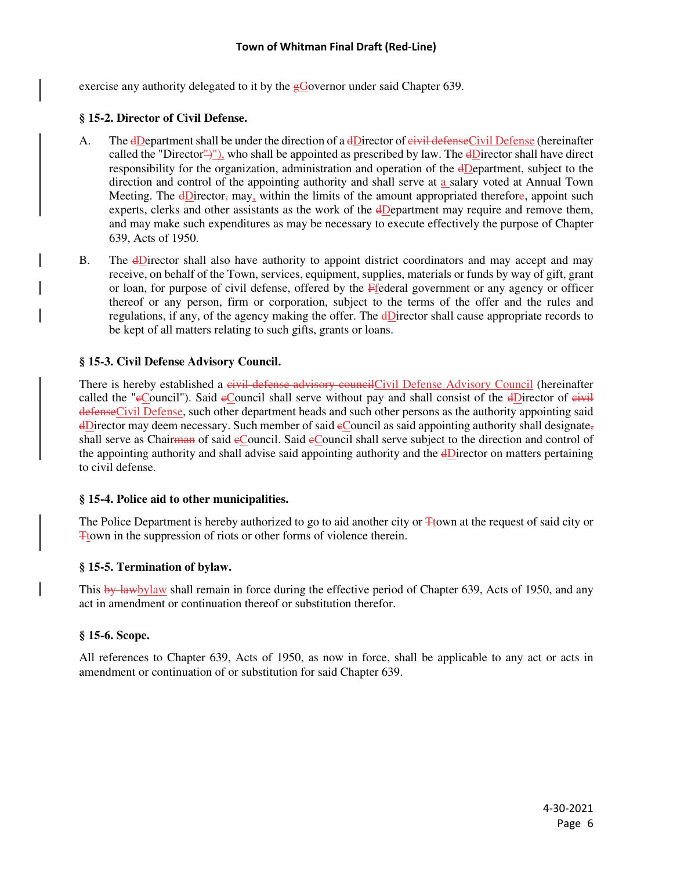exercise any authority delegated to it by the  $\epsilon$ Governor under said Chapter 639.

# **§ 15-2. Director of Civil Defense.**

- A. The dDepartment shall be under the direction of a dDirector of eivil defenseCivil Defense (hereinafter called the "Director")"), who shall be appointed as prescribed by law. The  $\frac{dD}{dD}$  have direct responsibility for the organization, administration and operation of the dDepartment, subject to the direction and control of the appointing authority and shall serve at a salary voted at Annual Town Meeting. The  $\frac{d\text{Directory}}{d\text{Day}}$  may, within the limits of the amount appropriated therefore, appoint such experts, clerks and other assistants as the work of the dDepartment may require and remove them, and may make such expenditures as may be necessary to execute effectively the purpose of Chapter 639, Acts of 1950.
- B. The dDirector shall also have authority to appoint district coordinators and may accept and may receive, on behalf of the Town, services, equipment, supplies, materials or funds by way of gift, grant or loan, for purpose of civil defense, offered by the Ffederal government or any agency or officer thereof or any person, firm or corporation, subject to the terms of the offer and the rules and regulations, if any, of the agency making the offer. The dDirector shall cause appropriate records to be kept of all matters relating to such gifts, grants or loans.

# **§ 15-3. Civil Defense Advisory Council.**

There is hereby established a civil defense advisory council Civil Defense Advisory Council (hereinafter called the "eCouncil"). Said eCouncil shall serve without pay and shall consist of the dDirector of eivil defenseCivil Defense, such other department heads and such other persons as the authority appointing said  $\overline{d}$ Director may deem necessary. Such member of said  $\overline{e}$ Council as said appointing authority shall designate, shall serve as Chairman of said eCouncil. Said eCouncil shall serve subject to the direction and control of the appointing authority and shall advise said appointing authority and the dDirector on matters pertaining to civil defense.

# **§ 15-4. Police aid to other municipalities.**

The Police Department is hereby authorized to go to aid another city or  $\pm$  town at the request of said city or Ttown in the suppression of riots or other forms of violence therein.

# **§ 15-5. Termination of bylaw.**

This by lawbylaw shall remain in force during the effective period of Chapter 639, Acts of 1950, and any act in amendment or continuation thereof or substitution therefor.

### **§ 15-6. Scope.**

All references to Chapter 639, Acts of 1950, as now in force, shall be applicable to any act or acts in amendment or continuation of or substitution for said Chapter 639.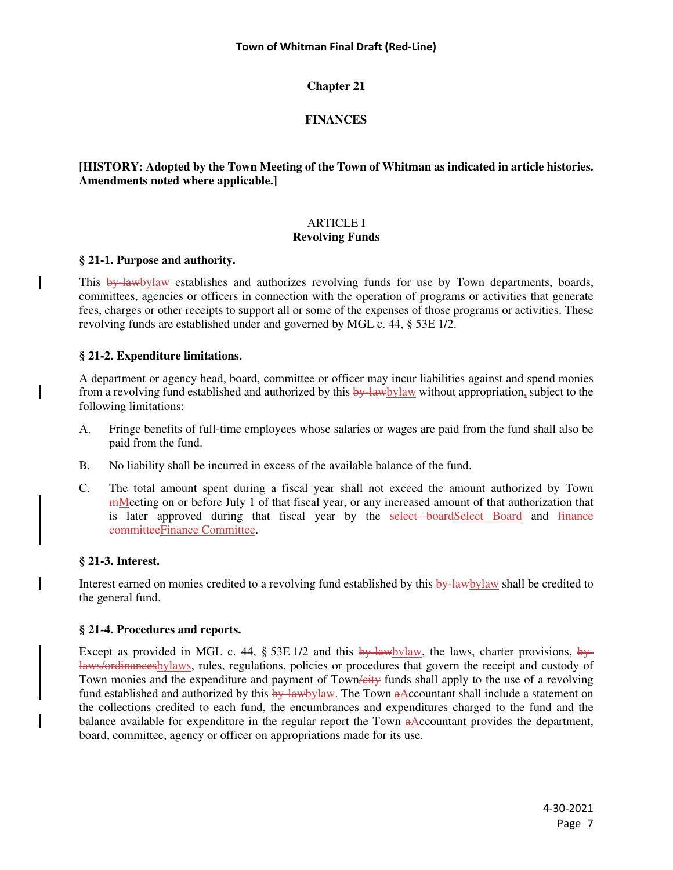# **FINANCES**

# **[HISTORY: Adopted by the Town Meeting of the Town of Whitman as indicated in article histories. Amendments noted where applicable.]**

# ARTICLE I **Revolving Funds**

### **§ 21-1. Purpose and authority.**

This by-lawbylaw establishes and authorizes revolving funds for use by Town departments, boards, committees, agencies or officers in connection with the operation of programs or activities that generate fees, charges or other receipts to support all or some of the expenses of those programs or activities. These revolving funds are established under and governed by MGL c. 44, § 53E 1/2.

# **§ 21-2. Expenditure limitations.**

A department or agency head, board, committee or officer may incur liabilities against and spend monies from a revolving fund established and authorized by this  $\frac{by\;law\!blaw}{b}$  without appropriation, subject to the following limitations:

- A. Fringe benefits of full-time employees whose salaries or wages are paid from the fund shall also be paid from the fund.
- B. No liability shall be incurred in excess of the available balance of the fund.
- C. The total amount spent during a fiscal year shall not exceed the amount authorized by Town mMeeting on or before July 1 of that fiscal year, or any increased amount of that authorization that is later approved during that fiscal year by the select boardSelect Board and finance committeeFinance Committee.

### **§ 21-3. Interest.**

Interest earned on monies credited to a revolving fund established by this by-lawbylaw shall be credited to the general fund.

### **§ 21-4. Procedures and reports.**

Except as provided in MGL c. 44, § 53E 1/2 and this  $\frac{b}{y}$ -lawbylaw, the laws, charter provisions,  $\frac{b}{y}$ laws/ordinancesbylaws, rules, regulations, policies or procedures that govern the receipt and custody of Town monies and the expenditure and payment of Town /eity funds shall apply to the use of a revolving fund established and authorized by this  $\frac{by\text{-law}law}{l}$ . The Town aAccountant shall include a statement on the collections credited to each fund, the encumbrances and expenditures charged to the fund and the balance available for expenditure in the regular report the Town aAccountant provides the department, board, committee, agency or officer on appropriations made for its use.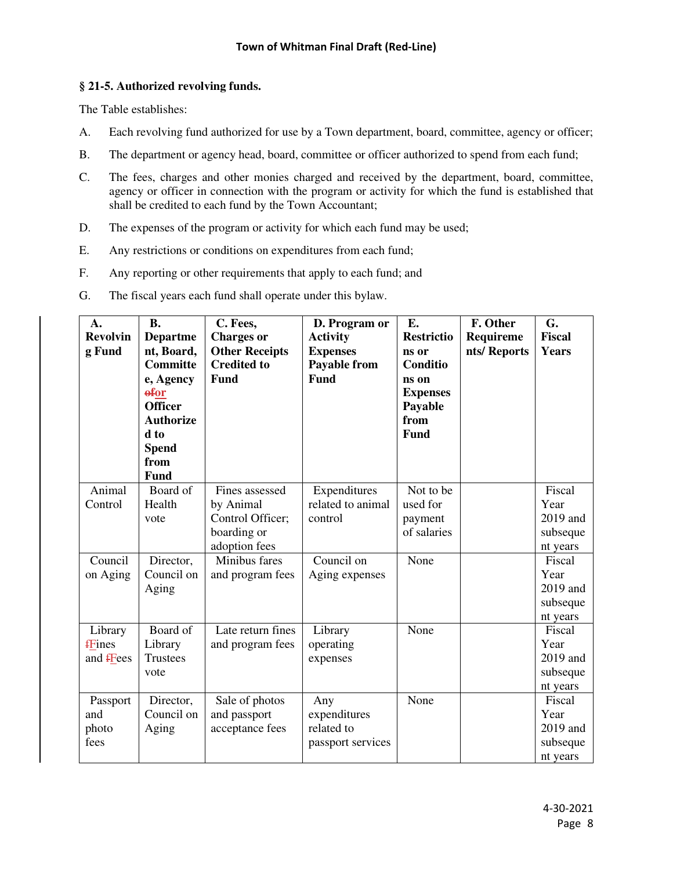# **§ 21-5. Authorized revolving funds.**

The Table establishes:

- A. Each revolving fund authorized for use by a Town department, board, committee, agency or officer;
- B. The department or agency head, board, committee or officer authorized to spend from each fund;
- C. The fees, charges and other monies charged and received by the department, board, committee, agency or officer in connection with the program or activity for which the fund is established that shall be credited to each fund by the Town Accountant;
- D. The expenses of the program or activity for which each fund may be used;
- E. Any restrictions or conditions on expenditures from each fund;
- F. Any reporting or other requirements that apply to each fund; and
- G. The fiscal years each fund shall operate under this bylaw.

| $\mathbf{A}$ .<br><b>Revolvin</b><br>g Fund | <b>B.</b><br><b>Departme</b><br>nt, Board,<br><b>Committe</b><br>e, Agency<br>$\theta$ for<br><b>Officer</b><br><b>Authorize</b><br>d to<br><b>Spend</b><br>from<br>Fund | C. Fees,<br><b>Charges</b> or<br><b>Other Receipts</b><br><b>Credited to</b><br><b>Fund</b> | D. Program or<br><b>Activity</b><br><b>Expenses</b><br>Payable from<br><b>Fund</b> | E.<br><b>Restrictio</b><br>ns or<br>Conditio<br>ns on<br><b>Expenses</b><br>Payable<br>from<br><b>Fund</b> | F. Other<br>Requireme<br>nts/Reports | G.<br><b>Fiscal</b><br><b>Years</b>                |
|---------------------------------------------|--------------------------------------------------------------------------------------------------------------------------------------------------------------------------|---------------------------------------------------------------------------------------------|------------------------------------------------------------------------------------|------------------------------------------------------------------------------------------------------------|--------------------------------------|----------------------------------------------------|
| Animal<br>Control                           | Board of<br>Health<br>vote                                                                                                                                               | Fines assessed<br>by Animal<br>Control Officer;<br>boarding or<br>adoption fees             | Expenditures<br>related to animal<br>control                                       | Not to be<br>used for<br>payment<br>of salaries                                                            |                                      | Fiscal<br>Year<br>2019 and<br>subseque<br>nt years |
| Council<br>on Aging                         | Director,<br>Council on<br>Aging                                                                                                                                         | Minibus fares<br>and program fees                                                           | Council on<br>Aging expenses                                                       | None                                                                                                       |                                      | Fiscal<br>Year<br>2019 and<br>subseque<br>nt years |
| Library<br>fFines<br>and <b>f</b> Fees      | Board of<br>Library<br><b>Trustees</b><br>vote                                                                                                                           | Late return fines<br>and program fees                                                       | Library<br>operating<br>expenses                                                   | None                                                                                                       |                                      | Fiscal<br>Year<br>2019 and<br>subseque<br>nt years |
| Passport<br>and<br>photo<br>fees            | Director,<br>Council on<br>Aging                                                                                                                                         | Sale of photos<br>and passport<br>acceptance fees                                           | Any<br>expenditures<br>related to<br>passport services                             | None                                                                                                       |                                      | Fiscal<br>Year<br>2019 and<br>subseque<br>nt years |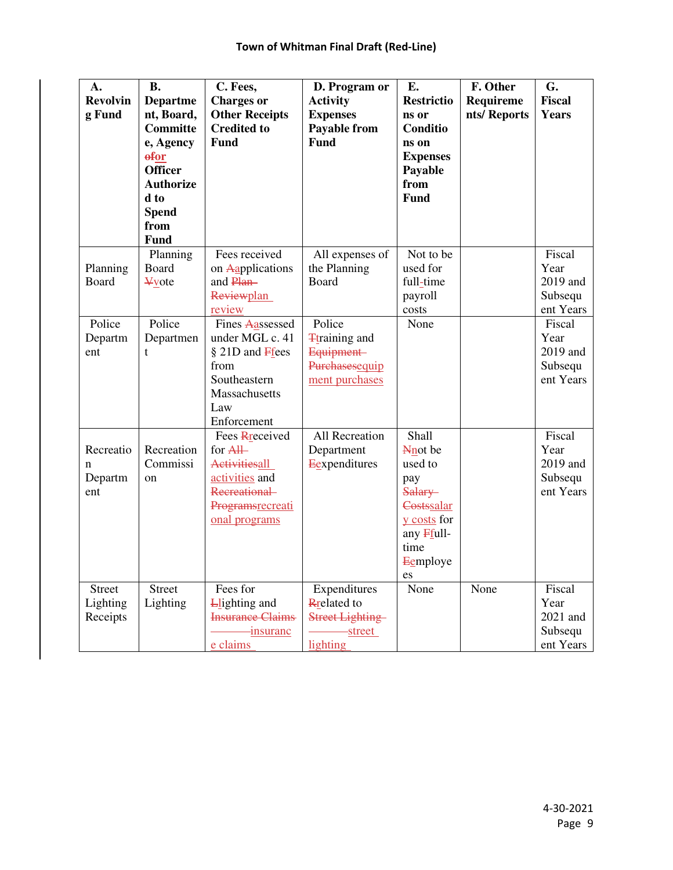| A.<br><b>Revolvin</b> | <b>B.</b><br><b>Departme</b> | C. Fees,<br><b>Charges</b> or                    | D. Program or<br><b>Activity</b>               | E.<br><b>Restrictio</b> | F. Other<br><b>Requireme</b> | G.<br><b>Fiscal</b>  |
|-----------------------|------------------------------|--------------------------------------------------|------------------------------------------------|-------------------------|------------------------------|----------------------|
| g Fund                | nt, Board,                   | <b>Other Receipts</b>                            | <b>Expenses</b>                                | ns or                   | nts/Reports                  | <b>Years</b>         |
|                       | <b>Committe</b><br>e, Agency | <b>Credited to</b><br><b>Fund</b>                | <b>Payable from</b><br><b>Fund</b>             | Conditio<br>ns on       |                              |                      |
|                       | <b>efor</b>                  |                                                  |                                                | <b>Expenses</b>         |                              |                      |
|                       | <b>Officer</b>               |                                                  |                                                | Payable                 |                              |                      |
|                       | <b>Authorize</b><br>d to     |                                                  |                                                | from<br>Fund            |                              |                      |
|                       | <b>Spend</b>                 |                                                  |                                                |                         |                              |                      |
|                       | from                         |                                                  |                                                |                         |                              |                      |
|                       | <b>Fund</b>                  |                                                  |                                                |                         |                              |                      |
| Planning              | Planning<br><b>Board</b>     | Fees received<br>on Aapplications                | All expenses of<br>the Planning                | Not to be<br>used for   |                              | Fiscal<br>Year       |
| Board                 | <b>¥vote</b>                 | and Plan-                                        | Board                                          | full-time               |                              | 2019 and             |
|                       |                              | Reviewplan                                       |                                                | payroll                 |                              | Subsequ              |
|                       |                              | review                                           |                                                | costs                   |                              | ent Years            |
| Police                | Police                       | Fines Aassessed                                  | Police                                         | None                    |                              | Fiscal               |
| Departm               | Departmen                    | under MGL c. 41                                  | <b>T</b> training and                          |                         |                              | Year                 |
| ent                   | t                            | § 21D and Frees                                  | Equipment-                                     |                         |                              | 2019 and             |
|                       |                              | from<br>Southeastern                             | Purchasesequip                                 |                         |                              | Subsequ<br>ent Years |
|                       |                              | Massachusetts                                    | ment purchases                                 |                         |                              |                      |
|                       |                              | Law                                              |                                                |                         |                              |                      |
|                       |                              | Enforcement                                      |                                                |                         |                              |                      |
|                       |                              | Fees Rreceived                                   | All Recreation                                 | Shall                   |                              | Fiscal               |
| Recreatio             | Recreation                   | for All                                          | Department                                     | Nnot be                 |                              | Year                 |
| $\mathbf n$           | Commissi                     | Activitiesall                                    | Eexpenditures                                  | used to                 |                              | 2019 and             |
| Departm<br>ent        | on                           | activities and<br>Recreational                   |                                                | pay                     |                              | Subsequ<br>ent Years |
|                       |                              | Programsrecreati                                 |                                                | Salary-<br>Costssalar   |                              |                      |
|                       |                              | onal programs                                    |                                                | y costs for             |                              |                      |
|                       |                              |                                                  |                                                | any Ffull-              |                              |                      |
|                       |                              |                                                  |                                                | time                    |                              |                      |
|                       |                              |                                                  |                                                | Eemploye                |                              |                      |
|                       |                              |                                                  |                                                | es                      |                              |                      |
| <b>Street</b>         | <b>Street</b>                | Fees for                                         | Expenditures                                   | None                    | None                         | Fiscal               |
| Lighting<br>Receipts  | Lighting                     | <b>L</b> lighting and<br><b>Insurance Claims</b> | <b>R</b> related to<br><b>Street Lighting-</b> |                         |                              | Year<br>2021 and     |
|                       |                              | <i>insuranc</i>                                  | -street                                        |                         |                              | Subsequ              |
|                       |                              | e claims                                         | lighting                                       |                         |                              | ent Years            |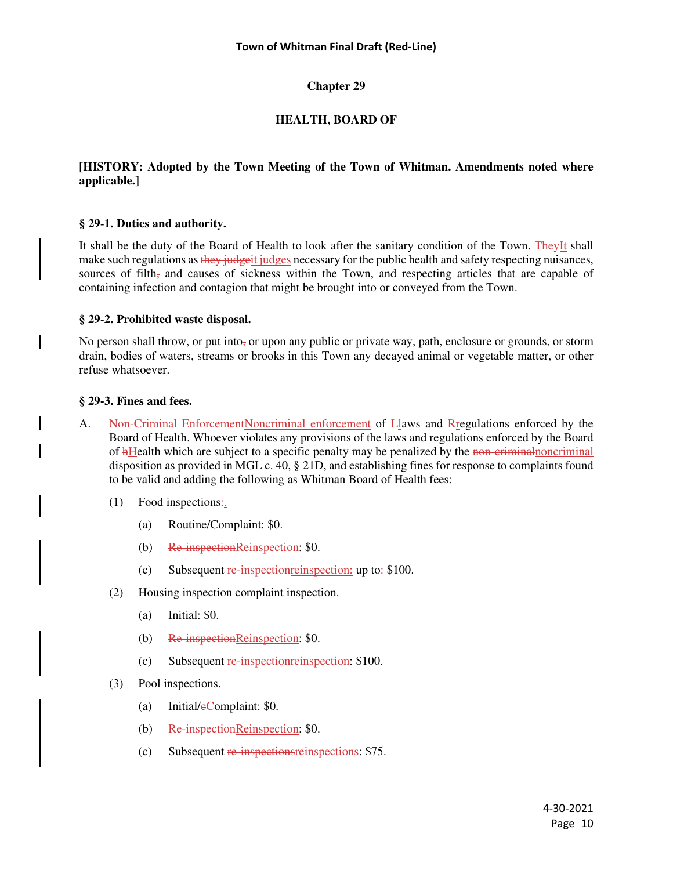# **HEALTH, BOARD OF**

## **[HISTORY: Adopted by the Town Meeting of the Town of Whitman. Amendments noted where applicable.]**

### **§ 29-1. Duties and authority.**

It shall be the duty of the Board of Health to look after the sanitary condition of the Town. TheyIt shall make such regulations as they judgeit judges necessary for the public health and safety respecting nuisances, sources of filth, and causes of sickness within the Town, and respecting articles that are capable of containing infection and contagion that might be brought into or conveyed from the Town.

#### **§ 29-2. Prohibited waste disposal.**

No person shall throw, or put into, or upon any public or private way, path, enclosure or grounds, or storm drain, bodies of waters, streams or brooks in this Town any decayed animal or vegetable matter, or other refuse whatsoever.

# **§ 29-3. Fines and fees.**

- A. Non-Criminal EnforcementNoncriminal enforcement of Llaws and Rregulations enforced by the Board of Health. Whoever violates any provisions of the laws and regulations enforced by the Board of hHealth which are subject to a specific penalty may be penalized by the non-criminal noncriminal disposition as provided in MGL c. 40, § 21D, and establishing fines for response to complaints found to be valid and adding the following as Whitman Board of Health fees:
	- $(1)$  Food inspections:
		- (a) Routine/Complaint: \$0.
		- (b) Re-inspectionReinspection: \$0.
		- (c) Subsequent  $\frac{1}{2}$  Respection reinspection: up to: \$100.
	- (2) Housing inspection complaint inspection.
		- (a) Initial: \$0.
		- (b) Re-inspectionReinspection: \$0.
		- (c) Subsequent re-inspectionreinspection: \$100.
	- (3) Pool inspections.
		- (a) Initial/ $e$ Complaint: \$0.
		- (b) Re-inspectionReinspection: \$0.
		- (c) Subsequent re-inspectionsreinspections: \$75.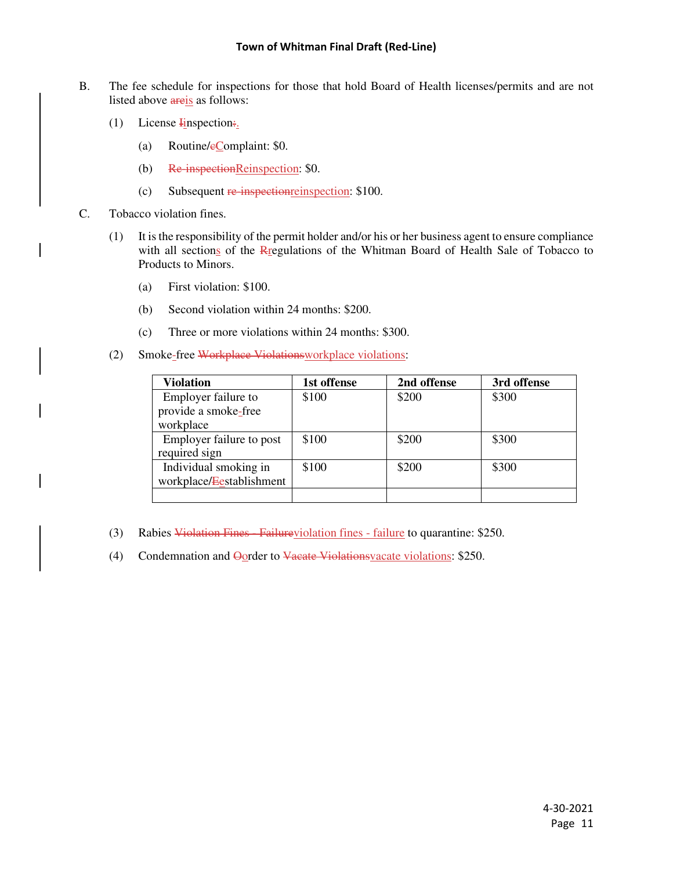- B. The fee schedule for inspections for those that hold Board of Health licenses/permits and are not listed above areis as follows:
	- (1) License  $\frac{1}{2}$  Linspection:
		- (a) Routine/ $e$ Complaint: \$0.
		- (b) Re-inspectionReinspection: \$0.
		- (c) Subsequent re-inspection reinspection: \$100.
- C. Tobacco violation fines.
	- (1) It is the responsibility of the permit holder and/or his or her business agent to ensure compliance with all sections of the Rregulations of the Whitman Board of Health Sale of Tobacco to Products to Minors.
		- (a) First violation: \$100.
		- (b) Second violation within 24 months: \$200.
		- (c) Three or more violations within 24 months: \$300.
	- (2) Smoke-free Workplace Violationsworkplace violations:

| <b>Violation</b>         | 1st offense | 2nd offense | 3rd offense |
|--------------------------|-------------|-------------|-------------|
| Employer failure to      | \$100       | \$200       | \$300       |
| provide a smoke-free     |             |             |             |
| workplace                |             |             |             |
| Employer failure to post | \$100       | \$200       | \$300       |
| required sign            |             |             |             |
| Individual smoking in    | \$100       | \$200       | \$300       |
| workplace/Eestablishment |             |             |             |
|                          |             |             |             |

- (3) Rabies Violation Fines Failureviolation fines failure to quarantine: \$250.
- (4) Condemnation and Oorder to Vacate Violationsvacate violations: \$250.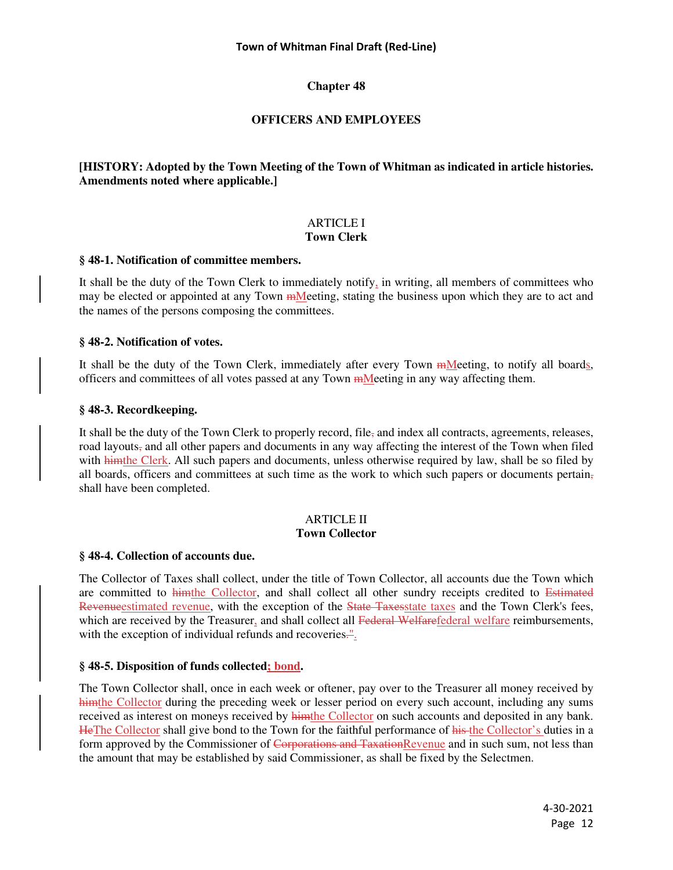# **OFFICERS AND EMPLOYEES**

# **[HISTORY: Adopted by the Town Meeting of the Town of Whitman as indicated in article histories. Amendments noted where applicable.]**

### ARTICLE I **Town Clerk**

### **§ 48-1. Notification of committee members.**

It shall be the duty of the Town Clerk to immediately notify, in writing, all members of committees who may be elected or appointed at any Town mMeeting, stating the business upon which they are to act and the names of the persons composing the committees.

### **§ 48-2. Notification of votes.**

It shall be the duty of the Town Clerk, immediately after every Town mMeeting, to notify all boards, officers and committees of all votes passed at any Town mMeeting in any way affecting them.

#### **§ 48-3. Recordkeeping.**

It shall be the duty of the Town Clerk to properly record, file, and index all contracts, agreements, releases, road layouts, and all other papers and documents in any way affecting the interest of the Town when filed with himthe Clerk. All such papers and documents, unless otherwise required by law, shall be so filed by all boards, officers and committees at such time as the work to which such papers or documents pertain, shall have been completed.

#### ARTICLE II **Town Collector**

### **§ 48-4. Collection of accounts due.**

The Collector of Taxes shall collect, under the title of Town Collector, all accounts due the Town which are committed to himthe Collector, and shall collect all other sundry receipts credited to Estimated Revenueestimated revenue, with the exception of the State Taxesstate taxes and the Town Clerk's fees, which are received by the Treasurer, and shall collect all Federal Welfarefederal welfare reimbursements, with the exception of individual refunds and recoveries."

### **§ 48-5. Disposition of funds collected; bond.**

The Town Collector shall, once in each week or oftener, pay over to the Treasurer all money received by himthe Collector during the preceding week or lesser period on every such account, including any sums received as interest on moneys received by himmthe Collector on such accounts and deposited in any bank. HeThe Collector shall give bond to the Town for the faithful performance of his the Collector's duties in a form approved by the Commissioner of Corporations and TaxationRevenue and in such sum, not less than the amount that may be established by said Commissioner, as shall be fixed by the Selectmen.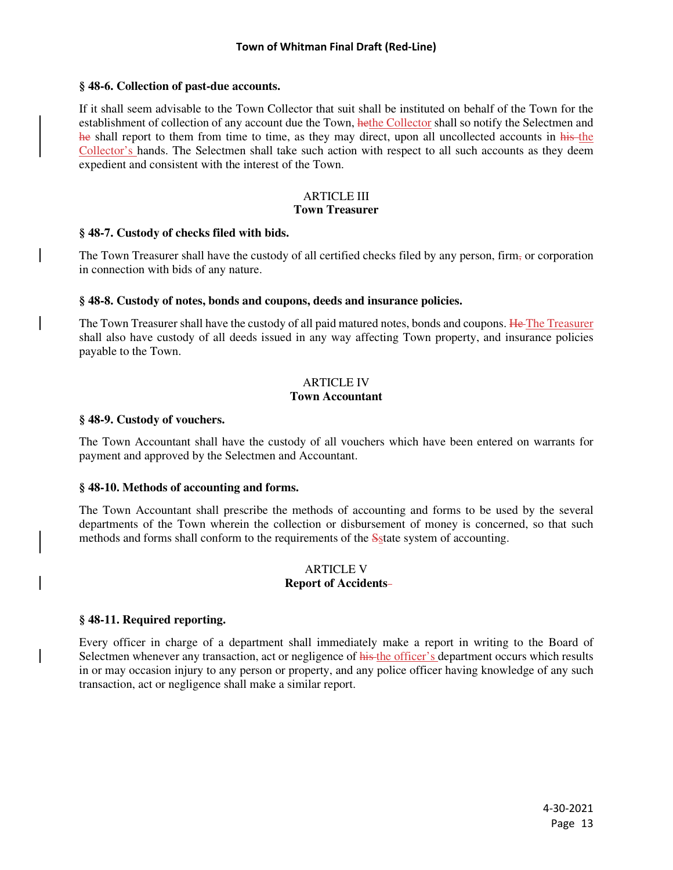### **§ 48-6. Collection of past-due accounts.**

If it shall seem advisable to the Town Collector that suit shall be instituted on behalf of the Town for the establishment of collection of any account due the Town, hethe Collector shall so notify the Selectmen and he shall report to them from time to time, as they may direct, upon all uncollected accounts in his the Collector's hands. The Selectmen shall take such action with respect to all such accounts as they deem expedient and consistent with the interest of the Town.

#### ARTICLE III **Town Treasurer**

#### **§ 48-7. Custody of checks filed with bids.**

The Town Treasurer shall have the custody of all certified checks filed by any person, firm, or corporation in connection with bids of any nature.

#### **§ 48-8. Custody of notes, bonds and coupons, deeds and insurance policies.**

The Town Treasurer shall have the custody of all paid matured notes, bonds and coupons. He The Treasurer shall also have custody of all deeds issued in any way affecting Town property, and insurance policies payable to the Town.

### ARTICLE IV **Town Accountant**

#### **§ 48-9. Custody of vouchers.**

The Town Accountant shall have the custody of all vouchers which have been entered on warrants for payment and approved by the Selectmen and Accountant.

### **§ 48-10. Methods of accounting and forms.**

The Town Accountant shall prescribe the methods of accounting and forms to be used by the several departments of the Town wherein the collection or disbursement of money is concerned, so that such methods and forms shall conform to the requirements of the S<sub>S</sub>tate system of accounting.

#### ARTICLE V **Report of Accidents**

### **§ 48-11. Required reporting.**

Every officer in charge of a department shall immediately make a report in writing to the Board of Selectmen whenever any transaction, act or negligence of his the officer's department occurs which results in or may occasion injury to any person or property, and any police officer having knowledge of any such transaction, act or negligence shall make a similar report.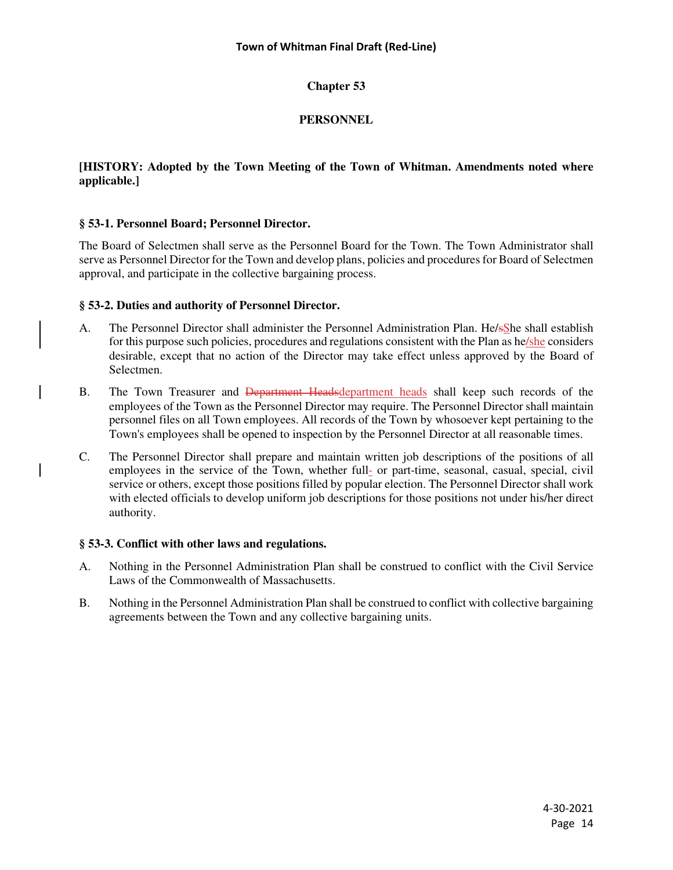# **PERSONNEL**

# **[HISTORY: Adopted by the Town Meeting of the Town of Whitman. Amendments noted where applicable.]**

# **§ 53-1. Personnel Board; Personnel Director.**

The Board of Selectmen shall serve as the Personnel Board for the Town. The Town Administrator shall serve as Personnel Director for the Town and develop plans, policies and procedures for Board of Selectmen approval, and participate in the collective bargaining process.

# **§ 53-2. Duties and authority of Personnel Director.**

- A. The Personnel Director shall administer the Personnel Administration Plan. He/sShe shall establish for this purpose such policies, procedures and regulations consistent with the Plan as he/she considers desirable, except that no action of the Director may take effect unless approved by the Board of Selectmen.
- B. The Town Treasurer and Department Headsdepartment heads shall keep such records of the employees of the Town as the Personnel Director may require. The Personnel Director shall maintain personnel files on all Town employees. All records of the Town by whosoever kept pertaining to the Town's employees shall be opened to inspection by the Personnel Director at all reasonable times.
- C. The Personnel Director shall prepare and maintain written job descriptions of the positions of all employees in the service of the Town, whether full- or part-time, seasonal, casual, special, civil service or others, except those positions filled by popular election. The Personnel Director shall work with elected officials to develop uniform job descriptions for those positions not under his/her direct authority.

### **§ 53-3. Conflict with other laws and regulations.**

- A. Nothing in the Personnel Administration Plan shall be construed to conflict with the Civil Service Laws of the Commonwealth of Massachusetts.
- B. Nothing in the Personnel Administration Plan shall be construed to conflict with collective bargaining agreements between the Town and any collective bargaining units.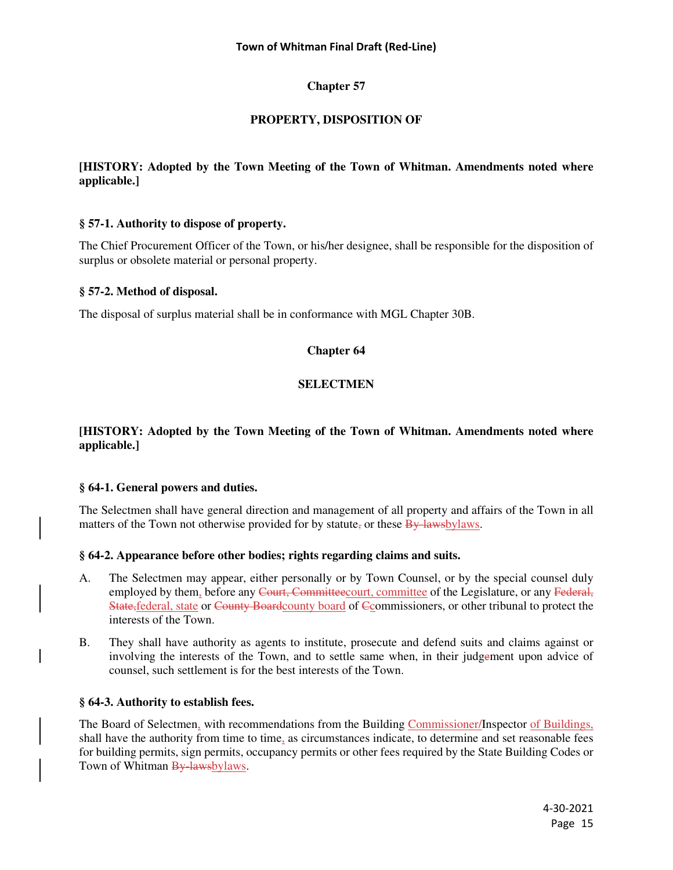# **PROPERTY, DISPOSITION OF**

# **[HISTORY: Adopted by the Town Meeting of the Town of Whitman. Amendments noted where applicable.]**

# **§ 57-1. Authority to dispose of property.**

The Chief Procurement Officer of the Town, or his/her designee, shall be responsible for the disposition of surplus or obsolete material or personal property.

### **§ 57-2. Method of disposal.**

The disposal of surplus material shall be in conformance with MGL Chapter 30B.

# **Chapter 64**

# **SELECTMEN**

## **[HISTORY: Adopted by the Town Meeting of the Town of Whitman. Amendments noted where applicable.]**

### **§ 64-1. General powers and duties.**

The Selectmen shall have general direction and management of all property and affairs of the Town in all matters of the Town not otherwise provided for by statute, or these  $\frac{By \; lawsbylaws}{B}$ .

### **§ 64-2. Appearance before other bodies; rights regarding claims and suits.**

- A. The Selectmen may appear, either personally or by Town Counsel, or by the special counsel duly employed by them, before any Court, Committee court, committee of the Legislature, or any Federal, State,federal, state or County Boardcounty board of Ccommissioners, or other tribunal to protect the interests of the Town.
- B. They shall have authority as agents to institute, prosecute and defend suits and claims against or involving the interests of the Town, and to settle same when, in their judgement upon advice of counsel, such settlement is for the best interests of the Town.

### **§ 64-3. Authority to establish fees.**

The Board of Selectmen, with recommendations from the Building Commissioner/Inspector of Buildings, shall have the authority from time to time, as circumstances indicate, to determine and set reasonable fees for building permits, sign permits, occupancy permits or other fees required by the State Building Codes or Town of Whitman By lawsbylaws.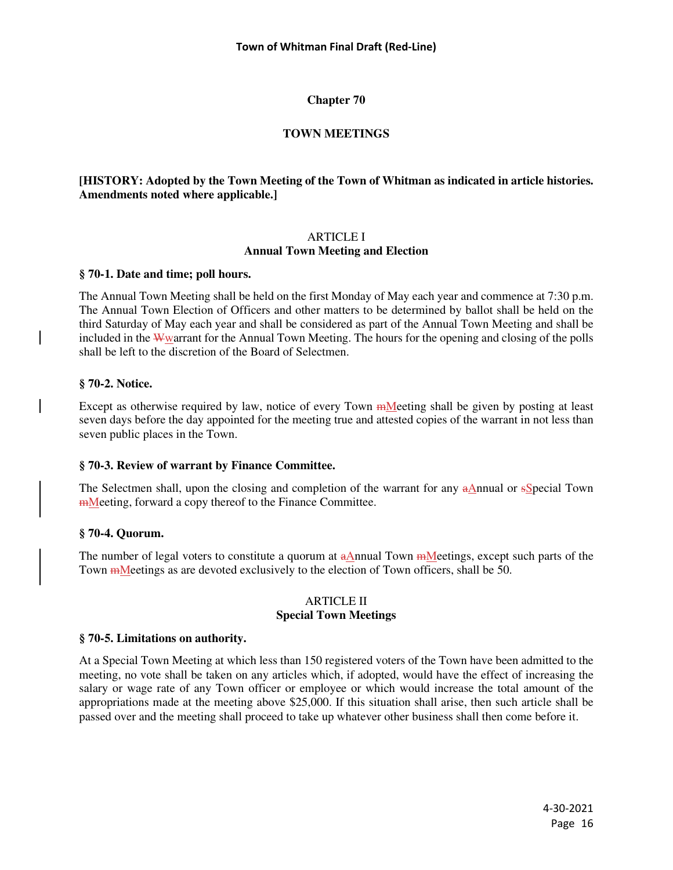# **TOWN MEETINGS**

# **[HISTORY: Adopted by the Town Meeting of the Town of Whitman as indicated in article histories. Amendments noted where applicable.]**

### ARTICLE I **Annual Town Meeting and Election**

### **§ 70-1. Date and time; poll hours.**

The Annual Town Meeting shall be held on the first Monday of May each year and commence at 7:30 p.m. The Annual Town Election of Officers and other matters to be determined by ballot shall be held on the third Saturday of May each year and shall be considered as part of the Annual Town Meeting and shall be included in the Wwarrant for the Annual Town Meeting. The hours for the opening and closing of the polls shall be left to the discretion of the Board of Selectmen.

# **§ 70-2. Notice.**

Except as otherwise required by law, notice of every Town <del>m</del>Meeting shall be given by posting at least seven days before the day appointed for the meeting true and attested copies of the warrant in not less than seven public places in the Town.

# **§ 70-3. Review of warrant by Finance Committee.**

The Selectmen shall, upon the closing and completion of the warrant for any aAnnual or sSpecial Town mMeeting, forward a copy thereof to the Finance Committee.

### **§ 70-4. Quorum.**

The number of legal voters to constitute a quorum at aAnnual Town mMeetings, except such parts of the Town mMeetings as are devoted exclusively to the election of Town officers, shall be 50.

#### ARTICLE II **Special Town Meetings**

### **§ 70-5. Limitations on authority.**

At a Special Town Meeting at which less than 150 registered voters of the Town have been admitted to the meeting, no vote shall be taken on any articles which, if adopted, would have the effect of increasing the salary or wage rate of any Town officer or employee or which would increase the total amount of the appropriations made at the meeting above \$25,000. If this situation shall arise, then such article shall be passed over and the meeting shall proceed to take up whatever other business shall then come before it.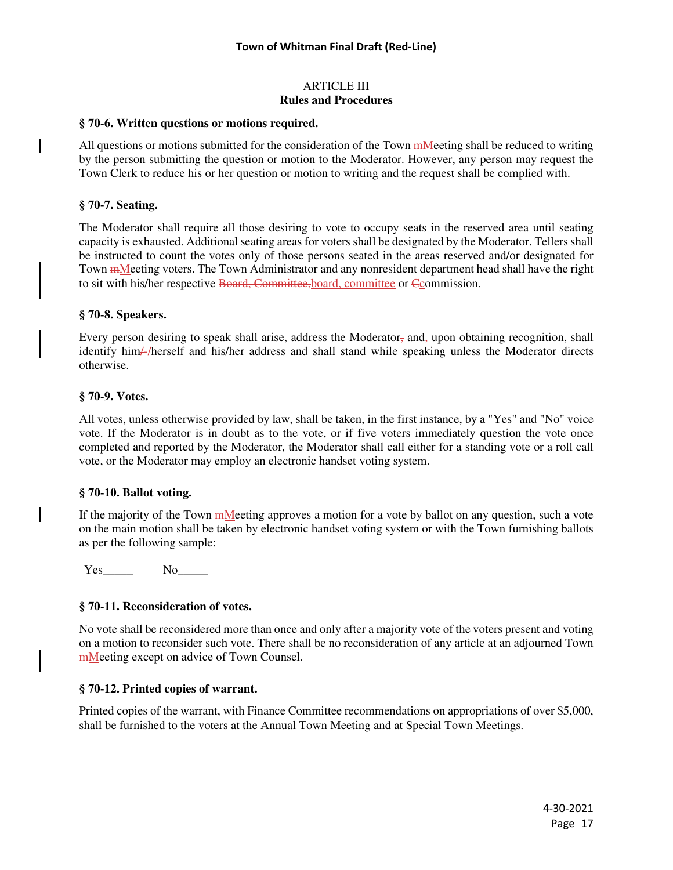### ARTICLE III **Rules and Procedures**

### **§ 70-6. Written questions or motions required.**

All questions or motions submitted for the consideration of the Town mMeeting shall be reduced to writing by the person submitting the question or motion to the Moderator. However, any person may request the Town Clerk to reduce his or her question or motion to writing and the request shall be complied with.

### **§ 70-7. Seating.**

The Moderator shall require all those desiring to vote to occupy seats in the reserved area until seating capacity is exhausted. Additional seating areas for voters shall be designated by the Moderator. Tellers shall be instructed to count the votes only of those persons seated in the areas reserved and/or designated for Town mMeeting voters. The Town Administrator and any nonresident department head shall have the right to sit with his/her respective Board, Committee, board, committee or Ccommission.

#### **§ 70-8. Speakers.**

Every person desiring to speak shall arise, address the Moderator, and, upon obtaining recognition, shall identify him/-/herself and his/her address and shall stand while speaking unless the Moderator directs otherwise.

#### **§ 70-9. Votes.**

All votes, unless otherwise provided by law, shall be taken, in the first instance, by a "Yes" and "No" voice vote. If the Moderator is in doubt as to the vote, or if five voters immediately question the vote once completed and reported by the Moderator, the Moderator shall call either for a standing vote or a roll call vote, or the Moderator may employ an electronic handset voting system.

#### **§ 70-10. Ballot voting.**

If the majority of the Town mMeeting approves a motion for a vote by ballot on any question, such a vote on the main motion shall be taken by electronic handset voting system or with the Town furnishing ballots as per the following sample:

Yes No

### **§ 70-11. Reconsideration of votes.**

No vote shall be reconsidered more than once and only after a majority vote of the voters present and voting on a motion to reconsider such vote. There shall be no reconsideration of any article at an adjourned Town **mMeeting except on advice of Town Counsel.** 

#### **§ 70-12. Printed copies of warrant.**

Printed copies of the warrant, with Finance Committee recommendations on appropriations of over \$5,000, shall be furnished to the voters at the Annual Town Meeting and at Special Town Meetings.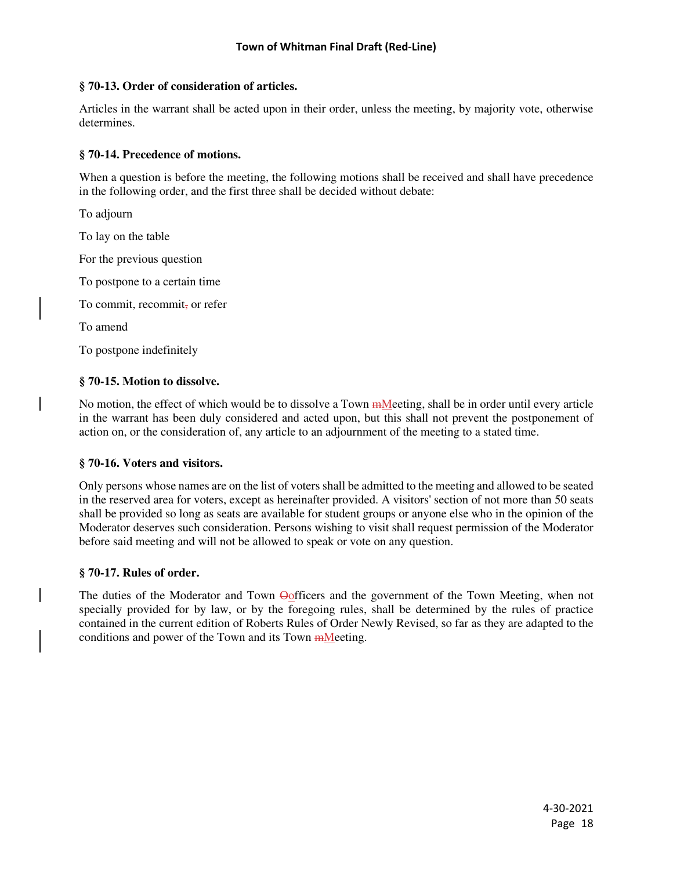### **§ 70-13. Order of consideration of articles.**

Articles in the warrant shall be acted upon in their order, unless the meeting, by majority vote, otherwise determines.

# **§ 70-14. Precedence of motions.**

When a question is before the meeting, the following motions shall be received and shall have precedence in the following order, and the first three shall be decided without debate:

To adjourn

To lay on the table

For the previous question

To postpone to a certain time

To commit, recommit, or refer

To amend

To postpone indefinitely

### **§ 70-15. Motion to dissolve.**

No motion, the effect of which would be to dissolve a Town  $m$  eting, shall be in order until every article in the warrant has been duly considered and acted upon, but this shall not prevent the postponement of action on, or the consideration of, any article to an adjournment of the meeting to a stated time.

### **§ 70-16. Voters and visitors.**

Only persons whose names are on the list of voters shall be admitted to the meeting and allowed to be seated in the reserved area for voters, except as hereinafter provided. A visitors' section of not more than 50 seats shall be provided so long as seats are available for student groups or anyone else who in the opinion of the Moderator deserves such consideration. Persons wishing to visit shall request permission of the Moderator before said meeting and will not be allowed to speak or vote on any question.

### **§ 70-17. Rules of order.**

The duties of the Moderator and Town  $\Theta$  officers and the government of the Town Meeting, when not specially provided for by law, or by the foregoing rules, shall be determined by the rules of practice contained in the current edition of Roberts Rules of Order Newly Revised, so far as they are adapted to the conditions and power of the Town and its Town mMeeting.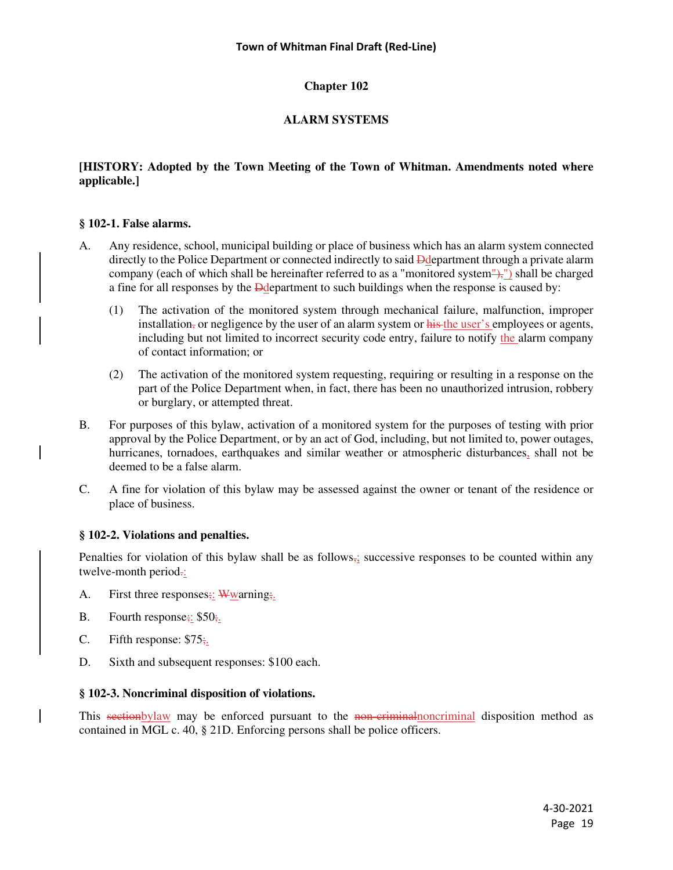# **ALARM SYSTEMS**

# **[HISTORY: Adopted by the Town Meeting of the Town of Whitman. Amendments noted where applicable.]**

# **§ 102-1. False alarms.**

- A. Any residence, school, municipal building or place of business which has an alarm system connected directly to the Police Department or connected indirectly to said **D**department through a private alarm company (each of which shall be hereinafter referred to as a "monitored system"),") shall be charged a fine for all responses by the Ddepartment to such buildings when the response is caused by:
	- (1) The activation of the monitored system through mechanical failure, malfunction, improper installation, or negligence by the user of an alarm system or his the user's employees or agents, including but not limited to incorrect security code entry, failure to notify the alarm company of contact information; or
	- (2) The activation of the monitored system requesting, requiring or resulting in a response on the part of the Police Department when, in fact, there has been no unauthorized intrusion, robbery or burglary, or attempted threat.
- B. For purposes of this bylaw, activation of a monitored system for the purposes of testing with prior approval by the Police Department, or by an act of God, including, but not limited to, power outages, hurricanes, tornadoes, earthquakes and similar weather or atmospheric disturbances, shall not be deemed to be a false alarm.
- C. A fine for violation of this bylaw may be assessed against the owner or tenant of the residence or place of business.

# **§ 102-2. Violations and penalties.**

Penalties for violation of this bylaw shall be as follows, successive responses to be counted within any twelve-month period.:

- A. First three responses;: Wwarning;
- B. Fourth response;: \$50;
- C. Fifth response:  $$75;$ .
- D. Sixth and subsequent responses: \$100 each.

### **§ 102-3. Noncriminal disposition of violations.**

This section by law may be enforced pursuant to the non-criminal monoriminal disposition method as contained in MGL c. 40, § 21D. Enforcing persons shall be police officers.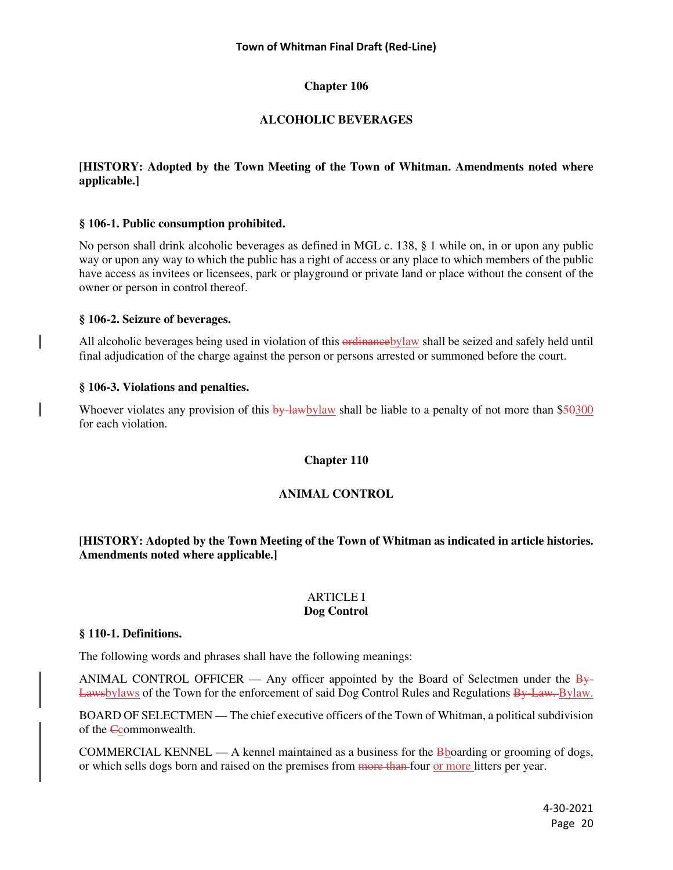# **ALCOHOLIC BEVERAGES**

# **[HISTORY: Adopted by the Town Meeting of the Town of Whitman. Amendments noted where applicable.]**

# **§ 106-1. Public consumption prohibited.**

No person shall drink alcoholic beverages as defined in MGL c. 138, § 1 while on, in or upon any public way or upon any way to which the public has a right of access or any place to which members of the public have access as invitees or licensees, park or playground or private land or place without the consent of the owner or person in control thereof.

### **§ 106-2. Seizure of beverages.**

All alcoholic beverages being used in violation of this ordinance by law shall be seized and safely held until final adjudication of the charge against the person or persons arrested or summoned before the court.

# **§ 106-3. Violations and penalties.**

Whoever violates any provision of this by-lawbylaw shall be liable to a penalty of not more than \$50300 for each violation.

### **Chapter 110**

# **ANIMAL CONTROL**

# **[HISTORY: Adopted by the Town Meeting of the Town of Whitman as indicated in article histories. Amendments noted where applicable.]**

#### ARTICLE I **Dog Control**

### **§ 110-1. Definitions.**

The following words and phrases shall have the following meanings:

ANIMAL CONTROL OFFICER — Any officer appointed by the Board of Selectmen under the  $\frac{B_y}{B_y}$ Lawsbylaws of the Town for the enforcement of said Dog Control Rules and Regulations By-Law. Bylaw.

BOARD OF SELECTMEN — The chief executive officers of the Town of Whitman, a political subdivision of the Ccommonwealth.

COMMERCIAL KENNEL — A kennel maintained as a business for the  $\frac{1}{100}$  supposed by  $\frac{1}{100}$  or grooming of dogs, or which sells dogs born and raised on the premises from more than four or more litters per year.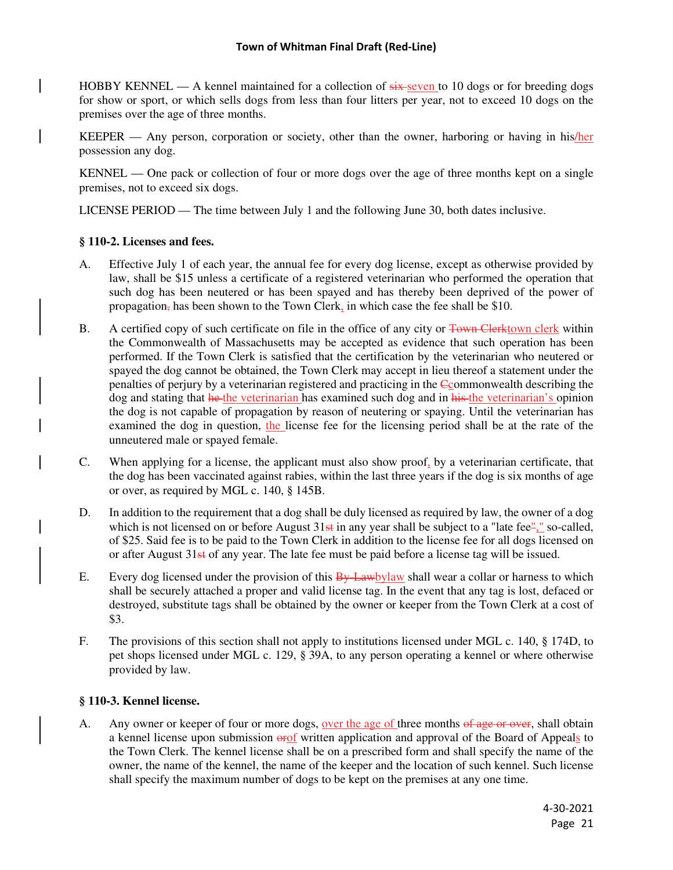### **Town of Whitman Final Draft (Red-Line)**

HOBBY KENNEL — A kennel maintained for a collection of  $\frac{1}{x}$  seven to 10 dogs or for breeding dogs for show or sport, or which sells dogs from less than four litters per year, not to exceed 10 dogs on the premises over the age of three months.

KEEPER — Any person, corporation or society, other than the owner, harboring or having in his/her possession any dog.

KENNEL — One pack or collection of four or more dogs over the age of three months kept on a single premises, not to exceed six dogs.

LICENSE PERIOD — The time between July 1 and the following June 30, both dates inclusive.

#### **§ 110-2. Licenses and fees.**

- A. Effective July 1 of each year, the annual fee for every dog license, except as otherwise provided by law, shall be \$15 unless a certificate of a registered veterinarian who performed the operation that such dog has been neutered or has been spayed and has thereby been deprived of the power of propagation, has been shown to the Town Clerk, in which case the fee shall be \$10.
- B. A certified copy of such certificate on file in the office of any city or Town Clerktown clerk within the Commonwealth of Massachusetts may be accepted as evidence that such operation has been performed. If the Town Clerk is satisfied that the certification by the veterinarian who neutered or spayed the dog cannot be obtained, the Town Clerk may accept in lieu thereof a statement under the penalties of perjury by a veterinarian registered and practicing in the Ccommonwealth describing the dog and stating that he the veterinarian has examined such dog and in his the veterinarian's opinion the dog is not capable of propagation by reason of neutering or spaying. Until the veterinarian has examined the dog in question, the license fee for the licensing period shall be at the rate of the unneutered male or spayed female.
- C. When applying for a license, the applicant must also show proof, by a veterinarian certificate, that the dog has been vaccinated against rabies, within the last three years if the dog is six months of age or over, as required by MGL c. 140, § 145B.
- D. In addition to the requirement that a dog shall be duly licensed as required by law, the owner of a dog which is not licensed on or before August  $31st$  in any year shall be subject to a "late fee"," so-called, of \$25. Said fee is to be paid to the Town Clerk in addition to the license fee for all dogs licensed on or after August 31st of any year. The late fee must be paid before a license tag will be issued.
- E. Every dog licensed under the provision of this  $\frac{B_y}{B_y}L_x$  when we allem a collar or harness to which shall be securely attached a proper and valid license tag. In the event that any tag is lost, defaced or destroyed, substitute tags shall be obtained by the owner or keeper from the Town Clerk at a cost of \$3.
- F. The provisions of this section shall not apply to institutions licensed under MGL c. 140, § 174D, to pet shops licensed under MGL c. 129, § 39A, to any person operating a kennel or where otherwise provided by law.

#### **§ 110-3. Kennel license.**

A. Any owner or keeper of four or more dogs, over the age of three months of age or over, shall obtain a kennel license upon submission  $\frac{\partial f}{\partial x}$  written application and approval of the Board of Appeals to the Town Clerk. The kennel license shall be on a prescribed form and shall specify the name of the owner, the name of the kennel, the name of the keeper and the location of such kennel. Such license shall specify the maximum number of dogs to be kept on the premises at any one time.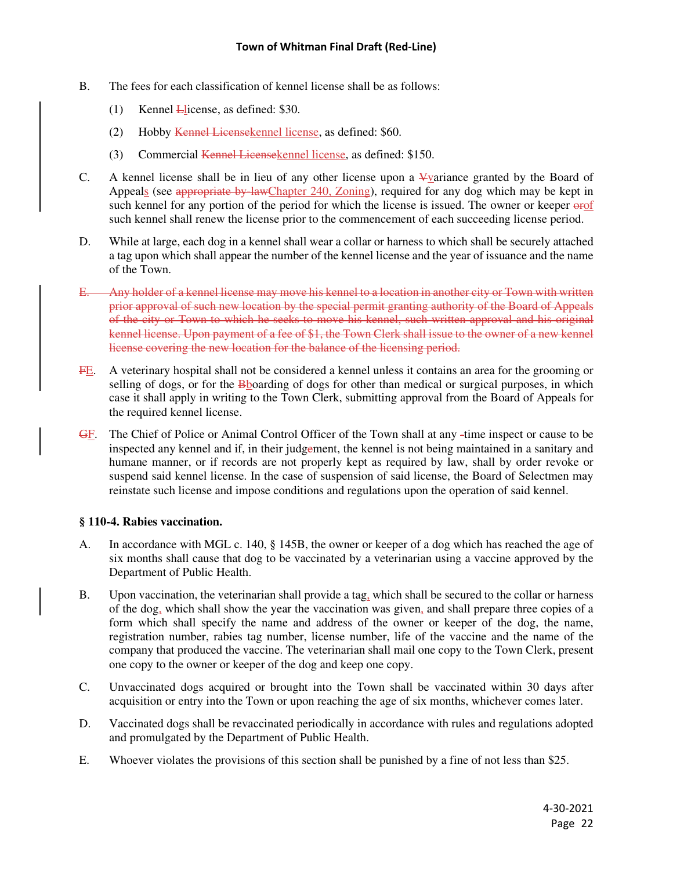- B. The fees for each classification of kennel license shall be as follows:
	- (1) Kennel Llicense, as defined: \$30.
	- (2) Hobby Kennel Licensekennel license, as defined: \$60.
	- (3) Commercial Kennel Licensekennel license, as defined: \$150.
- C. A kennel license shall be in lieu of any other license upon a V-variance granted by the Board of Appeals (see appropriate by lawChapter 240, Zoning), required for any dog which may be kept in such kennel for any portion of the period for which the license is issued. The owner or keeper  $\theta$ such kennel shall renew the license prior to the commencement of each succeeding license period.
- D. While at large, each dog in a kennel shall wear a collar or harness to which shall be securely attached a tag upon which shall appear the number of the kennel license and the year of issuance and the name of the Town.
- E. Any holder of a kennel license may move his kennel to a location in another city or Town with written prior approval of such new location by the special permit granting authority of the Board of Appeals of the city or Town to which he seeks to move his kennel, such written approval and his original kennel license. Upon payment of a fee of \$1, the Town Clerk shall issue to the owner of a new kennel license covering the new location for the balance of the licensing period.
- FE. A veterinary hospital shall not be considered a kennel unless it contains an area for the grooming or selling of dogs, or for the **B**boarding of dogs for other than medical or surgical purposes, in which case it shall apply in writing to the Town Clerk, submitting approval from the Board of Appeals for the required kennel license.
- GF. The Chief of Police or Animal Control Officer of the Town shall at any -time inspect or cause to be inspected any kennel and if, in their judgement, the kennel is not being maintained in a sanitary and humane manner, or if records are not properly kept as required by law, shall by order revoke or suspend said kennel license. In the case of suspension of said license, the Board of Selectmen may reinstate such license and impose conditions and regulations upon the operation of said kennel.

### **§ 110-4. Rabies vaccination.**

- A. In accordance with MGL c. 140, § 145B, the owner or keeper of a dog which has reached the age of six months shall cause that dog to be vaccinated by a veterinarian using a vaccine approved by the Department of Public Health.
- B. Upon vaccination, the veterinarian shall provide a tag, which shall be secured to the collar or harness of the dog, which shall show the year the vaccination was given, and shall prepare three copies of a form which shall specify the name and address of the owner or keeper of the dog, the name, registration number, rabies tag number, license number, life of the vaccine and the name of the company that produced the vaccine. The veterinarian shall mail one copy to the Town Clerk, present one copy to the owner or keeper of the dog and keep one copy.
- C. Unvaccinated dogs acquired or brought into the Town shall be vaccinated within 30 days after acquisition or entry into the Town or upon reaching the age of six months, whichever comes later.
- D. Vaccinated dogs shall be revaccinated periodically in accordance with rules and regulations adopted and promulgated by the Department of Public Health.
- E. Whoever violates the provisions of this section shall be punished by a fine of not less than \$25.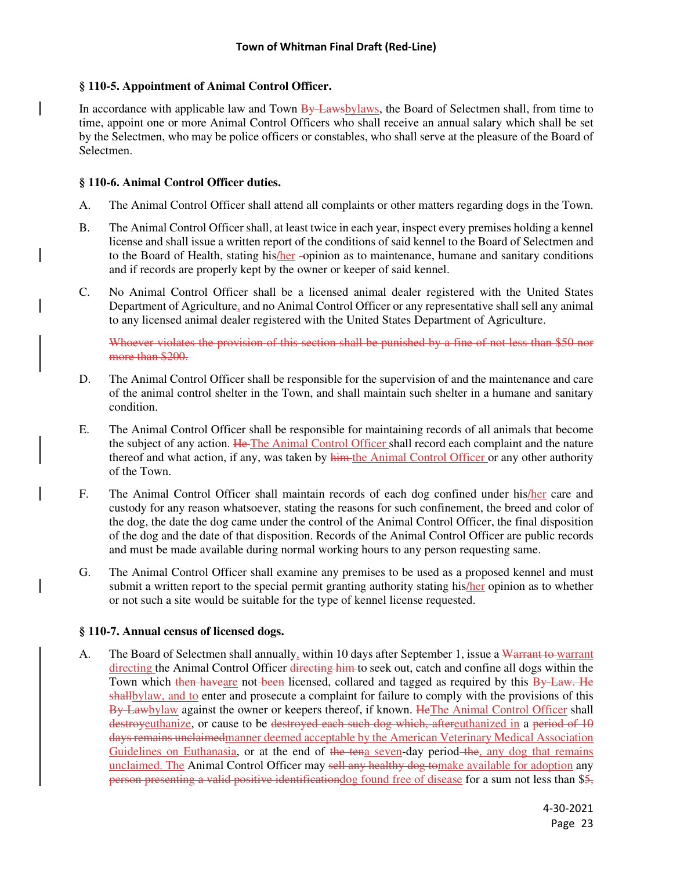# **§ 110-5. Appointment of Animal Control Officer.**

In accordance with applicable law and Town By-Lawsbylaws, the Board of Selectmen shall, from time to time, appoint one or more Animal Control Officers who shall receive an annual salary which shall be set by the Selectmen, who may be police officers or constables, who shall serve at the pleasure of the Board of Selectmen.

### **§ 110-6. Animal Control Officer duties.**

- A. The Animal Control Officer shall attend all complaints or other matters regarding dogs in the Town.
- B. The Animal Control Officer shall, at least twice in each year, inspect every premises holding a kennel license and shall issue a written report of the conditions of said kennel to the Board of Selectmen and to the Board of Health, stating his/her -opinion as to maintenance, humane and sanitary conditions and if records are properly kept by the owner or keeper of said kennel.
- C. No Animal Control Officer shall be a licensed animal dealer registered with the United States Department of Agriculture, and no Animal Control Officer or any representative shall sell any animal to any licensed animal dealer registered with the United States Department of Agriculture.

Whoever violates the provision of this section shall be punished by a fine of not less than \$50 nor more than \$200.

- D. The Animal Control Officer shall be responsible for the supervision of and the maintenance and care of the animal control shelter in the Town, and shall maintain such shelter in a humane and sanitary condition.
- E. The Animal Control Officer shall be responsible for maintaining records of all animals that become the subject of any action. He The Animal Control Officer shall record each complaint and the nature thereof and what action, if any, was taken by him the Animal Control Officer or any other authority of the Town.
- F. The Animal Control Officer shall maintain records of each dog confined under his/her care and custody for any reason whatsoever, stating the reasons for such confinement, the breed and color of the dog, the date the dog came under the control of the Animal Control Officer, the final disposition of the dog and the date of that disposition. Records of the Animal Control Officer are public records and must be made available during normal working hours to any person requesting same.
- G. The Animal Control Officer shall examine any premises to be used as a proposed kennel and must submit a written report to the special permit granting authority stating his/her opinion as to whether or not such a site would be suitable for the type of kennel license requested.

# **§ 110-7. Annual census of licensed dogs.**

A. The Board of Selectmen shall annually, within 10 days after September 1, issue a Warrant to warrant directing the Animal Control Officer directing him to seek out, catch and confine all dogs within the Town which then have are not been licensed, collared and tagged as required by this By-Law. He shallbylaw, and to enter and prosecute a complaint for failure to comply with the provisions of this By Lawbylaw against the owner or keepers thereof, if known. HeThe Animal Control Officer shall destroyeuthanize, or cause to be destroyed each such dog which, aftereuthanized in a period of 10 days remains unclaimedmanner deemed acceptable by the American Veterinary Medical Association Guidelines on Euthanasia, or at the end of the tena seven-day period-the, any dog that remains unclaimed. The Animal Control Officer may sell any healthy dog tomake available for adoption any person presenting a valid positive identification dog found free of disease for a sum not less than \$5,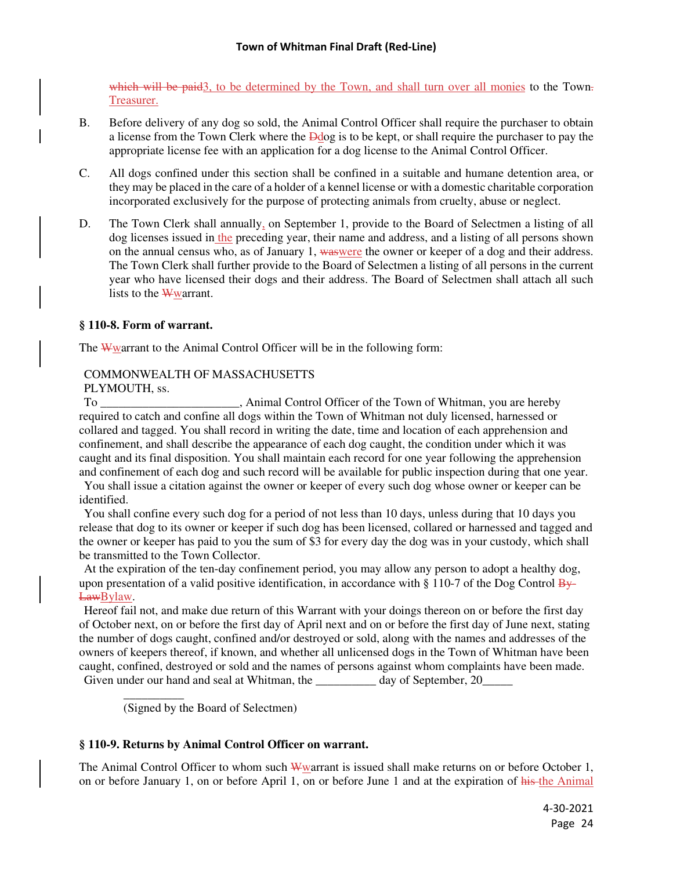which will be paid<sub>3</sub>, to be determined by the Town, and shall turn over all monies to the Town. Treasurer.

- B. Before delivery of any dog so sold, the Animal Control Officer shall require the purchaser to obtain a license from the Town Clerk where the Ddog is to be kept, or shall require the purchaser to pay the appropriate license fee with an application for a dog license to the Animal Control Officer.
- C. All dogs confined under this section shall be confined in a suitable and humane detention area, or they may be placed in the care of a holder of a kennel license or with a domestic charitable corporation incorporated exclusively for the purpose of protecting animals from cruelty, abuse or neglect.
- D. The Town Clerk shall annually, on September 1, provide to the Board of Selectmen a listing of all dog licenses issued in the preceding year, their name and address, and a listing of all persons shown on the annual census who, as of January 1, waswere the owner or keeper of a dog and their address. The Town Clerk shall further provide to the Board of Selectmen a listing of all persons in the current year who have licensed their dogs and their address. The Board of Selectmen shall attach all such lists to the Wwarrant.

# **§ 110-8. Form of warrant.**

The Wwarrant to the Animal Control Officer will be in the following form:

#### COMMONWEALTH OF MASSACHUSETTS PLYMOUTH, ss.

To **The Latter Control Control Officer of the Town of Whitman**, you are hereby required to catch and confine all dogs within the Town of Whitman not duly licensed, harnessed or collared and tagged. You shall record in writing the date, time and location of each apprehension and confinement, and shall describe the appearance of each dog caught, the condition under which it was caught and its final disposition. You shall maintain each record for one year following the apprehension and confinement of each dog and such record will be available for public inspection during that one year.

 You shall issue a citation against the owner or keeper of every such dog whose owner or keeper can be identified.

 You shall confine every such dog for a period of not less than 10 days, unless during that 10 days you release that dog to its owner or keeper if such dog has been licensed, collared or harnessed and tagged and the owner or keeper has paid to you the sum of \$3 for every day the dog was in your custody, which shall be transmitted to the Town Collector.

 At the expiration of the ten-day confinement period, you may allow any person to adopt a healthy dog, upon presentation of a valid positive identification, in accordance with  $\S 110-7$  of the Dog Control By-LawBylaw.

 Hereof fail not, and make due return of this Warrant with your doings thereon on or before the first day of October next, on or before the first day of April next and on or before the first day of June next, stating the number of dogs caught, confined and/or destroyed or sold, along with the names and addresses of the owners of keepers thereof, if known, and whether all unlicensed dogs in the Town of Whitman have been caught, confined, destroyed or sold and the names of persons against whom complaints have been made. Given under our hand and seal at Whitman, the day of September, 20

(Signed by the Board of Selectmen)

 $\overline{\phantom{a}}$ 

# **§ 110-9. Returns by Animal Control Officer on warrant.**

The Animal Control Officer to whom such  $\frac{W}{W}$  warrant is issued shall make returns on or before October 1, on or before January 1, on or before April 1, on or before June 1 and at the expiration of his the Animal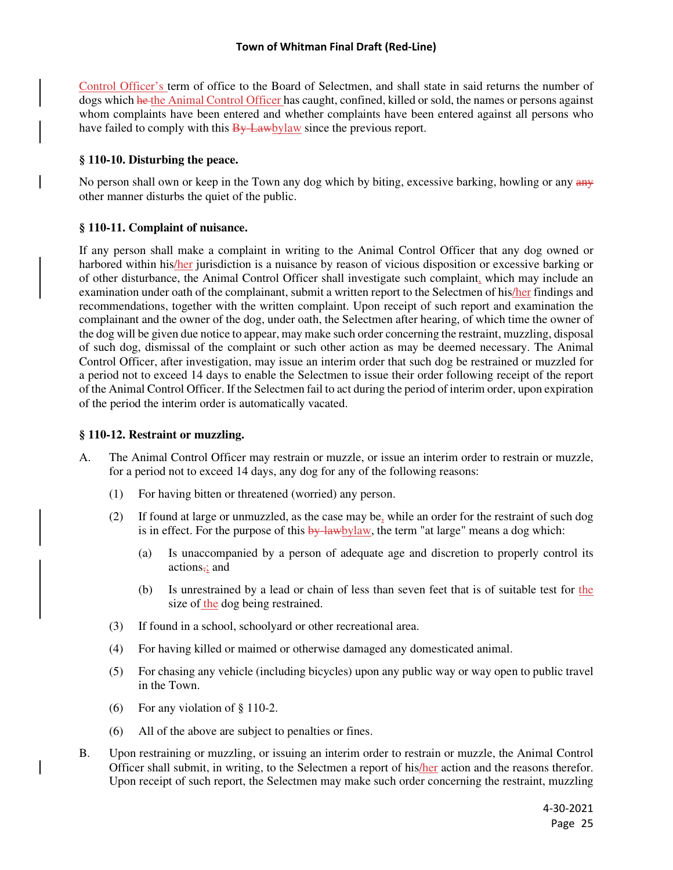Control Officer's term of office to the Board of Selectmen, and shall state in said returns the number of dogs which he the Animal Control Officer has caught, confined, killed or sold, the names or persons against whom complaints have been entered and whether complaints have been entered against all persons who have failed to comply with this  $\frac{By\text{Law}}{B}$  have the previous report.

### **§ 110-10. Disturbing the peace.**

No person shall own or keep in the Town any dog which by biting, excessive barking, howling or any any other manner disturbs the quiet of the public.

### **§ 110-11. Complaint of nuisance.**

If any person shall make a complaint in writing to the Animal Control Officer that any dog owned or harbored within his/her jurisdiction is a nuisance by reason of vicious disposition or excessive barking or of other disturbance, the Animal Control Officer shall investigate such complaint, which may include an examination under oath of the complainant, submit a written report to the Selectmen of his/her findings and recommendations, together with the written complaint. Upon receipt of such report and examination the complainant and the owner of the dog, under oath, the Selectmen after hearing, of which time the owner of the dog will be given due notice to appear, may make such order concerning the restraint, muzzling, disposal of such dog, dismissal of the complaint or such other action as may be deemed necessary. The Animal Control Officer, after investigation, may issue an interim order that such dog be restrained or muzzled for a period not to exceed 14 days to enable the Selectmen to issue their order following receipt of the report of the Animal Control Officer. If the Selectmen fail to act during the period of interim order, upon expiration of the period the interim order is automatically vacated.

### **§ 110-12. Restraint or muzzling.**

- A. The Animal Control Officer may restrain or muzzle, or issue an interim order to restrain or muzzle, for a period not to exceed 14 days, any dog for any of the following reasons:
	- (1) For having bitten or threatened (worried) any person.
	- (2) If found at large or unmuzzled, as the case may be, while an order for the restraint of such dog is in effect. For the purpose of this  $\frac{by \cdot law}{b}$ , the term "at large" means a dog which:
		- (a) Is unaccompanied by a person of adequate age and discretion to properly control its actions,; and
		- (b) Is unrestrained by a lead or chain of less than seven feet that is of suitable test for the size of the dog being restrained.
	- (3) If found in a school, schoolyard or other recreational area.
	- (4) For having killed or maimed or otherwise damaged any domesticated animal.
	- (5) For chasing any vehicle (including bicycles) upon any public way or way open to public travel in the Town.
	- (6) For any violation of § 110-2.
	- (6) All of the above are subject to penalties or fines.
- B. Upon restraining or muzzling, or issuing an interim order to restrain or muzzle, the Animal Control Officer shall submit, in writing, to the Selectmen a report of his/her action and the reasons therefor. Upon receipt of such report, the Selectmen may make such order concerning the restraint, muzzling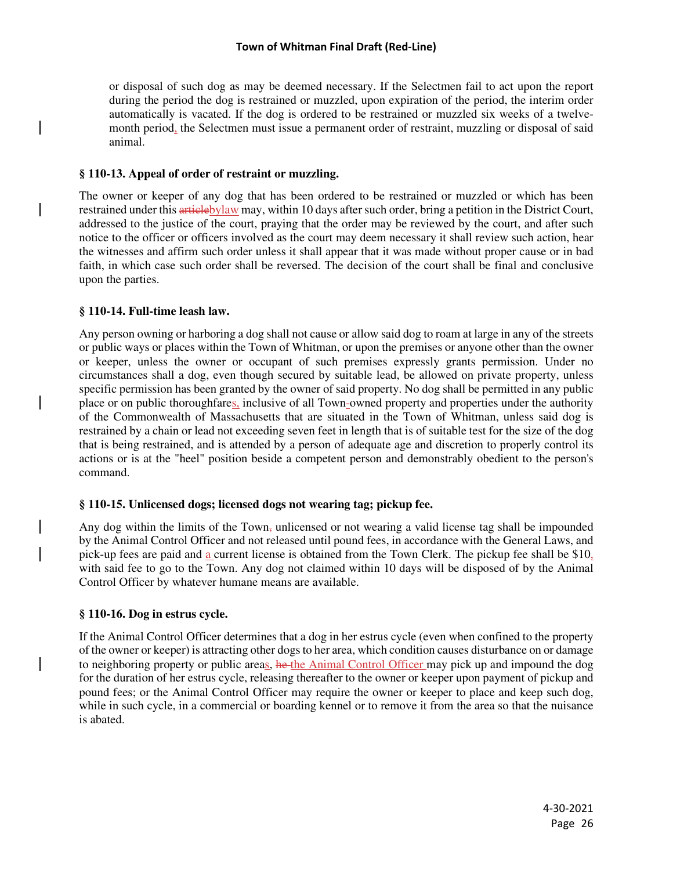#### **Town of Whitman Final Draft (Red-Line)**

or disposal of such dog as may be deemed necessary. If the Selectmen fail to act upon the report during the period the dog is restrained or muzzled, upon expiration of the period, the interim order automatically is vacated. If the dog is ordered to be restrained or muzzled six weeks of a twelvemonth period, the Selectmen must issue a permanent order of restraint, muzzling or disposal of said animal.

### **§ 110-13. Appeal of order of restraint or muzzling.**

The owner or keeper of any dog that has been ordered to be restrained or muzzled or which has been restrained under this articlebylaw may, within 10 days after such order, bring a petition in the District Court, addressed to the justice of the court, praying that the order may be reviewed by the court, and after such notice to the officer or officers involved as the court may deem necessary it shall review such action, hear the witnesses and affirm such order unless it shall appear that it was made without proper cause or in bad faith, in which case such order shall be reversed. The decision of the court shall be final and conclusive upon the parties.

# **§ 110-14. Full-time leash law.**

Any person owning or harboring a dog shall not cause or allow said dog to roam at large in any of the streets or public ways or places within the Town of Whitman, or upon the premises or anyone other than the owner or keeper, unless the owner or occupant of such premises expressly grants permission. Under no circumstances shall a dog, even though secured by suitable lead, be allowed on private property, unless specific permission has been granted by the owner of said property. No dog shall be permitted in any public place or on public thoroughfares, inclusive of all Town-owned property and properties under the authority of the Commonwealth of Massachusetts that are situated in the Town of Whitman, unless said dog is restrained by a chain or lead not exceeding seven feet in length that is of suitable test for the size of the dog that is being restrained, and is attended by a person of adequate age and discretion to properly control its actions or is at the "heel" position beside a competent person and demonstrably obedient to the person's command.

# **§ 110-15. Unlicensed dogs; licensed dogs not wearing tag; pickup fee.**

Any dog within the limits of the Town, unlicensed or not wearing a valid license tag shall be impounded by the Animal Control Officer and not released until pound fees, in accordance with the General Laws, and pick-up fees are paid and a current license is obtained from the Town Clerk. The pickup fee shall be  $$10<sub>1</sub>$ with said fee to go to the Town. Any dog not claimed within 10 days will be disposed of by the Animal Control Officer by whatever humane means are available.

# **§ 110-16. Dog in estrus cycle.**

If the Animal Control Officer determines that a dog in her estrus cycle (even when confined to the property of the owner or keeper) is attracting other dogs to her area, which condition causes disturbance on or damage to neighboring property or public areas, he the Animal Control Officer may pick up and impound the dog for the duration of her estrus cycle, releasing thereafter to the owner or keeper upon payment of pickup and pound fees; or the Animal Control Officer may require the owner or keeper to place and keep such dog, while in such cycle, in a commercial or boarding kennel or to remove it from the area so that the nuisance is abated.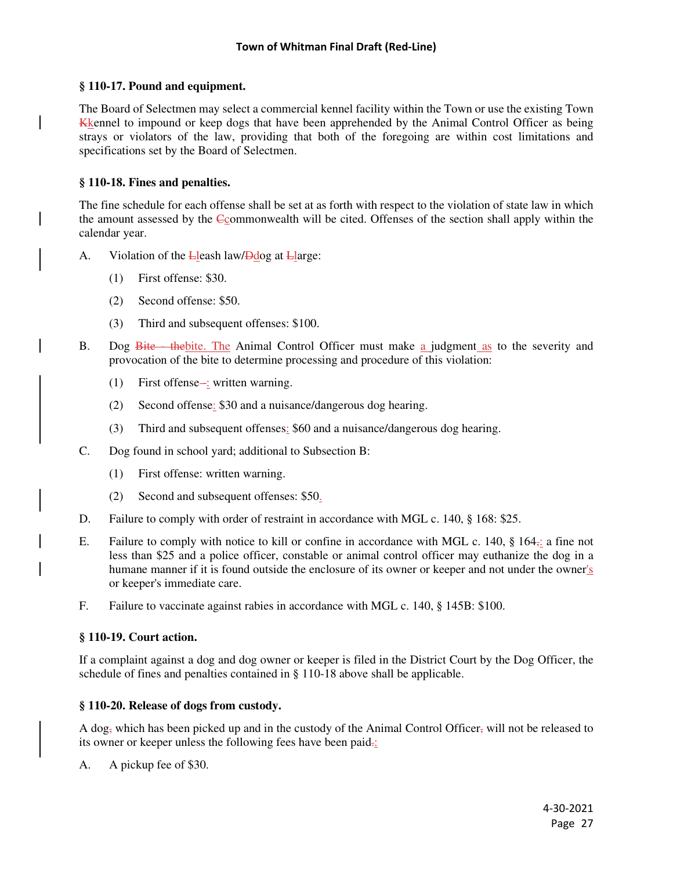### **§ 110-17. Pound and equipment.**

The Board of Selectmen may select a commercial kennel facility within the Town or use the existing Town Kkennel to impound or keep dogs that have been apprehended by the Animal Control Officer as being strays or violators of the law, providing that both of the foregoing are within cost limitations and specifications set by the Board of Selectmen.

# **§ 110-18. Fines and penalties.**

The fine schedule for each offense shall be set at as forth with respect to the violation of state law in which the amount assessed by the Ccommonwealth will be cited. Offenses of the section shall apply within the calendar year.

- A. Violation of the Lleash law/Ddog at Llarge:
	- (1) First offense: \$30.
	- (2) Second offense: \$50.
	- (3) Third and subsequent offenses: \$100.
- B. Dog Bite the bite. The Animal Control Officer must make a judgment as to the severity and provocation of the bite to determine processing and procedure of this violation:
	- $(1)$  First offense-: written warning.
	- (2) Second offense: \$30 and a nuisance/dangerous dog hearing.
	- (3) Third and subsequent offenses: \$60 and a nuisance/dangerous dog hearing.
- C. Dog found in school yard; additional to Subsection B:
	- (1) First offense: written warning.
	- (2) Second and subsequent offenses: \$50.
- D. Failure to comply with order of restraint in accordance with MGL c. 140, § 168: \$25.
- E. Failure to comply with notice to kill or confine in accordance with MGL c. 140, § 164,: a fine not less than \$25 and a police officer, constable or animal control officer may euthanize the dog in a humane manner if it is found outside the enclosure of its owner or keeper and not under the owner's or keeper's immediate care.
- F. Failure to vaccinate against rabies in accordance with MGL c. 140, § 145B: \$100.

### **§ 110-19. Court action.**

If a complaint against a dog and dog owner or keeper is filed in the District Court by the Dog Officer, the schedule of fines and penalties contained in § 110-18 above shall be applicable.

### **§ 110-20. Release of dogs from custody.**

A dog<sub>r</sub> which has been picked up and in the custody of the Animal Control Officer, will not be released to its owner or keeper unless the following fees have been paid.:

A. A pickup fee of \$30.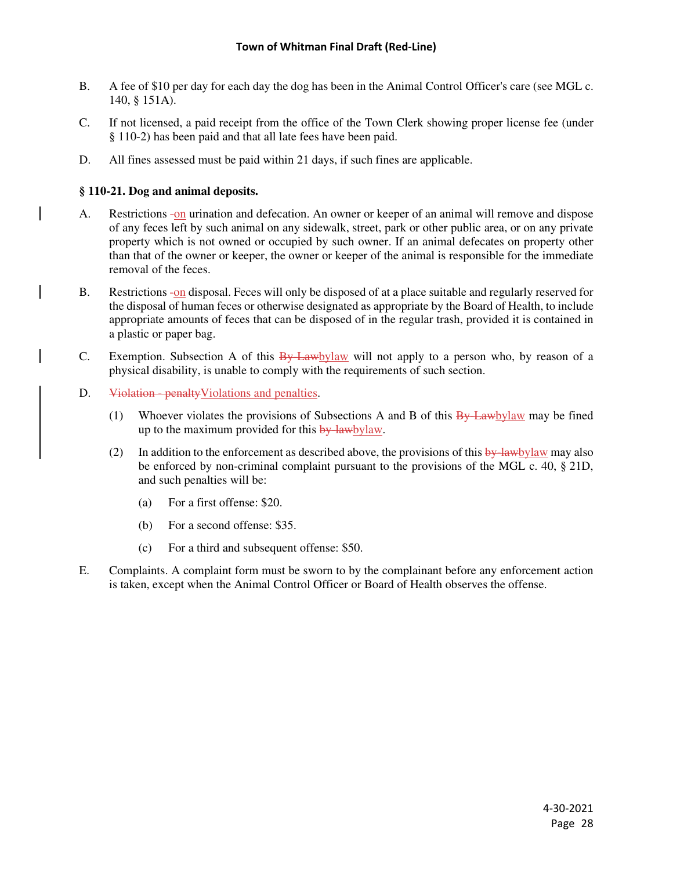- B. A fee of \$10 per day for each day the dog has been in the Animal Control Officer's care (see MGL c. 140, § 151A).
- C. If not licensed, a paid receipt from the office of the Town Clerk showing proper license fee (under § 110-2) has been paid and that all late fees have been paid.
- D. All fines assessed must be paid within 21 days, if such fines are applicable.

### **§ 110-21. Dog and animal deposits.**

- A. Restrictions -on urination and defecation. An owner or keeper of an animal will remove and dispose of any feces left by such animal on any sidewalk, street, park or other public area, or on any private property which is not owned or occupied by such owner. If an animal defecates on property other than that of the owner or keeper, the owner or keeper of the animal is responsible for the immediate removal of the feces.
- B. Restrictions -on disposal. Feces will only be disposed of at a place suitable and regularly reserved for the disposal of human feces or otherwise designated as appropriate by the Board of Health, to include appropriate amounts of feces that can be disposed of in the regular trash, provided it is contained in a plastic or paper bag.
- C. Exemption. Subsection A of this  $\frac{By Lawbylaw}{A}$  will not apply to a person who, by reason of a physical disability, is unable to comply with the requirements of such section.
- D. Violation penalty Violations and penalties.
	- (1) Whoever violates the provisions of Subsections A and B of this  $\frac{By Lawbylaw}{ByHaw}$  may be fined up to the maximum provided for this by-lawbylaw.
	- (2) In addition to the enforcement as described above, the provisions of this  $\frac{by \text{ law}}{by \text{ law}}$  may also be enforced by non-criminal complaint pursuant to the provisions of the MGL c. 40, § 21D, and such penalties will be:
		- (a) For a first offense: \$20.
		- (b) For a second offense: \$35.
		- (c) For a third and subsequent offense: \$50.
- E. Complaints. A complaint form must be sworn to by the complainant before any enforcement action is taken, except when the Animal Control Officer or Board of Health observes the offense.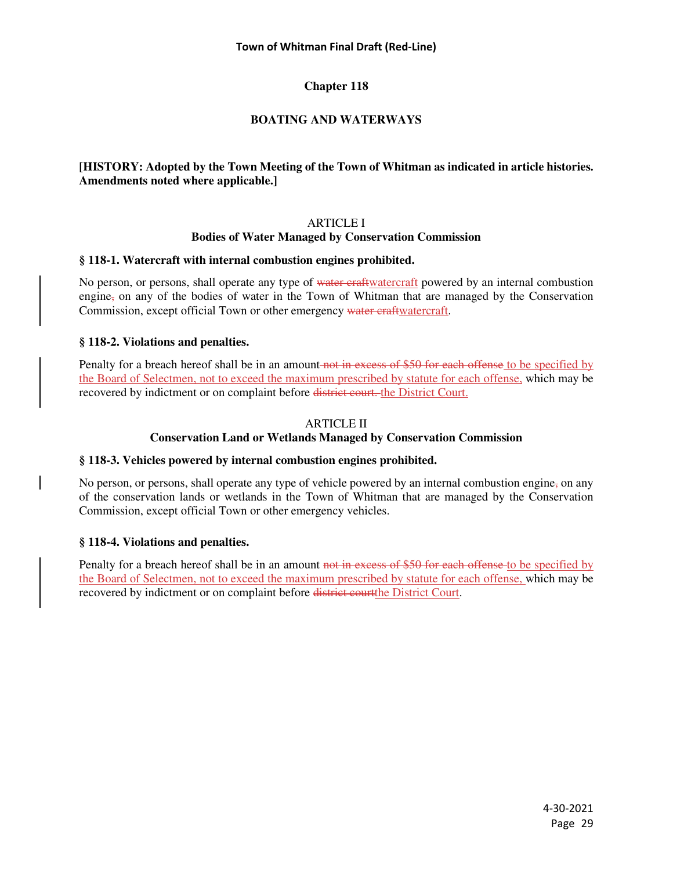#### **Town of Whitman Final Draft (Red-Line)**

# **Chapter 118**

# **BOATING AND WATERWAYS**

# **[HISTORY: Adopted by the Town Meeting of the Town of Whitman as indicated in article histories. Amendments noted where applicable.]**

### ARTICLE I

#### **Bodies of Water Managed by Conservation Commission**

#### **§ 118-1. Watercraft with internal combustion engines prohibited.**

No person, or persons, shall operate any type of water eraftwatercraft powered by an internal combustion engine, on any of the bodies of water in the Town of Whitman that are managed by the Conservation Commission, except official Town or other emergency water craftwatercraft.

### **§ 118-2. Violations and penalties.**

Penalty for a breach hereof shall be in an amount not in excess of \$50 for each offense to be specified by the Board of Selectmen, not to exceed the maximum prescribed by statute for each offense, which may be recovered by indictment or on complaint before district court. the District Court.

#### ARTICLE II

### **Conservation Land or Wetlands Managed by Conservation Commission**

### **§ 118-3. Vehicles powered by internal combustion engines prohibited.**

No person, or persons, shall operate any type of vehicle powered by an internal combustion engine, on any of the conservation lands or wetlands in the Town of Whitman that are managed by the Conservation Commission, except official Town or other emergency vehicles.

#### **§ 118-4. Violations and penalties.**

Penalty for a breach hereof shall be in an amount not in excess of \$50 for each offense to be specified by the Board of Selectmen, not to exceed the maximum prescribed by statute for each offense, which may be recovered by indictment or on complaint before district courtthe District Court.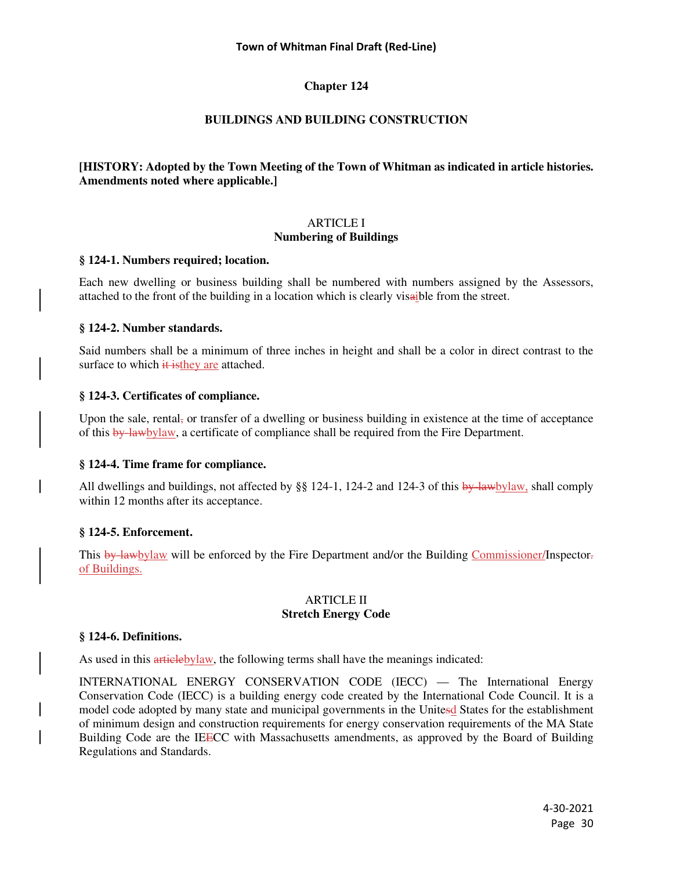#### **Town of Whitman Final Draft (Red-Line)**

# **Chapter 124**

# **BUILDINGS AND BUILDING CONSTRUCTION**

# **[HISTORY: Adopted by the Town Meeting of the Town of Whitman as indicated in article histories. Amendments noted where applicable.]**

### ARTICLE I **Numbering of Buildings**

#### **§ 124-1. Numbers required; location.**

Each new dwelling or business building shall be numbered with numbers assigned by the Assessors, attached to the front of the building in a location which is clearly visaible from the street.

#### **§ 124-2. Number standards.**

Said numbers shall be a minimum of three inches in height and shall be a color in direct contrast to the surface to which  $\frac{1}{x}$  is they are attached.

### **§ 124-3. Certificates of compliance.**

Upon the sale, rental, or transfer of a dwelling or business building in existence at the time of acceptance of this by-lawbylaw, a certificate of compliance shall be required from the Fire Department.

### **§ 124-4. Time frame for compliance.**

All dwellings and buildings, not affected by §§ 124-1, 124-2 and 124-3 of this  $\frac{b}{y}$ -lawbylaw, shall comply within 12 months after its acceptance.

### **§ 124-5. Enforcement.**

This by lawbylaw will be enforced by the Fire Department and/or the Building Commissioner/Inspector. of Buildings.

#### ARTICLE II **Stretch Energy Code**

### **§ 124-6. Definitions.**

As used in this articlebylaw, the following terms shall have the meanings indicated:

INTERNATIONAL ENERGY CONSERVATION CODE (IECC) — The International Energy Conservation Code (IECC) is a building energy code created by the International Code Council. It is a model code adopted by many state and municipal governments in the Unitesd States for the establishment of minimum design and construction requirements for energy conservation requirements of the MA State Building Code are the IEECC with Massachusetts amendments, as approved by the Board of Building Regulations and Standards.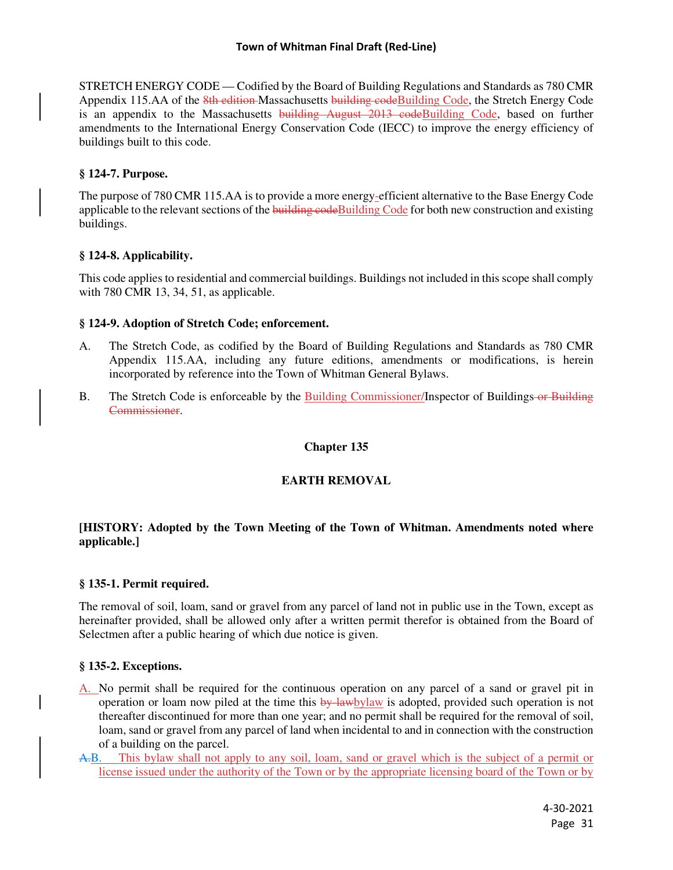STRETCH ENERGY CODE — Codified by the Board of Building Regulations and Standards as 780 CMR Appendix 115.AA of the *8th edition* Massachusetts building code Building Code, the Stretch Energy Code is an appendix to the Massachusetts building August 2013 codeBuilding Code, based on further amendments to the International Energy Conservation Code (IECC) to improve the energy efficiency of buildings built to this code.

### **§ 124-7. Purpose.**

The purpose of 780 CMR 115.AA is to provide a more energy-efficient alternative to the Base Energy Code applicable to the relevant sections of the building code Building Code for both new construction and existing buildings.

# **§ 124-8. Applicability.**

This code applies to residential and commercial buildings. Buildings not included in this scope shall comply with 780 CMR 13, 34, 51, as applicable.

# **§ 124-9. Adoption of Stretch Code; enforcement.**

- A. The Stretch Code, as codified by the Board of Building Regulations and Standards as 780 CMR Appendix 115.AA, including any future editions, amendments or modifications, is herein incorporated by reference into the Town of Whitman General Bylaws.
- B. The Stretch Code is enforceable by the Building Commissioner/Inspector of Buildings-or Building Commissioner.

# **Chapter 135**

# **EARTH REMOVAL**

# **[HISTORY: Adopted by the Town Meeting of the Town of Whitman. Amendments noted where applicable.]**

### **§ 135-1. Permit required.**

The removal of soil, loam, sand or gravel from any parcel of land not in public use in the Town, except as hereinafter provided, shall be allowed only after a written permit therefor is obtained from the Board of Selectmen after a public hearing of which due notice is given.

### **§ 135-2. Exceptions.**

- A. No permit shall be required for the continuous operation on any parcel of a sand or gravel pit in operation or loam now piled at the time this by lawbylaw is adopted, provided such operation is not thereafter discontinued for more than one year; and no permit shall be required for the removal of soil, loam, sand or gravel from any parcel of land when incidental to and in connection with the construction of a building on the parcel.
- A.B. This bylaw shall not apply to any soil, loam, sand or gravel which is the subject of a permit or license issued under the authority of the Town or by the appropriate licensing board of the Town or by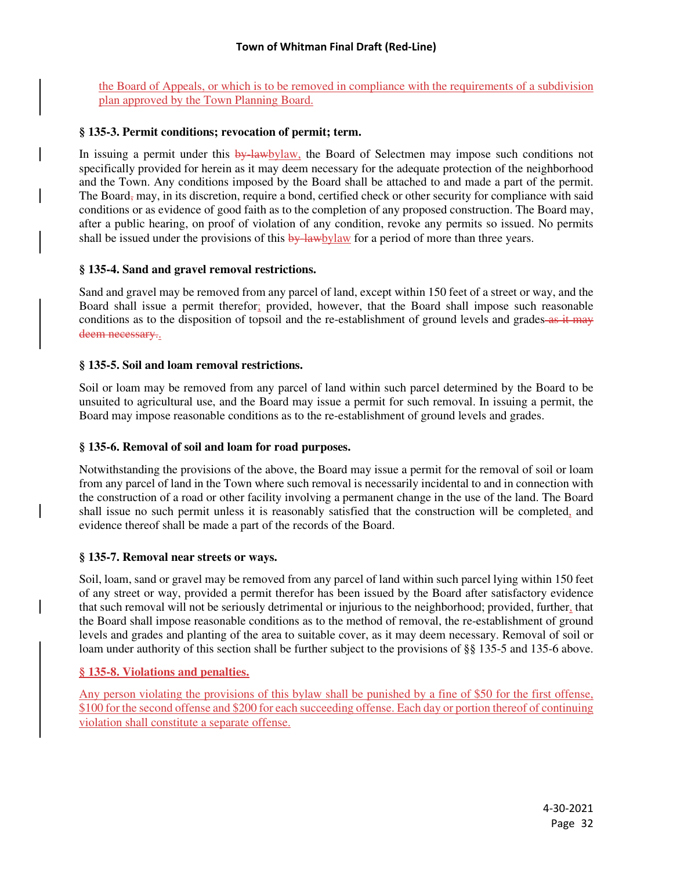the Board of Appeals, or which is to be removed in compliance with the requirements of a subdivision plan approved by the Town Planning Board.

### **§ 135-3. Permit conditions; revocation of permit; term.**

In issuing a permit under this by lawbylaw, the Board of Selectmen may impose such conditions not specifically provided for herein as it may deem necessary for the adequate protection of the neighborhood and the Town. Any conditions imposed by the Board shall be attached to and made a part of the permit. The Board<sub>,</sub> may, in its discretion, require a bond, certified check or other security for compliance with said conditions or as evidence of good faith as to the completion of any proposed construction. The Board may, after a public hearing, on proof of violation of any condition, revoke any permits so issued. No permits shall be issued under the provisions of this  $\frac{b}{y}$ -lawbylaw for a period of more than three years.

### **§ 135-4. Sand and gravel removal restrictions.**

Sand and gravel may be removed from any parcel of land, except within 150 feet of a street or way, and the Board shall issue a permit therefor; provided, however, that the Board shall impose such reasonable conditions as to the disposition of topsoil and the re-establishment of ground levels and grades as it may deem necessary..

#### **§ 135-5. Soil and loam removal restrictions.**

Soil or loam may be removed from any parcel of land within such parcel determined by the Board to be unsuited to agricultural use, and the Board may issue a permit for such removal. In issuing a permit, the Board may impose reasonable conditions as to the re-establishment of ground levels and grades.

### **§ 135-6. Removal of soil and loam for road purposes.**

Notwithstanding the provisions of the above, the Board may issue a permit for the removal of soil or loam from any parcel of land in the Town where such removal is necessarily incidental to and in connection with the construction of a road or other facility involving a permanent change in the use of the land. The Board shall issue no such permit unless it is reasonably satisfied that the construction will be completed, and evidence thereof shall be made a part of the records of the Board.

#### **§ 135-7. Removal near streets or ways.**

Soil, loam, sand or gravel may be removed from any parcel of land within such parcel lying within 150 feet of any street or way, provided a permit therefor has been issued by the Board after satisfactory evidence that such removal will not be seriously detrimental or injurious to the neighborhood; provided, further, that the Board shall impose reasonable conditions as to the method of removal, the re-establishment of ground levels and grades and planting of the area to suitable cover, as it may deem necessary. Removal of soil or loam under authority of this section shall be further subject to the provisions of §§ 135-5 and 135-6 above.

### **§ 135-8. Violations and penalties.**

Any person violating the provisions of this bylaw shall be punished by a fine of \$50 for the first offense, \$100 for the second offense and \$200 for each succeeding offense. Each day or portion thereof of continuing violation shall constitute a separate offense.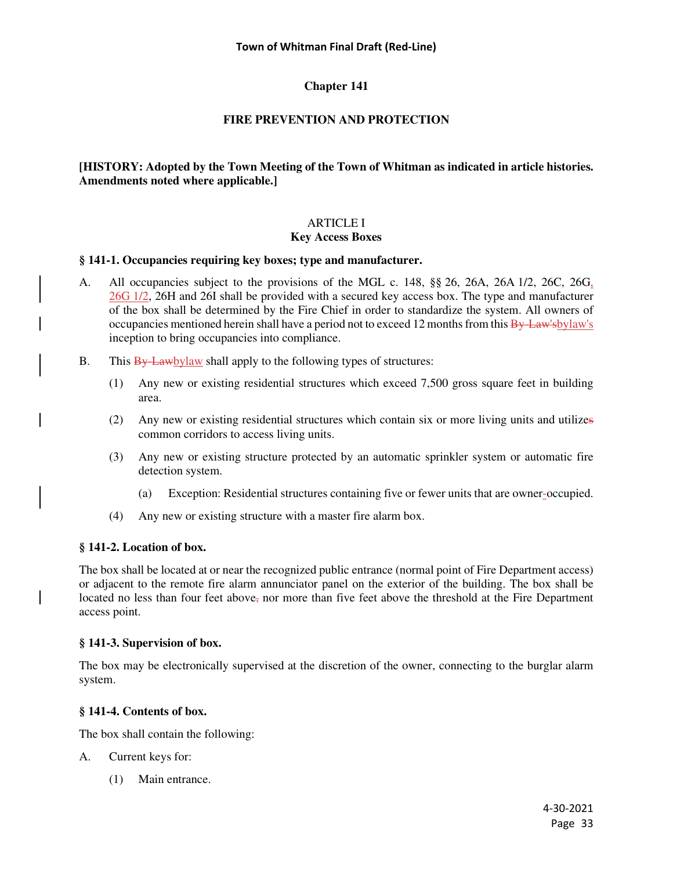# **FIRE PREVENTION AND PROTECTION**

# **[HISTORY: Adopted by the Town Meeting of the Town of Whitman as indicated in article histories. Amendments noted where applicable.]**

# ARTICLE I

# **Key Access Boxes**

# **§ 141-1. Occupancies requiring key boxes; type and manufacturer.**

- A. All occupancies subject to the provisions of the MGL c. 148, §§ 26, 26A, 26A 1/2, 26C, 26G, 26G 1/2, 26H and 26I shall be provided with a secured key access box. The type and manufacturer of the box shall be determined by the Fire Chief in order to standardize the system. All owners of occupancies mentioned herein shall have a period not to exceed 12 months from this By-Law'sbylaw's inception to bring occupancies into compliance.
- B. This  $\frac{By Lawbylaw}{By}$  shall apply to the following types of structures:
	- (1) Any new or existing residential structures which exceed 7,500 gross square feet in building area.
	- (2) Any new or existing residential structures which contain six or more living units and utilizes common corridors to access living units.
	- (3) Any new or existing structure protected by an automatic sprinkler system or automatic fire detection system.
		- (a) Exception: Residential structures containing five or fewer units that are owner-occupied.
	- (4) Any new or existing structure with a master fire alarm box.

# **§ 141-2. Location of box.**

The box shall be located at or near the recognized public entrance (normal point of Fire Department access) or adjacent to the remote fire alarm annunciator panel on the exterior of the building. The box shall be located no less than four feet above, nor more than five feet above the threshold at the Fire Department access point.

### **§ 141-3. Supervision of box.**

The box may be electronically supervised at the discretion of the owner, connecting to the burglar alarm system.

### **§ 141-4. Contents of box.**

The box shall contain the following:

- A. Current keys for:
	- (1) Main entrance.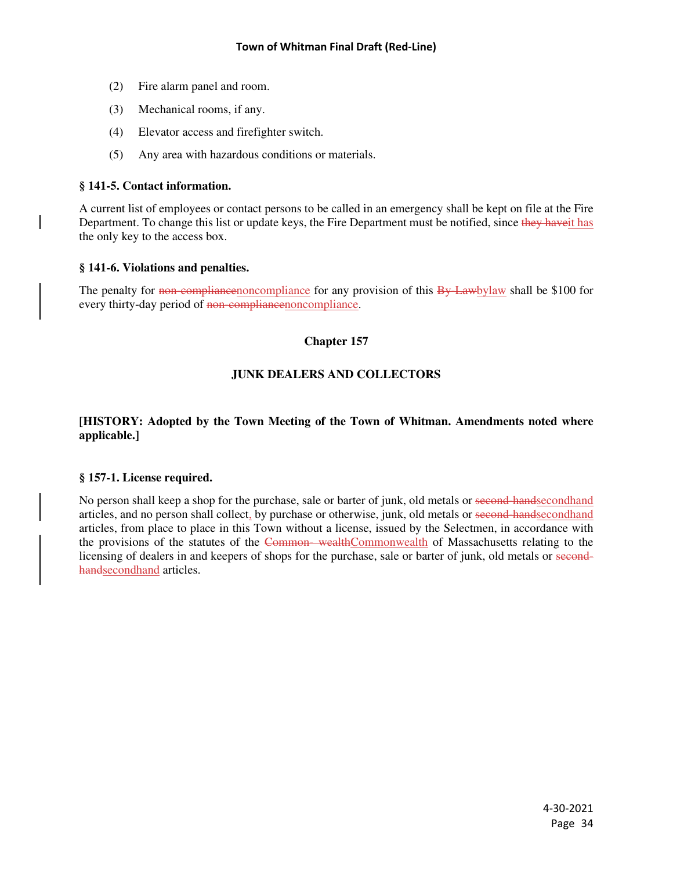- (2) Fire alarm panel and room.
- (3) Mechanical rooms, if any.
- (4) Elevator access and firefighter switch.
- (5) Any area with hazardous conditions or materials.

# **§ 141-5. Contact information.**

A current list of employees or contact persons to be called in an emergency shall be kept on file at the Fire Department. To change this list or update keys, the Fire Department must be notified, since they have it has the only key to the access box.

### **§ 141-6. Violations and penalties.**

The penalty for non-compliance for any provision of this By-Lawbylaw shall be \$100 for every thirty-day period of non-compliancenoncompliance.

# **Chapter 157**

# **JUNK DEALERS AND COLLECTORS**

# **[HISTORY: Adopted by the Town Meeting of the Town of Whitman. Amendments noted where applicable.]**

### **§ 157-1. License required.**

No person shall keep a shop for the purchase, sale or barter of junk, old metals or second-handsecondhand articles, and no person shall collect, by purchase or otherwise, junk, old metals or second-handsecondhand articles, from place to place in this Town without a license, issued by the Selectmen, in accordance with the provisions of the statutes of the Common-wealthCommonwealth of Massachusetts relating to the licensing of dealers in and keepers of shops for the purchase, sale or barter of junk, old metals or secondhandsecondhand articles.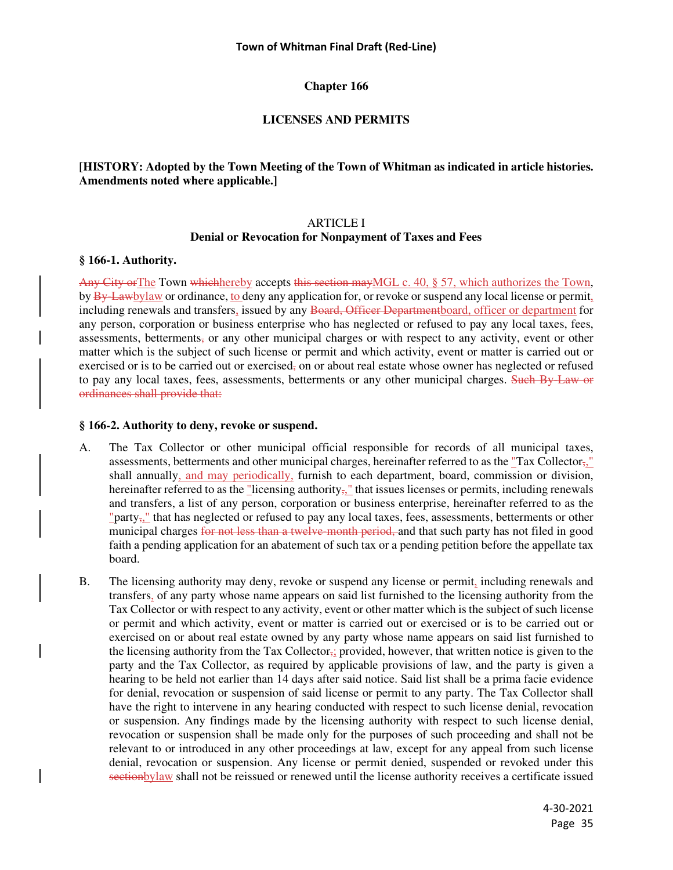### **LICENSES AND PERMITS**

### **[HISTORY: Adopted by the Town Meeting of the Town of Whitman as indicated in article histories. Amendments noted where applicable.]**

#### ARTICLE I

#### **Denial or Revocation for Nonpayment of Taxes and Fees**

#### **§ 166-1. Authority.**

Any City or The Town whichhereby accepts this section may MGL c. 40, § 57, which authorizes the Town, by By-Lawbylaw or ordinance, to deny any application for, or revoke or suspend any local license or permit, including renewals and transfers, issued by any Board, Officer Departmentboard, officer or department for any person, corporation or business enterprise who has neglected or refused to pay any local taxes, fees, assessments, betterments, or any other municipal charges or with respect to any activity, event or other matter which is the subject of such license or permit and which activity, event or matter is carried out or exercised or is to be carried out or exercised, on or about real estate whose owner has neglected or refused to pay any local taxes, fees, assessments, betterments or any other municipal charges. Such By-Law or ordinances shall provide that:

#### **§ 166-2. Authority to deny, revoke or suspend.**

- A. The Tax Collector or other municipal official responsible for records of all municipal taxes, assessments, betterments and other municipal charges, hereinafter referred to as the "Tax Collector,," shall annually, and may periodically, furnish to each department, board, commission or division, hereinafter referred to as the "licensing authority<sub>5</sub>," that issues licenses or permits, including renewals and transfers, a list of any person, corporation or business enterprise, hereinafter referred to as the "party<sub>7</sub>," that has neglected or refused to pay any local taxes, fees, assessments, betterments or other municipal charges for not less than a twelve-month period, and that such party has not filed in good faith a pending application for an abatement of such tax or a pending petition before the appellate tax board.
- B. The licensing authority may deny, revoke or suspend any license or permit, including renewals and transfers, of any party whose name appears on said list furnished to the licensing authority from the Tax Collector or with respect to any activity, event or other matter which is the subject of such license or permit and which activity, event or matter is carried out or exercised or is to be carried out or exercised on or about real estate owned by any party whose name appears on said list furnished to the licensing authority from the Tax Collector<sub>3</sub>; provided, however, that written notice is given to the party and the Tax Collector, as required by applicable provisions of law, and the party is given a hearing to be held not earlier than 14 days after said notice. Said list shall be a prima facie evidence for denial, revocation or suspension of said license or permit to any party. The Tax Collector shall have the right to intervene in any hearing conducted with respect to such license denial, revocation or suspension. Any findings made by the licensing authority with respect to such license denial, revocation or suspension shall be made only for the purposes of such proceeding and shall not be relevant to or introduced in any other proceedings at law, except for any appeal from such license denial, revocation or suspension. Any license or permit denied, suspended or revoked under this sectionbylaw shall not be reissued or renewed until the license authority receives a certificate issued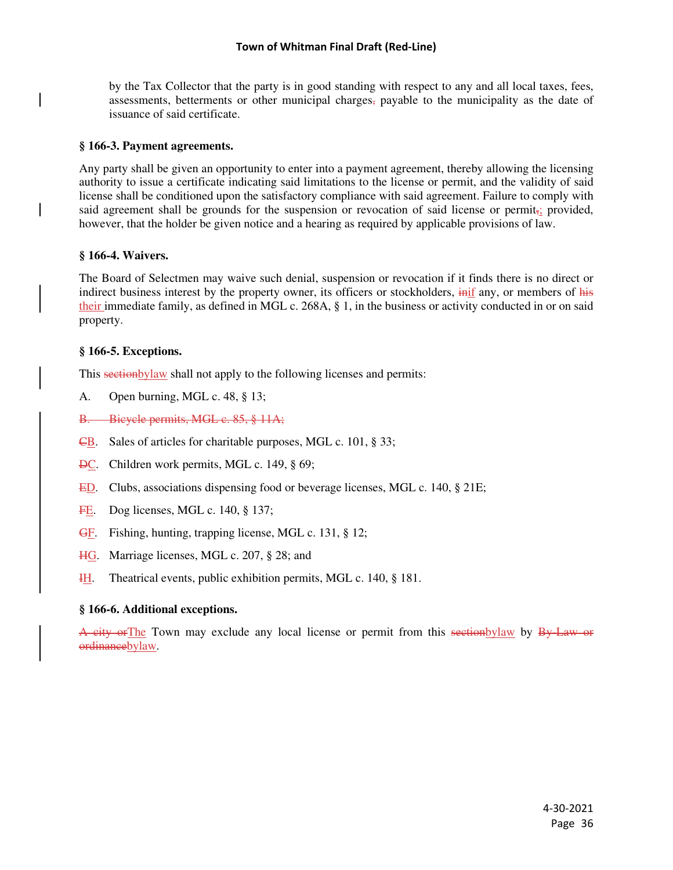by the Tax Collector that the party is in good standing with respect to any and all local taxes, fees, assessments, betterments or other municipal charges, payable to the municipality as the date of issuance of said certificate.

### **§ 166-3. Payment agreements.**

Any party shall be given an opportunity to enter into a payment agreement, thereby allowing the licensing authority to issue a certificate indicating said limitations to the license or permit, and the validity of said license shall be conditioned upon the satisfactory compliance with said agreement. Failure to comply with said agreement shall be grounds for the suspension or revocation of said license or permit<sub>ri</sub> provided, however, that the holder be given notice and a hearing as required by applicable provisions of law.

#### **§ 166-4. Waivers.**

The Board of Selectmen may waive such denial, suspension or revocation if it finds there is no direct or indirect business interest by the property owner, its officers or stockholders, inif any, or members of his their immediate family, as defined in MGL c. 268A, § 1, in the business or activity conducted in or on said property.

### **§ 166-5. Exceptions.**

This sectionbylaw shall not apply to the following licenses and permits:

- A. Open burning, MGL c. 48, § 13;
- B. Bicycle permits, MGL c. 85, § 11A;
- CB. Sales of articles for charitable purposes, MGL c. 101, § 33;
- **DC.** Children work permits, MGL c. 149, § 69;
- ED. Clubs, associations dispensing food or beverage licenses, MGL c. 140, § 21E;
- FE. Dog licenses, MGL c. 140, § 137;
- GF. Fishing, hunting, trapping license, MGL c. 131, § 12;
- HG. Marriage licenses, MGL c. 207, § 28; and
- **IH.** Theatrical events, public exhibition permits, MGL c. 140, § 181.

### **§ 166-6. Additional exceptions.**

A city or The Town may exclude any local license or permit from this sectionbylaw by By-Law or ordinancebylaw.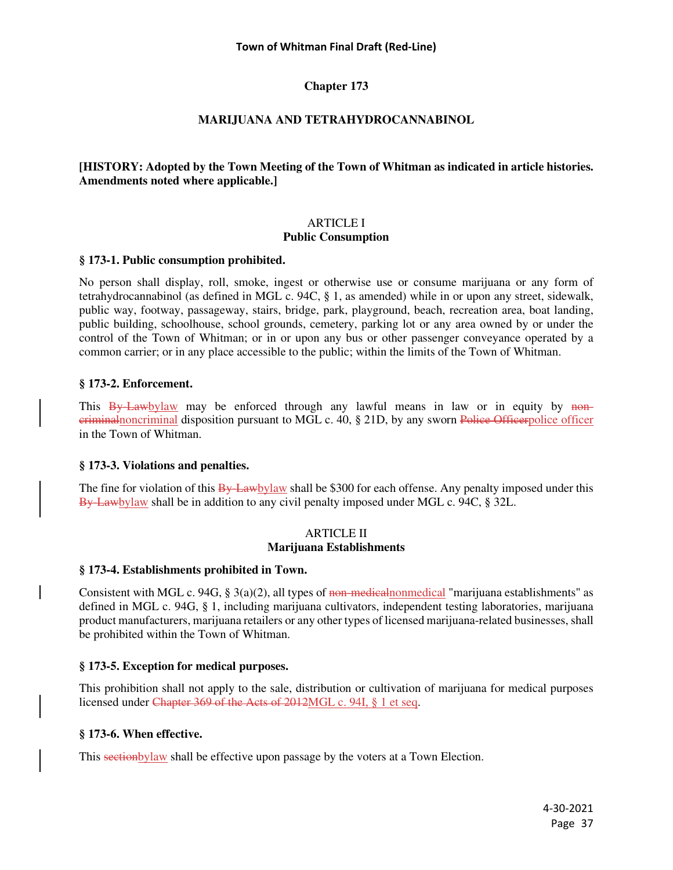# **Chapter 173**

# **MARIJUANA AND TETRAHYDROCANNABINOL**

## **[HISTORY: Adopted by the Town Meeting of the Town of Whitman as indicated in article histories. Amendments noted where applicable.]**

# ARTICLE I **Public Consumption**

### **§ 173-1. Public consumption prohibited.**

No person shall display, roll, smoke, ingest or otherwise use or consume marijuana or any form of tetrahydrocannabinol (as defined in MGL c. 94C, § 1, as amended) while in or upon any street, sidewalk, public way, footway, passageway, stairs, bridge, park, playground, beach, recreation area, boat landing, public building, schoolhouse, school grounds, cemetery, parking lot or any area owned by or under the control of the Town of Whitman; or in or upon any bus or other passenger conveyance operated by a common carrier; or in any place accessible to the public; within the limits of the Town of Whitman.

## **§ 173-2. Enforcement.**

This By Lawbylaw may be enforced through any lawful means in law or in equity by noncriminalnoncriminal disposition pursuant to MGL c. 40, § 21D, by any sworn Police Officerpolice officer in the Town of Whitman.

### **§ 173-3. Violations and penalties.**

The fine for violation of this By-Lawbylaw shall be \$300 for each offense. Any penalty imposed under this By-Lawbylaw shall be in addition to any civil penalty imposed under MGL c. 94C, § 32L.

#### ARTICLE II **Marijuana Establishments**

### **§ 173-4. Establishments prohibited in Town.**

Consistent with MGL c. 94G,  $\S$  3(a)(2), all types of non-medical nonmedical "marijuana establishments" as defined in MGL c. 94G, § 1, including marijuana cultivators, independent testing laboratories, marijuana product manufacturers, marijuana retailers or any other types of licensed marijuana-related businesses, shall be prohibited within the Town of Whitman.

### **§ 173-5. Exception for medical purposes.**

This prohibition shall not apply to the sale, distribution or cultivation of marijuana for medical purposes licensed under Chapter 369 of the Acts of 2012MGL c. 94I, § 1 et seq.

# **§ 173-6. When effective.**

This sectionbylaw shall be effective upon passage by the voters at a Town Election.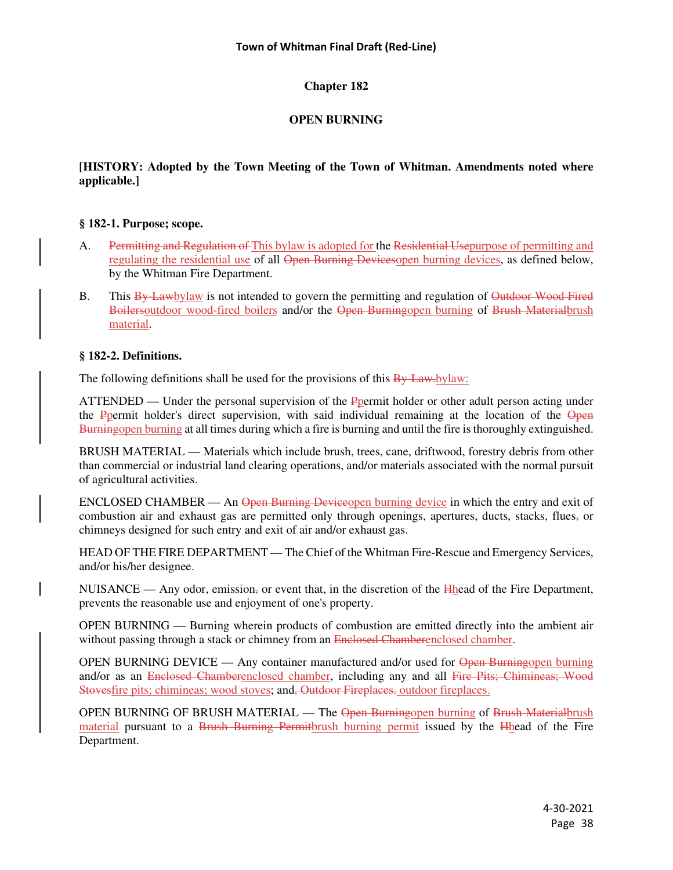# **Chapter 182**

# **OPEN BURNING**

# **[HISTORY: Adopted by the Town Meeting of the Town of Whitman. Amendments noted where applicable.]**

## **§ 182-1. Purpose; scope.**

- A. Permitting and Regulation of This bylaw is adopted for the Residential Usepurpose of permitting and regulating the residential use of all Open Burning Devicesopen burning devices, as defined below, by the Whitman Fire Department.
- B. This By-Lawbylaw is not intended to govern the permitting and regulation of Outdoor Wood Fired Boilersoutdoor wood-fired boilers and/or the Open Burningopen burning of Brush Materialbrush material.

## **§ 182-2. Definitions.**

The following definitions shall be used for the provisions of this  $\frac{By\text{-}Law\text{-}by\text{-}law:}{By\text{-}b}$ 

ATTENDED — Under the personal supervision of the Ppermit holder or other adult person acting under the Ppermit holder's direct supervision, with said individual remaining at the location of the Open Burningopen burning at all times during which a fire is burning and until the fire is thoroughly extinguished.

BRUSH MATERIAL — Materials which include brush, trees, cane, driftwood, forestry debris from other than commercial or industrial land clearing operations, and/or materials associated with the normal pursuit of agricultural activities.

ENCLOSED CHAMBER — An Open Burning Deviceopen burning device in which the entry and exit of combustion air and exhaust gas are permitted only through openings, apertures, ducts, stacks, flues, or chimneys designed for such entry and exit of air and/or exhaust gas.

HEAD OF THE FIRE DEPARTMENT — The Chief of the Whitman Fire-Rescue and Emergency Services, and/or his/her designee.

NUISANCE — Any odor, emission, or event that, in the discretion of the  $H<sub>h</sub>$  ead of the Fire Department, prevents the reasonable use and enjoyment of one's property.

OPEN BURNING — Burning wherein products of combustion are emitted directly into the ambient air without passing through a stack or chimney from an Enclosed Chamberenclosed chamber.

OPEN BURNING DEVICE — Any container manufactured and/or used for Open Burningopen burning and/or as an Enclosed Chamberenclosed chamber, including any and all Fire Pits; Chimineas; Wood Stovesfire pits; chimineas; wood stoves; and<del>, Outdoor Fireplaces</del>. outdoor fireplaces.

OPEN BURNING OF BRUSH MATERIAL — The Open Burningopen burning of Brush Materialbrush material pursuant to a Brush Burning Permitbrush burning permit issued by the Hhead of the Fire Department.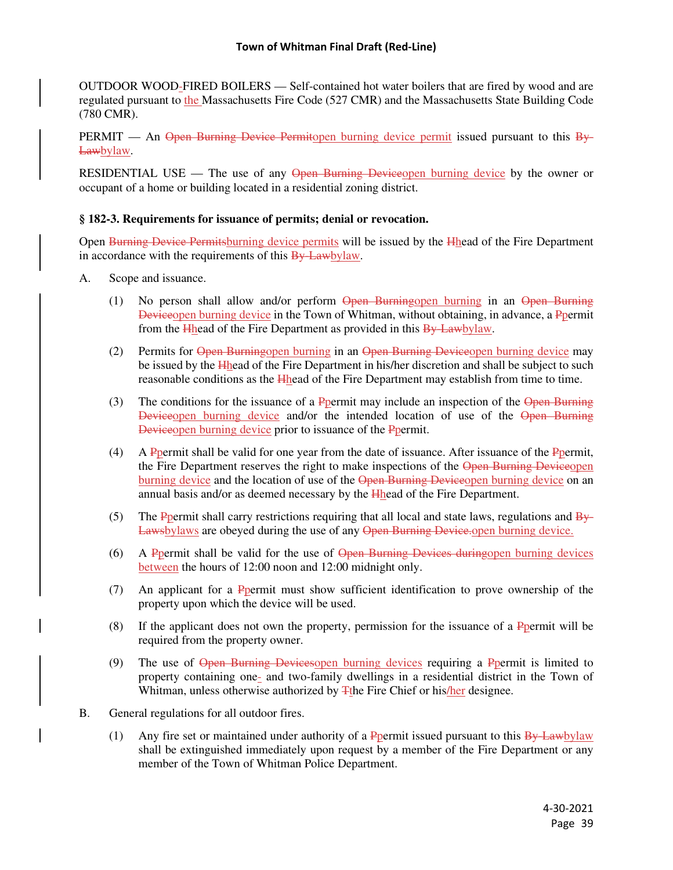OUTDOOR WOOD-FIRED BOILERS — Self-contained hot water boilers that are fired by wood and are regulated pursuant to the Massachusetts Fire Code (527 CMR) and the Massachusetts State Building Code (780 CMR).

PERMIT — An Open Burning Device Permitopen burning device permit issued pursuant to this  $B_{\gamma}$ Lawbylaw.

RESIDENTIAL USE — The use of any Open Burning Deviceopen burning device by the owner or occupant of a home or building located in a residential zoning district.

### **§ 182-3. Requirements for issuance of permits; denial or revocation.**

Open Burning Device Permitsburning device permits will be issued by the Hhead of the Fire Department in accordance with the requirements of this By-Lawbylaw.

- A. Scope and issuance.
	- (1) No person shall allow and/or perform Open Burningopen burning in an Open Burning Deviceopen burning device in the Town of Whitman, without obtaining, in advance, a Ppermit from the Hhead of the Fire Department as provided in this By-Lawbylaw.
	- (2) Permits for Open Burningopen burning in an Open Burning Deviceopen burning device may be issued by the Hhead of the Fire Department in his/her discretion and shall be subject to such reasonable conditions as the Hhead of the Fire Department may establish from time to time.
	- (3) The conditions for the issuance of a Ppermit may include an inspection of the Open Burning Deviceopen burning device and/or the intended location of use of the Open Burning Deviceopen burning device prior to issuance of the Ppermit.
	- (4) A Ppermit shall be valid for one year from the date of issuance. After issuance of the Ppermit, the Fire Department reserves the right to make inspections of the Open Burning Deviceopen burning device and the location of use of the Open Burning Deviceopen burning device on an annual basis and/or as deemed necessary by the Hhead of the Fire Department.
	- (5) The Ppermit shall carry restrictions requiring that all local and state laws, regulations and  $\frac{By}{y}$ Lawsbylaws are obeyed during the use of any Open Burning Device.
	- (6) A Ppermit shall be valid for the use of Open Burning Devices duringopen burning devices between the hours of 12:00 noon and 12:00 midnight only.
	- (7) An applicant for a Ppermit must show sufficient identification to prove ownership of the property upon which the device will be used.
	- (8) If the applicant does not own the property, permission for the issuance of a  $P_{permit}$  will be required from the property owner.
	- (9) The use of Open Burning Devicesopen burning devices requiring a Ppermit is limited to property containing one- and two-family dwellings in a residential district in the Town of Whitman, unless otherwise authorized by  $\frac{1}{4}$ the Fire Chief or his/her designee.
- B. General regulations for all outdoor fires.
	- (1) Any fire set or maintained under authority of a P permit issued pursuant to this  $\frac{By Lawbylaw}{By}$ shall be extinguished immediately upon request by a member of the Fire Department or any member of the Town of Whitman Police Department.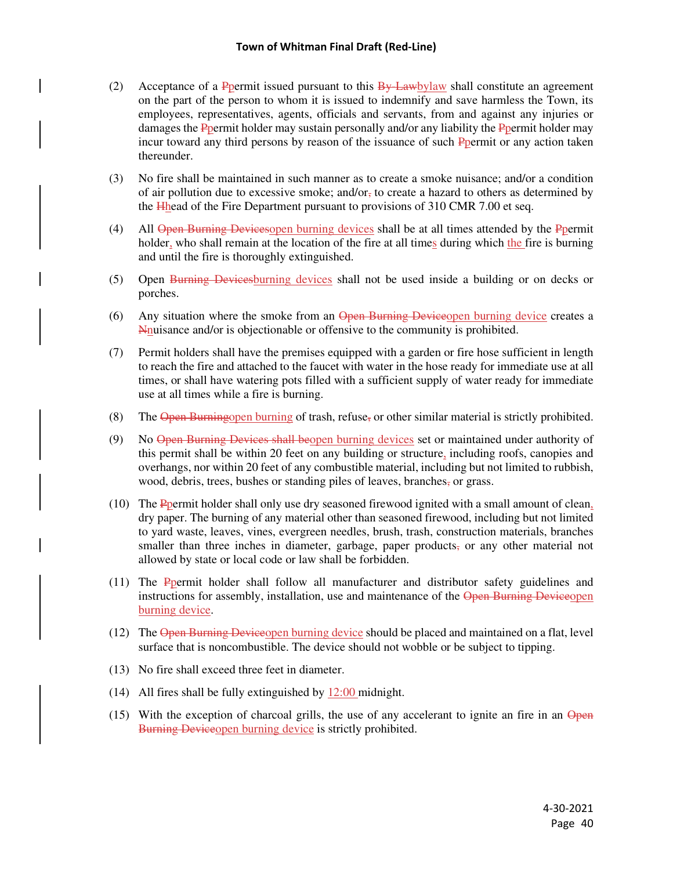- (2) Acceptance of a P permit issued pursuant to this  $\frac{By\text{Lawb}}{y}$  shall constitute an agreement on the part of the person to whom it is issued to indemnify and save harmless the Town, its employees, representatives, agents, officials and servants, from and against any injuries or damages the Ppermit holder may sustain personally and/or any liability the Ppermit holder may incur toward any third persons by reason of the issuance of such Ppermit or any action taken thereunder.
- (3) No fire shall be maintained in such manner as to create a smoke nuisance; and/or a condition of air pollution due to excessive smoke; and/or<sub> $\tau$ </sub> to create a hazard to others as determined by the Hhead of the Fire Department pursuant to provisions of 310 CMR 7.00 et seq.
- (4) All Open Burning Devices open burning devices shall be at all times attended by the Ppermit holder, who shall remain at the location of the fire at all times during which the fire is burning and until the fire is thoroughly extinguished.
- (5) Open Burning Devicesburning devices shall not be used inside a building or on decks or porches.
- (6) Any situation where the smoke from an Open Burning Deviceopen burning device creates a Nnuisance and/or is objectionable or offensive to the community is prohibited.
- (7) Permit holders shall have the premises equipped with a garden or fire hose sufficient in length to reach the fire and attached to the faucet with water in the hose ready for immediate use at all times, or shall have watering pots filled with a sufficient supply of water ready for immediate use at all times while a fire is burning.
- (8) The Open Burningopen burning of trash, refuse, or other similar material is strictly prohibited.
- (9) No Open Burning Devices shall beopen burning devices set or maintained under authority of this permit shall be within 20 feet on any building or structure, including roofs, canopies and overhangs, nor within 20 feet of any combustible material, including but not limited to rubbish, wood, debris, trees, bushes or standing piles of leaves, branches, or grass.
- (10) The Ppermit holder shall only use dry seasoned firewood ignited with a small amount of clean, dry paper. The burning of any material other than seasoned firewood, including but not limited to yard waste, leaves, vines, evergreen needles, brush, trash, construction materials, branches smaller than three inches in diameter, garbage, paper products, or any other material not allowed by state or local code or law shall be forbidden.
- (11) The Ppermit holder shall follow all manufacturer and distributor safety guidelines and instructions for assembly, installation, use and maintenance of the Open Burning Deviceopen burning device.
- (12) The Open Burning Deviceopen burning device should be placed and maintained on a flat, level surface that is noncombustible. The device should not wobble or be subject to tipping.
- (13) No fire shall exceed three feet in diameter.
- (14) All fires shall be fully extinguished by 12:00 midnight.
- $(15)$  With the exception of charcoal grills, the use of any accelerant to ignite an fire in an Open Burning Deviceopen burning device is strictly prohibited.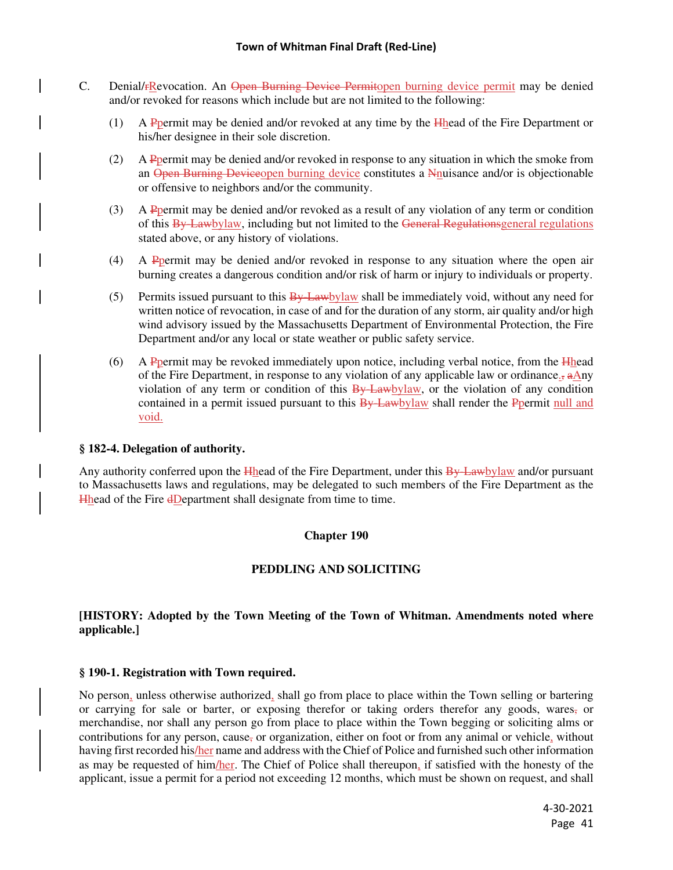- C. Denial/rRevocation. An Open Burning Device Permitopen burning device permit may be denied and/or revoked for reasons which include but are not limited to the following:
	- (1) A Ppermit may be denied and/or revoked at any time by the Hhead of the Fire Department or his/her designee in their sole discretion.
	- (2) A Ppermit may be denied and/or revoked in response to any situation in which the smoke from an Open Burning Deviceopen burning device constitutes a Nnuisance and/or is objectionable or offensive to neighbors and/or the community.
	- (3) A Ppermit may be denied and/or revoked as a result of any violation of any term or condition of this By-Lawbylaw, including but not limited to the General Regulationsgeneral regulations stated above, or any history of violations.
	- (4) A Ppermit may be denied and/or revoked in response to any situation where the open air burning creates a dangerous condition and/or risk of harm or injury to individuals or property.
	- (5) Permits issued pursuant to this  $\frac{By \text{Lawb}$  value be immediately void, without any need for written notice of revocation, in case of and for the duration of any storm, air quality and/or high wind advisory issued by the Massachusetts Department of Environmental Protection, the Fire Department and/or any local or state weather or public safety service.
	- $(6)$  A Ppermit may be revoked immediately upon notice, including verbal notice, from the Hhead of the Fire Department, in response to any violation of any applicable law or ordinance.,  $a\text{Any}$ violation of any term or condition of this  $\frac{By \text{Lawbylaw}}{B}$ , or the violation of any condition contained in a permit issued pursuant to this By-Lawbylaw shall render the Ppermit null and void.

### **§ 182-4. Delegation of authority.**

Any authority conferred upon the Hhead of the Fire Department, under this By-Lawbylaw and/or pursuant to Massachusetts laws and regulations, may be delegated to such members of the Fire Department as the Hhead of the Fire dDepartment shall designate from time to time.

### **Chapter 190**

### **PEDDLING AND SOLICITING**

### **[HISTORY: Adopted by the Town Meeting of the Town of Whitman. Amendments noted where applicable.]**

#### **§ 190-1. Registration with Town required.**

No person, unless otherwise authorized, shall go from place to place within the Town selling or bartering or carrying for sale or barter, or exposing therefor or taking orders therefor any goods, wares, or merchandise, nor shall any person go from place to place within the Town begging or soliciting alms or contributions for any person, cause, or organization, either on foot or from any animal or vehicle, without having first recorded his/her name and address with the Chief of Police and furnished such other information as may be requested of him/her. The Chief of Police shall thereupon, if satisfied with the honesty of the applicant, issue a permit for a period not exceeding 12 months, which must be shown on request, and shall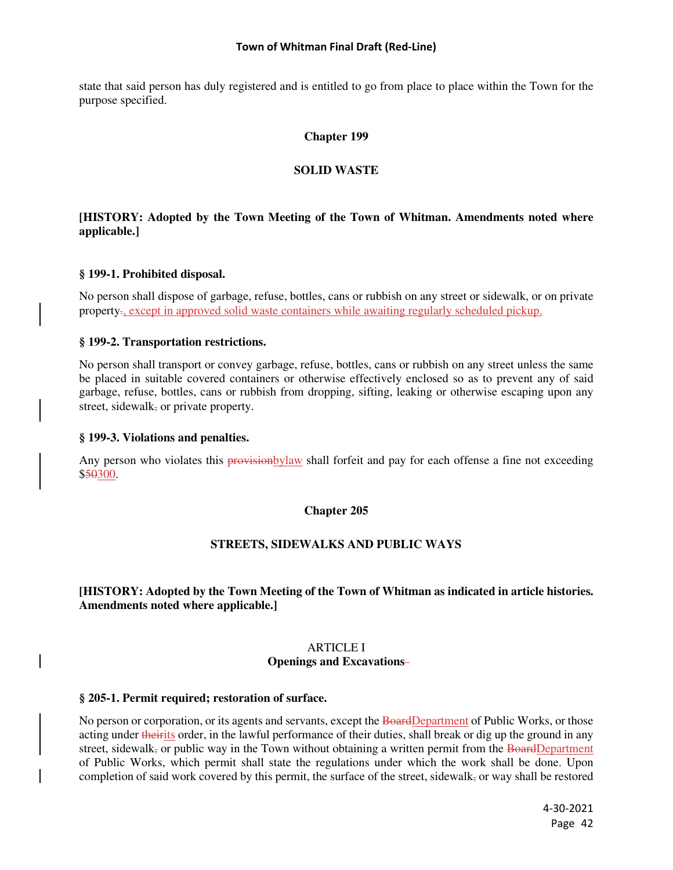state that said person has duly registered and is entitled to go from place to place within the Town for the purpose specified.

### **Chapter 199**

### **SOLID WASTE**

# **[HISTORY: Adopted by the Town Meeting of the Town of Whitman. Amendments noted where applicable.]**

### **§ 199-1. Prohibited disposal.**

No person shall dispose of garbage, refuse, bottles, cans or rubbish on any street or sidewalk, or on private property., except in approved solid waste containers while awaiting regularly scheduled pickup.

### **§ 199-2. Transportation restrictions.**

No person shall transport or convey garbage, refuse, bottles, cans or rubbish on any street unless the same be placed in suitable covered containers or otherwise effectively enclosed so as to prevent any of said garbage, refuse, bottles, cans or rubbish from dropping, sifting, leaking or otherwise escaping upon any street, sidewalk, or private property.

#### **§ 199-3. Violations and penalties.**

Any person who violates this provision by law shall forfeit and pay for each offense a fine not exceeding \$50300.

### **Chapter 205**

### **STREETS, SIDEWALKS AND PUBLIC WAYS**

## **[HISTORY: Adopted by the Town Meeting of the Town of Whitman as indicated in article histories. Amendments noted where applicable.]**

#### ARTICLE I **Openings and Excavations**

#### **§ 205-1. Permit required; restoration of surface.**

No person or corporation, or its agents and servants, except the BoardDepartment of Public Works, or those acting under theirits order, in the lawful performance of their duties, shall break or dig up the ground in any street, sidewalk, or public way in the Town without obtaining a written permit from the BoardDepartment of Public Works, which permit shall state the regulations under which the work shall be done. Upon completion of said work covered by this permit, the surface of the street, sidewalk, or way shall be restored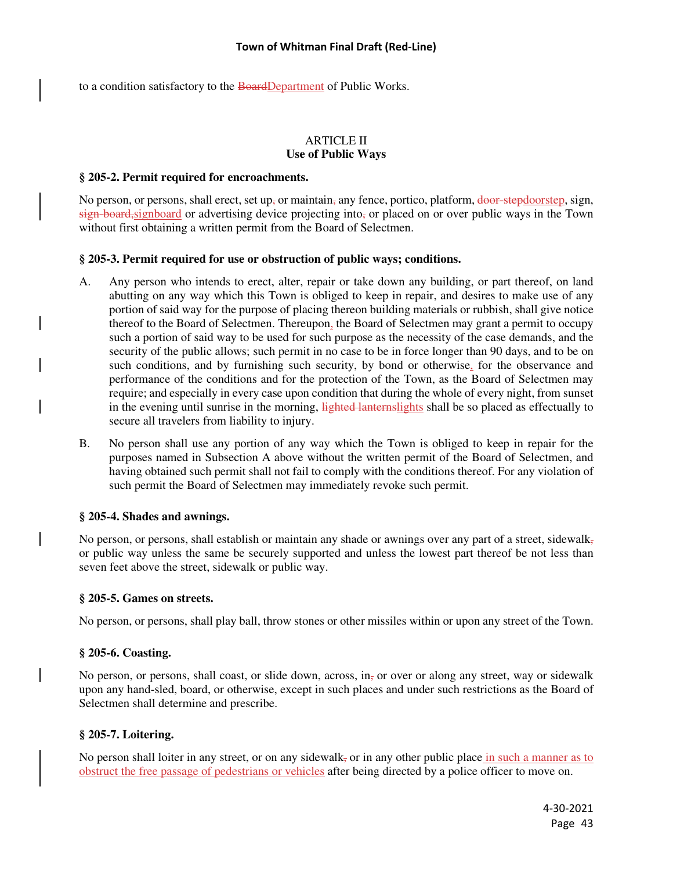to a condition satisfactory to the BoardDepartment of Public Works.

### ARTICLE II **Use of Public Ways**

#### **§ 205-2. Permit required for encroachments.**

No person, or persons, shall erect, set up, or maintain, any fence, portico, platform,  $\frac{d}{d}$  and  $\frac{d}{d}$  and  $\frac{d}{d}$  and  $\frac{d}{d}$  and  $\frac{d}{d}$  and  $\frac{d}{d}$  and  $\frac{d}{d}$  and  $\frac{d}{d}$  and  $\frac{d}{d}$  and  $\frac{d}{d}$  $s$ ign-board, signboard or advertising device projecting into, or placed on or over public ways in the Town without first obtaining a written permit from the Board of Selectmen.

### **§ 205-3. Permit required for use or obstruction of public ways; conditions.**

- A. Any person who intends to erect, alter, repair or take down any building, or part thereof, on land abutting on any way which this Town is obliged to keep in repair, and desires to make use of any portion of said way for the purpose of placing thereon building materials or rubbish, shall give notice thereof to the Board of Selectmen. Thereupon, the Board of Selectmen may grant a permit to occupy such a portion of said way to be used for such purpose as the necessity of the case demands, and the security of the public allows; such permit in no case to be in force longer than 90 days, and to be on such conditions, and by furnishing such security, by bond or otherwise, for the observance and performance of the conditions and for the protection of the Town, as the Board of Selectmen may require; and especially in every case upon condition that during the whole of every night, from sunset in the evening until sunrise in the morning, lighted lanternslights shall be so placed as effectually to secure all travelers from liability to injury.
- B. No person shall use any portion of any way which the Town is obliged to keep in repair for the purposes named in Subsection A above without the written permit of the Board of Selectmen, and having obtained such permit shall not fail to comply with the conditions thereof. For any violation of such permit the Board of Selectmen may immediately revoke such permit.

### **§ 205-4. Shades and awnings.**

No person, or persons, shall establish or maintain any shade or awnings over any part of a street, sidewalk, or public way unless the same be securely supported and unless the lowest part thereof be not less than seven feet above the street, sidewalk or public way.

#### **§ 205-5. Games on streets.**

No person, or persons, shall play ball, throw stones or other missiles within or upon any street of the Town.

### **§ 205-6. Coasting.**

No person, or persons, shall coast, or slide down, across, in-to over or along any street, way or sidewalk upon any hand-sled, board, or otherwise, except in such places and under such restrictions as the Board of Selectmen shall determine and prescribe.

#### **§ 205-7. Loitering.**

No person shall loiter in any street, or on any sidewalk, or in any other public place in such a manner as to obstruct the free passage of pedestrians or vehicles after being directed by a police officer to move on.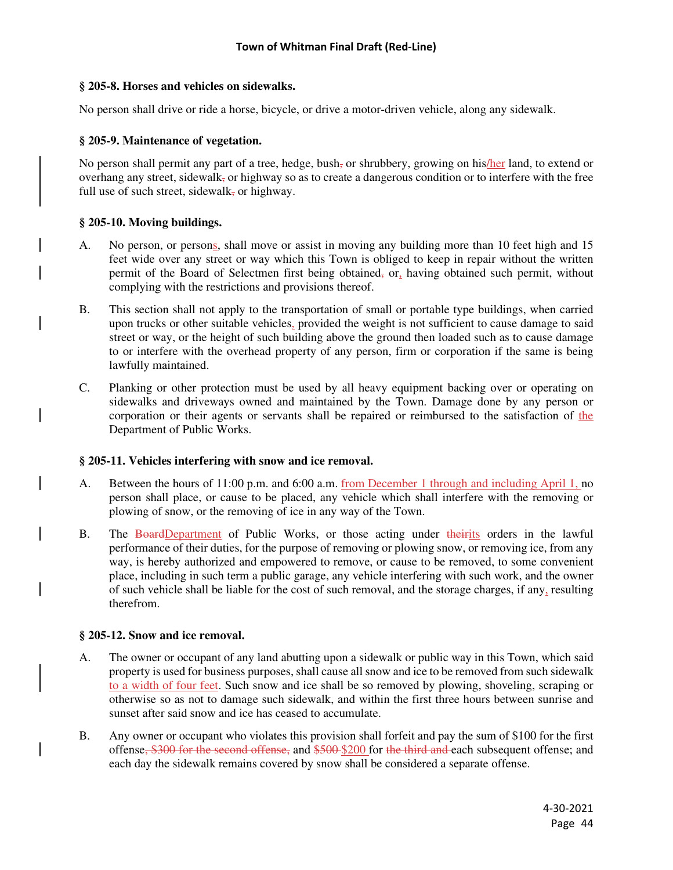### **§ 205-8. Horses and vehicles on sidewalks.**

No person shall drive or ride a horse, bicycle, or drive a motor-driven vehicle, along any sidewalk.

### **§ 205-9. Maintenance of vegetation.**

No person shall permit any part of a tree, hedge, bush, or shrubbery, growing on his/her land, to extend or overhang any street, sidewalk, or highway so as to create a dangerous condition or to interfere with the free full use of such street, sidewalk, or highway.

## **§ 205-10. Moving buildings.**

- A. No person, or persons, shall move or assist in moving any building more than 10 feet high and 15 feet wide over any street or way which this Town is obliged to keep in repair without the written permit of the Board of Selectmen first being obtained, or, having obtained such permit, without complying with the restrictions and provisions thereof.
- B. This section shall not apply to the transportation of small or portable type buildings, when carried upon trucks or other suitable vehicles, provided the weight is not sufficient to cause damage to said street or way, or the height of such building above the ground then loaded such as to cause damage to or interfere with the overhead property of any person, firm or corporation if the same is being lawfully maintained.
- C. Planking or other protection must be used by all heavy equipment backing over or operating on sidewalks and driveways owned and maintained by the Town. Damage done by any person or corporation or their agents or servants shall be repaired or reimbursed to the satisfaction of the Department of Public Works.

### **§ 205-11. Vehicles interfering with snow and ice removal.**

- A. Between the hours of 11:00 p.m. and 6:00 a.m. from December 1 through and including April 1, no person shall place, or cause to be placed, any vehicle which shall interfere with the removing or plowing of snow, or the removing of ice in any way of the Town.
- B. The BoardDepartment of Public Works, or those acting under theirits orders in the lawful performance of their duties, for the purpose of removing or plowing snow, or removing ice, from any way, is hereby authorized and empowered to remove, or cause to be removed, to some convenient place, including in such term a public garage, any vehicle interfering with such work, and the owner of such vehicle shall be liable for the cost of such removal, and the storage charges, if any, resulting therefrom.

# **§ 205-12. Snow and ice removal.**

- A. The owner or occupant of any land abutting upon a sidewalk or public way in this Town, which said property is used for business purposes, shall cause all snow and ice to be removed from such sidewalk to a width of four feet. Such snow and ice shall be so removed by plowing, shoveling, scraping or otherwise so as not to damage such sidewalk, and within the first three hours between sunrise and sunset after said snow and ice has ceased to accumulate.
- B. Any owner or occupant who violates this provision shall forfeit and pay the sum of \$100 for the first offense, \$300 for the second offense, and \$500 \$200 for the third and each subsequent offense; and each day the sidewalk remains covered by snow shall be considered a separate offense.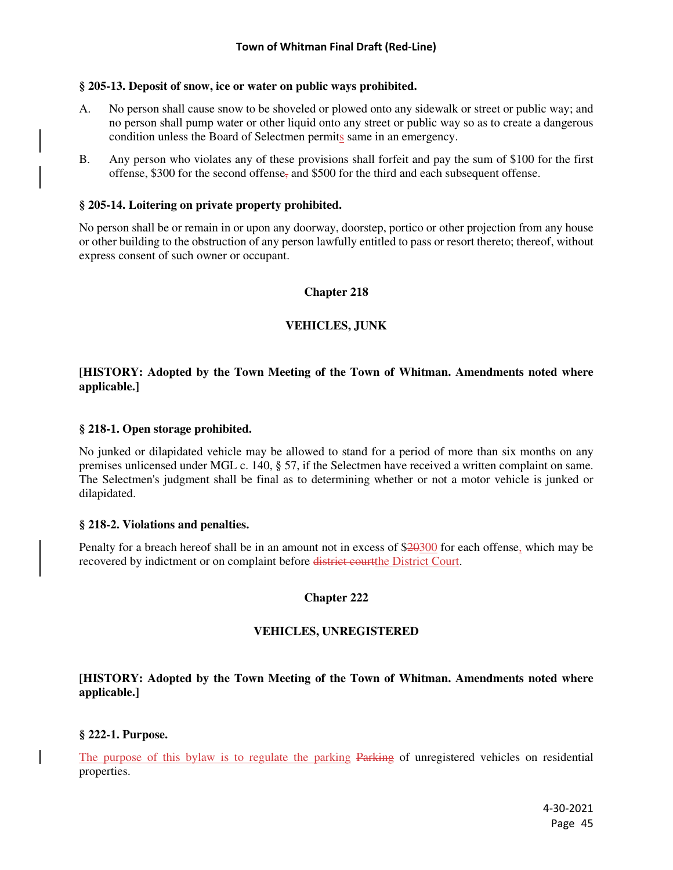### **§ 205-13. Deposit of snow, ice or water on public ways prohibited.**

- A. No person shall cause snow to be shoveled or plowed onto any sidewalk or street or public way; and no person shall pump water or other liquid onto any street or public way so as to create a dangerous condition unless the Board of Selectmen permits same in an emergency.
- B. Any person who violates any of these provisions shall forfeit and pay the sum of \$100 for the first offense, \$300 for the second offense, and \$500 for the third and each subsequent offense.

### **§ 205-14. Loitering on private property prohibited.**

No person shall be or remain in or upon any doorway, doorstep, portico or other projection from any house or other building to the obstruction of any person lawfully entitled to pass or resort thereto; thereof, without express consent of such owner or occupant.

### **Chapter 218**

### **VEHICLES, JUNK**

## **[HISTORY: Adopted by the Town Meeting of the Town of Whitman. Amendments noted where applicable.]**

#### **§ 218-1. Open storage prohibited.**

No junked or dilapidated vehicle may be allowed to stand for a period of more than six months on any premises unlicensed under MGL c. 140, § 57, if the Selectmen have received a written complaint on same. The Selectmen's judgment shall be final as to determining whether or not a motor vehicle is junked or dilapidated.

#### **§ 218-2. Violations and penalties.**

Penalty for a breach hereof shall be in an amount not in excess of \$20300 for each offense, which may be recovered by indictment or on complaint before district courtthe District Court.

### **Chapter 222**

### **VEHICLES, UNREGISTERED**

## **[HISTORY: Adopted by the Town Meeting of the Town of Whitman. Amendments noted where applicable.]**

#### **§ 222-1. Purpose.**

The purpose of this bylaw is to regulate the parking Parking of unregistered vehicles on residential properties.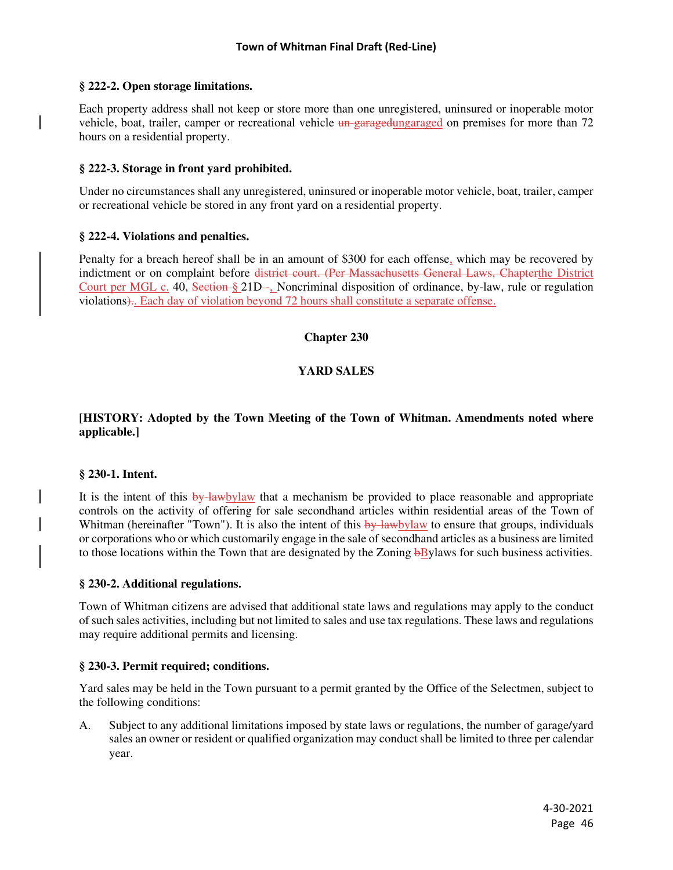### **§ 222-2. Open storage limitations.**

Each property address shall not keep or store more than one unregistered, uninsured or inoperable motor vehicle, boat, trailer, camper or recreational vehicle un-garagedungaraged on premises for more than 72 hours on a residential property.

## **§ 222-3. Storage in front yard prohibited.**

Under no circumstances shall any unregistered, uninsured or inoperable motor vehicle, boat, trailer, camper or recreational vehicle be stored in any front yard on a residential property.

## **§ 222-4. Violations and penalties.**

Penalty for a breach hereof shall be in an amount of \$300 for each offense, which may be recovered by indictment or on complaint before district court. (Per Massachusetts General Laws, Chapterthe District Court per MGL c. 40, Section § 21D-, Noncriminal disposition of ordinance, by-law, rule or regulation violations).. Each day of violation beyond 72 hours shall constitute a separate offense.

## **Chapter 230**

## **YARD SALES**

## **[HISTORY: Adopted by the Town Meeting of the Town of Whitman. Amendments noted where applicable.]**

### **§ 230-1. Intent.**

It is the intent of this by-lawbylaw that a mechanism be provided to place reasonable and appropriate controls on the activity of offering for sale secondhand articles within residential areas of the Town of Whitman (hereinafter "Town"). It is also the intent of this by-lawbylaw to ensure that groups, individuals or corporations who or which customarily engage in the sale of secondhand articles as a business are limited to those locations within the Town that are designated by the Zoning bBylaws for such business activities.

### **§ 230-2. Additional regulations.**

Town of Whitman citizens are advised that additional state laws and regulations may apply to the conduct of such sales activities, including but not limited to sales and use tax regulations. These laws and regulations may require additional permits and licensing.

### **§ 230-3. Permit required; conditions.**

Yard sales may be held in the Town pursuant to a permit granted by the Office of the Selectmen, subject to the following conditions:

A. Subject to any additional limitations imposed by state laws or regulations, the number of garage/yard sales an owner or resident or qualified organization may conduct shall be limited to three per calendar year.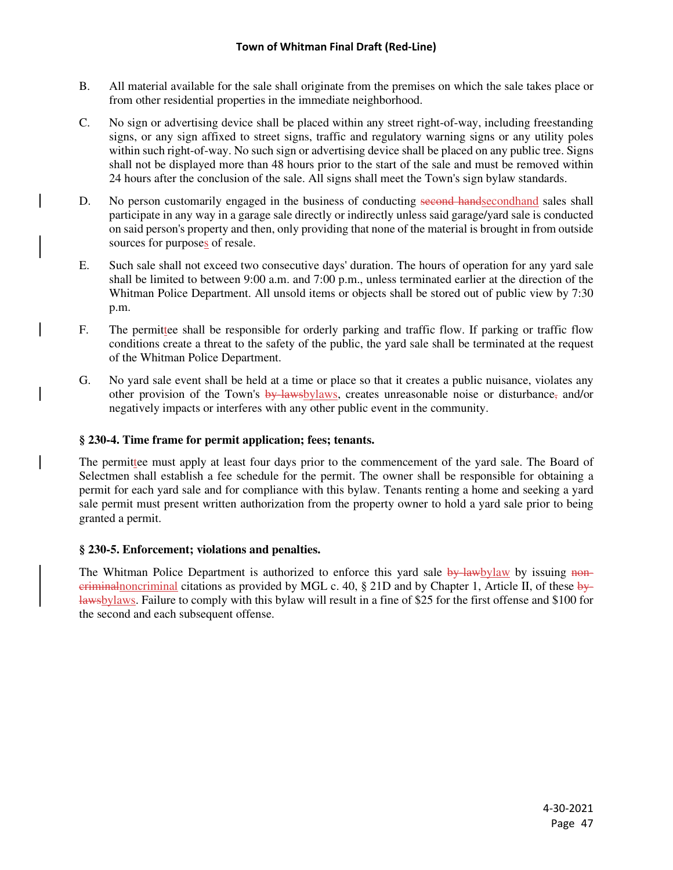- B. All material available for the sale shall originate from the premises on which the sale takes place or from other residential properties in the immediate neighborhood.
- C. No sign or advertising device shall be placed within any street right-of-way, including freestanding signs, or any sign affixed to street signs, traffic and regulatory warning signs or any utility poles within such right-of-way. No such sign or advertising device shall be placed on any public tree. Signs shall not be displayed more than 48 hours prior to the start of the sale and must be removed within 24 hours after the conclusion of the sale. All signs shall meet the Town's sign bylaw standards.
- D. No person customarily engaged in the business of conducting second handsecondhand sales shall participate in any way in a garage sale directly or indirectly unless said garage/yard sale is conducted on said person's property and then, only providing that none of the material is brought in from outside sources for purposes of resale.
- E. Such sale shall not exceed two consecutive days' duration. The hours of operation for any yard sale shall be limited to between 9:00 a.m. and 7:00 p.m., unless terminated earlier at the direction of the Whitman Police Department. All unsold items or objects shall be stored out of public view by 7:30 p.m.
- F. The permittee shall be responsible for orderly parking and traffic flow. If parking or traffic flow conditions create a threat to the safety of the public, the yard sale shall be terminated at the request of the Whitman Police Department.
- G. No yard sale event shall be held at a time or place so that it creates a public nuisance, violates any other provision of the Town's  $\frac{by\text{-}law\text{-}b}{2}$  creates unreasonable noise or disturbance, and/or negatively impacts or interferes with any other public event in the community.

# **§ 230-4. Time frame for permit application; fees; tenants.**

The permittee must apply at least four days prior to the commencement of the yard sale. The Board of Selectmen shall establish a fee schedule for the permit. The owner shall be responsible for obtaining a permit for each yard sale and for compliance with this bylaw. Tenants renting a home and seeking a yard sale permit must present written authorization from the property owner to hold a yard sale prior to being granted a permit.

# **§ 230-5. Enforcement; violations and penalties.**

The Whitman Police Department is authorized to enforce this yard sale by-lawbylaw by issuing noneriminal citations as provided by MGL c. 40,  $\S$  21D and by Chapter 1, Article II, of these bylawsbylaws. Failure to comply with this bylaw will result in a fine of \$25 for the first offense and \$100 for the second and each subsequent offense.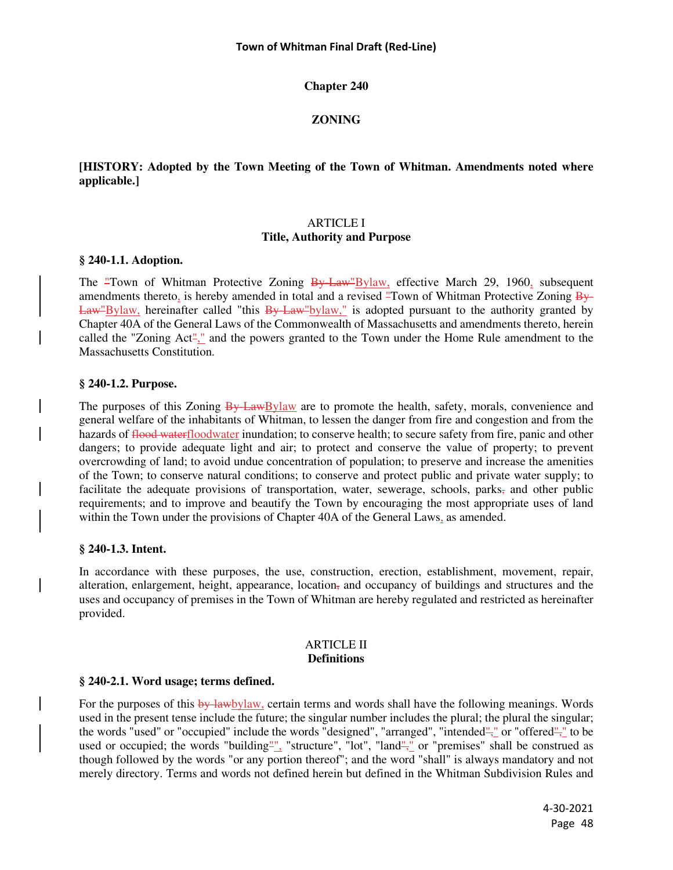### **Chapter 240**

### **ZONING**

### **[HISTORY: Adopted by the Town Meeting of the Town of Whitman. Amendments noted where applicable.]**

### ARTICLE I

### **Title, Authority and Purpose**

### **§ 240-1.1. Adoption.**

The "Town of Whitman Protective Zoning By Law"Bylaw, effective March 29, 1960, subsequent amendments thereto, is hereby amended in total and a revised "Town of Whitman Protective Zoning By-Law"Bylaw, hereinafter called "this By-Law"bylaw," is adopted pursuant to the authority granted by Chapter 40A of the General Laws of the Commonwealth of Massachusetts and amendments thereto, herein called the "Zoning Act"," and the powers granted to the Town under the Home Rule amendment to the Massachusetts Constitution.

### **§ 240-1.2. Purpose.**

The purposes of this Zoning By-LawBylaw are to promote the health, safety, morals, convenience and general welfare of the inhabitants of Whitman, to lessen the danger from fire and congestion and from the hazards of flood waterfloodwater inundation; to conserve health; to secure safety from fire, panic and other dangers; to provide adequate light and air; to protect and conserve the value of property; to prevent overcrowding of land; to avoid undue concentration of population; to preserve and increase the amenities of the Town; to conserve natural conditions; to conserve and protect public and private water supply; to facilitate the adequate provisions of transportation, water, sewerage, schools, parks, and other public requirements; and to improve and beautify the Town by encouraging the most appropriate uses of land within the Town under the provisions of Chapter 40A of the General Laws, as amended.

#### **§ 240-1.3. Intent.**

In accordance with these purposes, the use, construction, erection, establishment, movement, repair, alteration, enlargement, height, appearance, location<sub> $\overline{x}$ </sub> and occupancy of buildings and structures and the uses and occupancy of premises in the Town of Whitman are hereby regulated and restricted as hereinafter provided.

#### ARTICLE II **Definitions**

#### **§ 240-2.1. Word usage; terms defined.**

For the purposes of this by-lawbylaw, certain terms and words shall have the following meanings. Words used in the present tense include the future; the singular number includes the plural; the plural the singular; the words "used" or "occupied" include the words "designed", "arranged", "intended"," or "offered"," to be used or occupied; the words "building", "structure", "lot", "land"," or "premises" shall be construed as though followed by the words "or any portion thereof"; and the word "shall" is always mandatory and not merely directory. Terms and words not defined herein but defined in the Whitman Subdivision Rules and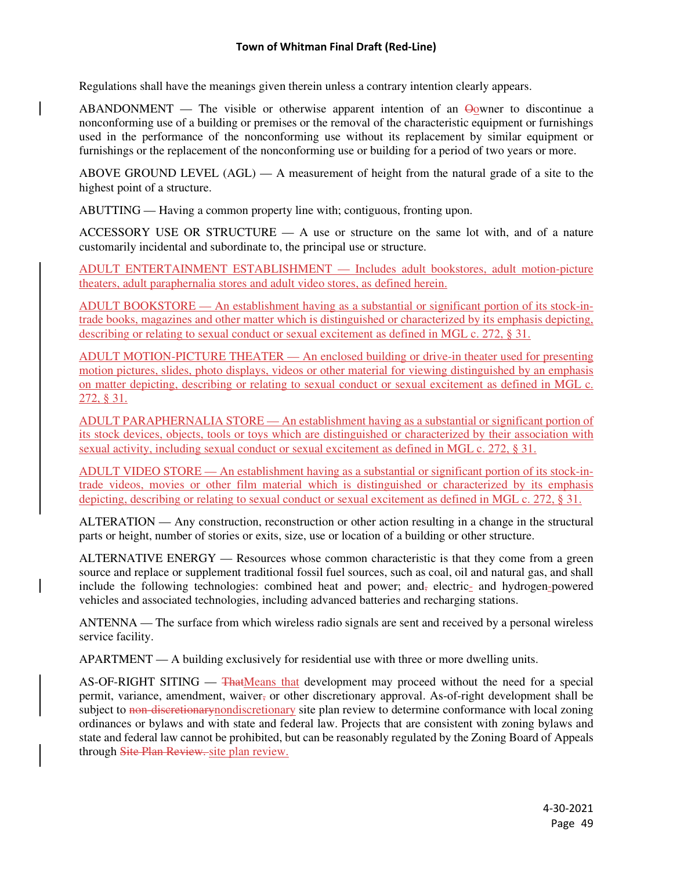Regulations shall have the meanings given therein unless a contrary intention clearly appears.

ABANDONMENT — The visible or otherwise apparent intention of an  $\Theta_0$  wner to discontinue a nonconforming use of a building or premises or the removal of the characteristic equipment or furnishings used in the performance of the nonconforming use without its replacement by similar equipment or furnishings or the replacement of the nonconforming use or building for a period of two years or more.

ABOVE GROUND LEVEL (AGL) — A measurement of height from the natural grade of a site to the highest point of a structure.

ABUTTING — Having a common property line with; contiguous, fronting upon.

ACCESSORY USE OR STRUCTURE — A use or structure on the same lot with, and of a nature customarily incidental and subordinate to, the principal use or structure.

ADULT ENTERTAINMENT ESTABLISHMENT — Includes adult bookstores, adult motion-picture theaters, adult paraphernalia stores and adult video stores, as defined herein.

ADULT BOOKSTORE — An establishment having as a substantial or significant portion of its stock-intrade books, magazines and other matter which is distinguished or characterized by its emphasis depicting, describing or relating to sexual conduct or sexual excitement as defined in MGL c. 272, § 31.

ADULT MOTION-PICTURE THEATER — An enclosed building or drive-in theater used for presenting motion pictures, slides, photo displays, videos or other material for viewing distinguished by an emphasis on matter depicting, describing or relating to sexual conduct or sexual excitement as defined in MGL c. 272, § 31.

ADULT PARAPHERNALIA STORE — An establishment having as a substantial or significant portion of its stock devices, objects, tools or toys which are distinguished or characterized by their association with sexual activity, including sexual conduct or sexual excitement as defined in MGL c. 272, § 31.

ADULT VIDEO STORE — An establishment having as a substantial or significant portion of its stock-intrade videos, movies or other film material which is distinguished or characterized by its emphasis depicting, describing or relating to sexual conduct or sexual excitement as defined in MGL c. 272, § 31.

ALTERATION — Any construction, reconstruction or other action resulting in a change in the structural parts or height, number of stories or exits, size, use or location of a building or other structure.

ALTERNATIVE ENERGY — Resources whose common characteristic is that they come from a green source and replace or supplement traditional fossil fuel sources, such as coal, oil and natural gas, and shall include the following technologies: combined heat and power; and, electric- and hydrogen-powered vehicles and associated technologies, including advanced batteries and recharging stations.

ANTENNA — The surface from which wireless radio signals are sent and received by a personal wireless service facility.

APARTMENT — A building exclusively for residential use with three or more dwelling units.

AS-OF-RIGHT SITING — ThatMeans that development may proceed without the need for a special permit, variance, amendment, waiver, or other discretionary approval. As-of-right development shall be subject to non-discretionary nondiscretionary site plan review to determine conformance with local zoning ordinances or bylaws and with state and federal law. Projects that are consistent with zoning bylaws and state and federal law cannot be prohibited, but can be reasonably regulated by the Zoning Board of Appeals through Site Plan Review. site plan review.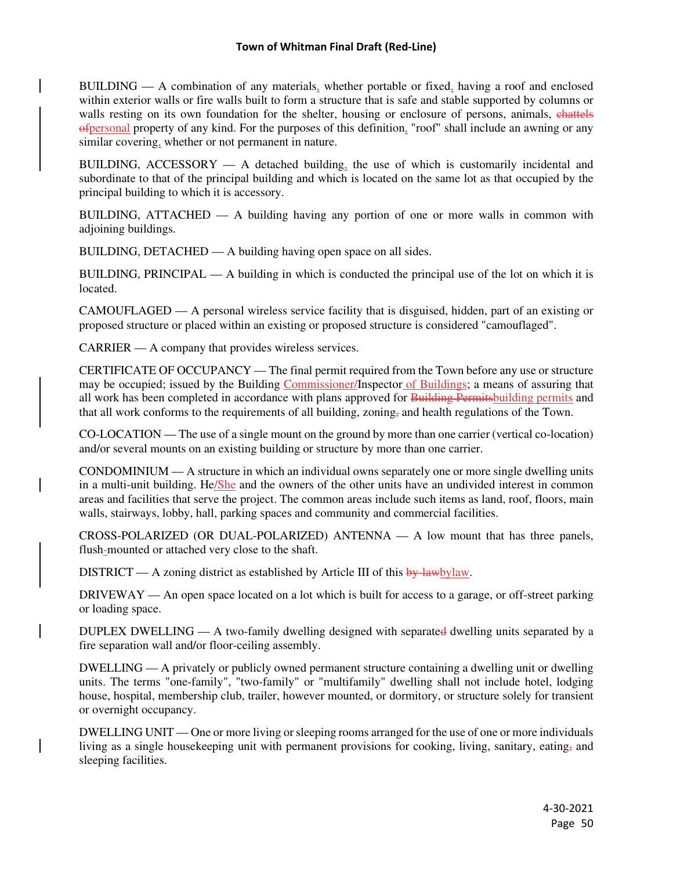BUILDING — A combination of any materials, whether portable or fixed, having a roof and enclosed within exterior walls or fire walls built to form a structure that is safe and stable supported by columns or walls resting on its own foundation for the shelter, housing or enclosure of persons, animals, chattels ofpersonal property of any kind. For the purposes of this definition, "roof" shall include an awning or any similar covering, whether or not permanent in nature.

BUILDING,  $ACESSORY - A$  detached building, the use of which is customarily incidental and subordinate to that of the principal building and which is located on the same lot as that occupied by the principal building to which it is accessory.

BUILDING, ATTACHED — A building having any portion of one or more walls in common with adjoining buildings.

BUILDING, DETACHED — A building having open space on all sides.

BUILDING, PRINCIPAL — A building in which is conducted the principal use of the lot on which it is located.

CAMOUFLAGED — A personal wireless service facility that is disguised, hidden, part of an existing or proposed structure or placed within an existing or proposed structure is considered "camouflaged".

CARRIER — A company that provides wireless services.

CERTIFICATE OF OCCUPANCY — The final permit required from the Town before any use or structure may be occupied; issued by the Building Commissioner/Inspector of Buildings; a means of assuring that all work has been completed in accordance with plans approved for Building Permitsbuilding permits and that all work conforms to the requirements of all building, zoning, and health regulations of the Town.

CO-LOCATION — The use of a single mount on the ground by more than one carrier (vertical co-location) and/or several mounts on an existing building or structure by more than one carrier.

CONDOMINIUM — A structure in which an individual owns separately one or more single dwelling units in a multi-unit building. He/She and the owners of the other units have an undivided interest in common areas and facilities that serve the project. The common areas include such items as land, roof, floors, main walls, stairways, lobby, hall, parking spaces and community and commercial facilities.

CROSS-POLARIZED (OR DUAL-POLARIZED) ANTENNA — A low mount that has three panels, flush-mounted or attached very close to the shaft.

DISTRICT — A zoning district as established by Article III of this  $\frac{by \text{ law}}{by \text{ law}}$ .

DRIVEWAY — An open space located on a lot which is built for access to a garage, or off-street parking or loading space.

DUPLEX DWELLING — A two-family dwelling designed with separated dwelling units separated by a fire separation wall and/or floor-ceiling assembly.

DWELLING — A privately or publicly owned permanent structure containing a dwelling unit or dwelling units. The terms "one-family", "two-family" or "multifamily" dwelling shall not include hotel, lodging house, hospital, membership club, trailer, however mounted, or dormitory, or structure solely for transient or overnight occupancy.

DWELLING UNIT — One or more living or sleeping rooms arranged for the use of one or more individuals living as a single housekeeping unit with permanent provisions for cooking, living, sanitary, eating, and sleeping facilities.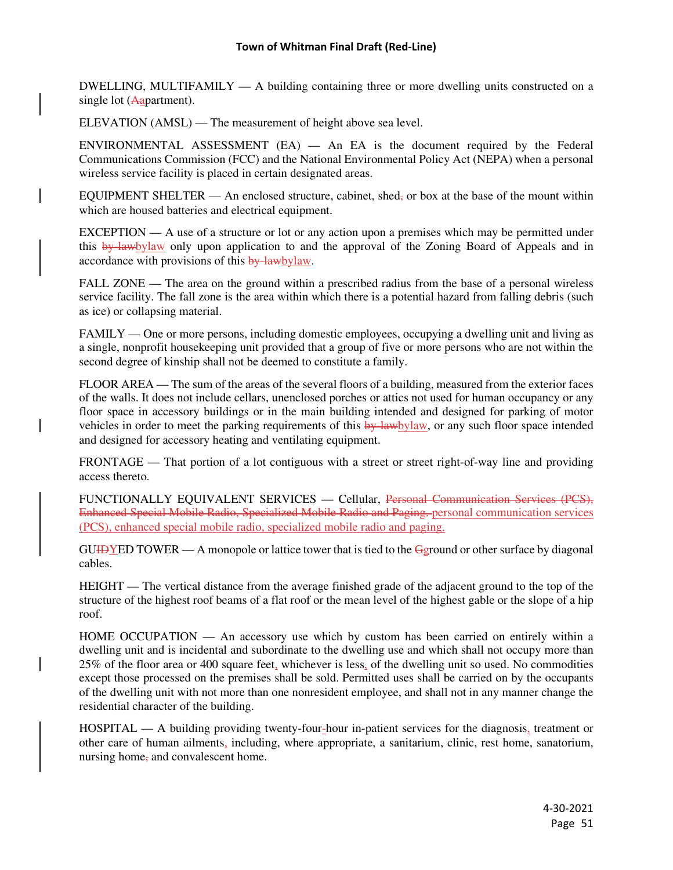DWELLING, MULTIFAMILY — A building containing three or more dwelling units constructed on a single lot (Aapartment).

ELEVATION (AMSL) — The measurement of height above sea level.

ENVIRONMENTAL ASSESSMENT (EA) — An EA is the document required by the Federal Communications Commission (FCC) and the National Environmental Policy Act (NEPA) when a personal wireless service facility is placed in certain designated areas.

EQUIPMENT SHELTER — An enclosed structure, cabinet, shed, or box at the base of the mount within which are housed batteries and electrical equipment.

 $EXCEPTION - A$  use of a structure or lot or any action upon a premises which may be permitted under this by-lawbylaw only upon application to and the approval of the Zoning Board of Appeals and in accordance with provisions of this by-lawbylaw.

FALL ZONE — The area on the ground within a prescribed radius from the base of a personal wireless service facility. The fall zone is the area within which there is a potential hazard from falling debris (such as ice) or collapsing material.

FAMILY — One or more persons, including domestic employees, occupying a dwelling unit and living as a single, nonprofit housekeeping unit provided that a group of five or more persons who are not within the second degree of kinship shall not be deemed to constitute a family.

FLOOR AREA — The sum of the areas of the several floors of a building, measured from the exterior faces of the walls. It does not include cellars, unenclosed porches or attics not used for human occupancy or any floor space in accessory buildings or in the main building intended and designed for parking of motor vehicles in order to meet the parking requirements of this by-lawbylaw, or any such floor space intended and designed for accessory heating and ventilating equipment.

FRONTAGE — That portion of a lot contiguous with a street or street right-of-way line and providing access thereto.

FUNCTIONALLY EQUIVALENT SERVICES — Cellular, Personal Communication Services (PCS), Enhanced Special Mobile Radio, Specialized Mobile Radio and Paging. personal communication services (PCS), enhanced special mobile radio, specialized mobile radio and paging.

 $GU \rightarrow YED$  TOWER — A monopole or lattice tower that is tied to the  $Gg$  pound or other surface by diagonal cables.

HEIGHT — The vertical distance from the average finished grade of the adjacent ground to the top of the structure of the highest roof beams of a flat roof or the mean level of the highest gable or the slope of a hip roof.

HOME OCCUPATION — An accessory use which by custom has been carried on entirely within a dwelling unit and is incidental and subordinate to the dwelling use and which shall not occupy more than 25% of the floor area or 400 square feet, whichever is less, of the dwelling unit so used. No commodities except those processed on the premises shall be sold. Permitted uses shall be carried on by the occupants of the dwelling unit with not more than one nonresident employee, and shall not in any manner change the residential character of the building.

HOSPITAL — A building providing twenty-four-hour in-patient services for the diagnosis, treatment or other care of human ailments, including, where appropriate, a sanitarium, clinic, rest home, sanatorium, nursing home, and convalescent home.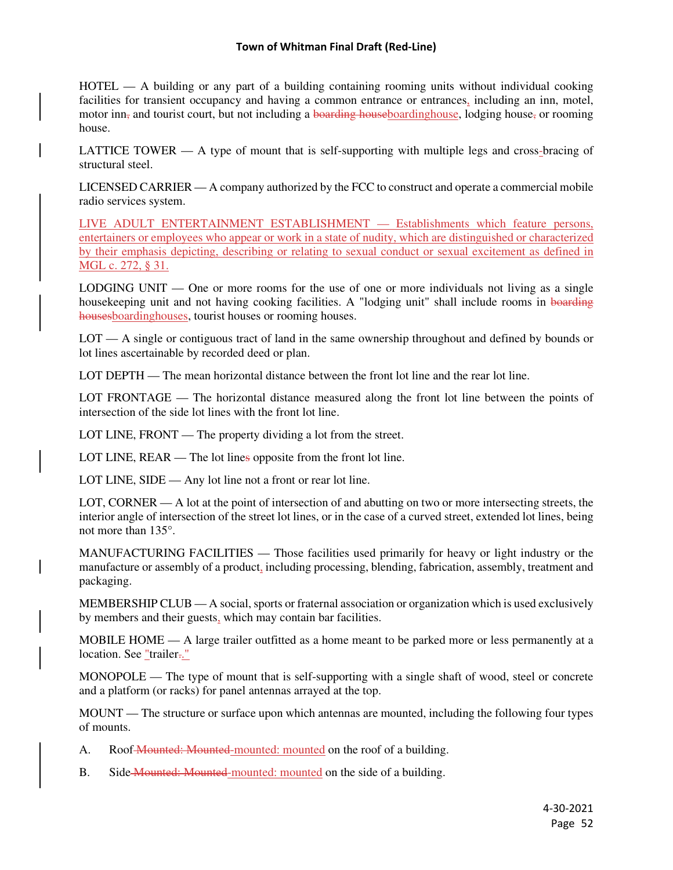HOTEL — A building or any part of a building containing rooming units without individual cooking facilities for transient occupancy and having a common entrance or entrances, including an inn, motel, motor inn<sub> $\tau$ </sub> and tourist court, but not including a boarding houseboarding house, lodging house, or rooming house.

LATTICE TOWER — A type of mount that is self-supporting with multiple legs and cross-bracing of structural steel.

LICENSED CARRIER — A company authorized by the FCC to construct and operate a commercial mobile radio services system.

LIVE ADULT ENTERTAINMENT ESTABLISHMENT — Establishments which feature persons, entertainers or employees who appear or work in a state of nudity, which are distinguished or characterized by their emphasis depicting, describing or relating to sexual conduct or sexual excitement as defined in MGL c. 272, § 31.

LODGING UNIT — One or more rooms for the use of one or more individuals not living as a single housekeeping unit and not having cooking facilities. A "lodging unit" shall include rooms in boarding housesboardinghouses, tourist houses or rooming houses.

LOT — A single or contiguous tract of land in the same ownership throughout and defined by bounds or lot lines ascertainable by recorded deed or plan.

LOT DEPTH — The mean horizontal distance between the front lot line and the rear lot line.

LOT FRONTAGE — The horizontal distance measured along the front lot line between the points of intersection of the side lot lines with the front lot line.

LOT LINE, FRONT — The property dividing a lot from the street.

LOT LINE, REAR — The lot lines opposite from the front lot line.

LOT LINE, SIDE — Any lot line not a front or rear lot line.

LOT, CORNER — A lot at the point of intersection of and abutting on two or more intersecting streets, the interior angle of intersection of the street lot lines, or in the case of a curved street, extended lot lines, being not more than 135°.

MANUFACTURING FACILITIES — Those facilities used primarily for heavy or light industry or the manufacture or assembly of a product, including processing, blending, fabrication, assembly, treatment and packaging.

MEMBERSHIP CLUB — A social, sports or fraternal association or organization which is used exclusively by members and their guests, which may contain bar facilities.

MOBILE HOME — A large trailer outfitted as a home meant to be parked more or less permanently at a location. See "trailer.."

MONOPOLE — The type of mount that is self-supporting with a single shaft of wood, steel or concrete and a platform (or racks) for panel antennas arrayed at the top.

MOUNT — The structure or surface upon which antennas are mounted, including the following four types of mounts.

A. Roof Mounted: Mounted-mounted: mounted on the roof of a building.

B. Side-Mounted: Mounted-mounted: mounted on the side of a building.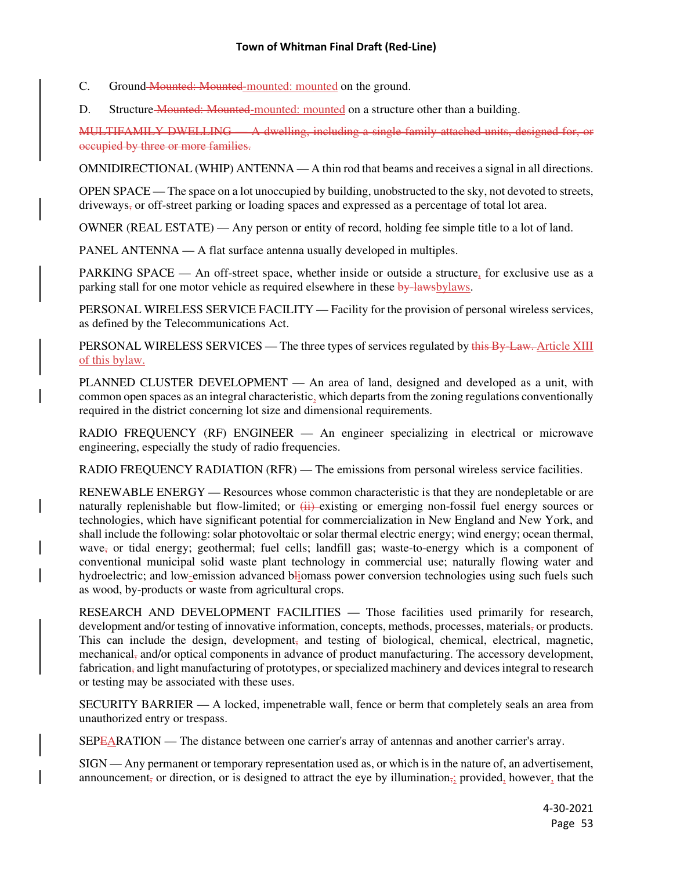C. Ground Mounted: Mounted-mounted: mounted on the ground.

D. Structure Mounted: Mounted-mounted: mounted on a structure other than a building.

MULTIFAMILY DWELLING — A dwelling, including a single-family attached units, designed for, or occupied by three or more families.

OMNIDIRECTIONAL (WHIP) ANTENNA — A thin rod that beams and receives a signal in all directions.

OPEN SPACE — The space on a lot unoccupied by building, unobstructed to the sky, not devoted to streets, driveways, or off-street parking or loading spaces and expressed as a percentage of total lot area.

OWNER (REAL ESTATE) — Any person or entity of record, holding fee simple title to a lot of land.

PANEL ANTENNA — A flat surface antenna usually developed in multiples.

PARKING SPACE — An off-street space, whether inside or outside a structure, for exclusive use as a parking stall for one motor vehicle as required elsewhere in these by-lawsbylaws.

PERSONAL WIRELESS SERVICE FACILITY — Facility for the provision of personal wireless services, as defined by the Telecommunications Act.

PERSONAL WIRELESS SERVICES — The three types of services regulated by this By-Law. Article XIII of this bylaw.

PLANNED CLUSTER DEVELOPMENT — An area of land, designed and developed as a unit, with common open spaces as an integral characteristic, which departs from the zoning regulations conventionally required in the district concerning lot size and dimensional requirements.

RADIO FREQUENCY (RF) ENGINEER — An engineer specializing in electrical or microwave engineering, especially the study of radio frequencies.

RADIO FREQUENCY RADIATION (RFR) — The emissions from personal wireless service facilities.

RENEWABLE ENERGY — Resources whose common characteristic is that they are nondepletable or are naturally replenishable but flow-limited; or  $\overline{(+)}$  existing or emerging non-fossil fuel energy sources or technologies, which have significant potential for commercialization in New England and New York, and shall include the following: solar photovoltaic or solar thermal electric energy; wind energy; ocean thermal, wave, or tidal energy; geothermal; fuel cells; landfill gas; waste-to-energy which is a component of conventional municipal solid waste plant technology in commercial use; naturally flowing water and hydroelectric; and low-emission advanced bliomass power conversion technologies using such fuels such as wood, by-products or waste from agricultural crops.

RESEARCH AND DEVELOPMENT FACILITIES — Those facilities used primarily for research, development and/or testing of innovative information, concepts, methods, processes, materials, or products. This can include the design, development, and testing of biological, chemical, electrical, magnetic, mechanical, and/or optical components in advance of product manufacturing. The accessory development, fabrication, and light manufacturing of prototypes, or specialized machinery and devices integral to research or testing may be associated with these uses.

SECURITY BARRIER — A locked, impenetrable wall, fence or berm that completely seals an area from unauthorized entry or trespass.

SEPEARATION — The distance between one carrier's array of antennas and another carrier's array.

SIGN — Any permanent or temporary representation used as, or which is in the nature of, an advertisement, announcement, or direction, or is designed to attract the eye by illumination, provided, however, that the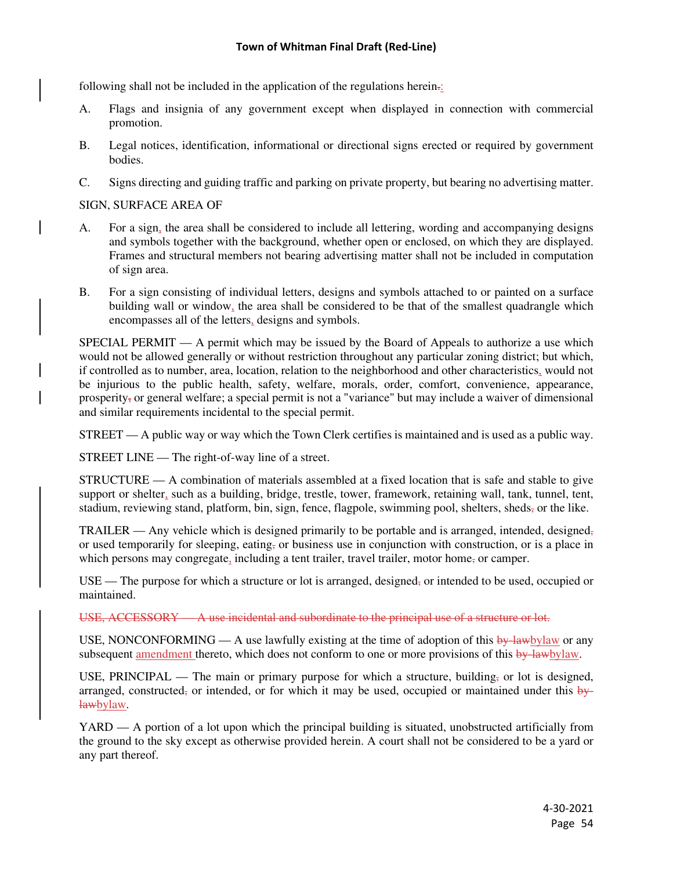following shall not be included in the application of the regulations herein.:

- A. Flags and insignia of any government except when displayed in connection with commercial promotion.
- B. Legal notices, identification, informational or directional signs erected or required by government bodies.
- C. Signs directing and guiding traffic and parking on private property, but bearing no advertising matter.

## SIGN, SURFACE AREA OF

- A. For a sign, the area shall be considered to include all lettering, wording and accompanying designs and symbols together with the background, whether open or enclosed, on which they are displayed. Frames and structural members not bearing advertising matter shall not be included in computation of sign area.
- B. For a sign consisting of individual letters, designs and symbols attached to or painted on a surface building wall or window, the area shall be considered to be that of the smallest quadrangle which encompasses all of the letters, designs and symbols.

SPECIAL PERMIT — A permit which may be issued by the Board of Appeals to authorize a use which would not be allowed generally or without restriction throughout any particular zoning district; but which, if controlled as to number, area, location, relation to the neighborhood and other characteristics, would not be injurious to the public health, safety, welfare, morals, order, comfort, convenience, appearance, prosperity, or general welfare; a special permit is not a "variance" but may include a waiver of dimensional and similar requirements incidental to the special permit.

STREET — A public way or way which the Town Clerk certifies is maintained and is used as a public way.

STREET LINE — The right-of-way line of a street.

STRUCTURE — A combination of materials assembled at a fixed location that is safe and stable to give support or shelter, such as a building, bridge, trestle, tower, framework, retaining wall, tank, tunnel, tent, stadium, reviewing stand, platform, bin, sign, fence, flagpole, swimming pool, shelters, sheds, or the like.

TRAILER — Any vehicle which is designed primarily to be portable and is arranged, intended, designed, or used temporarily for sleeping, eating, or business use in conjunction with construction, or is a place in which persons may congregate, including a tent trailer, travel trailer, motor home<sub>s</sub> or camper.

USE — The purpose for which a structure or lot is arranged, designed, or intended to be used, occupied or maintained.

USE, ACCESSORY — A use incidental and subordinate to the principal use of a structure or lot.

USE, NONCONFORMING — A use lawfully existing at the time of adoption of this  $\frac{by \text{ law by law}}{y}$  or any subsequent amendment thereto, which does not conform to one or more provisions of this by-lawbylaw.

USE, PRINCIPAL — The main or primary purpose for which a structure, building, or lot is designed, arranged, constructed, or intended, or for which it may be used, occupied or maintained under this  $\frac{b}{y+1}$ lawbylaw.

YARD — A portion of a lot upon which the principal building is situated, unobstructed artificially from the ground to the sky except as otherwise provided herein. A court shall not be considered to be a yard or any part thereof.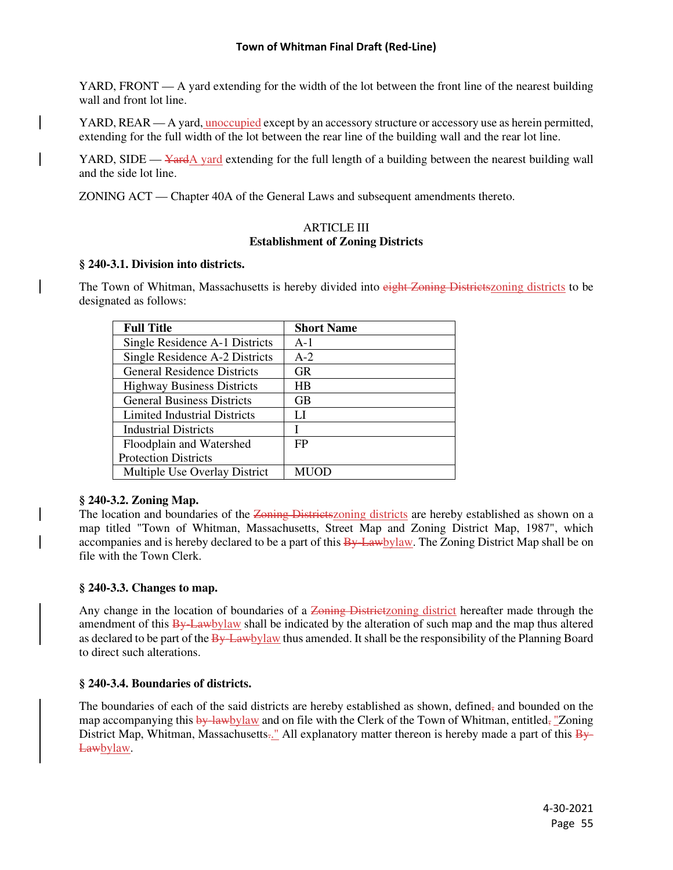YARD, FRONT  $- A$  yard extending for the width of the lot between the front line of the nearest building wall and front lot line.

YARD, REAR — A yard, unoccupied except by an accessory structure or accessory use as herein permitted, extending for the full width of the lot between the rear line of the building wall and the rear lot line.

YARD, SIDE  $\frac{V}{V}$  and extending for the full length of a building between the nearest building wall and the side lot line.

ZONING ACT — Chapter 40A of the General Laws and subsequent amendments thereto.

### ARTICLE III **Establishment of Zoning Districts**

### **§ 240-3.1. Division into districts.**

The Town of Whitman, Massachusetts is hereby divided into eight Zoning Districtszoning districts to be designated as follows:

| <b>Full Title</b>                   | <b>Short Name</b> |
|-------------------------------------|-------------------|
| Single Residence A-1 Districts      | $A-1$             |
| Single Residence A-2 Districts      | $A-2$             |
| <b>General Residence Districts</b>  | <b>GR</b>         |
| <b>Highway Business Districts</b>   | HB                |
| <b>General Business Districts</b>   | <b>GB</b>         |
| <b>Limited Industrial Districts</b> | LI                |
| Industrial Districts                | I                 |
| Floodplain and Watershed            | FP                |
| <b>Protection Districts</b>         |                   |
| Multiple Use Overlay District       | MUOD              |

### **§ 240-3.2. Zoning Map.**

The location and boundaries of the Zoning Districtszoning districts are hereby established as shown on a map titled "Town of Whitman, Massachusetts, Street Map and Zoning District Map, 1987", which accompanies and is hereby declared to be a part of this  $\frac{By$  Lawbylaw. The Zoning District Map shall be on file with the Town Clerk.

### **§ 240-3.3. Changes to map.**

Any change in the location of boundaries of a Zoning Districtzoning district hereafter made through the amendment of this By-Lawbylaw shall be indicated by the alteration of such map and the map thus altered as declared to be part of the By-Lawbylaw thus amended. It shall be the responsibility of the Planning Board to direct such alterations.

### **§ 240-3.4. Boundaries of districts.**

The boundaries of each of the said districts are hereby established as shown, defined, and bounded on the map accompanying this by-lawbylaw and on file with the Clerk of the Town of Whitman, entitled, "Zoning District Map, Whitman, Massachusetts..." All explanatory matter thereon is hereby made a part of this  $\frac{1}{2}$ Lawbylaw.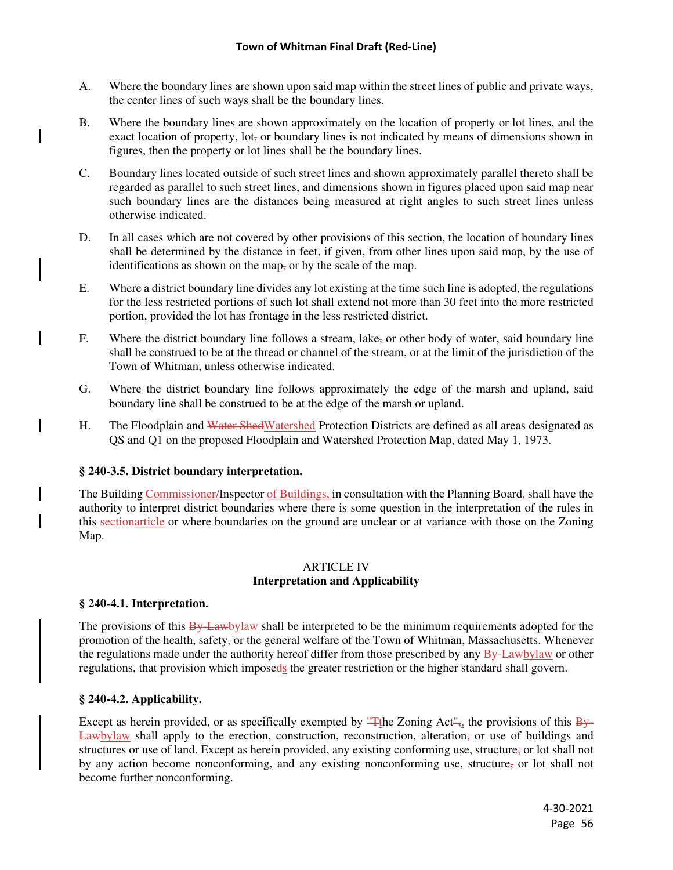- A. Where the boundary lines are shown upon said map within the street lines of public and private ways, the center lines of such ways shall be the boundary lines.
- B. Where the boundary lines are shown approximately on the location of property or lot lines, and the exact location of property, lot<sub> $\tau$ </sub> or boundary lines is not indicated by means of dimensions shown in figures, then the property or lot lines shall be the boundary lines.
- C. Boundary lines located outside of such street lines and shown approximately parallel thereto shall be regarded as parallel to such street lines, and dimensions shown in figures placed upon said map near such boundary lines are the distances being measured at right angles to such street lines unless otherwise indicated.
- D. In all cases which are not covered by other provisions of this section, the location of boundary lines shall be determined by the distance in feet, if given, from other lines upon said map, by the use of identifications as shown on the map, or by the scale of the map.
- E. Where a district boundary line divides any lot existing at the time such line is adopted, the regulations for the less restricted portions of such lot shall extend not more than 30 feet into the more restricted portion, provided the lot has frontage in the less restricted district.
- F. Where the district boundary line follows a stream, lake, or other body of water, said boundary line shall be construed to be at the thread or channel of the stream, or at the limit of the jurisdiction of the Town of Whitman, unless otherwise indicated.
- G. Where the district boundary line follows approximately the edge of the marsh and upland, said boundary line shall be construed to be at the edge of the marsh or upland.
- H. The Floodplain and Water ShedWatershed Protection Districts are defined as all areas designated as QS and Q1 on the proposed Floodplain and Watershed Protection Map, dated May 1, 1973.

# **§ 240-3.5. District boundary interpretation.**

The Building Commissioner/Inspector of Buildings, in consultation with the Planning Board, shall have the authority to interpret district boundaries where there is some question in the interpretation of the rules in this sectionarticle or where boundaries on the ground are unclear or at variance with those on the Zoning Map.

### ARTICLE IV **Interpretation and Applicability**

# **§ 240-4.1. Interpretation.**

The provisions of this By-Lawbylaw shall be interpreted to be the minimum requirements adopted for the promotion of the health, safety, or the general welfare of the Town of Whitman, Massachusetts. Whenever the regulations made under the authority hereof differ from those prescribed by any By-Lawbylaw or other regulations, that provision which imposeds the greater restriction or the higher standard shall govern.

# **§ 240-4.2. Applicability.**

Except as herein provided, or as specifically exempted by "The Zoning Act", the provisions of this  $\overline{B_{\mathcal{H}}}$ Lawbylaw shall apply to the erection, construction, reconstruction, alteration, or use of buildings and structures or use of land. Except as herein provided, any existing conforming use, structure, or lot shall not by any action become nonconforming, and any existing nonconforming use, structure, or lot shall not become further nonconforming.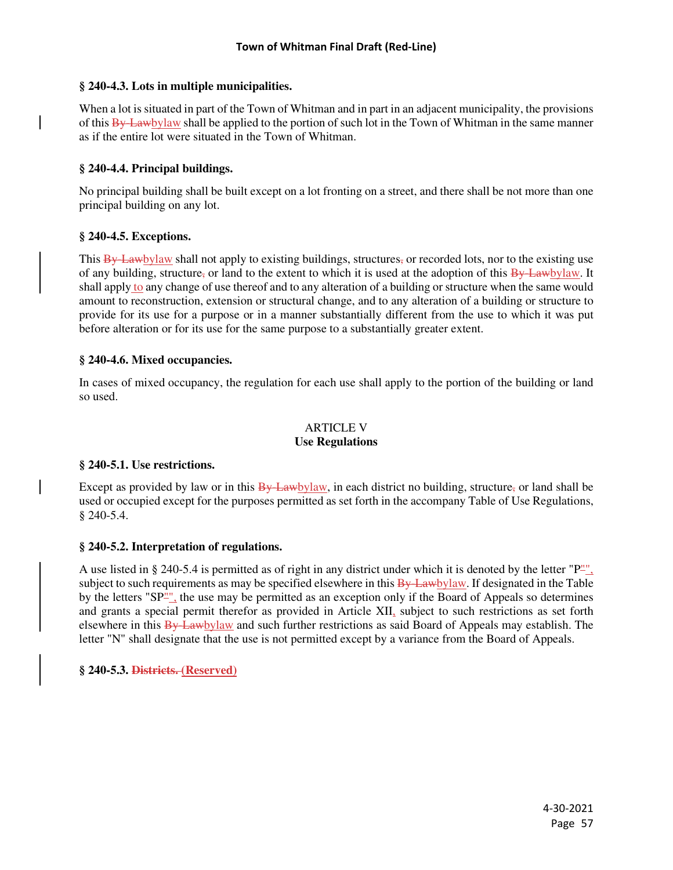## **§ 240-4.3. Lots in multiple municipalities.**

When a lot is situated in part of the Town of Whitman and in part in an adjacent municipality, the provisions of this  $\frac{By$  Lawbylaw shall be applied to the portion of such lot in the Town of Whitman in the same manner as if the entire lot were situated in the Town of Whitman.

## **§ 240-4.4. Principal buildings.**

No principal building shall be built except on a lot fronting on a street, and there shall be not more than one principal building on any lot.

## **§ 240-4.5. Exceptions.**

This By-Lawbylaw shall not apply to existing buildings, structures, or recorded lots, nor to the existing use of any building, structure, or land to the extent to which it is used at the adoption of this  $\frac{By\text{ Lawby}}{law}$ . It shall apply to any change of use thereof and to any alteration of a building or structure when the same would amount to reconstruction, extension or structural change, and to any alteration of a building or structure to provide for its use for a purpose or in a manner substantially different from the use to which it was put before alteration or for its use for the same purpose to a substantially greater extent.

## **§ 240-4.6. Mixed occupancies.**

In cases of mixed occupancy, the regulation for each use shall apply to the portion of the building or land so used.

### ARTICLE V **Use Regulations**

# **§ 240-5.1. Use restrictions.**

Except as provided by law or in this  $\frac{By\text{ Law}by\text{law}}{By}$ , in each district no building, structure, or land shall be used or occupied except for the purposes permitted as set forth in the accompany Table of Use Regulations, § 240-5.4.

### **§ 240-5.2. Interpretation of regulations.**

A use listed in § 240-5.4 is permitted as of right in any district under which it is denoted by the letter " $P^{\mu\nu}$ , subject to such requirements as may be specified elsewhere in this By-Lawbylaw. If designated in the Table by the letters "SP"", the use may be permitted as an exception only if the Board of Appeals so determines and grants a special permit therefor as provided in Article XII, subject to such restrictions as set forth elsewhere in this By-Lawbylaw and such further restrictions as said Board of Appeals may establish. The letter "N" shall designate that the use is not permitted except by a variance from the Board of Appeals.

# **§ 240-5.3. Districts. (Reserved)**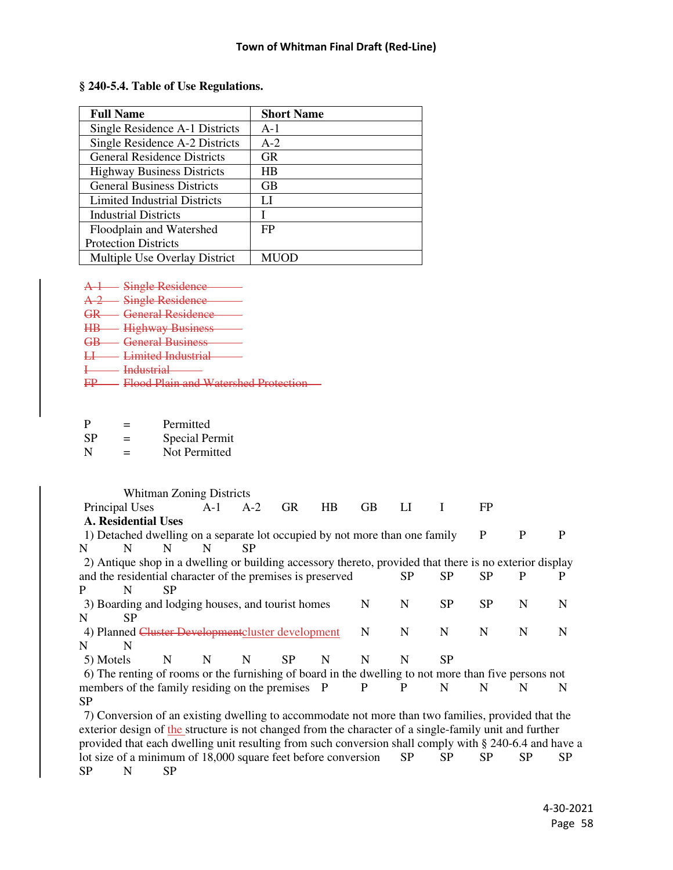| <b>Full Name</b>                   | <b>Short Name</b> |  |
|------------------------------------|-------------------|--|
| Single Residence A-1 Districts     | $A-1$             |  |
| Single Residence A-2 Districts     | $A-2$             |  |
| <b>General Residence Districts</b> | <b>GR</b>         |  |
| <b>Highway Business Districts</b>  | HВ                |  |
| <b>General Business Districts</b>  | <b>GB</b>         |  |
| Limited Industrial Districts       | LI                |  |
| <b>Industrial Districts</b>        |                   |  |
| Floodplain and Watershed           | FP                |  |
| <b>Protection Districts</b>        |                   |  |
| Multiple Use Overlay District      | <b>MUOD</b>       |  |

#### **§ 240-5.4. Table of Use Regulations.**

A-1 Single Residence

A-2 Single Residence

GR General Residence

- HB Highway Business
- GB General Business
- LI Limited Industrial
- Industrial
- FP Flood Plain and Watershed Protection

| P         | -<br>— | Permitted      |
|-----------|--------|----------------|
| <b>SP</b> | -<br>= | Special Permit |

| N | Not Permitted |
|---|---------------|
|   |               |

 Whitman Zoning Districts Principal Uses A-1 A-2 GR HB GB LI I FP **A. Residential Uses** 1) Detached dwelling on a separate lot occupied by not more than one family P P P N N N N SP 2) Antique shop in a dwelling or building accessory thereto, provided that there is no exterior display and the residential character of the premises is preserved SP SP SP P P P N SP 3) Boarding and lodging houses, and tourist homes N N SP SP N N N SP 4) Planned Cluster Developmentcluster development N N N N N N N N N 5) Motels N N N SP N N N SP 6) The renting of rooms or the furnishing of board in the dwelling to not more than five persons not members of the family residing on the premises P P P N N N N N SP 7) Conversion of an existing dwelling to accommodate not more than two families, provided that the exterior design of the structure is not changed from the character of a single-family unit and further provided that each dwelling unit resulting from such conversion shall comply with § 240-6.4 and have a lot size of a minimum of 18,000 square feet before conversion SP SP SP SP SP SP

SP N SP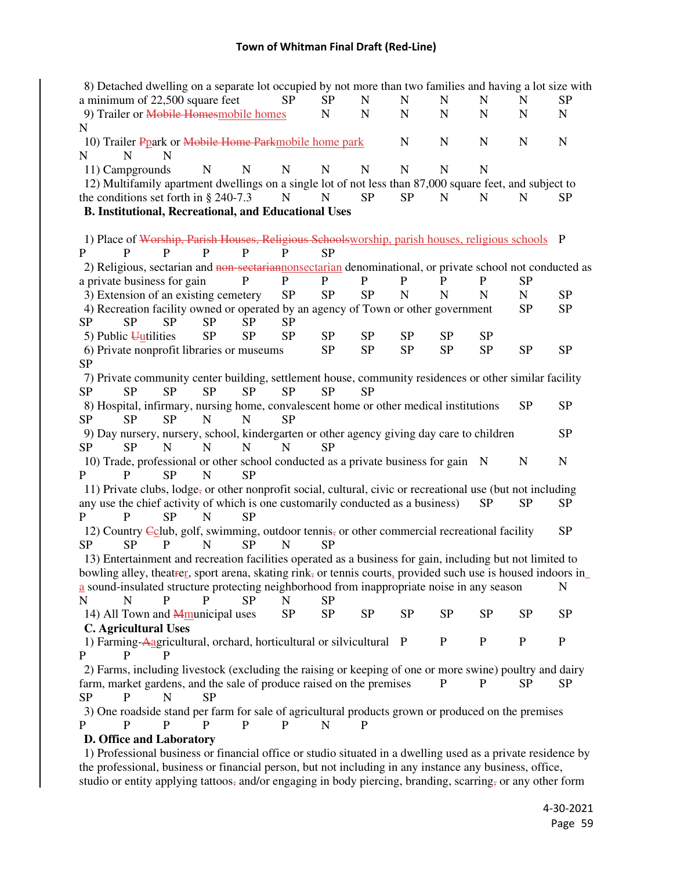| 8) Detached dwelling on a separate lot occupied by not more than two families and having a lot size with      |             |             |             |             |             |             |             |             |             |              |             |
|---------------------------------------------------------------------------------------------------------------|-------------|-------------|-------------|-------------|-------------|-------------|-------------|-------------|-------------|--------------|-------------|
| a minimum of 22,500 square feet                                                                               |             |             |             | <b>SP</b>   | <b>SP</b>   | N           | $\mathbf N$ | ${\bf N}$   | N           | $\mathbf N$  | <b>SP</b>   |
| 9) Trailer or Mobile Homesmobile homes                                                                        |             |             |             |             | ${\bf N}$   | $\mathbf N$ | $\mathbf N$ | ${\bf N}$   | N           | $\mathbf N$  | ${\bf N}$   |
| N                                                                                                             |             |             |             |             |             |             |             |             |             |              |             |
| 10) Trailer Ppark or Mobile Home Parkmobile home park                                                         |             |             |             |             |             |             | N           | ${\bf N}$   | N           | N            | $\mathbf N$ |
| N<br>N                                                                                                        | N           |             |             |             |             |             |             |             |             |              |             |
| 11) Campgrounds                                                                                               |             | N           | $\mathbf N$ | $\mathbf N$ | $\mathbf N$ | $\mathbf N$ | $\mathbf N$ | $\mathbf N$ | N           |              |             |
| 12) Multifamily apartment dwellings on a single lot of not less than 87,000 square feet, and subject to       |             |             |             |             |             |             |             |             |             |              |             |
| the conditions set forth in § 240-7.3                                                                         |             |             |             | ${\bf N}$   | $\mathbf N$ | <b>SP</b>   | <b>SP</b>   | $\mathbf N$ | $\mathbf N$ | N            | <b>SP</b>   |
| <b>B. Institutional, Recreational, and Educational Uses</b>                                                   |             |             |             |             |             |             |             |             |             |              |             |
|                                                                                                               |             |             |             |             |             |             |             |             |             |              |             |
| 1) Place of Worship, Parish Houses, Religious Schoolsworship, parish houses, religious schools P              |             |             |             |             |             |             |             |             |             |              |             |
| P<br>P                                                                                                        | P           | P           | P           | P           | <b>SP</b>   |             |             |             |             |              |             |
| 2) Religious, sectarian and non-sectarian nonsectarian denominational, or private school not conducted as     |             |             |             |             |             |             |             |             |             |              |             |
| a private business for gain                                                                                   |             |             | $\mathbf P$ | P           | ${\bf P}$   | $\mathbf P$ | P           | P           | P           | <b>SP</b>    |             |
|                                                                                                               |             |             |             | SP          | <b>SP</b>   | <b>SP</b>   | N           | $\mathbf N$ | N           | $\mathbf N$  | <b>SP</b>   |
| 3) Extension of an existing cemetery                                                                          |             |             |             |             |             |             |             |             |             |              |             |
| 4) Recreation facility owned or operated by an agency of Town or other government                             |             |             |             |             |             |             |             |             |             | <b>SP</b>    | <b>SP</b>   |
| <b>SP</b><br><b>SP</b>                                                                                        | <b>SP</b>   | <b>SP</b>   | <b>SP</b>   | <b>SP</b>   |             |             |             |             |             |              |             |
| 5) Public $\overline{u}$                                                                                      |             | <b>SP</b>   | <b>SP</b>   | <b>SP</b>   | ${\rm SP}$  | SP          | <b>SP</b>   | <b>SP</b>   | <b>SP</b>   |              |             |
| 6) Private nonprofit libraries or museums                                                                     |             |             |             |             | <b>SP</b>   | <b>SP</b>   | <b>SP</b>   | <b>SP</b>   | <b>SP</b>   | <b>SP</b>    | <b>SP</b>   |
| <b>SP</b>                                                                                                     |             |             |             |             |             |             |             |             |             |              |             |
| 7) Private community center building, settlement house, community residences or other similar facility        |             |             |             |             |             |             |             |             |             |              |             |
| <b>SP</b><br><b>SP</b>                                                                                        | <b>SP</b>   | <b>SP</b>   | <b>SP</b>   | <b>SP</b>   | <b>SP</b>   | <b>SP</b>   |             |             |             |              |             |
| 8) Hospital, infirmary, nursing home, convalescent home or other medical institutions                         |             |             |             |             |             |             |             |             |             | <b>SP</b>    | <b>SP</b>   |
| <b>SP</b><br><b>SP</b>                                                                                        | <b>SP</b>   | $\mathbf N$ | N           | <b>SP</b>   |             |             |             |             |             |              |             |
| 9) Day nursery, nursery, school, kindergarten or other agency giving day care to children                     |             |             |             |             |             |             |             |             |             |              | <b>SP</b>   |
| <b>SP</b><br><b>SP</b>                                                                                        | $\mathbf N$ | $\mathbf N$ | $\mathbf N$ | N           | <b>SP</b>   |             |             |             |             |              |             |
| 10) Trade, professional or other school conducted as a private business for gain N                            |             |             |             |             |             |             |             |             |             | $\mathbf N$  | ${\bf N}$   |
| $\mathbf{P}$<br>P                                                                                             | <b>SP</b>   | $\mathbf N$ | <b>SP</b>   |             |             |             |             |             |             |              |             |
| 11) Private clubs, lodge, or other nonprofit social, cultural, civic or recreational use (but not including   |             |             |             |             |             |             |             |             |             |              |             |
| any use the chief activity of which is one customarily conducted as a business)                               |             |             |             |             |             |             |             |             | <b>SP</b>   | <b>SP</b>    | <b>SP</b>   |
| P<br>P                                                                                                        | <b>SP</b>   | N           | <b>SP</b>   |             |             |             |             |             |             |              |             |
| 12) Country Eclub, golf, swimming, outdoor tennis, or other commercial recreational facility                  |             |             |             |             |             |             |             |             |             |              | <b>SP</b>   |
| <b>SP</b><br><b>SP</b>                                                                                        | P           | N           | <b>SP</b>   | N           | <b>SP</b>   |             |             |             |             |              |             |
| 13) Entertainment and recreation facilities operated as a business for gain, including but not limited to     |             |             |             |             |             |             |             |             |             |              |             |
| bowling alley, the atter, sport arena, skating rink, or tennis courts, provided such use is housed indoors in |             |             |             |             |             |             |             |             |             |              |             |
| a sound-insulated structure protecting neighborhood from inappropriate noise in any season                    |             |             |             |             |             |             |             |             |             |              | N           |
| $\mathbf N$<br>$\mathbf N$                                                                                    | P           | P           | <b>SP</b>   | $\mathbf N$ | <b>SP</b>   |             |             |             |             |              |             |
|                                                                                                               |             |             |             |             |             |             |             |             |             |              |             |
| 14) All Town and <b>Mmunicipal uses</b>                                                                       |             |             |             | <b>SP</b>   | <b>SP</b>   | <b>SP</b>   | <b>SP</b>   | <b>SP</b>   | <b>SP</b>   | <b>SP</b>    | <b>SP</b>   |
| <b>C.</b> Agricultural Uses                                                                                   |             |             |             |             |             |             |             |             |             |              |             |
| 1) Farming-Aagricultural, orchard, horticultural or silvicultural P                                           |             |             |             |             |             |             |             | $\mathbf P$ | $\mathbf P$ | $\mathbf{P}$ | ${\bf P}$   |
| P<br>P                                                                                                        | P           |             |             |             |             |             |             |             |             |              |             |
| 2) Farms, including livestock (excluding the raising or keeping of one or more swine) poultry and dairy       |             |             |             |             |             |             |             |             |             |              |             |
| farm, market gardens, and the sale of produce raised on the premises                                          |             |             |             |             |             |             |             | P           | P           | <b>SP</b>    | <b>SP</b>   |
| <b>SP</b><br>P                                                                                                | N           | <b>SP</b>   |             |             |             |             |             |             |             |              |             |
| 3) One roadside stand per farm for sale of agricultural products grown or produced on the premises            |             |             |             |             |             |             |             |             |             |              |             |
| P<br>P                                                                                                        | P           | P           | P           | P           | N           | P           |             |             |             |              |             |
| D. Office and Laboratory                                                                                      |             |             |             |             |             |             |             |             |             |              |             |

 1) Professional business or financial office or studio situated in a dwelling used as a private residence by the professional, business or financial person, but not including in any instance any business, office, studio or entity applying tattoos, and/or engaging in body piercing, branding, scarring, or any other form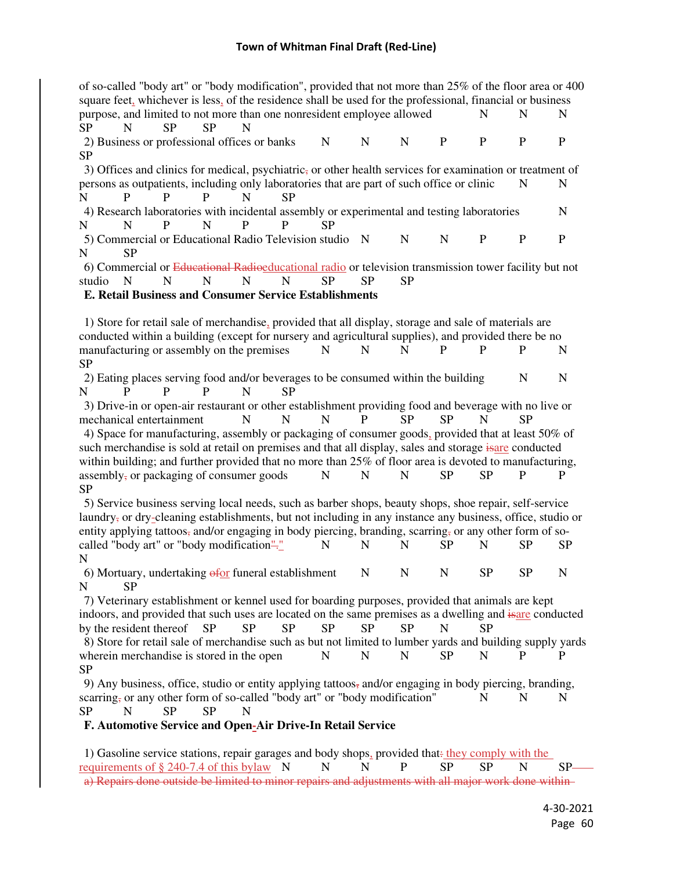| of so-called "body art" or "body modification", provided that not more than 25% of the floor area or 400                                                                                                         |              |             |             |              |              |              |
|------------------------------------------------------------------------------------------------------------------------------------------------------------------------------------------------------------------|--------------|-------------|-------------|--------------|--------------|--------------|
| square feet, whichever is less, of the residence shall be used for the professional, financial or business                                                                                                       |              |             |             |              |              |              |
| purpose, and limited to not more than one nonresident employee allowed<br>SP<br>N<br><b>SP</b><br><b>SP</b><br>N                                                                                                 |              |             |             | N            | N            | N            |
| 2) Business or professional offices or banks<br>N                                                                                                                                                                | N            | N           | $\mathbf P$ | $\mathbf{P}$ | $\mathbf{P}$ | $\mathbf{P}$ |
| <b>SP</b>                                                                                                                                                                                                        |              |             |             |              |              |              |
| 3) Offices and clinics for medical, psychiatric, or other health services for examination or treatment of                                                                                                        |              |             |             |              |              |              |
| persons as outpatients, including only laboratories that are part of such office or clinic<br>$\mathbf{P}$<br>N<br>P<br>P<br>N<br><b>SP</b>                                                                      |              |             |             |              | N            | N            |
| 4) Research laboratories with incidental assembly or experimental and testing laboratories<br>$\mathbf N$<br>P<br>P<br><b>SP</b><br>N<br>N<br>P                                                                  |              |             |             |              |              | N            |
| 5) Commercial or Educational Radio Television studio                                                                                                                                                             | $\mathbf N$  | N           | $\mathbf N$ | $\mathbf P$  | $\mathbf P$  | $\mathbf P$  |
| <b>SP</b><br>N                                                                                                                                                                                                   |              |             |             |              |              |              |
| 6) Commercial or Educational Radioeducational radio or television transmission tower facility but not                                                                                                            |              |             |             |              |              |              |
| N<br>studio<br>N<br>N<br>N<br>N<br><b>SP</b>                                                                                                                                                                     | <b>SP</b>    | <b>SP</b>   |             |              |              |              |
| <b>E. Retail Business and Consumer Service Establishments</b>                                                                                                                                                    |              |             |             |              |              |              |
| 1) Store for retail sale of merchandise, provided that all display, storage and sale of materials are                                                                                                            |              |             |             |              |              |              |
| conducted within a building (except for nursery and agricultural supplies), and provided there be no                                                                                                             |              |             |             |              |              |              |
| manufacturing or assembly on the premises<br>N                                                                                                                                                                   | N            | N           | P           | P            | P            | N            |
| <b>SP</b>                                                                                                                                                                                                        |              |             |             |              |              |              |
| 2) Eating places serving food and/or beverages to be consumed within the building                                                                                                                                |              |             |             |              | N            | N            |
| P<br>N<br>P<br>P<br>N<br>SP                                                                                                                                                                                      |              |             |             |              |              |              |
| 3) Drive-in or open-air restaurant or other establishment providing food and beverage with no live or                                                                                                            |              |             |             |              |              |              |
| $\mathbf N$<br>$\mathbf N$<br>N<br>mechanical entertainment                                                                                                                                                      | $\mathbf{P}$ | <b>SP</b>   | <b>SP</b>   | N            | SP           |              |
| 4) Space for manufacturing, assembly or packaging of consumer goods, provided that at least 50% of                                                                                                               |              |             |             |              |              |              |
| such merchandise is sold at retail on premises and that all display, sales and storage isare conducted<br>within building; and further provided that no more than 25% of floor area is devoted to manufacturing, |              |             |             |              |              |              |
| assembly, or packaging of consumer goods<br>N                                                                                                                                                                    | $\mathbf N$  | N           | <b>SP</b>   | <b>SP</b>    | $\mathbf{P}$ | P            |
| <b>SP</b>                                                                                                                                                                                                        |              |             |             |              |              |              |
| 5) Service business serving local needs, such as barber shops, beauty shops, shoe repair, self-service                                                                                                           |              |             |             |              |              |              |
| laundry, or dry-cleaning establishments, but not including in any instance any business, office, studio or                                                                                                       |              |             |             |              |              |              |
| entity applying tattoos, and/or engaging in body piercing, branding, scarring, or any other form of so-                                                                                                          |              |             |             |              |              |              |
| called "body art" or "body modification"<br>N                                                                                                                                                                    | N            | N           | <b>SP</b>   | N            | <b>SP</b>    | <b>SP</b>    |
| N                                                                                                                                                                                                                |              |             |             |              |              |              |
| 6) Mortuary, undertaking $\frac{1}{\theta}$ funeral establishment N<br>SP<br>N                                                                                                                                   |              | $\mathbf N$ | $N_{\rm}$   | <b>SP</b>    | <b>SP</b>    | $\mathbf N$  |
| 7) Veterinary establishment or kennel used for boarding purposes, provided that animals are kept                                                                                                                 |              |             |             |              |              |              |
| indoors, and provided that such uses are located on the same premises as a dwelling and isare conducted                                                                                                          |              |             |             |              |              |              |
| <b>SP</b><br>by the resident thereof<br><b>SP</b><br><b>SP</b><br><b>SP</b>                                                                                                                                      | <b>SP</b>    | <b>SP</b>   | $\mathbf N$ | <b>SP</b>    |              |              |
| 8) Store for retail sale of merchandise such as but not limited to lumber yards and building supply yards                                                                                                        |              |             |             |              |              |              |
| wherein merchandise is stored in the open<br>N                                                                                                                                                                   | N            | N           | <b>SP</b>   | N            | P            | P            |
| <b>SP</b>                                                                                                                                                                                                        |              |             |             |              |              |              |
| 9) Any business, office, studio or entity applying tattoos, and/or engaging in body piercing, branding,                                                                                                          |              |             |             |              |              |              |
| scarring, or any other form of so-called "body art" or "body modification"                                                                                                                                       |              |             |             | N            | N            | N            |
| <b>SP</b><br>SP<br>$\mathbf N$<br><b>SP</b><br>N                                                                                                                                                                 |              |             |             |              |              |              |
| F. Automotive Service and Open-Air Drive-In Retail Service                                                                                                                                                       |              |             |             |              |              |              |
| 1) Gasoline service stations, repair garages and body shops, provided that-they comply with the                                                                                                                  |              |             |             |              |              |              |
| requirements of $\S$ 240-7.4 of this bylaw N<br>N                                                                                                                                                                | N            | P           | <b>SP</b>   | <b>SP</b>    | N            | SP-          |
| a) Repairs done outside be limited to minor repairs and adjustments with all major work done within-                                                                                                             |              |             |             |              |              |              |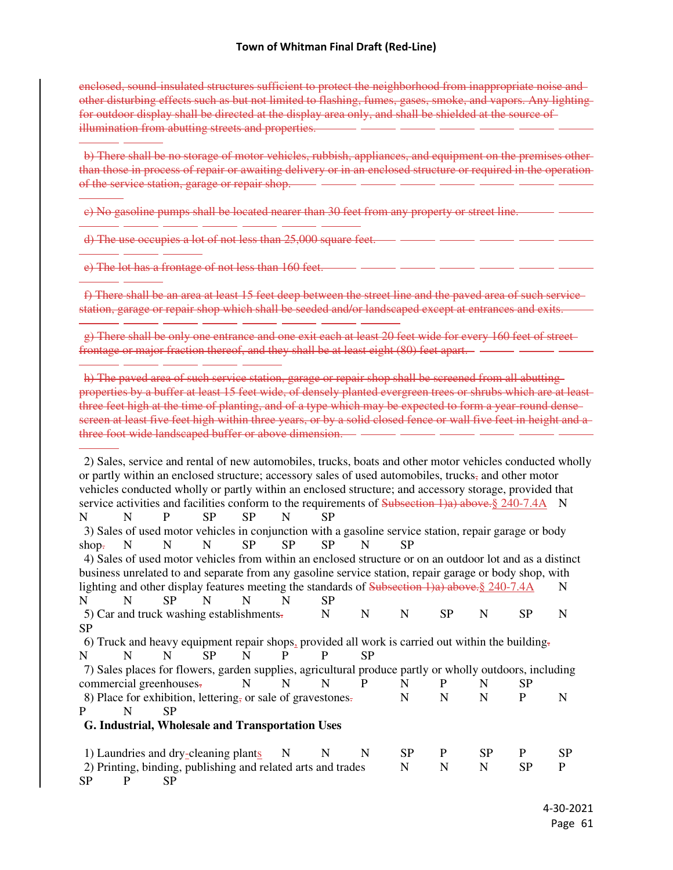enclosed, sound-insulated structures sufficient to protect the neighborhood from inappropriate noise and other disturbing effects such as but not limited to flashing, fumes, gases, smoke, and vapors. Any lighting for outdoor display shall be directed at the display area only, and shall be shielded at the source of illumination from abutting streets and properties.

b) There shall be no storage of motor vehicles, rubbish, appliances, and equipment on the premises other than those in process of repair or awaiting delivery or in an enclosed structure or required in the operation of the service station, garage or repair shop.

c) No gasoline pumps shall be located nearer than 30 feet from any property or street line.

 $\overline{a}$ 

d) The use occupies a lot of not less than 25,000 square feet.

-

e) The lot has a frontage of not less than 160 feet.

-

-

-

-

f) There shall be an area at least 15 feet deep between the street line and the paved area of such service station, garage or repair shop which shall be seeded and/or landscaped except at entrances and exits.

-

g) There shall be only one entrance and one exit each at least 20 feet wide for every 160 feet of street frontage or major fraction thereof, and they shall be at least eight (80) feet apart.

h) The paved area of such service station, garage or repair shop shall be screened from all abutting properties by a buffer at least 15 feet wide, of densely planted evergreen trees or shrubs which are at least three feet high at the time of planting, and of a type which may be expected to form a year-round densescreen at least five feet high within three years, or by a solid closed fence or wall five feet in height and a three foot wide landscaped buffer or above dimension.

ĺ, 2) Sales, service and rental of new automobiles, trucks, boats and other motor vehicles conducted wholly or partly within an enclosed structure; accessory sales of used automobiles, trucks, and other motor vehicles conducted wholly or partly within an enclosed structure; and accessory storage, provided that service activities and facilities conform to the requirements of Subsection 1)a) above. § 240-7.4A N N N P SP SP N SP 3) Sales of used motor vehicles in conjunction with a gasoline service station, repair garage or body shop<del>.</del> N N N SP SP SP N SP 4) Sales of used motor vehicles from within an enclosed structure or on an outdoor lot and as a distinct business unrelated to and separate from any gasoline service station, repair garage or body shop, with lighting and other display features meeting the standards of Subsection 1)a) above. § 240-7.4A N N N SP N N N SP 5) Car and truck washing establishments. N N N SP N SP N N SP 6) Truck and heavy equipment repair shops, provided all work is carried out within the building. N N N SP N P P SP 7) Sales places for flowers, garden supplies, agricultural produce partly or wholly outdoors, including commercial greenhouses- N N N P N P N SP 8) Place for exhibition, lettering, or sale of gravestones. N N N P N P N SP **G. Industrial, Wholesale and Transportation Uses** 1) Laundries and dry-cleaning plants N N N SP P SP P SP 2) Printing, binding, publishing and related arts and trades N N N SP P SP P SP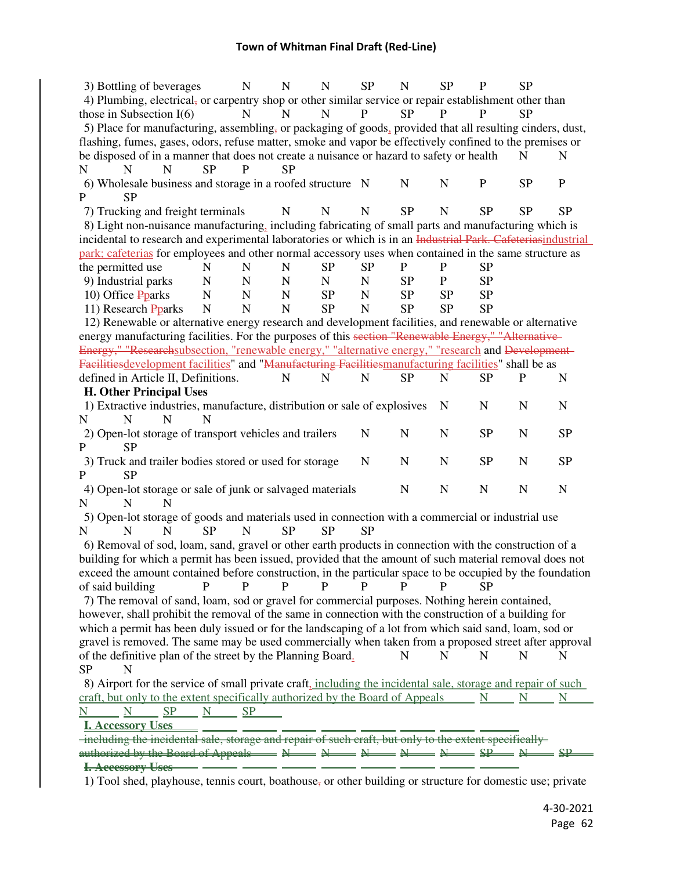| 3) Bottling of beverages                                                                                                                           |                 | $\mathbf N$ | $\mathbf N$ | $\mathbf N$ | <b>SP</b>    | N           | <b>SP</b>   | $\mathbf P$ | <b>SP</b>    |             |
|----------------------------------------------------------------------------------------------------------------------------------------------------|-----------------|-------------|-------------|-------------|--------------|-------------|-------------|-------------|--------------|-------------|
| 4) Plumbing, electrical, or carpentry shop or other similar service or repair establishment other than                                             |                 |             |             |             |              |             |             |             |              |             |
| those in Subsection $I(6)$                                                                                                                         |                 | $\mathbf N$ | N           | N           | $\mathbf{P}$ | <b>SP</b>   | P           |             | <b>SP</b>    |             |
| 5) Place for manufacturing, assembling, or packaging of goods, provided that all resulting cinders, dust,                                          |                 |             |             |             |              |             |             |             |              |             |
| flashing, fumes, gases, odors, refuse matter, smoke and vapor be effectively confined to the premises or                                           |                 |             |             |             |              |             |             |             |              |             |
| be disposed of in a manner that does not create a nuisance or hazard to safety or health                                                           |                 |             |             |             |              |             |             |             | N            | N           |
| N<br>N<br>N                                                                                                                                        | <b>SP</b>       | P           | <b>SP</b>   |             |              |             |             |             |              |             |
| 6) Wholesale business and storage in a roofed structure N                                                                                          |                 |             |             |             |              | $\mathbf N$ | $\mathbf N$ | ${\bf P}$   | <b>SP</b>    | $\mathbf P$ |
| $\mathbf{P}$<br><b>SP</b>                                                                                                                          |                 |             |             |             |              |             |             |             |              |             |
| 7) Trucking and freight terminals                                                                                                                  |                 |             | N           | $\mathbf N$ | N            | <b>SP</b>   | $\mathbf N$ | <b>SP</b>   | <b>SP</b>    | <b>SP</b>   |
| 8) Light non-nuisance manufacturing, including fabricating of small parts and manufacturing which is                                               |                 |             |             |             |              |             |             |             |              |             |
| incidental to research and experimental laboratories or which is in an Industrial Park. Cafeteriasindustrial                                       |                 |             |             |             |              |             |             |             |              |             |
| park; cafeterias for employees and other normal accessory uses when contained in the same structure as                                             |                 |             |             |             |              |             |             |             |              |             |
| the permitted use                                                                                                                                  | N               | N           | N           | <b>SP</b>   | <b>SP</b>    | P           | P           | <b>SP</b>   |              |             |
| 9) Industrial parks                                                                                                                                | $\mathbf N$     | $\mathbf N$ | $\mathbf N$ | ${\bf N}$   | $\mathbf N$  | <b>SP</b>   | $\mathbf P$ | <b>SP</b>   |              |             |
| 10) Office Pparks                                                                                                                                  | $\mathbf N$     | $\mathbf N$ | $\mathbf N$ | <b>SP</b>   | $\mathbf N$  | <b>SP</b>   | <b>SP</b>   | <b>SP</b>   |              |             |
| 11) Research Pparks                                                                                                                                | $\mathbf N$     | N           | N           | <b>SP</b>   | $\mathbf N$  | <b>SP</b>   | <b>SP</b>   | <b>SP</b>   |              |             |
| 12) Renewable or alternative energy research and development facilities, and renewable or alternative                                              |                 |             |             |             |              |             |             |             |              |             |
| energy manufacturing facilities. For the purposes of this section "Renewable Energy," "Alternative-                                                |                 |             |             |             |              |             |             |             |              |             |
| Energy," "Researchsubsection, "renewable energy," "alternative energy," "research and Development-                                                 |                 |             |             |             |              |             |             |             |              |             |
| Facilitiesdevelopment facilities" and "Manufacturing Facilitiesmanufacturing facilities" shall be as                                               |                 |             |             |             |              |             |             |             |              |             |
| defined in Article II, Definitions.                                                                                                                |                 |             | N           | N           | N            | <b>SP</b>   | $\mathbf N$ | <b>SP</b>   | $\mathbf{P}$ | N           |
| <b>H. Other Principal Uses</b>                                                                                                                     |                 |             |             |             |              |             |             |             |              |             |
| 1) Extractive industries, manufacture, distribution or sale of explosives                                                                          |                 |             |             |             |              |             | N           | N           | N            | N           |
| N<br>N<br>N                                                                                                                                        | N               |             |             |             |              |             |             |             |              |             |
| 2) Open-lot storage of transport vehicles and trailers                                                                                             |                 |             |             |             | $\mathbf N$  | $\mathbf N$ | $\mathbf N$ | SP          | $\mathbf N$  | <b>SP</b>   |
| $\mathbf{P}$<br><b>SP</b>                                                                                                                          |                 |             |             |             |              |             |             |             |              |             |
| 3) Truck and trailer bodies stored or used for storage                                                                                             |                 |             |             |             | $\mathbf N$  | $\mathbf N$ | $\mathbf N$ | SP          | $\mathbf N$  | <b>SP</b>   |
| P<br><b>SP</b>                                                                                                                                     |                 |             |             |             |              |             |             |             |              |             |
| 4) Open-lot storage or sale of junk or salvaged materials                                                                                          |                 |             |             |             |              | $\mathbf N$ | ${\bf N}$   | ${\bf N}$   | $\mathbf N$  | $\mathbf N$ |
| N<br>N<br>N                                                                                                                                        |                 |             |             |             |              |             |             |             |              |             |
| 5) Open-lot storage of goods and materials used in connection with a commercial or industrial use                                                  |                 |             |             |             |              |             |             |             |              |             |
| N<br>N<br>N                                                                                                                                        | <b>SP</b>       | N           | <b>SP</b>   | <b>SP</b>   | <b>SP</b>    |             |             |             |              |             |
| 6) Removal of sod, loam, sand, gravel or other earth products in connection with the construction of a                                             |                 |             |             |             |              |             |             |             |              |             |
| building for which a permit has been issued, provided that the amount of such material removal does not                                            |                 |             |             |             |              |             |             |             |              |             |
| exceed the amount contained before construction, in the particular space to be occupied by the foundation                                          |                 |             |             |             |              |             |             |             |              |             |
| of said building                                                                                                                                   | P               | P           | P           | P           | P            | P           | P           | SP          |              |             |
| 7) The removal of sand, loam, sod or gravel for commercial purposes. Nothing herein contained,                                                     |                 |             |             |             |              |             |             |             |              |             |
| however, shall prohibit the removal of the same in connection with the construction of a building for                                              |                 |             |             |             |              |             |             |             |              |             |
| which a permit has been duly issued or for the landscaping of a lot from which said sand, loam, sod or                                             |                 |             |             |             |              |             |             |             |              |             |
| gravel is removed. The same may be used commercially when taken from a proposed street after approval                                              |                 |             |             |             |              |             |             |             |              |             |
| of the definitive plan of the street by the Planning Board.                                                                                        |                 |             |             |             |              | N           | N           | N           | N            | N           |
| <b>SP</b><br>N                                                                                                                                     |                 |             |             |             |              |             |             |             |              |             |
| 8) Airport for the service of small private craft, including the incidental sale, storage and repair of such                                       |                 |             |             |             |              |             |             |             |              |             |
| craft, but only to the extent specifically authorized by the Board of Appeals                                                                      |                 |             |             |             |              |             |             | N           |              |             |
|                                                                                                                                                    |                 |             |             |             |              |             |             |             | N            |             |
| <b>Accessory Uses</b>                                                                                                                              | $SP \t N \t SP$ |             |             |             |              |             |             |             |              |             |
| including the incidental sale, storage and repair of such craft, but only to the extent specifically                                               |                 |             |             |             |              |             |             |             |              |             |
| authorized by the Board of Appeals $\longrightarrow N \longrightarrow N \longrightarrow N \longrightarrow N \longrightarrow SP \longrightarrow NP$ |                 |             |             |             |              |             |             |             |              |             |
|                                                                                                                                                    | _ _________     |             |             |             |              |             |             |             |              |             |
| I. Accessory Uses                                                                                                                                  |                 |             |             |             |              |             |             |             |              |             |

1) Tool shed, playhouse, tennis court, boathouse, or other building or structure for domestic use; private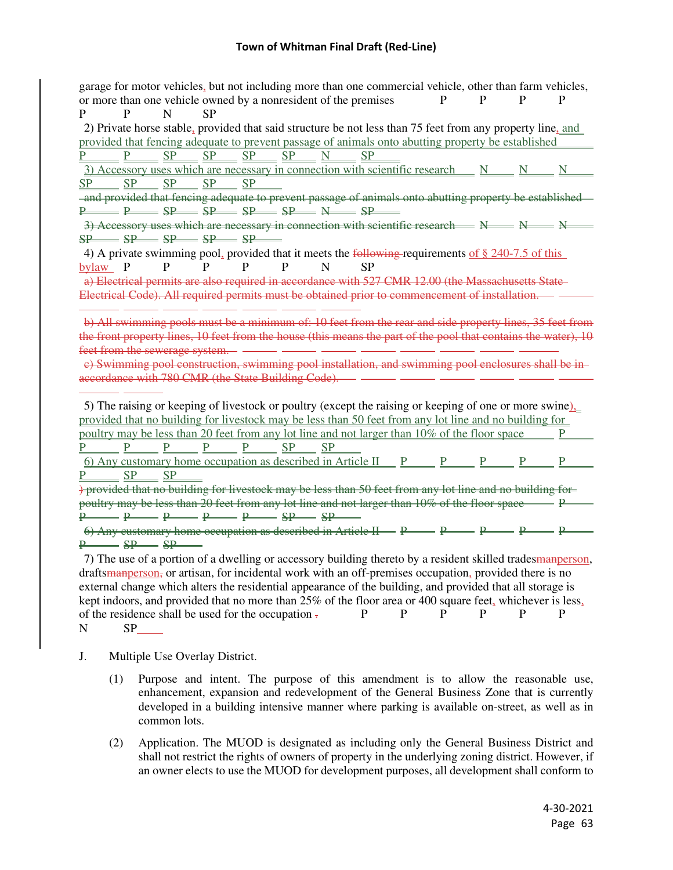garage for motor vehicles, but not including more than one commercial vehicle, other than farm vehicles, or more than one vehicle owned by a nonresident of the premises  $P$  P  $P$  P P P P N SP 2) Private horse stable, provided that said structure be not less than 75 feet from any property line, and provided that fencing adequate to prevent passage of animals onto abutting property be established<br>
P P SP SP SP SP N SP P SP SP SP SP N SP  $\overline{3}$ ) Accessory uses which are necessary in connection with scientific research  $N$  N N N SP SP SP SP SP  $\overline{\phantom{a}}$  and provided that fencing adequate to prevent passage of animals onto abutting property be established  $P \longrightarrow P \longrightarrow SP \longrightarrow SP \longrightarrow SP \longrightarrow SP \longrightarrow SP \longrightarrow SP$ 3) Accessory uses which are necessary in connection with scientific research  $\longrightarrow N \longrightarrow N \longrightarrow N$  $SP$   $SP$   $SP$   $SP$   $SP$  4) A private swimming pool, provided that it meets the following requirements of § 240-7.5 of this bylaw P P P P P N SP a) Electrical permits are also required in accordance with 527 CMR 12.00 (the Massachusetts State Electrical Code). All required permits must be obtained prior to commencement of installation.  $\overline{a}$ b) All swimming pools must be a minimum of: 10 feet from the rear and side property lines, 35 feet from the front property lines, 10 feet from the house (this means the part of the pool that contains the water), 10 feet from the sewerage system. c) Swimming pool construction, swimming pool installation, and swimming pool enclosures shall be in accordance with 780 CMR (the State Building Code). - 5) The raising or keeping of livestock or poultry (except the raising or keeping of one or more swine), provided that no building for livestock may be less than 50 feet from any lot line and no building for poultry may be less than 20 feet from any lot line and not larger than 10% of the floor space P  $P \t P \t P \t P \t P \t S$ 6) Any customary home occupation as described in Article II  $\mathbb{P}$   $\mathbb{P}$   $\mathbb{P}$  P  $\mathbb{P}$  P  $\mathbb{P}$  P P SP SP ) provided that no building for livestock may be less than 50 feet from any lot line and no building for poultry may be less than 20 feet from any lot line and not larger than 10% of the floor space  $\equiv$  P  $P \longrightarrow P \longrightarrow P \longrightarrow P \longrightarrow SP \longrightarrow SP$  $\theta$ ) Any customary home occupation as described in Article  $H \rightarrow P \rightarrow P \rightarrow P \rightarrow P \rightarrow P$  $P \longrightarrow SP \longrightarrow SP$  7) The use of a portion of a dwelling or accessory building thereto by a resident skilled tradesmanperson, draftsmanperson, or artisan, for incidental work with an off-premises occupation, provided there is no external change which alters the residential appearance of the building, and provided that all storage is

kept indoors, and provided that no more than 25% of the floor area or 400 square feet, whichever is less, of the residence shall be used for the occupation  $\mathbf{p}$  **P** P P P P P P N SP

- J. Multiple Use Overlay District.
	- (1) Purpose and intent. The purpose of this amendment is to allow the reasonable use, enhancement, expansion and redevelopment of the General Business Zone that is currently developed in a building intensive manner where parking is available on-street, as well as in common lots.
	- (2) Application. The MUOD is designated as including only the General Business District and shall not restrict the rights of owners of property in the underlying zoning district. However, if an owner elects to use the MUOD for development purposes, all development shall conform to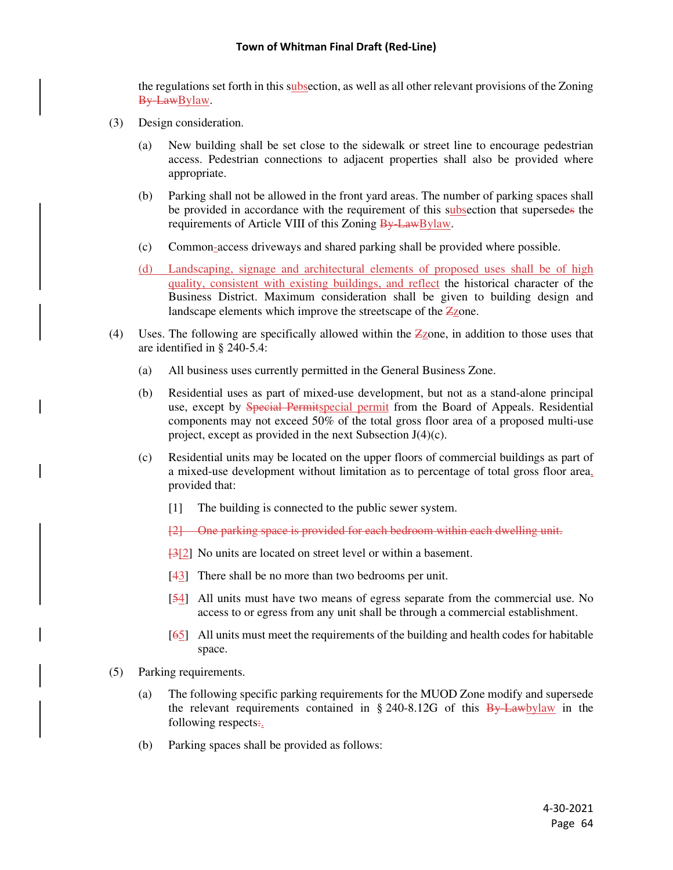the regulations set forth in this subsection, as well as all other relevant provisions of the Zoning By-LawBylaw.

- (3) Design consideration.
	- (a) New building shall be set close to the sidewalk or street line to encourage pedestrian access. Pedestrian connections to adjacent properties shall also be provided where appropriate.
	- (b) Parking shall not be allowed in the front yard areas. The number of parking spaces shall be provided in accordance with the requirement of this subsection that supersedes the requirements of Article VIII of this Zoning By-LawBylaw.
	- (c) Common-access driveways and shared parking shall be provided where possible.
	- (d) Landscaping, signage and architectural elements of proposed uses shall be of high quality, consistent with existing buildings, and reflect the historical character of the Business District. Maximum consideration shall be given to building design and landscape elements which improve the streetscape of the  $\angle$ zone.
- (4) Uses. The following are specifically allowed within the Zzone, in addition to those uses that are identified in § 240-5.4:
	- (a) All business uses currently permitted in the General Business Zone.
	- (b) Residential uses as part of mixed-use development, but not as a stand-alone principal use, except by **Special Permitspecial permit** from the Board of Appeals. Residential components may not exceed 50% of the total gross floor area of a proposed multi-use project, except as provided in the next Subsection J(4)(c).
	- (c) Residential units may be located on the upper floors of commercial buildings as part of a mixed-use development without limitation as to percentage of total gross floor area, provided that:
		- [1] The building is connected to the public sewer system.
		- [2] One parking space is provided for each bedroom within each dwelling unit.
		- [3[2] No units are located on street level or within a basement.
		- [43] There shall be no more than two bedrooms per unit.
		- [54] All units must have two means of egress separate from the commercial use. No access to or egress from any unit shall be through a commercial establishment.
		- [65] All units must meet the requirements of the building and health codes for habitable space.
- (5) Parking requirements.
	- (a) The following specific parking requirements for the MUOD Zone modify and supersede the relevant requirements contained in  $\S 240-8.12G$  of this  $\frac{By\text{-}Law}{}$  in the following respects:
	- (b) Parking spaces shall be provided as follows: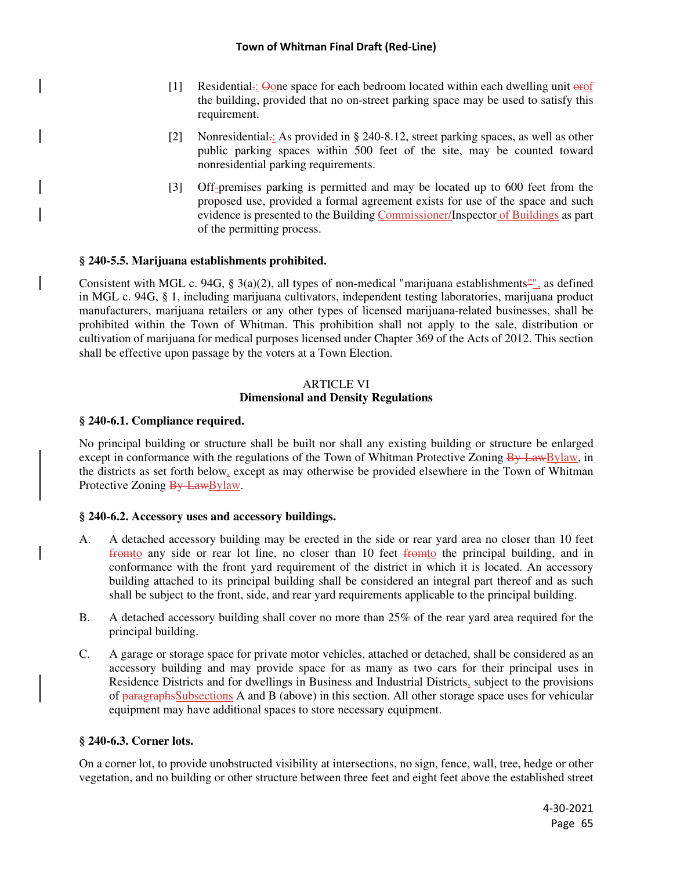- [1] Residential.: Oone space for each bedroom located within each dwelling unit orof the building, provided that no on-street parking space may be used to satisfy this requirement.
- [2] Nonresidential.: As provided in § 240-8.12, street parking spaces, as well as other public parking spaces within 500 feet of the site, may be counted toward nonresidential parking requirements.
- [3] Off-premises parking is permitted and may be located up to 600 feet from the proposed use, provided a formal agreement exists for use of the space and such evidence is presented to the Building Commissioner/Inspector of Buildings as part of the permitting process.

## **§ 240-5.5. Marijuana establishments prohibited.**

Consistent with MGL c. 94G, § 3(a)(2), all types of non-medical "marijuana establishments"", as defined in MGL c. 94G, § 1, including marijuana cultivators, independent testing laboratories, marijuana product manufacturers, marijuana retailers or any other types of licensed marijuana-related businesses, shall be prohibited within the Town of Whitman. This prohibition shall not apply to the sale, distribution or cultivation of marijuana for medical purposes licensed under Chapter 369 of the Acts of 2012. This section shall be effective upon passage by the voters at a Town Election.

### ARTICLE VI **Dimensional and Density Regulations**

### **§ 240-6.1. Compliance required.**

No principal building or structure shall be built nor shall any existing building or structure be enlarged except in conformance with the regulations of the Town of Whitman Protective Zoning By-LawBylaw, in the districts as set forth below, except as may otherwise be provided elsewhere in the Town of Whitman Protective Zoning By-LawBylaw.

### **§ 240-6.2. Accessory uses and accessory buildings.**

- A. A detached accessory building may be erected in the side or rear yard area no closer than 10 feet fromto any side or rear lot line, no closer than 10 feet fromto the principal building, and in conformance with the front yard requirement of the district in which it is located. An accessory building attached to its principal building shall be considered an integral part thereof and as such shall be subject to the front, side, and rear yard requirements applicable to the principal building.
- B. A detached accessory building shall cover no more than 25% of the rear yard area required for the principal building.
- C. A garage or storage space for private motor vehicles, attached or detached, shall be considered as an accessory building and may provide space for as many as two cars for their principal uses in Residence Districts and for dwellings in Business and Industrial Districts, subject to the provisions of paragraphsSubsections A and B (above) in this section. All other storage space uses for vehicular equipment may have additional spaces to store necessary equipment.

### **§ 240-6.3. Corner lots.**

On a corner lot, to provide unobstructed visibility at intersections, no sign, fence, wall, tree, hedge or other vegetation, and no building or other structure between three feet and eight feet above the established street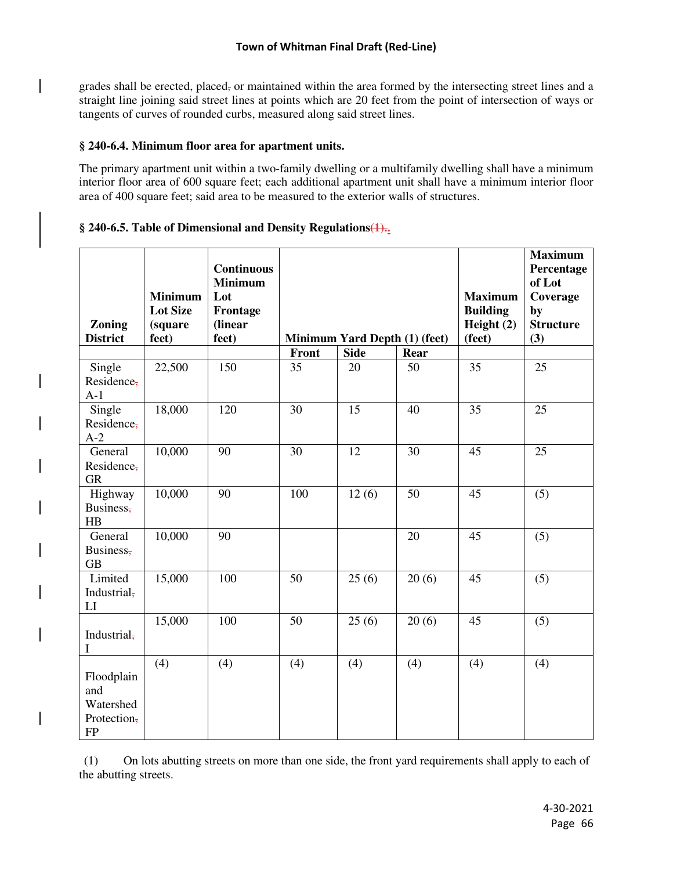grades shall be erected, placed, or maintained within the area formed by the intersecting street lines and a straight line joining said street lines at points which are 20 feet from the point of intersection of ways or tangents of curves of rounded curbs, measured along said street lines.

## **§ 240-6.4. Minimum floor area for apartment units.**

The primary apartment unit within a two-family dwelling or a multifamily dwelling shall have a minimum interior floor area of 600 square feet; each additional apartment unit shall have a minimum interior floor area of 400 square feet; said area to be measured to the exterior walls of structures.

## § 240-6.5. Table of Dimensional and Density Regulations(1).

|                 |                 | <b>Continuous</b> |       |                               |       |                 | <b>Maximum</b><br>Percentage |
|-----------------|-----------------|-------------------|-------|-------------------------------|-------|-----------------|------------------------------|
|                 |                 | <b>Minimum</b>    |       |                               |       |                 | of Lot                       |
|                 | <b>Minimum</b>  | Lot               |       |                               |       | <b>Maximum</b>  | Coverage                     |
|                 | <b>Lot Size</b> | Frontage          |       |                               |       | <b>Building</b> | by                           |
| Zoning          | (square         | (linear           |       |                               |       | Height $(2)$    | <b>Structure</b>             |
| <b>District</b> | feet)           | feet)             |       | Minimum Yard Depth (1) (feet) |       | (feet)          | (3)                          |
|                 |                 |                   | Front | <b>Side</b>                   | Rear  |                 |                              |
| Single          | 22,500          | 150               | 35    | 20                            | 50    | 35              | 25                           |
| Residence-      |                 |                   |       |                               |       |                 |                              |
| $A-1$           |                 |                   |       |                               |       |                 |                              |
| Single          | 18,000          | 120               | 30    | 15                            | 40    | 35              | 25                           |
| Residence,      |                 |                   |       |                               |       |                 |                              |
| $A-2$           |                 |                   |       |                               |       |                 |                              |
| General         | 10,000          | 90                | 30    | 12                            | 30    | 45              | 25                           |
| Residence,      |                 |                   |       |                               |       |                 |                              |
| <b>GR</b>       |                 |                   |       |                               |       |                 |                              |
| Highway         | 10,000          | 90                | 100   | 12(6)                         | 50    | 45              | (5)                          |
| Business,       |                 |                   |       |                               |       |                 |                              |
| HB              |                 |                   |       |                               |       |                 |                              |
| General         | 10,000          | 90                |       |                               | 20    | 45              | (5)                          |
| Business,       |                 |                   |       |                               |       |                 |                              |
| <b>GB</b>       |                 |                   |       |                               |       |                 |                              |
| Limited         | 15,000          | 100               | 50    | 25(6)                         | 20(6) | 45              | (5)                          |
| Industrial,     |                 |                   |       |                               |       |                 |                              |
| LI              |                 |                   |       |                               |       |                 |                              |
|                 | 15,000          | 100               | 50    | 25(6)                         | 20(6) | 45              | (5)                          |
| Industrial,     |                 |                   |       |                               |       |                 |                              |
| I               |                 |                   |       |                               |       |                 |                              |
|                 | (4)             | (4)               | (4)   | (4)                           | (4)   | (4)             | (4)                          |
| Floodplain      |                 |                   |       |                               |       |                 |                              |
| and             |                 |                   |       |                               |       |                 |                              |
| Watershed       |                 |                   |       |                               |       |                 |                              |
| Protection,     |                 |                   |       |                               |       |                 |                              |
| ${\rm FP}$      |                 |                   |       |                               |       |                 |                              |

 (1) On lots abutting streets on more than one side, the front yard requirements shall apply to each of the abutting streets.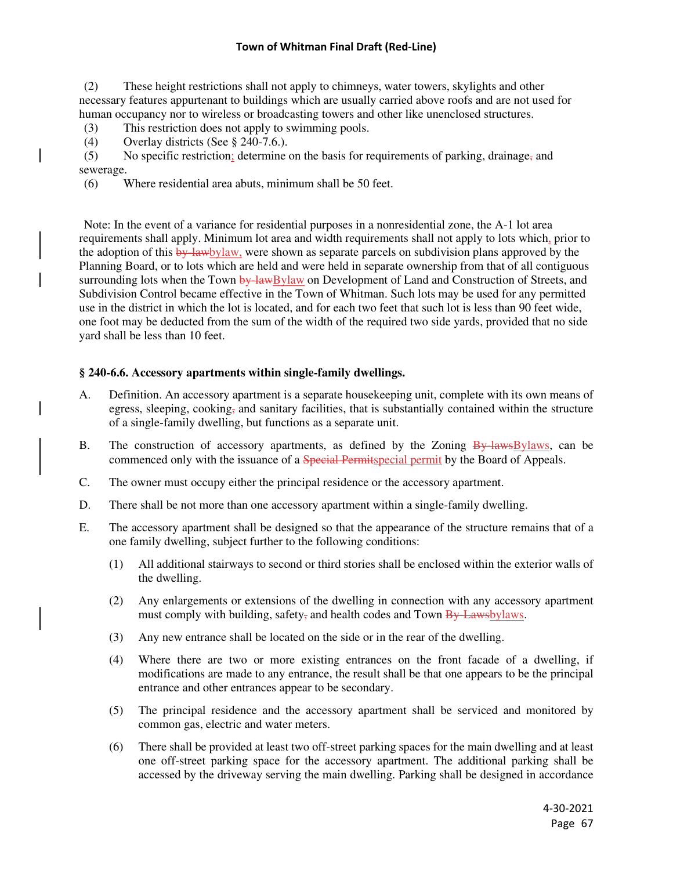(2) These height restrictions shall not apply to chimneys, water towers, skylights and other necessary features appurtenant to buildings which are usually carried above roofs and are not used for human occupancy nor to wireless or broadcasting towers and other like unenclosed structures.

(3) This restriction does not apply to swimming pools.

(4) Overlay districts (See § 240-7.6.).

(5) No specific restriction; determine on the basis for requirements of parking, drainage, and sewerage.

(6) Where residential area abuts, minimum shall be 50 feet.

 Note: In the event of a variance for residential purposes in a nonresidential zone, the A-1 lot area requirements shall apply. Minimum lot area and width requirements shall not apply to lots which, prior to the adoption of this by-lawbylaw, were shown as separate parcels on subdivision plans approved by the Planning Board, or to lots which are held and were held in separate ownership from that of all contiguous surrounding lots when the Town by lawBylaw on Development of Land and Construction of Streets, and Subdivision Control became effective in the Town of Whitman. Such lots may be used for any permitted use in the district in which the lot is located, and for each two feet that such lot is less than 90 feet wide, one foot may be deducted from the sum of the width of the required two side yards, provided that no side yard shall be less than 10 feet.

### **§ 240-6.6. Accessory apartments within single-family dwellings.**

- A. Definition. An accessory apartment is a separate housekeeping unit, complete with its own means of egress, sleeping, cooking, and sanitary facilities, that is substantially contained within the structure of a single-family dwelling, but functions as a separate unit.
- B. The construction of accessory apartments, as defined by the Zoning  $\frac{By \text{ laws}}{By \text{ laws}}$  can be commenced only with the issuance of a Special Permitspecial permit by the Board of Appeals.
- C. The owner must occupy either the principal residence or the accessory apartment.
- D. There shall be not more than one accessory apartment within a single-family dwelling.
- E. The accessory apartment shall be designed so that the appearance of the structure remains that of a one family dwelling, subject further to the following conditions:
	- (1) All additional stairways to second or third stories shall be enclosed within the exterior walls of the dwelling.
	- (2) Any enlargements or extensions of the dwelling in connection with any accessory apartment must comply with building, safety, and health codes and Town  $\frac{By\text{-}Laws}{by\text{-}}$
	- (3) Any new entrance shall be located on the side or in the rear of the dwelling.
	- (4) Where there are two or more existing entrances on the front facade of a dwelling, if modifications are made to any entrance, the result shall be that one appears to be the principal entrance and other entrances appear to be secondary.
	- (5) The principal residence and the accessory apartment shall be serviced and monitored by common gas, electric and water meters.
	- (6) There shall be provided at least two off-street parking spaces for the main dwelling and at least one off-street parking space for the accessory apartment. The additional parking shall be accessed by the driveway serving the main dwelling. Parking shall be designed in accordance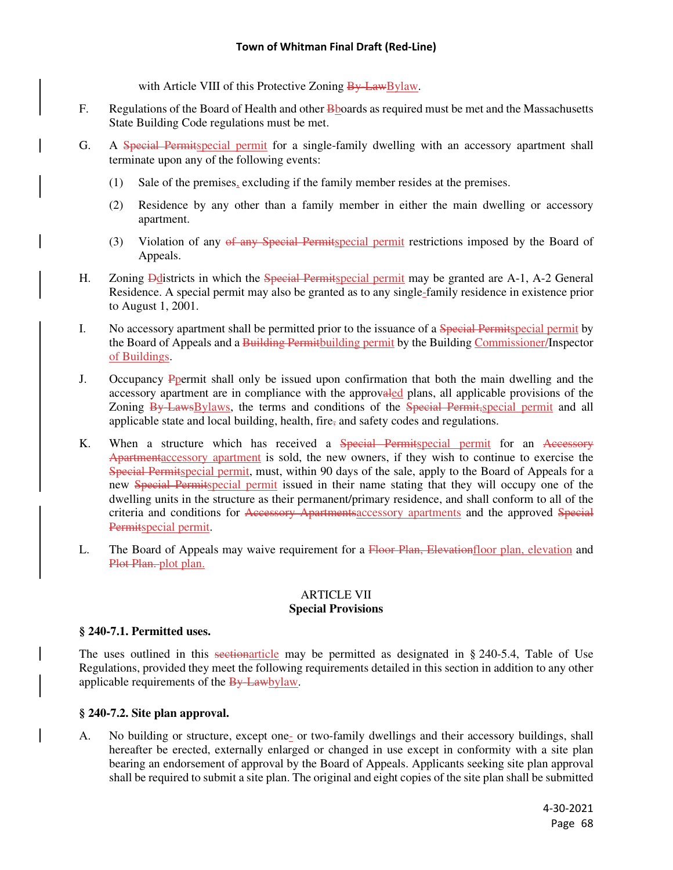with Article VIII of this Protective Zoning By-LawBylaw.

- F. Regulations of the Board of Health and other **B**boards as required must be met and the Massachusetts State Building Code regulations must be met.
- G. A Special Permitspecial permit for a single-family dwelling with an accessory apartment shall terminate upon any of the following events:
	- (1) Sale of the premises, excluding if the family member resides at the premises.
	- (2) Residence by any other than a family member in either the main dwelling or accessory apartment.
	- (3) Violation of any of any Special Permitspecial permit restrictions imposed by the Board of Appeals.
- H. Zoning **D**districts in which the Special Permitspecial permit may be granted are A-1, A-2 General Residence. A special permit may also be granted as to any single-family residence in existence prior to August 1, 2001.
- I. No accessory apartment shall be permitted prior to the issuance of a Special Permitspecial permit by the Board of Appeals and a Building Permit building permit by the Building Commissioner/Inspector of Buildings.
- J. Occupancy Ppermit shall only be issued upon confirmation that both the main dwelling and the accessory apartment are in compliance with the approvaled plans, all applicable provisions of the Zoning By-LawsBylaws, the terms and conditions of the Special Permit, special permit and all applicable state and local building, health, fire, and safety codes and regulations.
- K. When a structure which has received a Special Permitspecial permit for an Accessory Apartmentaccessory apartment is sold, the new owners, if they wish to continue to exercise the Special Permitspecial permit, must, within 90 days of the sale, apply to the Board of Appeals for a new Special Permitspecial permit issued in their name stating that they will occupy one of the dwelling units in the structure as their permanent/primary residence, and shall conform to all of the criteria and conditions for Accessory Apartmentsaccessory apartments and the approved Special Permitspecial permit.
- L. The Board of Appeals may waive requirement for a Floor Plan, Elevationfloor plan, elevation and Plot Plan. plot plan.

## ARTICLE VII **Special Provisions**

### **§ 240-7.1. Permitted uses.**

The uses outlined in this sectionarticle may be permitted as designated in § 240-5.4, Table of Use Regulations, provided they meet the following requirements detailed in this section in addition to any other applicable requirements of the By-Lawbylaw.

### **§ 240-7.2. Site plan approval.**

A. No building or structure, except one- or two-family dwellings and their accessory buildings, shall hereafter be erected, externally enlarged or changed in use except in conformity with a site plan bearing an endorsement of approval by the Board of Appeals. Applicants seeking site plan approval shall be required to submit a site plan. The original and eight copies of the site plan shall be submitted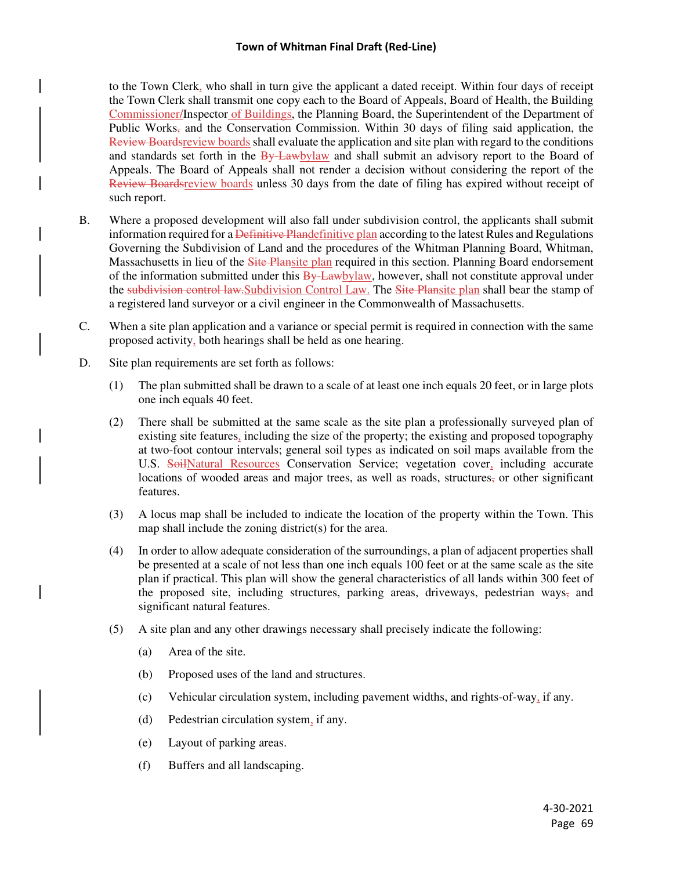to the Town Clerk, who shall in turn give the applicant a dated receipt. Within four days of receipt the Town Clerk shall transmit one copy each to the Board of Appeals, Board of Health, the Building Commissioner/Inspector of Buildings, the Planning Board, the Superintendent of the Department of Public Works, and the Conservation Commission. Within 30 days of filing said application, the Review Boardsreview boards shall evaluate the application and site plan with regard to the conditions and standards set forth in the By-Lawbylaw and shall submit an advisory report to the Board of Appeals. The Board of Appeals shall not render a decision without considering the report of the Review Boardsreview boards unless 30 days from the date of filing has expired without receipt of such report.

- B. Where a proposed development will also fall under subdivision control, the applicants shall submit information required for a Definitive Plandefinitive plan according to the latest Rules and Regulations Governing the Subdivision of Land and the procedures of the Whitman Planning Board, Whitman, Massachusetts in lieu of the Site Plansite plan required in this section. Planning Board endorsement of the information submitted under this  $\frac{By\text{Lawbylaw}}{By}$ , however, shall not constitute approval under the subdivision control law. Subdivision Control Law. The Site Plansite plan shall bear the stamp of a registered land surveyor or a civil engineer in the Commonwealth of Massachusetts.
- C. When a site plan application and a variance or special permit is required in connection with the same proposed activity, both hearings shall be held as one hearing.
- D. Site plan requirements are set forth as follows:
	- (1) The plan submitted shall be drawn to a scale of at least one inch equals 20 feet, or in large plots one inch equals 40 feet.
	- (2) There shall be submitted at the same scale as the site plan a professionally surveyed plan of existing site features, including the size of the property; the existing and proposed topography at two-foot contour intervals; general soil types as indicated on soil maps available from the U.S. SoilNatural Resources Conservation Service; vegetation cover, including accurate locations of wooded areas and major trees, as well as roads, structures, or other significant features.
	- (3) A locus map shall be included to indicate the location of the property within the Town. This map shall include the zoning district(s) for the area.
	- (4) In order to allow adequate consideration of the surroundings, a plan of adjacent properties shall be presented at a scale of not less than one inch equals 100 feet or at the same scale as the site plan if practical. This plan will show the general characteristics of all lands within 300 feet of the proposed site, including structures, parking areas, driveways, pedestrian ways, and significant natural features.
	- (5) A site plan and any other drawings necessary shall precisely indicate the following:
		- (a) Area of the site.
		- (b) Proposed uses of the land and structures.
		- (c) Vehicular circulation system, including pavement widths, and rights-of-way, if any.
		- (d) Pedestrian circulation system, if any.
		- (e) Layout of parking areas.
		- (f) Buffers and all landscaping.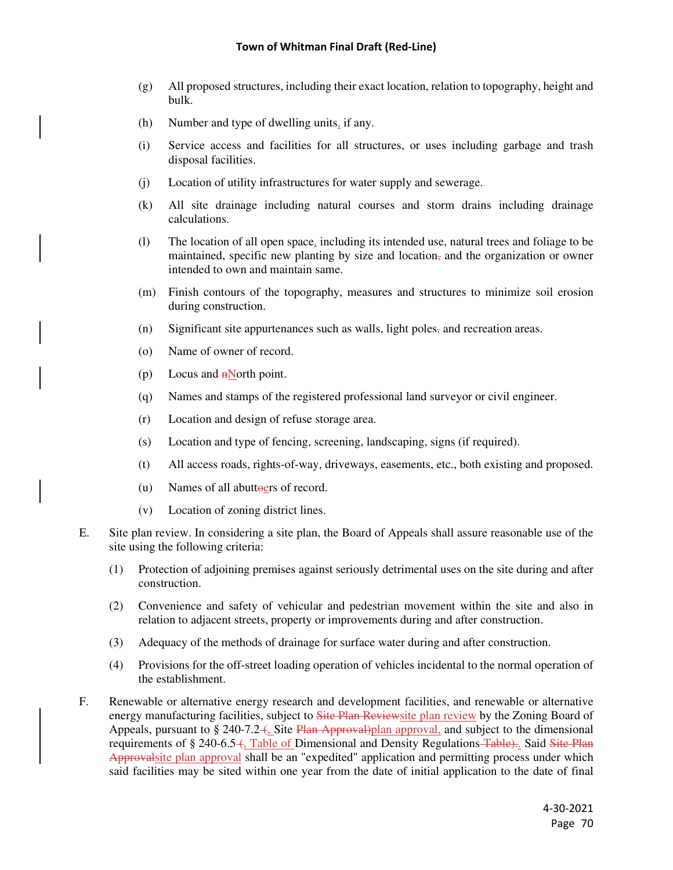- (g) All proposed structures, including their exact location, relation to topography, height and bulk.
- (h) Number and type of dwelling units, if any.
- (i) Service access and facilities for all structures, or uses including garbage and trash disposal facilities.
- (j) Location of utility infrastructures for water supply and sewerage.
- (k) All site drainage including natural courses and storm drains including drainage calculations.
- (l) The location of all open space, including its intended use, natural trees and foliage to be maintained, specific new planting by size and location, and the organization or owner intended to own and maintain same.
- (m) Finish contours of the topography, measures and structures to minimize soil erosion during construction.
- (n) Significant site appurtenances such as walls, light poles, and recreation areas.
- (o) Name of owner of record.
- (p) Locus and  $n$  North point.
- (q) Names and stamps of the registered professional land surveyor or civil engineer.
- (r) Location and design of refuse storage area.
- (s) Location and type of fencing, screening, landscaping, signs (if required).
- (t) All access roads, rights-of-way, driveways, easements, etc., both existing and proposed.
- (u) Names of all abuttoers of record.
- (v) Location of zoning district lines.
- E. Site plan review. In considering a site plan, the Board of Appeals shall assure reasonable use of the site using the following criteria:
	- (1) Protection of adjoining premises against seriously detrimental uses on the site during and after construction.
	- (2) Convenience and safety of vehicular and pedestrian movement within the site and also in relation to adjacent streets, property or improvements during and after construction.
	- (3) Adequacy of the methods of drainage for surface water during and after construction.
	- (4) Provisions for the off-street loading operation of vehicles incidental to the normal operation of the establishment.
- F. Renewable or alternative energy research and development facilities, and renewable or alternative energy manufacturing facilities, subject to Site Plan Reviewsite plan review by the Zoning Board of Appeals, pursuant to § 240-7.2– $\frac{1}{2}$ , Site Plan Approval) plan approval, and subject to the dimensional requirements of § 240-6.5–(, Table of Dimensional and Density Regulations–Table).. Said Site Plan Approvalsite plan approval shall be an "expedited" application and permitting process under which said facilities may be sited within one year from the date of initial application to the date of final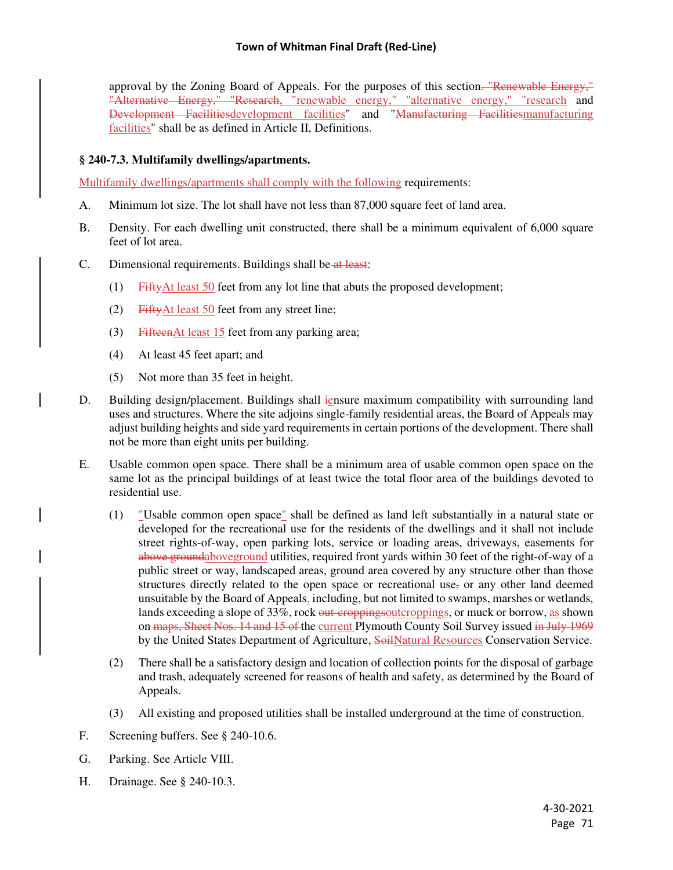approval by the Zoning Board of Appeals. For the purposes of this section. "Renewable Energy," "Alternative Energy," "Research, "renewable energy," "alternative energy," "research and Development Facilitiesdevelopment facilities" and "Manufacturing Facilitiesmanufacturing facilities" shall be as defined in Article II, Definitions.

# **§ 240-7.3. Multifamily dwellings/apartments.**

Multifamily dwellings/apartments shall comply with the following requirements:

- A. Minimum lot size. The lot shall have not less than 87,000 square feet of land area.
- B. Density. For each dwelling unit constructed, there shall be a minimum equivalent of 6,000 square feet of lot area.
- C. Dimensional requirements. Buildings shall be at least:
	- (1) FiftyAt least 50 feet from any lot line that abuts the proposed development;
	- (2) FiftyAt least 50 feet from any street line;
	- (3) FifteenAt least 15 feet from any parking area;
	- (4) At least 45 feet apart; and
	- (5) Not more than 35 feet in height.
- D. Building design/placement. Buildings shall iensure maximum compatibility with surrounding land uses and structures. Where the site adjoins single-family residential areas, the Board of Appeals may adjust building heights and side yard requirements in certain portions of the development. There shall not be more than eight units per building.
- E. Usable common open space. There shall be a minimum area of usable common open space on the same lot as the principal buildings of at least twice the total floor area of the buildings devoted to residential use.
	- (1) "Usable common open space" shall be defined as land left substantially in a natural state or developed for the recreational use for the residents of the dwellings and it shall not include street rights-of-way, open parking lots, service or loading areas, driveways, easements for above groundabove ground utilities, required front yards within 30 feet of the right-of-way of a public street or way, landscaped areas, ground area covered by any structure other than those structures directly related to the open space or recreational use, or any other land deemed unsuitable by the Board of Appeals, including, but not limited to swamps, marshes or wetlands, lands exceeding a slope of 33%, rock out-eroppingsoutcroppings, or muck or borrow, as shown on maps, Sheet Nos. 14 and 15 of the current Plymouth County Soil Survey issued in July 1969 by the United States Department of Agriculture, SoilNatural Resources Conservation Service.
	- (2) There shall be a satisfactory design and location of collection points for the disposal of garbage and trash, adequately screened for reasons of health and safety, as determined by the Board of Appeals.
	- (3) All existing and proposed utilities shall be installed underground at the time of construction.
- F. Screening buffers. See § 240-10.6.
- G. Parking. See Article VIII.
- H. Drainage. See § 240-10.3.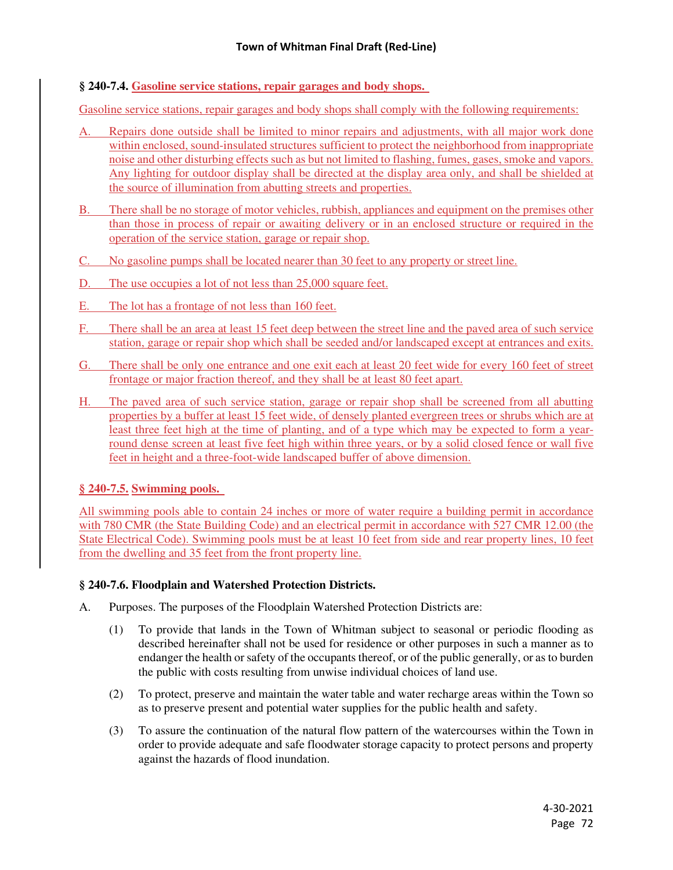# **§ 240-7.4. Gasoline service stations, repair garages and body shops.**

Gasoline service stations, repair garages and body shops shall comply with the following requirements:

- A. Repairs done outside shall be limited to minor repairs and adjustments, with all major work done within enclosed, sound-insulated structures sufficient to protect the neighborhood from inappropriate noise and other disturbing effects such as but not limited to flashing, fumes, gases, smoke and vapors. Any lighting for outdoor display shall be directed at the display area only, and shall be shielded at the source of illumination from abutting streets and properties.
- B. There shall be no storage of motor vehicles, rubbish, appliances and equipment on the premises other than those in process of repair or awaiting delivery or in an enclosed structure or required in the operation of the service station, garage or repair shop.
- C. No gasoline pumps shall be located nearer than 30 feet to any property or street line.
- D. The use occupies a lot of not less than 25,000 square feet.
- E. The lot has a frontage of not less than 160 feet.
- F. There shall be an area at least 15 feet deep between the street line and the paved area of such service station, garage or repair shop which shall be seeded and/or landscaped except at entrances and exits.
- G. There shall be only one entrance and one exit each at least 20 feet wide for every 160 feet of street frontage or major fraction thereof, and they shall be at least 80 feet apart.
- H. The paved area of such service station, garage or repair shop shall be screened from all abutting properties by a buffer at least 15 feet wide, of densely planted evergreen trees or shrubs which are at least three feet high at the time of planting, and of a type which may be expected to form a yearround dense screen at least five feet high within three years, or by a solid closed fence or wall five feet in height and a three-foot-wide landscaped buffer of above dimension.

# **§ 240-7.5. Swimming pools.**

All swimming pools able to contain 24 inches or more of water require a building permit in accordance with 780 CMR (the State Building Code) and an electrical permit in accordance with 527 CMR 12.00 (the State Electrical Code). Swimming pools must be at least 10 feet from side and rear property lines, 10 feet from the dwelling and 35 feet from the front property line.

# **§ 240-7.6. Floodplain and Watershed Protection Districts.**

- A. Purposes. The purposes of the Floodplain Watershed Protection Districts are:
	- (1) To provide that lands in the Town of Whitman subject to seasonal or periodic flooding as described hereinafter shall not be used for residence or other purposes in such a manner as to endanger the health or safety of the occupants thereof, or of the public generally, or as to burden the public with costs resulting from unwise individual choices of land use.
	- (2) To protect, preserve and maintain the water table and water recharge areas within the Town so as to preserve present and potential water supplies for the public health and safety.
	- (3) To assure the continuation of the natural flow pattern of the watercourses within the Town in order to provide adequate and safe floodwater storage capacity to protect persons and property against the hazards of flood inundation.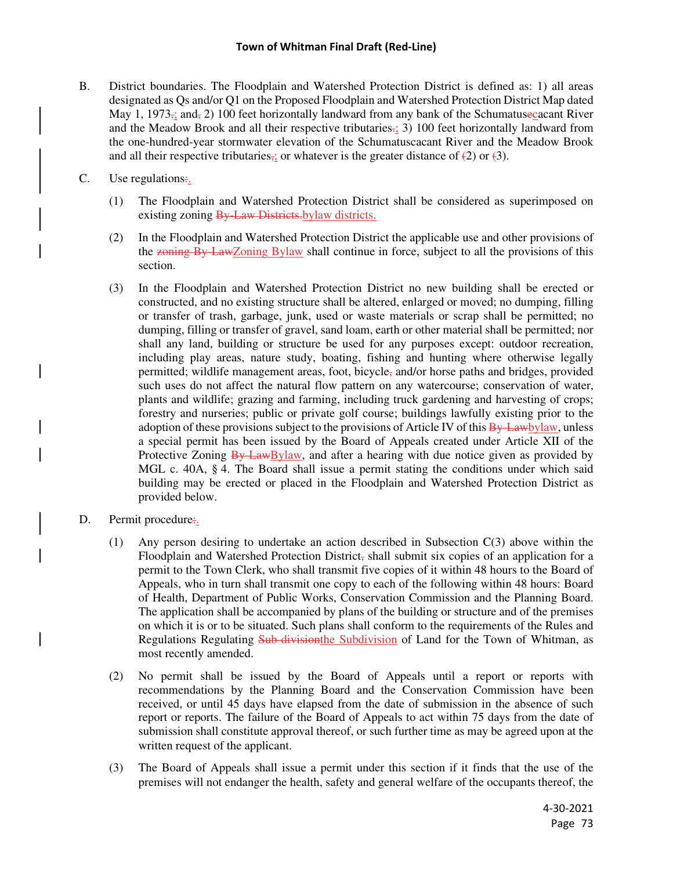#### **Town of Whitman Final Draft (Red-Line)**

- B. District boundaries. The Floodplain and Watershed Protection District is defined as: 1) all areas designated as Qs and/or Q1 on the Proposed Floodplain and Watershed Protection District Map dated May 1, 1973; and, 2) 100 feet horizontally landward from any bank of the Schumatuse cacant River and the Meadow Brook and all their respective tributaries.; 3) 100 feet horizontally landward from the one-hundred-year stormwater elevation of the Schumatuscacant River and the Meadow Brook and all their respective tributaries,; or whatever is the greater distance of  $(2)$  or  $(3)$ .
- C. Use regulations:
	- (1) The Floodplain and Watershed Protection District shall be considered as superimposed on existing zoning By Law Districts.<br>bylaw districts.
	- (2) In the Floodplain and Watershed Protection District the applicable use and other provisions of the zoning By-LawZoning Bylaw shall continue in force, subject to all the provisions of this section.
	- (3) In the Floodplain and Watershed Protection District no new building shall be erected or constructed, and no existing structure shall be altered, enlarged or moved; no dumping, filling or transfer of trash, garbage, junk, used or waste materials or scrap shall be permitted; no dumping, filling or transfer of gravel, sand loam, earth or other material shall be permitted; nor shall any land, building or structure be used for any purposes except: outdoor recreation, including play areas, nature study, boating, fishing and hunting where otherwise legally permitted; wildlife management areas, foot, bicycle, and/or horse paths and bridges, provided such uses do not affect the natural flow pattern on any watercourse; conservation of water, plants and wildlife; grazing and farming, including truck gardening and harvesting of crops; forestry and nurseries; public or private golf course; buildings lawfully existing prior to the adoption of these provisions subject to the provisions of Article IV of this By-Lawbylaw, unless a special permit has been issued by the Board of Appeals created under Article XII of the Protective Zoning  $\frac{By LawBylaw}{$ , and after a hearing with due notice given as provided by MGL c. 40A, § 4. The Board shall issue a permit stating the conditions under which said building may be erected or placed in the Floodplain and Watershed Protection District as provided below.
- D. Permit procedure.
	- (1) Any person desiring to undertake an action described in Subsection C(3) above within the Floodplain and Watershed Protection District, shall submit six copies of an application for a permit to the Town Clerk, who shall transmit five copies of it within 48 hours to the Board of Appeals, who in turn shall transmit one copy to each of the following within 48 hours: Board of Health, Department of Public Works, Conservation Commission and the Planning Board. The application shall be accompanied by plans of the building or structure and of the premises on which it is or to be situated. Such plans shall conform to the requirements of the Rules and Regulations Regulating Sub-divisionthe Subdivision of Land for the Town of Whitman, as most recently amended.
	- (2) No permit shall be issued by the Board of Appeals until a report or reports with recommendations by the Planning Board and the Conservation Commission have been received, or until 45 days have elapsed from the date of submission in the absence of such report or reports. The failure of the Board of Appeals to act within 75 days from the date of submission shall constitute approval thereof, or such further time as may be agreed upon at the written request of the applicant.
	- (3) The Board of Appeals shall issue a permit under this section if it finds that the use of the premises will not endanger the health, safety and general welfare of the occupants thereof, the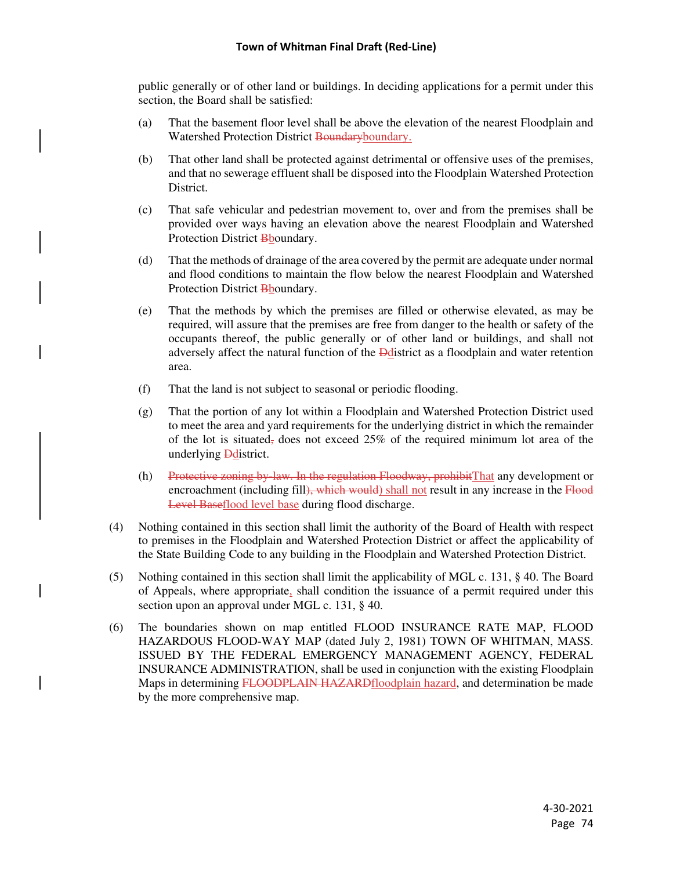public generally or of other land or buildings. In deciding applications for a permit under this section, the Board shall be satisfied:

- (a) That the basement floor level shall be above the elevation of the nearest Floodplain and Watershed Protection District Boundaryboundary.
- (b) That other land shall be protected against detrimental or offensive uses of the premises, and that no sewerage effluent shall be disposed into the Floodplain Watershed Protection District.
- (c) That safe vehicular and pedestrian movement to, over and from the premises shall be provided over ways having an elevation above the nearest Floodplain and Watershed Protection District Bboundary.
- (d) That the methods of drainage of the area covered by the permit are adequate under normal and flood conditions to maintain the flow below the nearest Floodplain and Watershed Protection District Bboundary.
- (e) That the methods by which the premises are filled or otherwise elevated, as may be required, will assure that the premises are free from danger to the health or safety of the occupants thereof, the public generally or of other land or buildings, and shall not adversely affect the natural function of the Ddistrict as a floodplain and water retention area.
- (f) That the land is not subject to seasonal or periodic flooding.
- (g) That the portion of any lot within a Floodplain and Watershed Protection District used to meet the area and yard requirements for the underlying district in which the remainder of the lot is situated, does not exceed 25% of the required minimum lot area of the underlying **D**district.
- (h) Protective zoning by-law. In the regulation Floodway, prohibitThat any development or encroachment (including fill), which would) shall not result in any increase in the Flood Level Baseflood level base during flood discharge.
- (4) Nothing contained in this section shall limit the authority of the Board of Health with respect to premises in the Floodplain and Watershed Protection District or affect the applicability of the State Building Code to any building in the Floodplain and Watershed Protection District.
- (5) Nothing contained in this section shall limit the applicability of MGL c. 131, § 40. The Board of Appeals, where appropriate, shall condition the issuance of a permit required under this section upon an approval under MGL c. 131, § 40.
- (6) The boundaries shown on map entitled FLOOD INSURANCE RATE MAP, FLOOD HAZARDOUS FLOOD-WAY MAP (dated July 2, 1981) TOWN OF WHITMAN, MASS. ISSUED BY THE FEDERAL EMERGENCY MANAGEMENT AGENCY, FEDERAL INSURANCE ADMINISTRATION, shall be used in conjunction with the existing Floodplain Maps in determining FLOODPLAIN HAZARDfloodplain hazard, and determination be made by the more comprehensive map.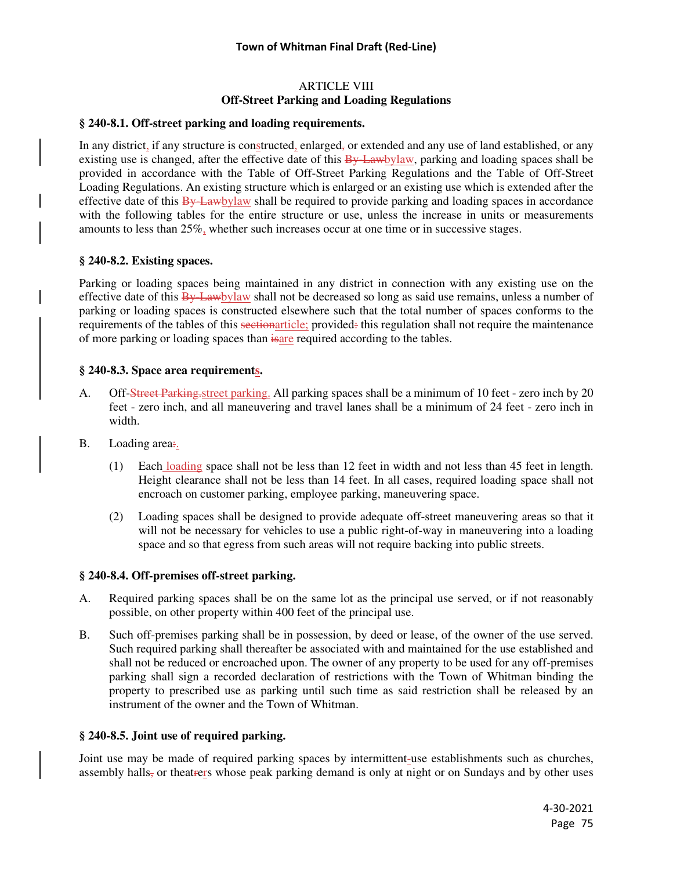## ARTICLE VIII **Off-Street Parking and Loading Regulations**

#### **§ 240-8.1. Off-street parking and loading requirements.**

In any district, if any structure is constructed, enlarged, or extended and any use of land established, or any existing use is changed, after the effective date of this  $\frac{B_y}{Lawbylaw}$ , parking and loading spaces shall be provided in accordance with the Table of Off-Street Parking Regulations and the Table of Off-Street Loading Regulations. An existing structure which is enlarged or an existing use which is extended after the effective date of this  $\frac{By \text{Lawb} y}{\text{lawb}}$  shall be required to provide parking and loading spaces in accordance with the following tables for the entire structure or use, unless the increase in units or measurements amounts to less than 25%, whether such increases occur at one time or in successive stages.

#### **§ 240-8.2. Existing spaces.**

Parking or loading spaces being maintained in any district in connection with any existing use on the effective date of this  $\frac{By Lawb$  value shall not be decreased so long as said use remains, unless a number of parking or loading spaces is constructed elsewhere such that the total number of spaces conforms to the requirements of the tables of this sectionarticle; provided: this regulation shall not require the maintenance of more parking or loading spaces than isare required according to the tables.

#### **§ 240-8.3. Space area requirements.**

- A. Off-Street Parking-street parking. All parking spaces shall be a minimum of 10 feet zero inch by 20 feet - zero inch, and all maneuvering and travel lanes shall be a minimum of 24 feet - zero inch in width.
- B. Loading area.
	- (1) Each loading space shall not be less than 12 feet in width and not less than 45 feet in length. Height clearance shall not be less than 14 feet. In all cases, required loading space shall not encroach on customer parking, employee parking, maneuvering space.
	- (2) Loading spaces shall be designed to provide adequate off-street maneuvering areas so that it will not be necessary for vehicles to use a public right-of-way in maneuvering into a loading space and so that egress from such areas will not require backing into public streets.

#### **§ 240-8.4. Off-premises off-street parking.**

- A. Required parking spaces shall be on the same lot as the principal use served, or if not reasonably possible, on other property within 400 feet of the principal use.
- B. Such off-premises parking shall be in possession, by deed or lease, of the owner of the use served. Such required parking shall thereafter be associated with and maintained for the use established and shall not be reduced or encroached upon. The owner of any property to be used for any off-premises parking shall sign a recorded declaration of restrictions with the Town of Whitman binding the property to prescribed use as parking until such time as said restriction shall be released by an instrument of the owner and the Town of Whitman.

#### **§ 240-8.5. Joint use of required parking.**

Joint use may be made of required parking spaces by intermittent-use establishments such as churches, assembly halls, or theatrers whose peak parking demand is only at night or on Sundays and by other uses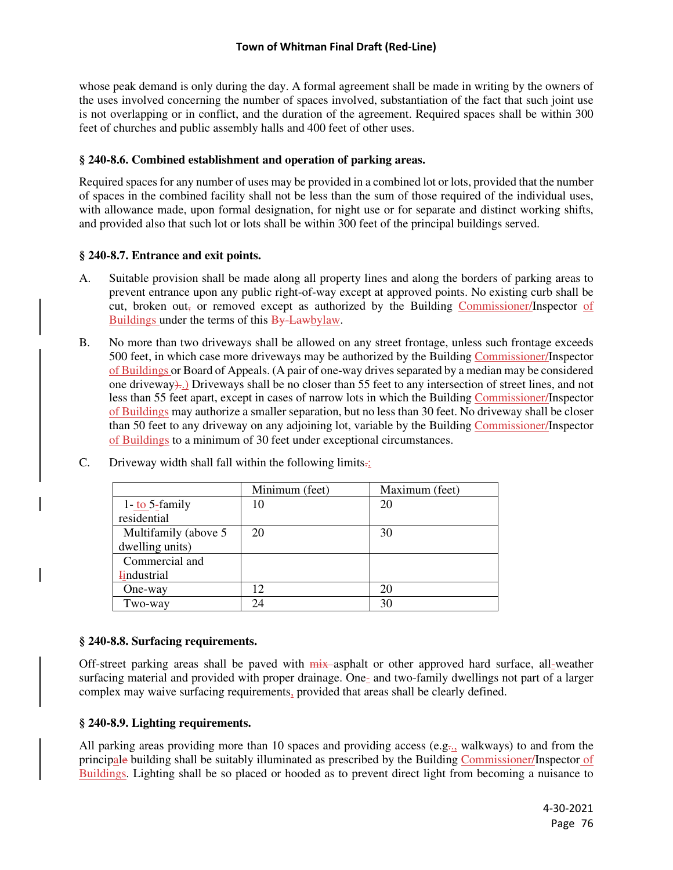whose peak demand is only during the day. A formal agreement shall be made in writing by the owners of the uses involved concerning the number of spaces involved, substantiation of the fact that such joint use is not overlapping or in conflict, and the duration of the agreement. Required spaces shall be within 300 feet of churches and public assembly halls and 400 feet of other uses.

## **§ 240-8.6. Combined establishment and operation of parking areas.**

Required spaces for any number of uses may be provided in a combined lot or lots, provided that the number of spaces in the combined facility shall not be less than the sum of those required of the individual uses, with allowance made, upon formal designation, for night use or for separate and distinct working shifts, and provided also that such lot or lots shall be within 300 feet of the principal buildings served.

## **§ 240-8.7. Entrance and exit points.**

- A. Suitable provision shall be made along all property lines and along the borders of parking areas to prevent entrance upon any public right-of-way except at approved points. No existing curb shall be cut, broken out, or removed except as authorized by the Building Commissioner/Inspector of Buildings under the terms of this By-Lawbylaw.
- B. No more than two driveways shall be allowed on any street frontage, unless such frontage exceeds 500 feet, in which case more driveways may be authorized by the Building Commissioner/Inspector of Buildings or Board of Appeals. (A pair of one-way drives separated by a median may be considered one driveway)..) Driveways shall be no closer than 55 feet to any intersection of street lines, and not less than 55 feet apart, except in cases of narrow lots in which the Building Commissioner/Inspector of Buildings may authorize a smaller separation, but no less than 30 feet. No driveway shall be closer than 50 feet to any driveway on any adjoining lot, variable by the Building Commissioner/Inspector of Buildings to a minimum of 30 feet under exceptional circumstances.

|                                       | Minimum (feet) | Maximum (feet) |
|---------------------------------------|----------------|----------------|
| $1 - \underline{\text{to}} 5$ -family | 10             | 20             |
| residential                           |                |                |
| Multifamily (above 5                  | 20             | 30             |
| dwelling units)                       |                |                |
| Commercial and                        |                |                |
| <b>Findustrial</b>                    |                |                |
| One-way                               | 12.            | 20             |
| Two-way                               | 24             | 30             |

C. Driveway width shall fall within the following limits.:

## **§ 240-8.8. Surfacing requirements.**

Off-street parking areas shall be paved with  $\frac{m}{x}$ -asphalt or other approved hard surface, all-weather surfacing material and provided with proper drainage. One- and two-family dwellings not part of a larger complex may waive surfacing requirements, provided that areas shall be clearly defined.

## **§ 240-8.9. Lighting requirements.**

All parking areas providing more than 10 spaces and providing access (e.g., walkways) to and from the principale building shall be suitably illuminated as prescribed by the Building Commissioner/Inspector of Buildings. Lighting shall be so placed or hooded as to prevent direct light from becoming a nuisance to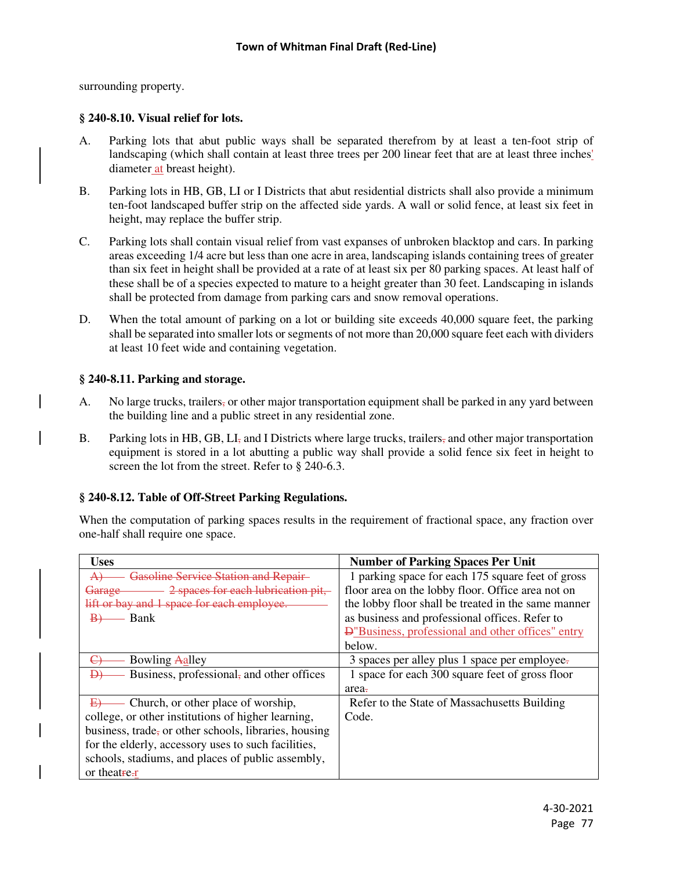surrounding property.

## **§ 240-8.10. Visual relief for lots.**

- A. Parking lots that abut public ways shall be separated therefrom by at least a ten-foot strip of landscaping (which shall contain at least three trees per 200 linear feet that are at least three inches' diameter at breast height).
- B. Parking lots in HB, GB, LI or I Districts that abut residential districts shall also provide a minimum ten-foot landscaped buffer strip on the affected side yards. A wall or solid fence, at least six feet in height, may replace the buffer strip.
- C. Parking lots shall contain visual relief from vast expanses of unbroken blacktop and cars. In parking areas exceeding 1/4 acre but less than one acre in area, landscaping islands containing trees of greater than six feet in height shall be provided at a rate of at least six per 80 parking spaces. At least half of these shall be of a species expected to mature to a height greater than 30 feet. Landscaping in islands shall be protected from damage from parking cars and snow removal operations.
- D. When the total amount of parking on a lot or building site exceeds 40,000 square feet, the parking shall be separated into smaller lots or segments of not more than 20,000 square feet each with dividers at least 10 feet wide and containing vegetation.

## **§ 240-8.11. Parking and storage.**

- A. No large trucks, trailers, or other major transportation equipment shall be parked in any yard between the building line and a public street in any residential zone.
- B. Parking lots in HB, GB,  $LI<sub>z</sub>$  and I Districts where large trucks, trailers, and other major transportation equipment is stored in a lot abutting a public way shall provide a solid fence six feet in height to screen the lot from the street. Refer to § 240-6.3.

# **§ 240-8.12. Table of Off-Street Parking Regulations.**

When the computation of parking spaces results in the requirement of fractional space, any fraction over one-half shall require one space.

| <b>Uses</b>                                                  | <b>Number of Parking Spaces Per Unit</b>                  |  |  |
|--------------------------------------------------------------|-----------------------------------------------------------|--|--|
| <b>Gasoline Service Station and Repair</b><br>$\overline{A}$ | 1 parking space for each 175 square feet of gross         |  |  |
| 2 spaces for each lubrication pit,<br>Garage-                | floor area on the lobby floor. Office area not on         |  |  |
| lift or bay and 1 space for each employee.                   | the lobby floor shall be treated in the same manner       |  |  |
| Bank                                                         | as business and professional offices. Refer to            |  |  |
|                                                              | <b>Đ</b> "Business, professional and other offices" entry |  |  |
|                                                              | below.                                                    |  |  |
| Bowling Aalley                                               | 3 spaces per alley plus 1 space per employee.             |  |  |
| Business, professional, and other offices<br>Ð)              | 1 space for each 300 square feet of gross floor           |  |  |
|                                                              | area-                                                     |  |  |
| Church, or other place of worship,<br>E                      | Refer to the State of Massachusetts Building              |  |  |
| college, or other institutions of higher learning,           | Code.                                                     |  |  |
| business, trade, or other schools, libraries, housing        |                                                           |  |  |
| for the elderly, accessory uses to such facilities,          |                                                           |  |  |
| schools, stadiums, and places of public assembly,            |                                                           |  |  |
| or theatre-r                                                 |                                                           |  |  |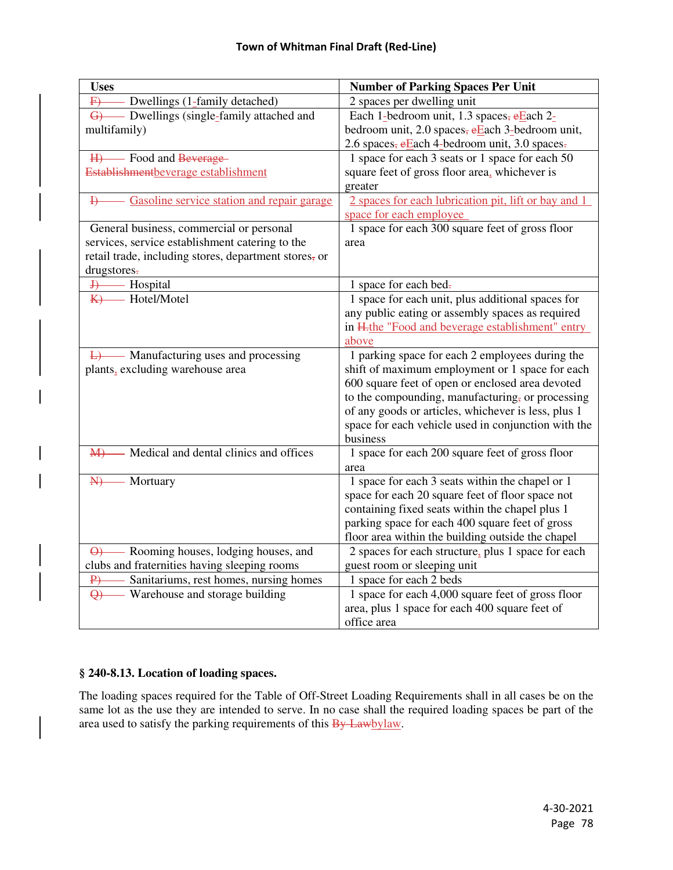| <b>Uses</b>                                                  | <b>Number of Parking Spaces Per Unit</b>                     |  |  |
|--------------------------------------------------------------|--------------------------------------------------------------|--|--|
| - Dwellings (1-family detached)<br>$\overline{F}$            | 2 spaces per dwelling unit                                   |  |  |
| G Dwellings (single-family attached and                      | Each 1-bedroom unit, 1.3 spaces, $eE$ ach 2-                 |  |  |
| multifamily)                                                 | bedroom unit, 2.0 spaces, eEach 3-bedroom unit,              |  |  |
|                                                              | 2.6 spaces, eEach 4-bedroom unit, 3.0 spaces.                |  |  |
| H) Food and Beverage                                         | 1 space for each 3 seats or 1 space for each 50              |  |  |
| Establishmentbeverage establishment                          | square feet of gross floor area, whichever is                |  |  |
|                                                              | greater                                                      |  |  |
| Gasoline service station and repair garage<br>$\overline{H}$ | 2 spaces for each lubrication pit, lift or bay and 1         |  |  |
|                                                              | space for each employee                                      |  |  |
| General business, commercial or personal                     | 1 space for each 300 square feet of gross floor              |  |  |
| services, service establishment catering to the              | area                                                         |  |  |
| retail trade, including stores, department stores, or        |                                                              |  |  |
| drugstores-                                                  |                                                              |  |  |
| - Hospital<br>$\overline{+}$                                 | 1 space for each bed-                                        |  |  |
| - Hotel/Motel<br>K                                           | 1 space for each unit, plus additional spaces for            |  |  |
|                                                              | any public eating or assembly spaces as required             |  |  |
|                                                              | in H <sub>rthe</sub> "Food and beverage establishment" entry |  |  |
|                                                              | above                                                        |  |  |
| $\overline{L}$ Manufacturing uses and processing             | 1 parking space for each 2 employees during the              |  |  |
| plants, excluding warehouse area                             | shift of maximum employment or 1 space for each              |  |  |
|                                                              | 600 square feet of open or enclosed area devoted             |  |  |
|                                                              | to the compounding, manufacturing, or processing             |  |  |
|                                                              | of any goods or articles, whichever is less, plus 1          |  |  |
|                                                              | space for each vehicle used in conjunction with the          |  |  |
|                                                              | business                                                     |  |  |
| - Medical and dental clinics and offices<br>$M+$             | 1 space for each 200 square feet of gross floor              |  |  |
|                                                              | area                                                         |  |  |
| - Mortuary<br>H                                              | 1 space for each 3 seats within the chapel or 1              |  |  |
|                                                              | space for each 20 square feet of floor space not             |  |  |
|                                                              | containing fixed seats within the chapel plus 1              |  |  |
|                                                              | parking space for each 400 square feet of gross              |  |  |
|                                                              | floor area within the building outside the chapel            |  |  |
| $\Theta$ - Rooming houses, lodging houses, and               | 2 spaces for each structure, plus 1 space for each           |  |  |
| clubs and fraternities having sleeping rooms                 | guest room or sleeping unit                                  |  |  |
| Sanitariums, rest homes, nursing homes<br>$\overline{P}$     | 1 space for each 2 beds                                      |  |  |
| Warehouse and storage building<br>$\Theta$                   | 1 space for each 4,000 square feet of gross floor            |  |  |
|                                                              | area, plus 1 space for each 400 square feet of               |  |  |
|                                                              | office area                                                  |  |  |

## **§ 240-8.13. Location of loading spaces.**

The loading spaces required for the Table of Off-Street Loading Requirements shall in all cases be on the same lot as the use they are intended to serve. In no case shall the required loading spaces be part of the area used to satisfy the parking requirements of this By-Lawbylaw.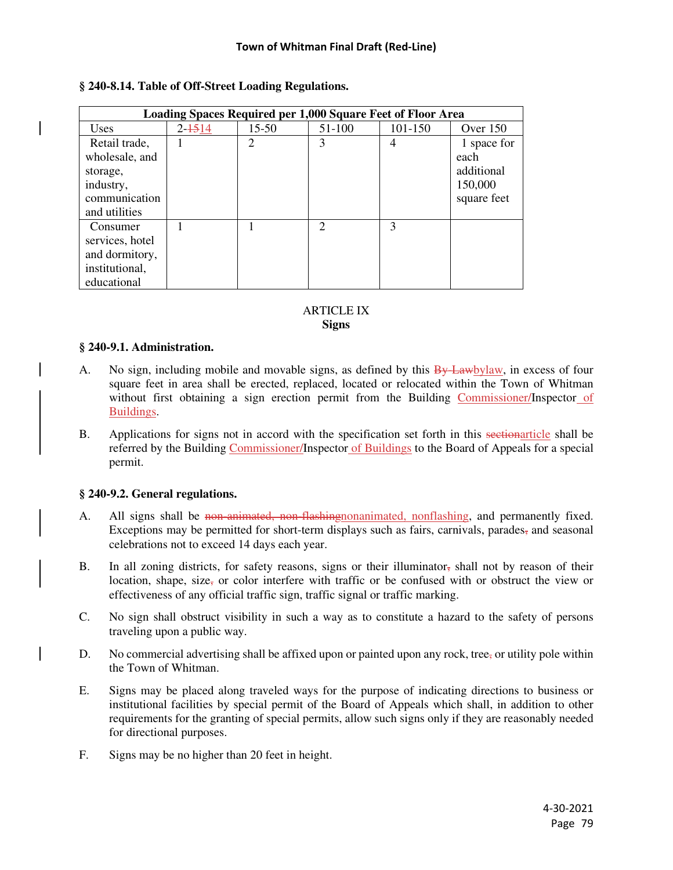| Loading Spaces Required per 1,000 Square Feet of Floor Area |            |                |               |               |             |  |  |
|-------------------------------------------------------------|------------|----------------|---------------|---------------|-------------|--|--|
| Uses                                                        | $2 - 1514$ | 15-50          | 51-100        | 101-150       | Over $150$  |  |  |
| Retail trade,                                               |            | $\overline{2}$ | 3             | 4             | 1 space for |  |  |
| wholesale, and                                              |            |                |               |               | each        |  |  |
| storage,                                                    |            |                |               |               | additional  |  |  |
| industry,                                                   |            |                |               |               | 150,000     |  |  |
| communication                                               |            |                |               |               | square feet |  |  |
| and utilities                                               |            |                |               |               |             |  |  |
| Consumer                                                    |            |                | $\mathcal{D}$ | $\mathcal{E}$ |             |  |  |
| services, hotel                                             |            |                |               |               |             |  |  |
| and dormitory,                                              |            |                |               |               |             |  |  |
| institutional,                                              |            |                |               |               |             |  |  |
| educational                                                 |            |                |               |               |             |  |  |

## **§ 240-8.14. Table of Off-Street Loading Regulations.**

#### ARTICLE IX **Signs**

## **§ 240-9.1. Administration.**

- A. No sign, including mobile and movable signs, as defined by this  $\frac{By Lawbylaw}{By Lawbylaw}$ , in excess of four square feet in area shall be erected, replaced, located or relocated within the Town of Whitman without first obtaining a sign erection permit from the Building Commissioner/Inspector of Buildings.
- B. Applications for signs not in accord with the specification set forth in this sectionarticle shall be referred by the Building Commissioner/Inspector of Buildings to the Board of Appeals for a special permit.

## **§ 240-9.2. General regulations.**

- A. All signs shall be non-animated, non-flashing nonanimated, nonflashing, and permanently fixed. Exceptions may be permitted for short-term displays such as fairs, carnivals, parades, and seasonal celebrations not to exceed 14 days each year.
- B. In all zoning districts, for safety reasons, signs or their illuminator, shall not by reason of their location, shape, size, or color interfere with traffic or be confused with or obstruct the view or effectiveness of any official traffic sign, traffic signal or traffic marking.
- C. No sign shall obstruct visibility in such a way as to constitute a hazard to the safety of persons traveling upon a public way.
- D. No commercial advertising shall be affixed upon or painted upon any rock, tree, or utility pole within the Town of Whitman.
- E. Signs may be placed along traveled ways for the purpose of indicating directions to business or institutional facilities by special permit of the Board of Appeals which shall, in addition to other requirements for the granting of special permits, allow such signs only if they are reasonably needed for directional purposes.
- F. Signs may be no higher than 20 feet in height.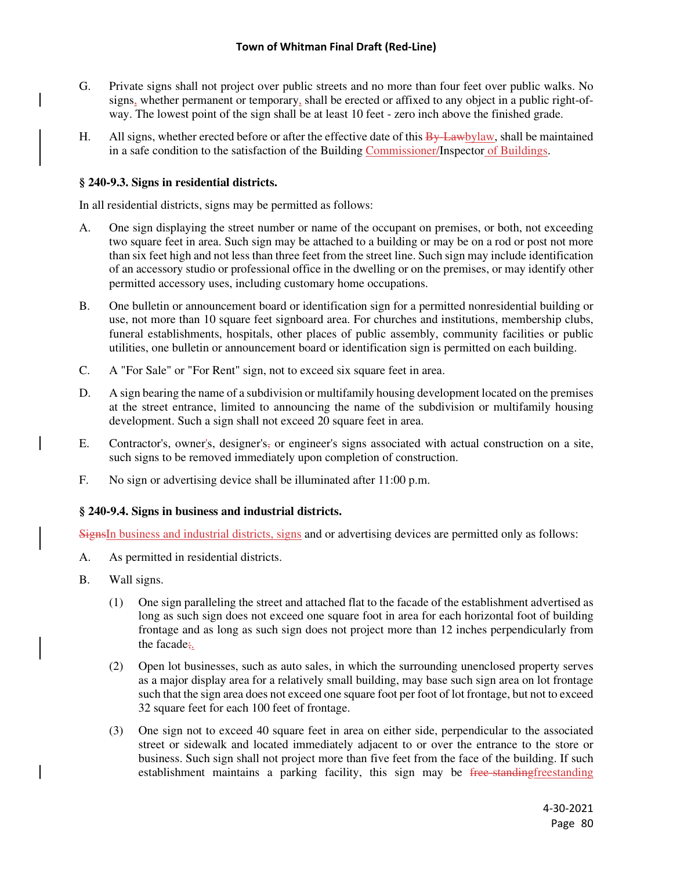- G. Private signs shall not project over public streets and no more than four feet over public walks. No signs, whether permanent or temporary, shall be erected or affixed to any object in a public right-ofway. The lowest point of the sign shall be at least 10 feet - zero inch above the finished grade.
- H. All signs, whether erected before or after the effective date of this  $\frac{By\text{-}Lawbylaw}{\text{-}Bx}$ , shall be maintained in a safe condition to the satisfaction of the Building Commissioner/Inspector of Buildings.

# **§ 240-9.3. Signs in residential districts.**

In all residential districts, signs may be permitted as follows:

- A. One sign displaying the street number or name of the occupant on premises, or both, not exceeding two square feet in area. Such sign may be attached to a building or may be on a rod or post not more than six feet high and not less than three feet from the street line. Such sign may include identification of an accessory studio or professional office in the dwelling or on the premises, or may identify other permitted accessory uses, including customary home occupations.
- B. One bulletin or announcement board or identification sign for a permitted nonresidential building or use, not more than 10 square feet signboard area. For churches and institutions, membership clubs, funeral establishments, hospitals, other places of public assembly, community facilities or public utilities, one bulletin or announcement board or identification sign is permitted on each building.
- C. A "For Sale" or "For Rent" sign, not to exceed six square feet in area.
- D. A sign bearing the name of a subdivision or multifamily housing development located on the premises at the street entrance, limited to announcing the name of the subdivision or multifamily housing development. Such a sign shall not exceed 20 square feet in area.
- E. Contractor's, owner's, designer's, or engineer's signs associated with actual construction on a site, such signs to be removed immediately upon completion of construction.
- F. No sign or advertising device shall be illuminated after 11:00 p.m.

## **§ 240-9.4. Signs in business and industrial districts.**

SignsIn business and industrial districts, signs and or advertising devices are permitted only as follows:

- A. As permitted in residential districts.
- B. Wall signs.
	- (1) One sign paralleling the street and attached flat to the facade of the establishment advertised as long as such sign does not exceed one square foot in area for each horizontal foot of building frontage and as long as such sign does not project more than 12 inches perpendicularly from the facade;.
	- (2) Open lot businesses, such as auto sales, in which the surrounding unenclosed property serves as a major display area for a relatively small building, may base such sign area on lot frontage such that the sign area does not exceed one square foot per foot of lot frontage, but not to exceed 32 square feet for each 100 feet of frontage.
	- (3) One sign not to exceed 40 square feet in area on either side, perpendicular to the associated street or sidewalk and located immediately adjacent to or over the entrance to the store or business. Such sign shall not project more than five feet from the face of the building. If such establishment maintains a parking facility, this sign may be free-standing establishment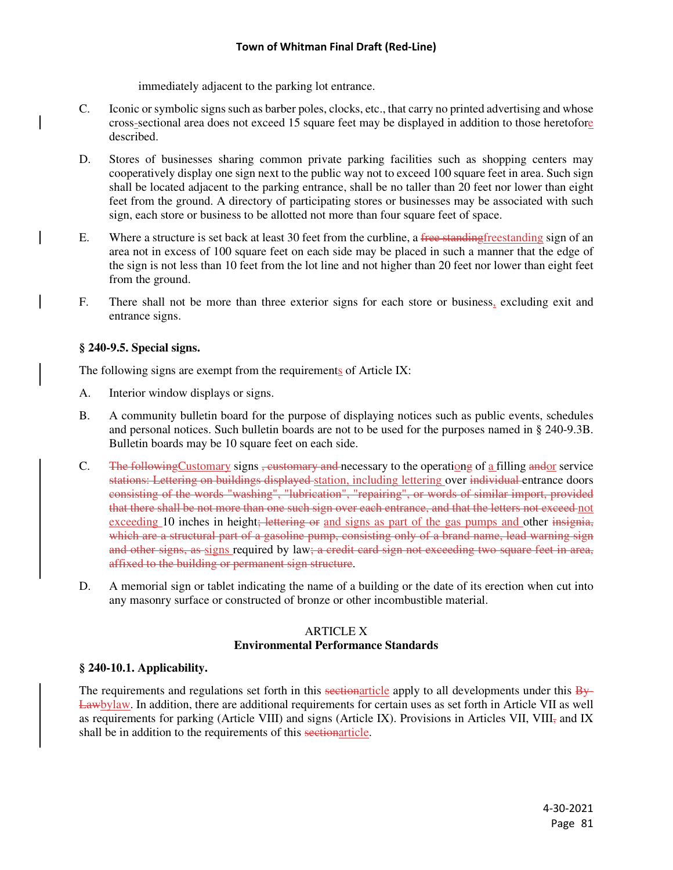immediately adjacent to the parking lot entrance.

- C. Iconic or symbolic signs such as barber poles, clocks, etc., that carry no printed advertising and whose cross-sectional area does not exceed 15 square feet may be displayed in addition to those heretofore described.
- D. Stores of businesses sharing common private parking facilities such as shopping centers may cooperatively display one sign next to the public way not to exceed 100 square feet in area. Such sign shall be located adjacent to the parking entrance, shall be no taller than 20 feet nor lower than eight feet from the ground. A directory of participating stores or businesses may be associated with such sign, each store or business to be allotted not more than four square feet of space.
- E. Where a structure is set back at least 30 feet from the curbline, a free standing freestanding sign of an area not in excess of 100 square feet on each side may be placed in such a manner that the edge of the sign is not less than 10 feet from the lot line and not higher than 20 feet nor lower than eight feet from the ground.
- F. There shall not be more than three exterior signs for each store or business, excluding exit and entrance signs.

# **§ 240-9.5. Special signs.**

The following signs are exempt from the requirements of Article IX:

- A. Interior window displays or signs.
- B. A community bulletin board for the purpose of displaying notices such as public events, schedules and personal notices. Such bulletin boards are not to be used for the purposes named in § 240-9.3B. Bulletin boards may be 10 square feet on each side.
- C. The following Customary signs <del>, customary and</del> necessary to the operationg of a filling andor service stations: Lettering on buildings displayed station, including lettering over individual entrance doors consisting of the words "washing", "lubrication", "repairing", or words of similar import, provided that there shall be not more than one such sign over each entrance, and that the letters not exceed not exceeding 10 inches in height; lettering or and signs as part of the gas pumps and other insignia, which are a structural part of a gasoline pump, consisting only of a brand name, lead warning sign and other signs, as signs required by law; a credit card sign not exceeding two square feet in area, affixed to the building or permanent sign structure.
- D. A memorial sign or tablet indicating the name of a building or the date of its erection when cut into any masonry surface or constructed of bronze or other incombustible material.

# ARTICLE X **Environmental Performance Standards**

# **§ 240-10.1. Applicability.**

The requirements and regulations set forth in this sectionarticle apply to all developments under this By-Lawbylaw. In addition, there are additional requirements for certain uses as set forth in Article VII as well as requirements for parking (Article VIII) and signs (Article IX). Provisions in Articles VII, VIII, and IX shall be in addition to the requirements of this sectionarticle.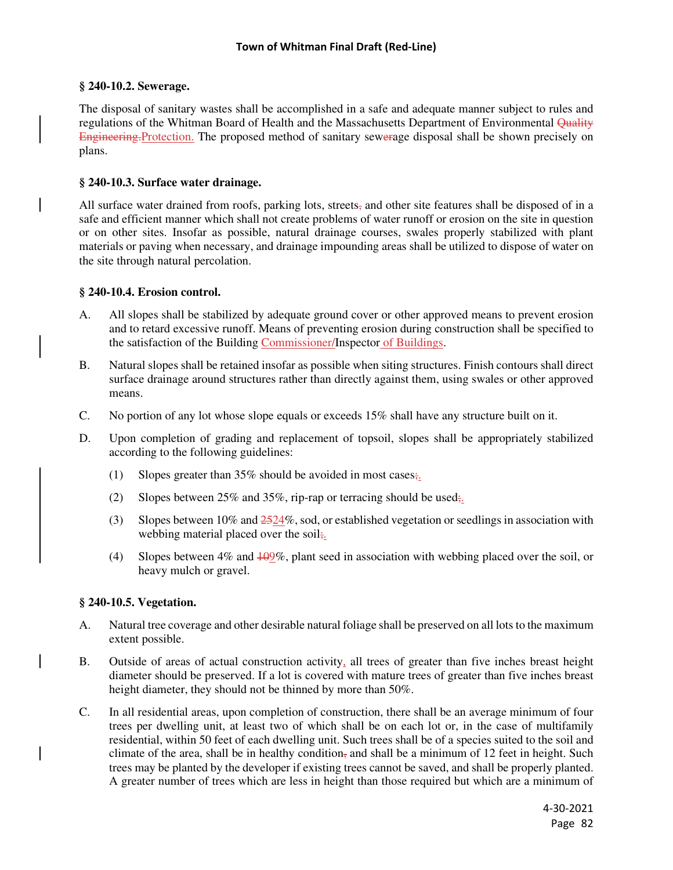## **§ 240-10.2. Sewerage.**

The disposal of sanitary wastes shall be accomplished in a safe and adequate manner subject to rules and regulations of the Whitman Board of Health and the Massachusetts Department of Environmental Quality Engineering.Protection. The proposed method of sanitary sewerage disposal shall be shown precisely on plans.

## **§ 240-10.3. Surface water drainage.**

All surface water drained from roofs, parking lots, streets, and other site features shall be disposed of in a safe and efficient manner which shall not create problems of water runoff or erosion on the site in question or on other sites. Insofar as possible, natural drainage courses, swales properly stabilized with plant materials or paving when necessary, and drainage impounding areas shall be utilized to dispose of water on the site through natural percolation.

## **§ 240-10.4. Erosion control.**

- A. All slopes shall be stabilized by adequate ground cover or other approved means to prevent erosion and to retard excessive runoff. Means of preventing erosion during construction shall be specified to the satisfaction of the Building Commissioner/Inspector of Buildings.
- B. Natural slopes shall be retained insofar as possible when siting structures. Finish contours shall direct surface drainage around structures rather than directly against them, using swales or other approved means.
- C. No portion of any lot whose slope equals or exceeds 15% shall have any structure built on it.
- D. Upon completion of grading and replacement of topsoil, slopes shall be appropriately stabilized according to the following guidelines:
	- (1) Slopes greater than  $35\%$  should be avoided in most cases;
	- (2) Slopes between  $25\%$  and  $35\%$ , rip-rap or terracing should be used;
	- (3) Slopes between 10% and  $\frac{2524}{\%}$ , sod, or established vegetation or seedlings in association with webbing material placed over the soil;
	- (4) Slopes between 4% and 109%, plant seed in association with webbing placed over the soil, or heavy mulch or gravel.

## **§ 240-10.5. Vegetation.**

- A. Natural tree coverage and other desirable natural foliage shall be preserved on all lots to the maximum extent possible.
- B. Outside of areas of actual construction activity, all trees of greater than five inches breast height diameter should be preserved. If a lot is covered with mature trees of greater than five inches breast height diameter, they should not be thinned by more than 50%.
- C. In all residential areas, upon completion of construction, there shall be an average minimum of four trees per dwelling unit, at least two of which shall be on each lot or, in the case of multifamily residential, within 50 feet of each dwelling unit. Such trees shall be of a species suited to the soil and climate of the area, shall be in healthy condition, and shall be a minimum of 12 feet in height. Such trees may be planted by the developer if existing trees cannot be saved, and shall be properly planted. A greater number of trees which are less in height than those required but which are a minimum of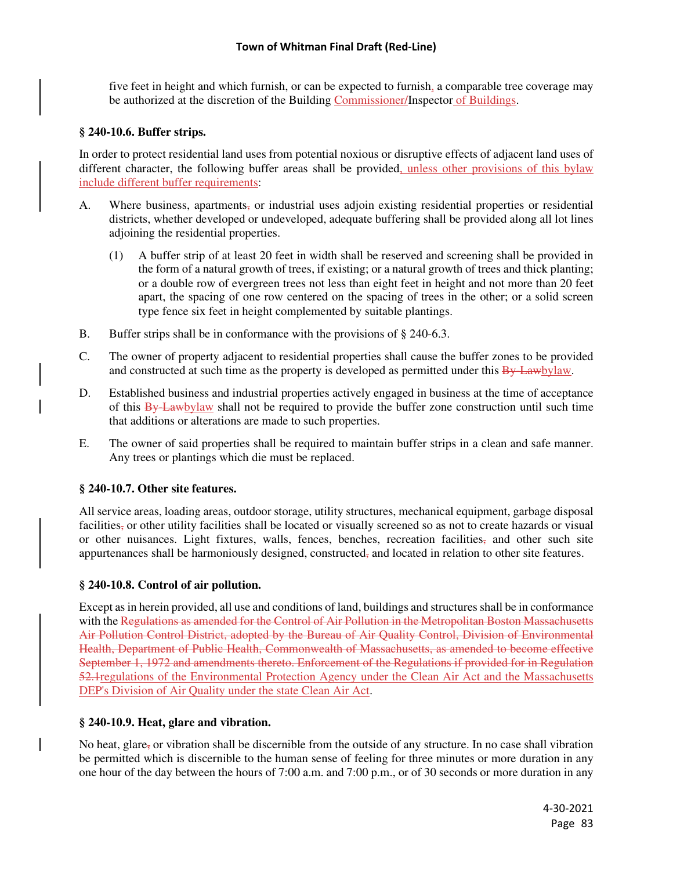five feet in height and which furnish, or can be expected to furnish, a comparable tree coverage may be authorized at the discretion of the Building Commissioner/Inspector of Buildings.

# **§ 240-10.6. Buffer strips.**

In order to protect residential land uses from potential noxious or disruptive effects of adjacent land uses of different character, the following buffer areas shall be provided, unless other provisions of this bylaw include different buffer requirements:

- A. Where business, apartments, or industrial uses adjoin existing residential properties or residential districts, whether developed or undeveloped, adequate buffering shall be provided along all lot lines adjoining the residential properties.
	- (1) A buffer strip of at least 20 feet in width shall be reserved and screening shall be provided in the form of a natural growth of trees, if existing; or a natural growth of trees and thick planting; or a double row of evergreen trees not less than eight feet in height and not more than 20 feet apart, the spacing of one row centered on the spacing of trees in the other; or a solid screen type fence six feet in height complemented by suitable plantings.
- B. Buffer strips shall be in conformance with the provisions of § 240-6.3.
- C. The owner of property adjacent to residential properties shall cause the buffer zones to be provided and constructed at such time as the property is developed as permitted under this By-Lawbylaw.
- D. Established business and industrial properties actively engaged in business at the time of acceptance of this By-Lawbylaw shall not be required to provide the buffer zone construction until such time that additions or alterations are made to such properties.
- E. The owner of said properties shall be required to maintain buffer strips in a clean and safe manner. Any trees or plantings which die must be replaced.

# **§ 240-10.7. Other site features.**

All service areas, loading areas, outdoor storage, utility structures, mechanical equipment, garbage disposal facilities, or other utility facilities shall be located or visually screened so as not to create hazards or visual or other nuisances. Light fixtures, walls, fences, benches, recreation facilities, and other such site appurtenances shall be harmoniously designed, constructed, and located in relation to other site features.

# **§ 240-10.8. Control of air pollution.**

Except as in herein provided, all use and conditions of land, buildings and structures shall be in conformance with the Regulations as amended for the Control of Air Pollution in the Metropolitan Boston Massachusetts Air Pollution Control District, adopted by the Bureau of Air Quality Control, Division of Environmental Health, Department of Public Health, Commonwealth of Massachusetts, as amended to become effective September 1, 1972 and amendments thereto. Enforcement of the Regulations if provided for in Regulation 52.1 regulations of the Environmental Protection Agency under the Clean Air Act and the Massachusetts DEP's Division of Air Quality under the state Clean Air Act.

# **§ 240-10.9. Heat, glare and vibration.**

No heat, glare, or vibration shall be discernible from the outside of any structure. In no case shall vibration be permitted which is discernible to the human sense of feeling for three minutes or more duration in any one hour of the day between the hours of 7:00 a.m. and 7:00 p.m., or of 30 seconds or more duration in any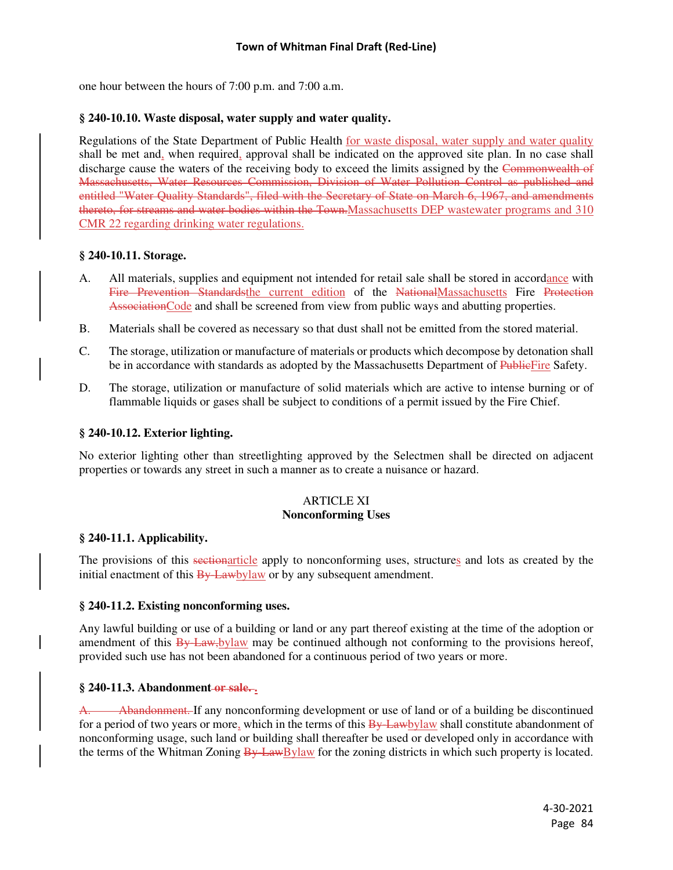one hour between the hours of 7:00 p.m. and 7:00 a.m.

## **§ 240-10.10. Waste disposal, water supply and water quality.**

Regulations of the State Department of Public Health for waste disposal, water supply and water quality shall be met and, when required, approval shall be indicated on the approved site plan. In no case shall discharge cause the waters of the receiving body to exceed the limits assigned by the Commonwealth of Massachusetts, Water Resources Commission, Division of Water Pollution Control as published and entitled "Water Quality Standards", filed with the Secretary of State on March 6, 1967, and amendments thereto, for streams and water bodies within the Town.Massachusetts DEP wastewater programs and 310 CMR 22 regarding drinking water regulations.

## **§ 240-10.11. Storage.**

- A. All materials, supplies and equipment not intended for retail sale shall be stored in accordance with Fire Prevention Standardsthe current edition of the NationalMassachusetts Fire Protection AssociationCode and shall be screened from view from public ways and abutting properties.
- B. Materials shall be covered as necessary so that dust shall not be emitted from the stored material.
- C. The storage, utilization or manufacture of materials or products which decompose by detonation shall be in accordance with standards as adopted by the Massachusetts Department of PublicFire Safety.
- D. The storage, utilization or manufacture of solid materials which are active to intense burning or of flammable liquids or gases shall be subject to conditions of a permit issued by the Fire Chief.

#### **§ 240-10.12. Exterior lighting.**

No exterior lighting other than streetlighting approved by the Selectmen shall be directed on adjacent properties or towards any street in such a manner as to create a nuisance or hazard.

## ARTICLE XI **Nonconforming Uses**

## **§ 240-11.1. Applicability.**

The provisions of this sectionarticle apply to nonconforming uses, structures and lots as created by the initial enactment of this  $\frac{By\text{ Law} (My \text{ Law})}{B + B}$  or by any subsequent amendment.

## **§ 240-11.2. Existing nonconforming uses.**

Any lawful building or use of a building or land or any part thereof existing at the time of the adoption or amendment of this By-Law, bylaw may be continued although not conforming to the provisions hereof, provided such use has not been abandoned for a continuous period of two years or more.

## **§ 240-11.3. Abandonment or sale. .**

Abandonment. If any nonconforming development or use of land or of a building be discontinued for a period of two years or more, which in the terms of this  $\frac{By\text{Lawb}}{B}$  when  $\frac{By\text{Lawb}}{B}$  shall constitute abandonment of nonconforming usage, such land or building shall thereafter be used or developed only in accordance with the terms of the Whitman Zoning  $\frac{B_y}{B_y}$  LawBylaw for the zoning districts in which such property is located.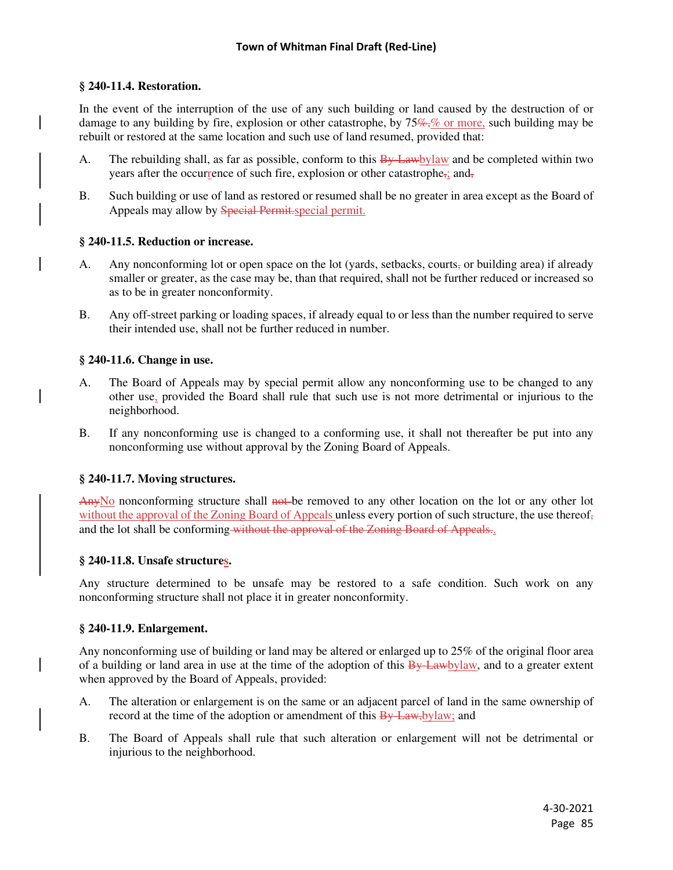## **§ 240-11.4. Restoration.**

In the event of the interruption of the use of any such building or land caused by the destruction of or damage to any building by fire, explosion or other catastrophe, by  $75\%$ , or more, such building may be rebuilt or restored at the same location and such use of land resumed, provided that:

- A. The rebuilding shall, as far as possible, conform to this  $\frac{B_y}{B_y}$  Hawbylaw and be completed within two years after the occurrence of such fire, explosion or other catastrophe,; and,
- B. Such building or use of land as restored or resumed shall be no greater in area except as the Board of Appeals may allow by Special Permit.special permit.

# **§ 240-11.5. Reduction or increase.**

- A. Any nonconforming lot or open space on the lot (yards, setbacks, courts, or building area) if already smaller or greater, as the case may be, than that required, shall not be further reduced or increased so as to be in greater nonconformity.
- B. Any off-street parking or loading spaces, if already equal to or less than the number required to serve their intended use, shall not be further reduced in number.

## **§ 240-11.6. Change in use.**

- A. The Board of Appeals may by special permit allow any nonconforming use to be changed to any other use, provided the Board shall rule that such use is not more detrimental or injurious to the neighborhood.
- B. If any nonconforming use is changed to a conforming use, it shall not thereafter be put into any nonconforming use without approval by the Zoning Board of Appeals.

## **§ 240-11.7. Moving structures.**

AnyNo nonconforming structure shall not be removed to any other location on the lot or any other lot without the approval of the Zoning Board of Appeals unless every portion of such structure, the use thereof, and the lot shall be conforming without the approval of the Zoning Board of Appeals..

## **§ 240-11.8. Unsafe structures.**

Any structure determined to be unsafe may be restored to a safe condition. Such work on any nonconforming structure shall not place it in greater nonconformity.

## **§ 240-11.9. Enlargement.**

Any nonconforming use of building or land may be altered or enlarged up to 25% of the original floor area of a building or land area in use at the time of the adoption of this By-Lawbylaw, and to a greater extent when approved by the Board of Appeals, provided:

- A. The alteration or enlargement is on the same or an adjacent parcel of land in the same ownership of record at the time of the adoption or amendment of this **By Law**, by law; and
- B. The Board of Appeals shall rule that such alteration or enlargement will not be detrimental or injurious to the neighborhood.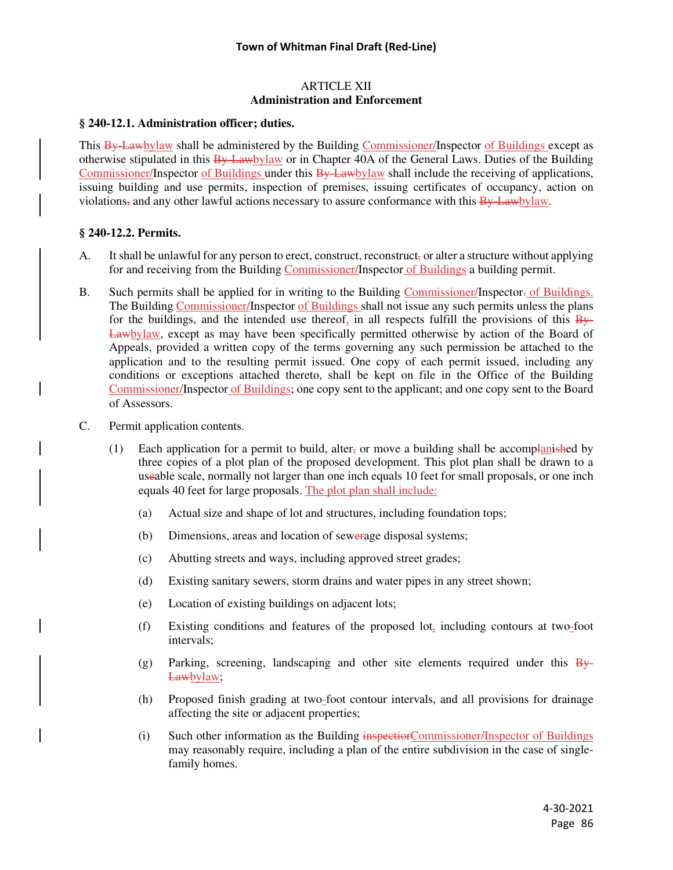#### ARTICLE XII **Administration and Enforcement**

#### **§ 240-12.1. Administration officer; duties.**

This By-Lawbylaw shall be administered by the Building Commissioner/Inspector of Buildings except as otherwise stipulated in this By-Lawbylaw or in Chapter 40A of the General Laws. Duties of the Building Commissioner/Inspector of Buildings under this By-Lawbylaw shall include the receiving of applications, issuing building and use permits, inspection of premises, issuing certificates of occupancy, action on violations, and any other lawful actions necessary to assure conformance with this  $\frac{B_y}{B_y}$  Lawbylaw.

## **§ 240-12.2. Permits.**

- A. It shall be unlawful for any person to erect, construct, reconstruct, or alter a structure without applying for and receiving from the Building Commissioner/Inspector of Buildings a building permit.
- B. Such permits shall be applied for in writing to the Building Commissioner/Inspector- of Buildings. The Building Commissioner/Inspector of Buildings shall not issue any such permits unless the plans for the buildings, and the intended use thereof, in all respects fulfill the provisions of this  $\frac{1}{2}$ Lawbylaw, except as may have been specifically permitted otherwise by action of the Board of Appeals, provided a written copy of the terms governing any such permission be attached to the application and to the resulting permit issued. One copy of each permit issued, including any conditions or exceptions attached thereto, shall be kept on file in the Office of the Building Commissioner/Inspector of Buildings; one copy sent to the applicant; and one copy sent to the Board of Assessors.
- C. Permit application contents.
	- (1) Each application for a permit to build, alter<sub>s</sub> or move a building shall be accomplanished by three copies of a plot plan of the proposed development. This plot plan shall be drawn to a useable scale, normally not larger than one inch equals 10 feet for small proposals, or one inch equals 40 feet for large proposals. The plot plan shall include:
		- (a) Actual size and shape of lot and structures, including foundation tops;
		- (b) Dimensions, areas and location of sewerage disposal systems;
		- (c) Abutting streets and ways, including approved street grades;
		- (d) Existing sanitary sewers, storm drains and water pipes in any street shown;
		- (e) Location of existing buildings on adjacent lots;
		- (f) Existing conditions and features of the proposed lot, including contours at two-foot intervals;
		- (g) Parking, screening, landscaping and other site elements required under this  $\frac{B_y}{B_y}$ Lawbylaw;
		- (h) Proposed finish grading at two-foot contour intervals, and all provisions for drainage affecting the site or adjacent properties;
		- (i) Such other information as the Building inspectiorCommissioner/Inspector of Buildings may reasonably require, including a plan of the entire subdivision in the case of singlefamily homes.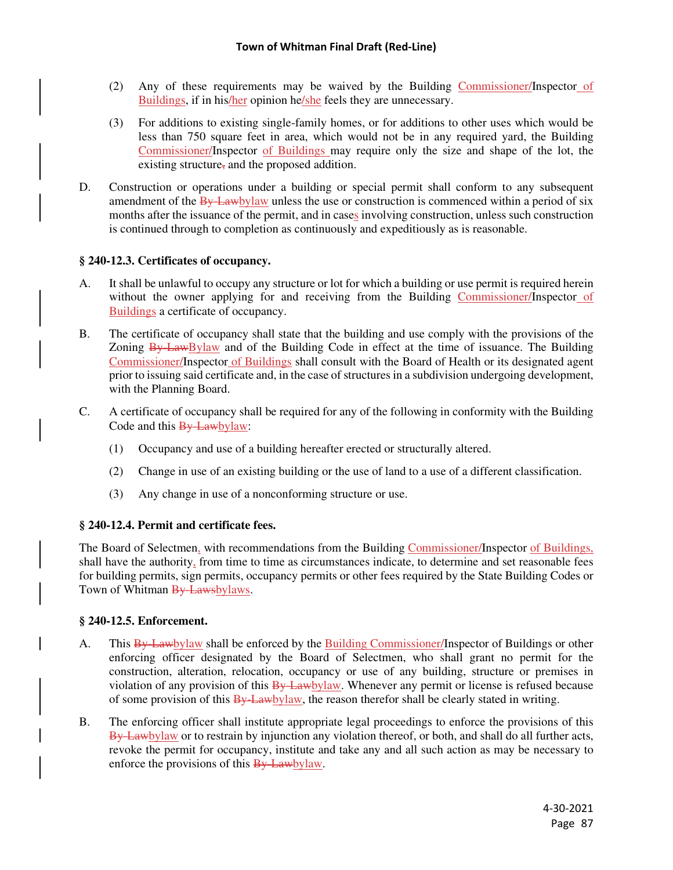- (2) Any of these requirements may be waived by the Building Commissioner/Inspector of Buildings, if in his/her opinion he/she feels they are unnecessary.
- (3) For additions to existing single-family homes, or for additions to other uses which would be less than 750 square feet in area, which would not be in any required yard, the Building Commissioner/Inspector of Buildings may require only the size and shape of the lot, the existing structure, and the proposed addition.
- D. Construction or operations under a building or special permit shall conform to any subsequent amendment of the  $\frac{By$  Lawbylaw unless the use or construction is commenced within a period of six months after the issuance of the permit, and in cases involving construction, unless such construction is continued through to completion as continuously and expeditiously as is reasonable.

## **§ 240-12.3. Certificates of occupancy.**

- A. It shall be unlawful to occupy any structure or lot for which a building or use permit is required herein without the owner applying for and receiving from the Building Commissioner/Inspector of Buildings a certificate of occupancy.
- B. The certificate of occupancy shall state that the building and use comply with the provisions of the Zoning By-LawBylaw and of the Building Code in effect at the time of issuance. The Building Commissioner/Inspector of Buildings shall consult with the Board of Health or its designated agent prior to issuing said certificate and, in the case of structures in a subdivision undergoing development, with the Planning Board.
- C. A certificate of occupancy shall be required for any of the following in conformity with the Building Code and this By-Lawbylaw:
	- (1) Occupancy and use of a building hereafter erected or structurally altered.
	- (2) Change in use of an existing building or the use of land to a use of a different classification.
	- (3) Any change in use of a nonconforming structure or use.

## **§ 240-12.4. Permit and certificate fees.**

The Board of Selectmen, with recommendations from the Building Commissioner/Inspector of Buildings, shall have the authority, from time to time as circumstances indicate, to determine and set reasonable fees for building permits, sign permits, occupancy permits or other fees required by the State Building Codes or Town of Whitman By-Lawsbylaws.

## **§ 240-12.5. Enforcement.**

- A. This By-Lawbylaw shall be enforced by the Building Commissioner/Inspector of Buildings or other enforcing officer designated by the Board of Selectmen, who shall grant no permit for the construction, alteration, relocation, occupancy or use of any building, structure or premises in violation of any provision of this **By-Law**bylaw. Whenever any permit or license is refused because of some provision of this **By-Lawbylaw**, the reason therefor shall be clearly stated in writing.
- B. The enforcing officer shall institute appropriate legal proceedings to enforce the provisions of this By-Lawbylaw or to restrain by injunction any violation thereof, or both, and shall do all further acts, revoke the permit for occupancy, institute and take any and all such action as may be necessary to enforce the provisions of this By-Lawbylaw.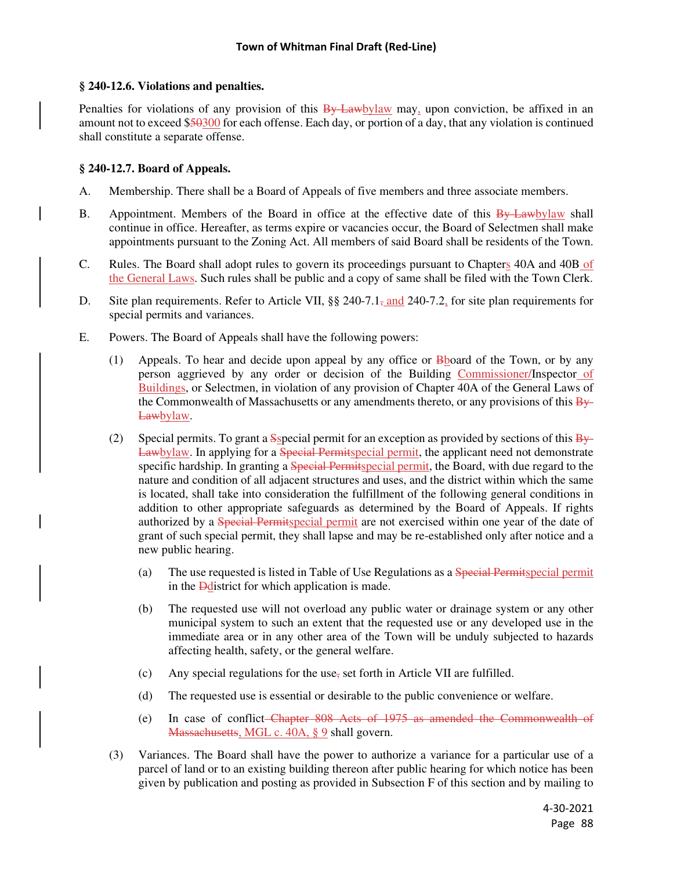## **§ 240-12.6. Violations and penalties.**

Penalties for violations of any provision of this **By-Law**bylaw may, upon conviction, be affixed in an amount not to exceed \$50300 for each offense. Each day, or portion of a day, that any violation is continued shall constitute a separate offense.

## **§ 240-12.7. Board of Appeals.**

- A. Membership. There shall be a Board of Appeals of five members and three associate members.
- B. Appointment. Members of the Board in office at the effective date of this By-Lawbylaw shall continue in office. Hereafter, as terms expire or vacancies occur, the Board of Selectmen shall make appointments pursuant to the Zoning Act. All members of said Board shall be residents of the Town.
- C. Rules. The Board shall adopt rules to govern its proceedings pursuant to Chapters 40A and 40B of the General Laws. Such rules shall be public and a copy of same shall be filed with the Town Clerk.
- D. Site plan requirements. Refer to Article VII,  $\S$  240-7.1, and 240-7.2, for site plan requirements for special permits and variances.
- E. Powers. The Board of Appeals shall have the following powers:
	- (1) Appeals. To hear and decide upon appeal by any office or  $B<sub>b</sub>$  board of the Town, or by any person aggrieved by any order or decision of the Building Commissioner/Inspector of Buildings, or Selectmen, in violation of any provision of Chapter 40A of the General Laws of the Commonwealth of Massachusetts or any amendments thereto, or any provisions of this  $\frac{B_y}{B_y}$ Lawbylaw.
	- (2) Special permits. To grant a  $S<sub>SP</sub>ecial$  permit for an exception as provided by sections of this  $B<sub>y</sub>$ Lawbylaw. In applying for a Special Permitspecial permit, the applicant need not demonstrate specific hardship. In granting a Special Permitspecial permit, the Board, with due regard to the nature and condition of all adjacent structures and uses, and the district within which the same is located, shall take into consideration the fulfillment of the following general conditions in addition to other appropriate safeguards as determined by the Board of Appeals. If rights authorized by a Special Permitspecial permit are not exercised within one year of the date of grant of such special permit, they shall lapse and may be re-established only after notice and a new public hearing.
		- (a) The use requested is listed in Table of Use Regulations as a Special Permitspecial permit in the Ddistrict for which application is made.
		- (b) The requested use will not overload any public water or drainage system or any other municipal system to such an extent that the requested use or any developed use in the immediate area or in any other area of the Town will be unduly subjected to hazards affecting health, safety, or the general welfare.
		- (c) Any special regulations for the use, set forth in Article VII are fulfilled.
		- (d) The requested use is essential or desirable to the public convenience or welfare.
		- (e) In case of conflict Chapter 808 Acts of 1975 as amended the Commonwealth of Massachusetts, MGL c. 40A, § 9 shall govern.
	- (3) Variances. The Board shall have the power to authorize a variance for a particular use of a parcel of land or to an existing building thereon after public hearing for which notice has been given by publication and posting as provided in Subsection F of this section and by mailing to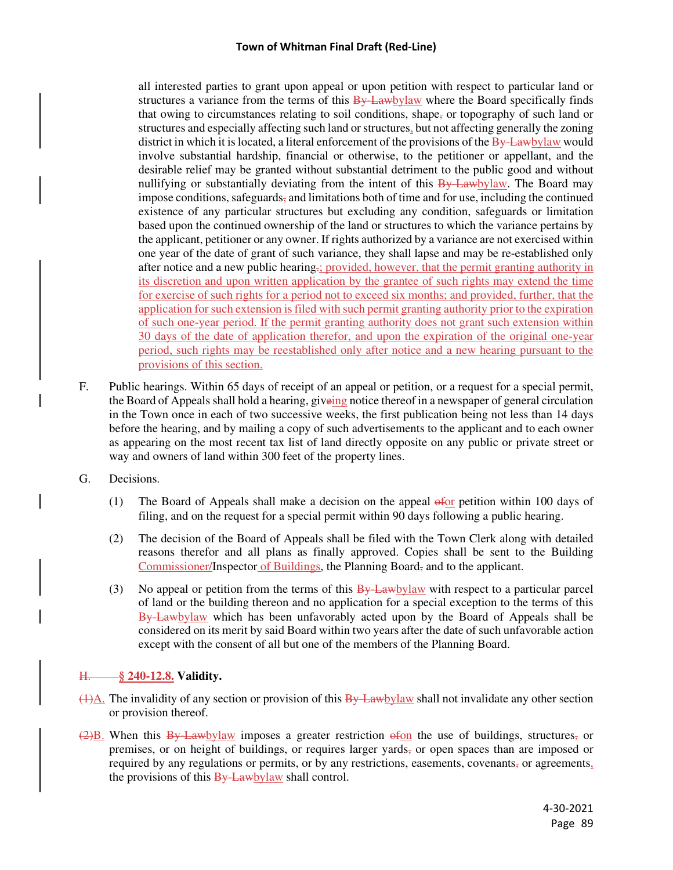all interested parties to grant upon appeal or upon petition with respect to particular land or structures a variance from the terms of this  $\frac{By\text{Lawby}}{law}$  where the Board specifically finds that owing to circumstances relating to soil conditions, shape, or topography of such land or structures and especially affecting such land or structures, but not affecting generally the zoning district in which it is located, a literal enforcement of the provisions of the  $\frac{By$  Lawbylaw would involve substantial hardship, financial or otherwise, to the petitioner or appellant, and the desirable relief may be granted without substantial detriment to the public good and without nullifying or substantially deviating from the intent of this  $\frac{By\text{-}Law}{}$ -Lawbylaw. The Board may impose conditions, safeguards, and limitations both of time and for use, including the continued existence of any particular structures but excluding any condition, safeguards or limitation based upon the continued ownership of the land or structures to which the variance pertains by the applicant, petitioner or any owner. If rights authorized by a variance are not exercised within one year of the date of grant of such variance, they shall lapse and may be re-established only after notice and a new public hearing.; provided, however, that the permit granting authority in its discretion and upon written application by the grantee of such rights may extend the time for exercise of such rights for a period not to exceed six months; and provided, further, that the application for such extension is filed with such permit granting authority prior to the expiration of such one-year period. If the permit granting authority does not grant such extension within 30 days of the date of application therefor, and upon the expiration of the original one-year period, such rights may be reestablished only after notice and a new hearing pursuant to the provisions of this section.

- F. Public hearings. Within 65 days of receipt of an appeal or petition, or a request for a special permit, the Board of Appeals shall hold a hearing, giveing notice thereof in a newspaper of general circulation in the Town once in each of two successive weeks, the first publication being not less than 14 days before the hearing, and by mailing a copy of such advertisements to the applicant and to each owner as appearing on the most recent tax list of land directly opposite on any public or private street or way and owners of land within 300 feet of the property lines.
- G. Decisions.
	- (1) The Board of Appeals shall make a decision on the appeal  $\frac{f(x)}{g(x)}$  petition within 100 days of filing, and on the request for a special permit within 90 days following a public hearing.
	- (2) The decision of the Board of Appeals shall be filed with the Town Clerk along with detailed reasons therefor and all plans as finally approved. Copies shall be sent to the Building Commissioner/Inspector of Buildings, the Planning Board, and to the applicant.
	- (3) No appeal or petition from the terms of this  $\frac{By \text{ Law}}{By}$  with respect to a particular parcel of land or the building thereon and no application for a special exception to the terms of this By-Lawbylaw which has been unfavorably acted upon by the Board of Appeals shall be considered on its merit by said Board within two years after the date of such unfavorable action except with the consent of all but one of the members of the Planning Board.

# H. **§ 240-12.8. Validity.**

- $\frac{1}{(1)}\Delta$ . The invalidity of any section or provision of this By-Lawbylaw shall not invalidate any other section or provision thereof.
- $\left(2\right)B$ . When this By-Lawbylaw imposes a greater restriction of on the use of buildings, structures, or premises, or on height of buildings, or requires larger yards, or open spaces than are imposed or required by any regulations or permits, or by any restrictions, easements, covenants, or agreements, the provisions of this  $\frac{By\text{-}Law}{bylaw}$  shall control.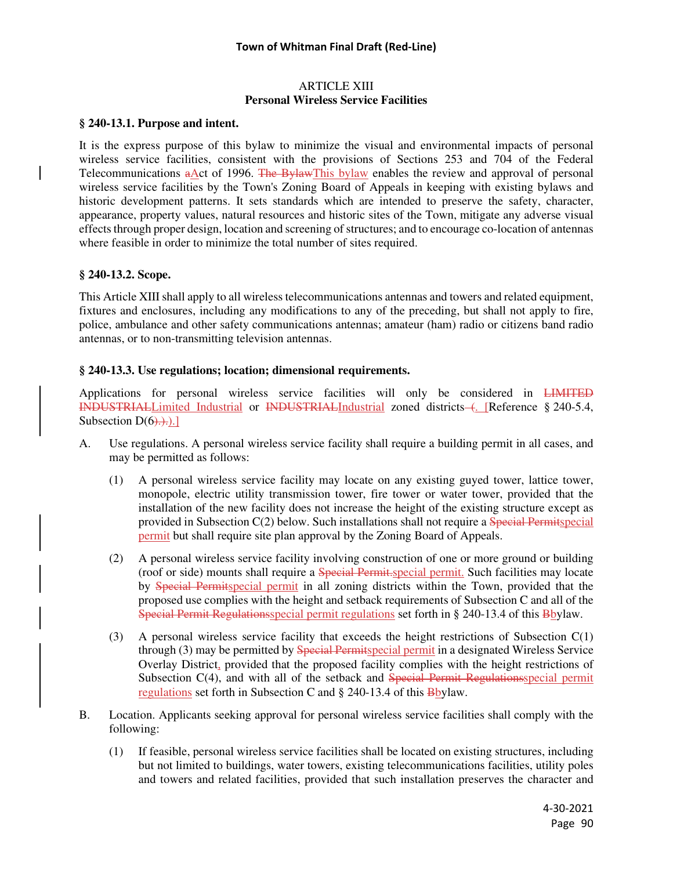#### ARTICLE XIII **Personal Wireless Service Facilities**

#### **§ 240-13.1. Purpose and intent.**

It is the express purpose of this bylaw to minimize the visual and environmental impacts of personal wireless service facilities, consistent with the provisions of Sections 253 and 704 of the Federal Telecommunications aAct of 1996. The BylawThis bylaw enables the review and approval of personal wireless service facilities by the Town's Zoning Board of Appeals in keeping with existing bylaws and historic development patterns. It sets standards which are intended to preserve the safety, character, appearance, property values, natural resources and historic sites of the Town, mitigate any adverse visual effects through proper design, location and screening of structures; and to encourage co-location of antennas where feasible in order to minimize the total number of sites required.

#### **§ 240-13.2. Scope.**

This Article XIII shall apply to all wireless telecommunications antennas and towers and related equipment, fixtures and enclosures, including any modifications to any of the preceding, but shall not apply to fire, police, ambulance and other safety communications antennas; amateur (ham) radio or citizens band radio antennas, or to non-transmitting television antennas.

#### **§ 240-13.3. Use regulations; location; dimensional requirements.**

Applications for personal wireless service facilities will only be considered in **LIMITED** INDUSTRIALLimited Industrial or INDUSTRIALIndustrial zoned districts (. [Reference § 240-5.4, Subsection  $D(6)$ .).]

- A. Use regulations. A personal wireless service facility shall require a building permit in all cases, and may be permitted as follows:
	- (1) A personal wireless service facility may locate on any existing guyed tower, lattice tower, monopole, electric utility transmission tower, fire tower or water tower, provided that the installation of the new facility does not increase the height of the existing structure except as provided in Subsection C(2) below. Such installations shall not require a Special Permitspecial permit but shall require site plan approval by the Zoning Board of Appeals.
	- (2) A personal wireless service facility involving construction of one or more ground or building (roof or side) mounts shall require a Special Permit.special permit. Such facilities may locate by Special Permitspecial permit in all zoning districts within the Town, provided that the proposed use complies with the height and setback requirements of Subsection C and all of the Special Permit Regulationsspecial permit regulations set forth in § 240-13.4 of this Bbylaw.
	- (3) A personal wireless service facility that exceeds the height restrictions of Subsection C(1) through (3) may be permitted by Special Permitspecial permit in a designated Wireless Service Overlay District, provided that the proposed facility complies with the height restrictions of Subsection C(4), and with all of the setback and Special Permit Regulationsspecial permit regulations set forth in Subsection C and § 240-13.4 of this Bbylaw.
- B. Location. Applicants seeking approval for personal wireless service facilities shall comply with the following:
	- (1) If feasible, personal wireless service facilities shall be located on existing structures, including but not limited to buildings, water towers, existing telecommunications facilities, utility poles and towers and related facilities, provided that such installation preserves the character and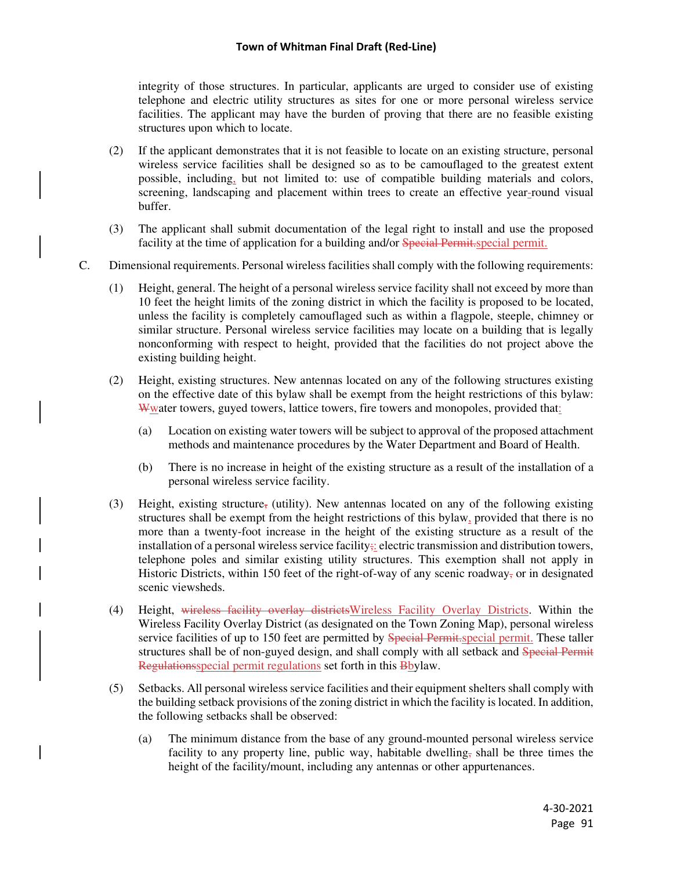integrity of those structures. In particular, applicants are urged to consider use of existing telephone and electric utility structures as sites for one or more personal wireless service facilities. The applicant may have the burden of proving that there are no feasible existing structures upon which to locate.

- (2) If the applicant demonstrates that it is not feasible to locate on an existing structure, personal wireless service facilities shall be designed so as to be camouflaged to the greatest extent possible, including, but not limited to: use of compatible building materials and colors, screening, landscaping and placement within trees to create an effective year-round visual buffer.
- (3) The applicant shall submit documentation of the legal right to install and use the proposed facility at the time of application for a building and/or Special Permit.special permit.
- C. Dimensional requirements. Personal wireless facilities shall comply with the following requirements:
	- (1) Height, general. The height of a personal wireless service facility shall not exceed by more than 10 feet the height limits of the zoning district in which the facility is proposed to be located, unless the facility is completely camouflaged such as within a flagpole, steeple, chimney or similar structure. Personal wireless service facilities may locate on a building that is legally nonconforming with respect to height, provided that the facilities do not project above the existing building height.
	- (2) Height, existing structures. New antennas located on any of the following structures existing on the effective date of this bylaw shall be exempt from the height restrictions of this bylaw: Wwater towers, guyed towers, lattice towers, fire towers and monopoles, provided that:
		- (a) Location on existing water towers will be subject to approval of the proposed attachment methods and maintenance procedures by the Water Department and Board of Health.
		- (b) There is no increase in height of the existing structure as a result of the installation of a personal wireless service facility.
	- (3) Height, existing structure, (utility). New antennas located on any of the following existing structures shall be exempt from the height restrictions of this bylaw, provided that there is no more than a twenty-foot increase in the height of the existing structure as a result of the installation of a personal wireless service facility; electric transmission and distribution towers, telephone poles and similar existing utility structures. This exemption shall not apply in Historic Districts, within 150 feet of the right-of-way of any scenic roadway, or in designated scenic viewsheds.
	- (4) Height, wireless facility overlay districtsWireless Facility Overlay Districts. Within the Wireless Facility Overlay District (as designated on the Town Zoning Map), personal wireless service facilities of up to 150 feet are permitted by Special Permit. Special permit. These taller structures shall be of non-guyed design, and shall comply with all setback and Special Permit Regulationsspecial permit regulations set forth in this Bbylaw.
	- (5) Setbacks. All personal wireless service facilities and their equipment shelters shall comply with the building setback provisions of the zoning district in which the facility is located. In addition, the following setbacks shall be observed:
		- (a) The minimum distance from the base of any ground-mounted personal wireless service facility to any property line, public way, habitable dwelling, shall be three times the height of the facility/mount, including any antennas or other appurtenances.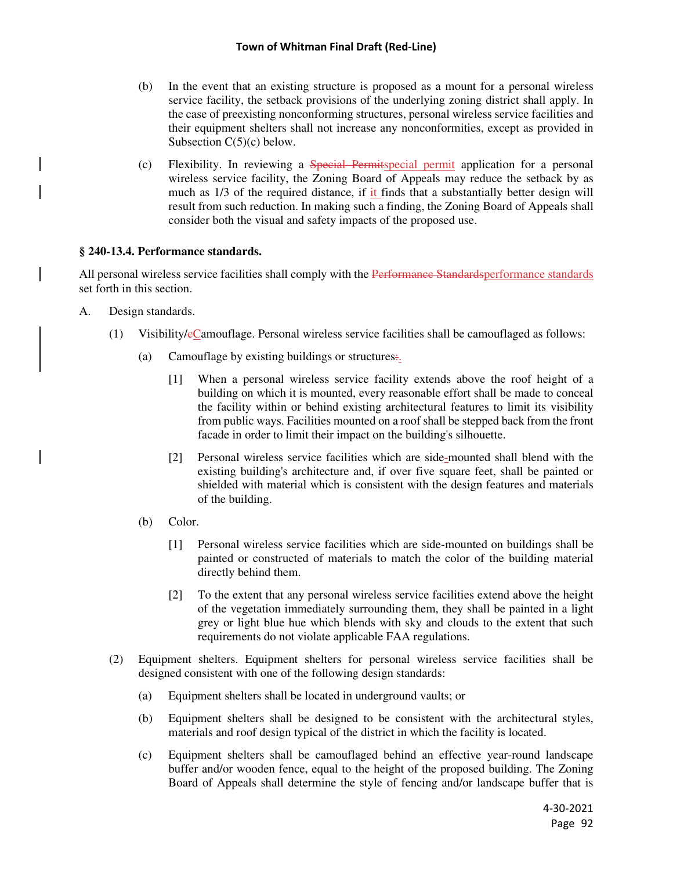#### **Town of Whitman Final Draft (Red-Line)**

- (b) In the event that an existing structure is proposed as a mount for a personal wireless service facility, the setback provisions of the underlying zoning district shall apply. In the case of preexisting nonconforming structures, personal wireless service facilities and their equipment shelters shall not increase any nonconformities, except as provided in Subsection  $C(5)(c)$  below.
- (c) Flexibility. In reviewing a Special Permitspecial permit application for a personal wireless service facility, the Zoning Board of Appeals may reduce the setback by as much as 1/3 of the required distance, if it finds that a substantially better design will result from such reduction. In making such a finding, the Zoning Board of Appeals shall consider both the visual and safety impacts of the proposed use.

## **§ 240-13.4. Performance standards.**

All personal wireless service facilities shall comply with the Performance Standardsperformance standards set forth in this section.

- A. Design standards.
	- (1) Visibility/cCamouflage. Personal wireless service facilities shall be camouflaged as follows:
		- (a) Camouflage by existing buildings or structures:.
			- [1] When a personal wireless service facility extends above the roof height of a building on which it is mounted, every reasonable effort shall be made to conceal the facility within or behind existing architectural features to limit its visibility from public ways. Facilities mounted on a roof shall be stepped back from the front facade in order to limit their impact on the building's silhouette.
			- [2] Personal wireless service facilities which are side-mounted shall blend with the existing building's architecture and, if over five square feet, shall be painted or shielded with material which is consistent with the design features and materials of the building.
		- (b) Color.
			- [1] Personal wireless service facilities which are side-mounted on buildings shall be painted or constructed of materials to match the color of the building material directly behind them.
			- [2] To the extent that any personal wireless service facilities extend above the height of the vegetation immediately surrounding them, they shall be painted in a light grey or light blue hue which blends with sky and clouds to the extent that such requirements do not violate applicable FAA regulations.
	- (2) Equipment shelters. Equipment shelters for personal wireless service facilities shall be designed consistent with one of the following design standards:
		- (a) Equipment shelters shall be located in underground vaults; or
		- (b) Equipment shelters shall be designed to be consistent with the architectural styles, materials and roof design typical of the district in which the facility is located.
		- (c) Equipment shelters shall be camouflaged behind an effective year-round landscape buffer and/or wooden fence, equal to the height of the proposed building. The Zoning Board of Appeals shall determine the style of fencing and/or landscape buffer that is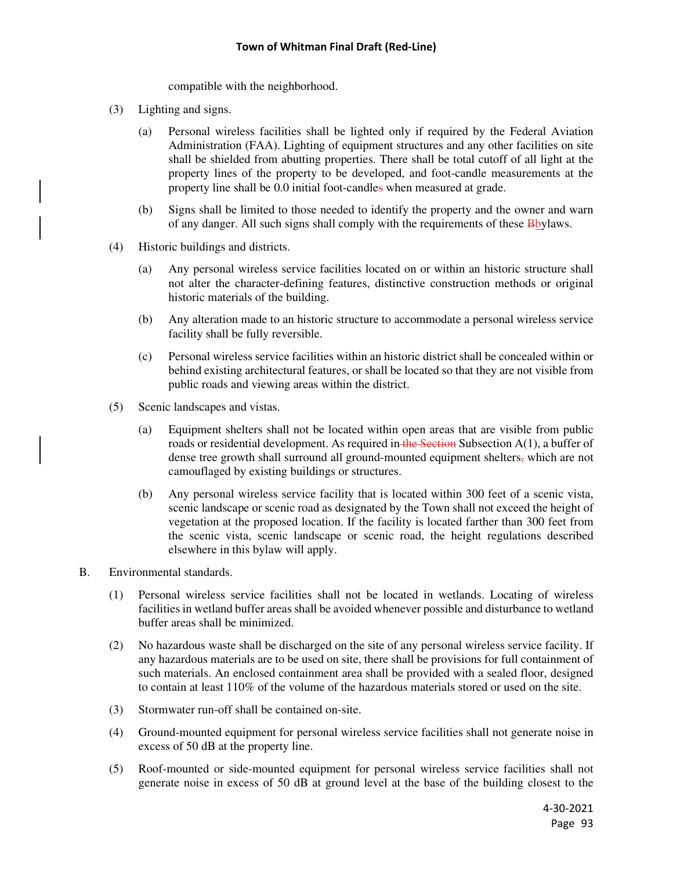compatible with the neighborhood.

- (3) Lighting and signs.
	- (a) Personal wireless facilities shall be lighted only if required by the Federal Aviation Administration (FAA). Lighting of equipment structures and any other facilities on site shall be shielded from abutting properties. There shall be total cutoff of all light at the property lines of the property to be developed, and foot-candle measurements at the property line shall be 0.0 initial foot-candles when measured at grade.
	- (b) Signs shall be limited to those needed to identify the property and the owner and warn of any danger. All such signs shall comply with the requirements of these **B**bylaws.
- (4) Historic buildings and districts.
	- (a) Any personal wireless service facilities located on or within an historic structure shall not alter the character-defining features, distinctive construction methods or original historic materials of the building.
	- (b) Any alteration made to an historic structure to accommodate a personal wireless service facility shall be fully reversible.
	- (c) Personal wireless service facilities within an historic district shall be concealed within or behind existing architectural features, or shall be located so that they are not visible from public roads and viewing areas within the district.
- (5) Scenic landscapes and vistas.
	- (a) Equipment shelters shall not be located within open areas that are visible from public roads or residential development. As required in the Section Subsection  $A(1)$ , a buffer of dense tree growth shall surround all ground-mounted equipment shelters, which are not camouflaged by existing buildings or structures.
	- (b) Any personal wireless service facility that is located within 300 feet of a scenic vista, scenic landscape or scenic road as designated by the Town shall not exceed the height of vegetation at the proposed location. If the facility is located farther than 300 feet from the scenic vista, scenic landscape or scenic road, the height regulations described elsewhere in this bylaw will apply.
- B. Environmental standards.
	- (1) Personal wireless service facilities shall not be located in wetlands. Locating of wireless facilities in wetland buffer areas shall be avoided whenever possible and disturbance to wetland buffer areas shall be minimized.
	- (2) No hazardous waste shall be discharged on the site of any personal wireless service facility. If any hazardous materials are to be used on site, there shall be provisions for full containment of such materials. An enclosed containment area shall be provided with a sealed floor, designed to contain at least 110% of the volume of the hazardous materials stored or used on the site.
	- (3) Stormwater run-off shall be contained on-site.
	- (4) Ground-mounted equipment for personal wireless service facilities shall not generate noise in excess of 50 dB at the property line.
	- (5) Roof-mounted or side-mounted equipment for personal wireless service facilities shall not generate noise in excess of 50 dB at ground level at the base of the building closest to the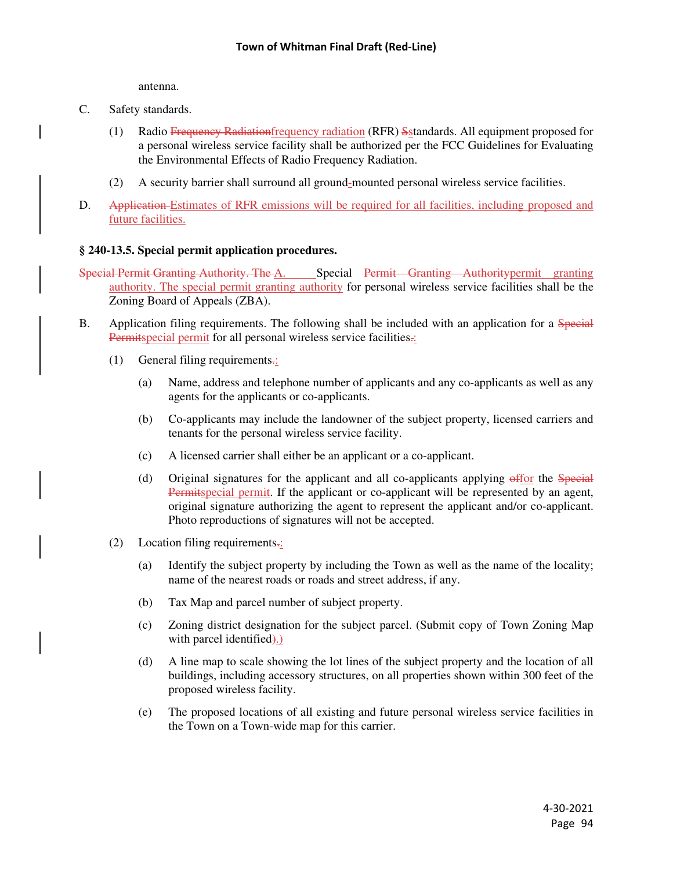antenna.

- C. Safety standards.
	- (1) Radio Frequency Radiationfrequency radiation (RFR) Sstandards. All equipment proposed for a personal wireless service facility shall be authorized per the FCC Guidelines for Evaluating the Environmental Effects of Radio Frequency Radiation.
	- (2) A security barrier shall surround all ground-mounted personal wireless service facilities.
- D. Application Estimates of RFR emissions will be required for all facilities, including proposed and future facilities.

## **§ 240-13.5. Special permit application procedures.**

- Special Permit Granting Authority. The A. Special Permit Granting Authoritypermit granting authority. The special permit granting authority for personal wireless service facilities shall be the Zoning Board of Appeals (ZBA).
- B. Application filing requirements. The following shall be included with an application for a Special Permitspecial permit for all personal wireless service facilities.:
	- (1) General filing requirements.:
		- (a) Name, address and telephone number of applicants and any co-applicants as well as any agents for the applicants or co-applicants.
		- (b) Co-applicants may include the landowner of the subject property, licensed carriers and tenants for the personal wireless service facility.
		- (c) A licensed carrier shall either be an applicant or a co-applicant.
		- (d) Original signatures for the applicant and all co-applicants applying  $\frac{\text{effor}}{\text{of}}$  the Special Permitspecial permit. If the applicant or co-applicant will be represented by an agent, original signature authorizing the agent to represent the applicant and/or co-applicant. Photo reproductions of signatures will not be accepted.
	- (2) Location filing requirements $\frac{1}{2}$ 
		- (a) Identify the subject property by including the Town as well as the name of the locality; name of the nearest roads or roads and street address, if any.
		- (b) Tax Map and parcel number of subject property.
		- (c) Zoning district designation for the subject parcel. (Submit copy of Town Zoning Map with parcel identified.)
		- (d) A line map to scale showing the lot lines of the subject property and the location of all buildings, including accessory structures, on all properties shown within 300 feet of the proposed wireless facility.
		- (e) The proposed locations of all existing and future personal wireless service facilities in the Town on a Town-wide map for this carrier.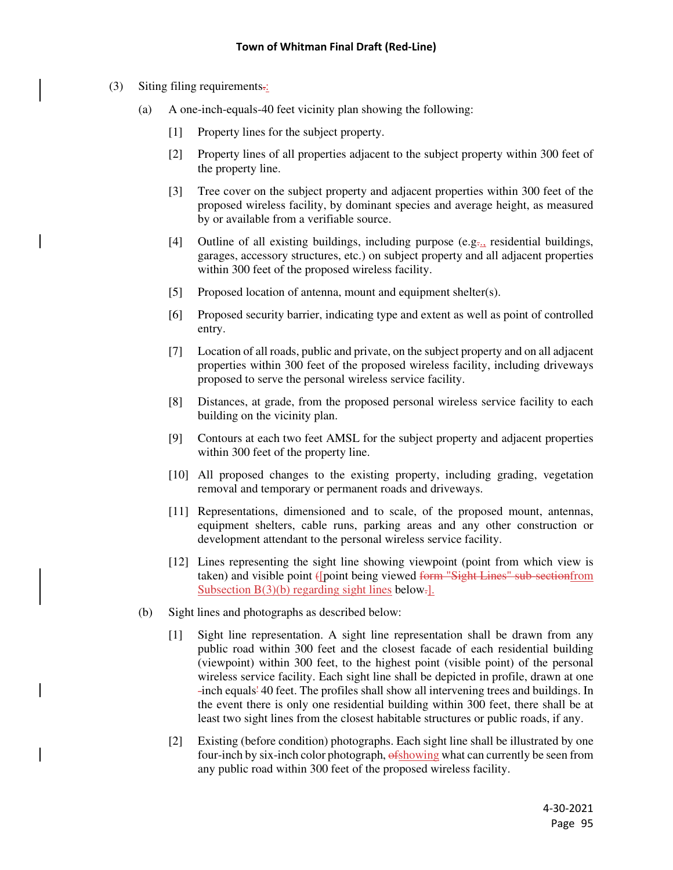- (3) Siting filing requirements.:
	- (a) A one-inch-equals-40 feet vicinity plan showing the following:
		- [1] Property lines for the subject property.
		- [2] Property lines of all properties adjacent to the subject property within 300 feet of the property line.
		- [3] Tree cover on the subject property and adjacent properties within 300 feet of the proposed wireless facility, by dominant species and average height, as measured by or available from a verifiable source.
		- [4] Outline of all existing buildings, including purpose (e.g., residential buildings, garages, accessory structures, etc.) on subject property and all adjacent properties within 300 feet of the proposed wireless facility.
		- [5] Proposed location of antenna, mount and equipment shelter(s).
		- [6] Proposed security barrier, indicating type and extent as well as point of controlled entry.
		- [7] Location of all roads, public and private, on the subject property and on all adjacent properties within 300 feet of the proposed wireless facility, including driveways proposed to serve the personal wireless service facility.
		- [8] Distances, at grade, from the proposed personal wireless service facility to each building on the vicinity plan.
		- [9] Contours at each two feet AMSL for the subject property and adjacent properties within 300 feet of the property line.
		- [10] All proposed changes to the existing property, including grading, vegetation removal and temporary or permanent roads and driveways.
		- [11] Representations, dimensioned and to scale, of the proposed mount, antennas, equipment shelters, cable runs, parking areas and any other construction or development attendant to the personal wireless service facility.
		- [12] Lines representing the sight line showing viewpoint (point from which view is taken) and visible point ([point being viewed form "Sight Lines" sub-sectionfrom Subsection  $B(3)(b)$  regarding sight lines below.
	- (b) Sight lines and photographs as described below:
		- [1] Sight line representation. A sight line representation shall be drawn from any public road within 300 feet and the closest facade of each residential building (viewpoint) within 300 feet, to the highest point (visible point) of the personal wireless service facility. Each sight line shall be depicted in profile, drawn at one -inch equals' 40 feet. The profiles shall show all intervening trees and buildings. In the event there is only one residential building within 300 feet, there shall be at least two sight lines from the closest habitable structures or public roads, if any.
		- [2] Existing (before condition) photographs. Each sight line shall be illustrated by one four-inch by six-inch color photograph,  $\frac{6 \text{showing}}{2}$  what can currently be seen from any public road within 300 feet of the proposed wireless facility.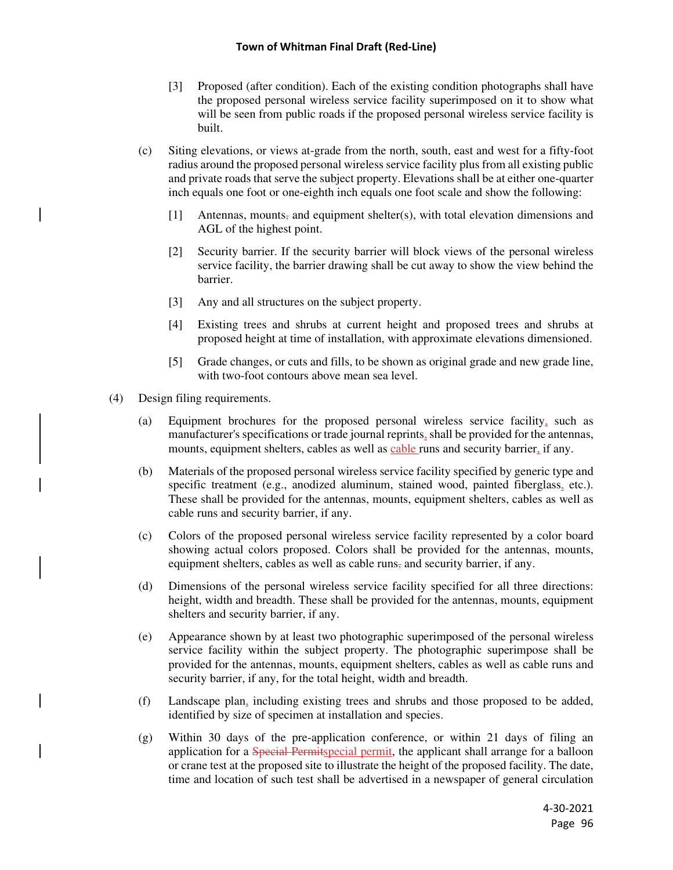#### **Town of Whitman Final Draft (Red-Line)**

- [3] Proposed (after condition). Each of the existing condition photographs shall have the proposed personal wireless service facility superimposed on it to show what will be seen from public roads if the proposed personal wireless service facility is built.
- (c) Siting elevations, or views at-grade from the north, south, east and west for a fifty-foot radius around the proposed personal wireless service facility plus from all existing public and private roads that serve the subject property. Elevations shall be at either one-quarter inch equals one foot or one-eighth inch equals one foot scale and show the following:
	- [1] Antennas, mounts, and equipment shelter(s), with total elevation dimensions and AGL of the highest point.
	- [2] Security barrier. If the security barrier will block views of the personal wireless service facility, the barrier drawing shall be cut away to show the view behind the barrier.
	- [3] Any and all structures on the subject property.
	- [4] Existing trees and shrubs at current height and proposed trees and shrubs at proposed height at time of installation, with approximate elevations dimensioned.
	- [5] Grade changes, or cuts and fills, to be shown as original grade and new grade line, with two-foot contours above mean sea level.
- (4) Design filing requirements.
	- (a) Equipment brochures for the proposed personal wireless service facility, such as manufacturer's specifications or trade journal reprints, shall be provided for the antennas, mounts, equipment shelters, cables as well as cable runs and security barrier, if any.
	- (b) Materials of the proposed personal wireless service facility specified by generic type and specific treatment (e.g., anodized aluminum, stained wood, painted fiberglass, etc.). These shall be provided for the antennas, mounts, equipment shelters, cables as well as cable runs and security barrier, if any.
	- (c) Colors of the proposed personal wireless service facility represented by a color board showing actual colors proposed. Colors shall be provided for the antennas, mounts, equipment shelters, cables as well as cable runs, and security barrier, if any.
	- (d) Dimensions of the personal wireless service facility specified for all three directions: height, width and breadth. These shall be provided for the antennas, mounts, equipment shelters and security barrier, if any.
	- (e) Appearance shown by at least two photographic superimposed of the personal wireless service facility within the subject property. The photographic superimpose shall be provided for the antennas, mounts, equipment shelters, cables as well as cable runs and security barrier, if any, for the total height, width and breadth.
	- (f) Landscape plan, including existing trees and shrubs and those proposed to be added, identified by size of specimen at installation and species.
	- (g) Within 30 days of the pre-application conference, or within 21 days of filing an application for a **Special Permitspecial permit**, the applicant shall arrange for a balloon or crane test at the proposed site to illustrate the height of the proposed facility. The date, time and location of such test shall be advertised in a newspaper of general circulation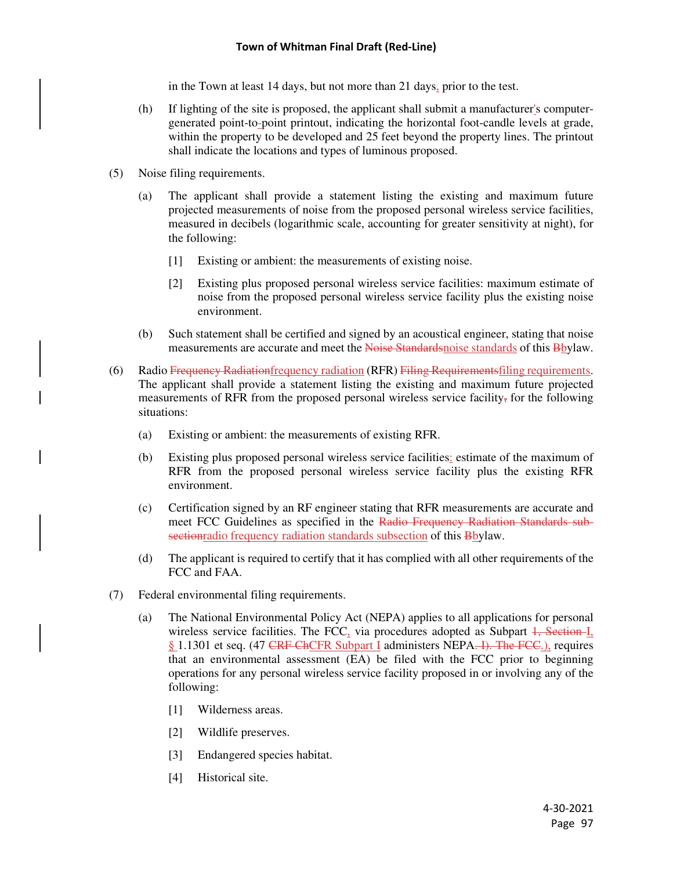in the Town at least 14 days, but not more than 21 days, prior to the test.

- (h) If lighting of the site is proposed, the applicant shall submit a manufacturer's computergenerated point-to-point printout, indicating the horizontal foot-candle levels at grade, within the property to be developed and 25 feet beyond the property lines. The printout shall indicate the locations and types of luminous proposed.
- (5) Noise filing requirements.
	- (a) The applicant shall provide a statement listing the existing and maximum future projected measurements of noise from the proposed personal wireless service facilities, measured in decibels (logarithmic scale, accounting for greater sensitivity at night), for the following:
		- [1] Existing or ambient: the measurements of existing noise.
		- [2] Existing plus proposed personal wireless service facilities: maximum estimate of noise from the proposed personal wireless service facility plus the existing noise environment.
	- (b) Such statement shall be certified and signed by an acoustical engineer, stating that noise measurements are accurate and meet the Noise Standards of standards of this Bbylaw.
- (6) Radio Frequency Radiation frequency radiation (RFR) Filing Requirements filing requirements. The applicant shall provide a statement listing the existing and maximum future projected measurements of RFR from the proposed personal wireless service facility, for the following situations:
	- (a) Existing or ambient: the measurements of existing RFR.
	- (b) Existing plus proposed personal wireless service facilities: estimate of the maximum of RFR from the proposed personal wireless service facility plus the existing RFR environment.
	- (c) Certification signed by an RF engineer stating that RFR measurements are accurate and meet FCC Guidelines as specified in the Radio Frequency Radiation Standards subsectionradio frequency radiation standards subsection of this Bbylaw.
	- (d) The applicant is required to certify that it has complied with all other requirements of the FCC and FAA.
- (7) Federal environmental filing requirements.
	- (a) The National Environmental Policy Act (NEPA) applies to all applications for personal wireless service facilities. The FCC<sub>2</sub> via procedures adopted as Subpart  $1,$  Section I<sub>1</sub> § 1.1301 et seq. (47 CRF ChCFR Subpart I administers NEPA. I). The FCC.), requires that an environmental assessment (EA) be filed with the FCC prior to beginning operations for any personal wireless service facility proposed in or involving any of the following:
		- [1] Wilderness areas.
		- [2] Wildlife preserves.
		- [3] Endangered species habitat.
		- [4] Historical site.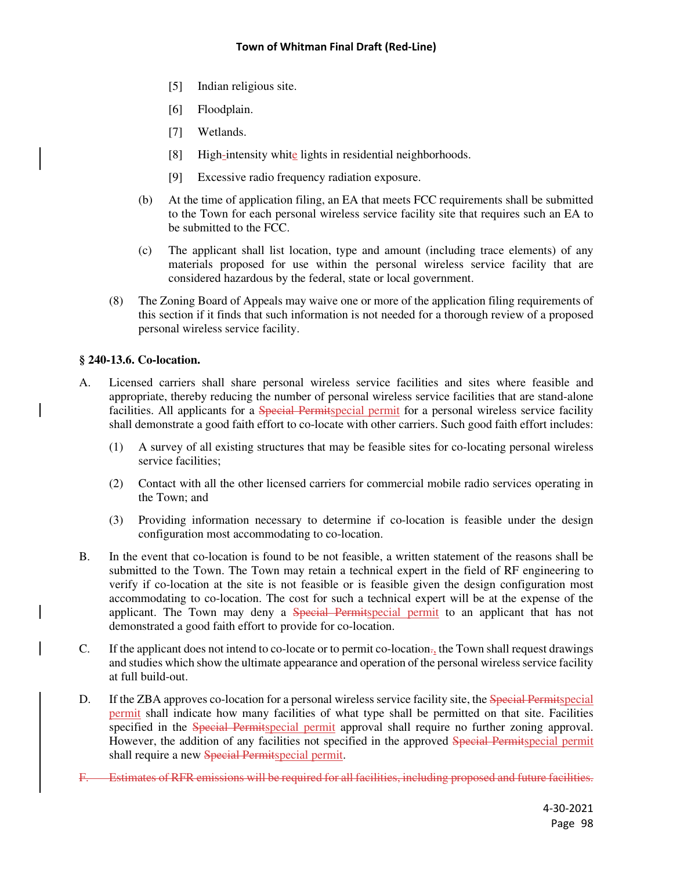- [5] Indian religious site.
- [6] Floodplain.
- [7] Wetlands.
- [8] High-intensity white lights in residential neighborhoods.
- [9] Excessive radio frequency radiation exposure.
- (b) At the time of application filing, an EA that meets FCC requirements shall be submitted to the Town for each personal wireless service facility site that requires such an EA to be submitted to the FCC.
- (c) The applicant shall list location, type and amount (including trace elements) of any materials proposed for use within the personal wireless service facility that are considered hazardous by the federal, state or local government.
- (8) The Zoning Board of Appeals may waive one or more of the application filing requirements of this section if it finds that such information is not needed for a thorough review of a proposed personal wireless service facility.

## **§ 240-13.6. Co-location.**

- A. Licensed carriers shall share personal wireless service facilities and sites where feasible and appropriate, thereby reducing the number of personal wireless service facilities that are stand-alone facilities. All applicants for a **Special Permitspecial permit** for a personal wireless service facility shall demonstrate a good faith effort to co-locate with other carriers. Such good faith effort includes:
	- (1) A survey of all existing structures that may be feasible sites for co-locating personal wireless service facilities:
	- (2) Contact with all the other licensed carriers for commercial mobile radio services operating in the Town; and
	- (3) Providing information necessary to determine if co-location is feasible under the design configuration most accommodating to co-location.
- B. In the event that co-location is found to be not feasible, a written statement of the reasons shall be submitted to the Town. The Town may retain a technical expert in the field of RF engineering to verify if co-location at the site is not feasible or is feasible given the design configuration most accommodating to co-location. The cost for such a technical expert will be at the expense of the applicant. The Town may deny a Special Permitspecial permit to an applicant that has not demonstrated a good faith effort to provide for co-location.
- C. If the applicant does not intend to co-locate or to permit co-location., the Town shall request drawings and studies which show the ultimate appearance and operation of the personal wireless service facility at full build-out.
- D. If the ZBA approves co-location for a personal wireless service facility site, the Special Permitspecial permit shall indicate how many facilities of what type shall be permitted on that site. Facilities specified in the **Special Permitspecial permit approval shall require no further zoning approval.** However, the addition of any facilities not specified in the approved Special Permitspecial permit shall require a new Special Permitspecial permit.
- F. Estimates of RFR emissions will be required for all facilities, including proposed and future facilities.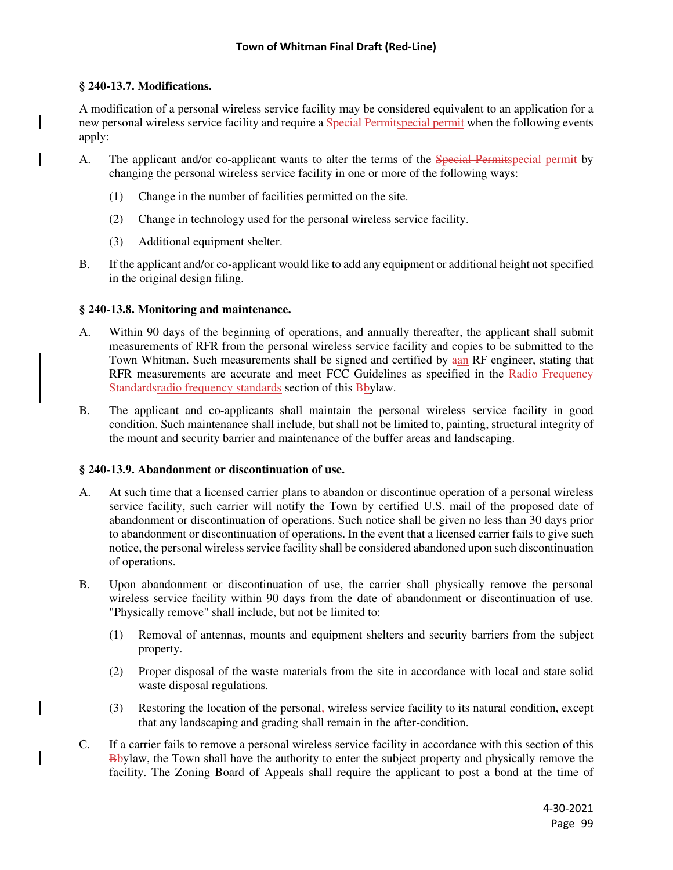## **§ 240-13.7. Modifications.**

A modification of a personal wireless service facility may be considered equivalent to an application for a new personal wireless service facility and require a Special Permitspecial permit when the following events apply:

- A. The applicant and/or co-applicant wants to alter the terms of the Special Permitspecial permit by changing the personal wireless service facility in one or more of the following ways:
	- (1) Change in the number of facilities permitted on the site.
	- (2) Change in technology used for the personal wireless service facility.
	- (3) Additional equipment shelter.
- B. If the applicant and/or co-applicant would like to add any equipment or additional height not specified in the original design filing.

## **§ 240-13.8. Monitoring and maintenance.**

- A. Within 90 days of the beginning of operations, and annually thereafter, the applicant shall submit measurements of RFR from the personal wireless service facility and copies to be submitted to the Town Whitman. Such measurements shall be signed and certified by  $a_{mn}$  RF engineer, stating that RFR measurements are accurate and meet FCC Guidelines as specified in the Radio Frequency Standards radio frequency standards section of this Bbylaw.
- B. The applicant and co-applicants shall maintain the personal wireless service facility in good condition. Such maintenance shall include, but shall not be limited to, painting, structural integrity of the mount and security barrier and maintenance of the buffer areas and landscaping.

## **§ 240-13.9. Abandonment or discontinuation of use.**

- A. At such time that a licensed carrier plans to abandon or discontinue operation of a personal wireless service facility, such carrier will notify the Town by certified U.S. mail of the proposed date of abandonment or discontinuation of operations. Such notice shall be given no less than 30 days prior to abandonment or discontinuation of operations. In the event that a licensed carrier fails to give such notice, the personal wireless service facility shall be considered abandoned upon such discontinuation of operations.
- B. Upon abandonment or discontinuation of use, the carrier shall physically remove the personal wireless service facility within 90 days from the date of abandonment or discontinuation of use. "Physically remove" shall include, but not be limited to:
	- (1) Removal of antennas, mounts and equipment shelters and security barriers from the subject property.
	- (2) Proper disposal of the waste materials from the site in accordance with local and state solid waste disposal regulations.
	- (3) Restoring the location of the personal, wireless service facility to its natural condition, except that any landscaping and grading shall remain in the after-condition.
- C. If a carrier fails to remove a personal wireless service facility in accordance with this section of this Bbylaw, the Town shall have the authority to enter the subject property and physically remove the facility. The Zoning Board of Appeals shall require the applicant to post a bond at the time of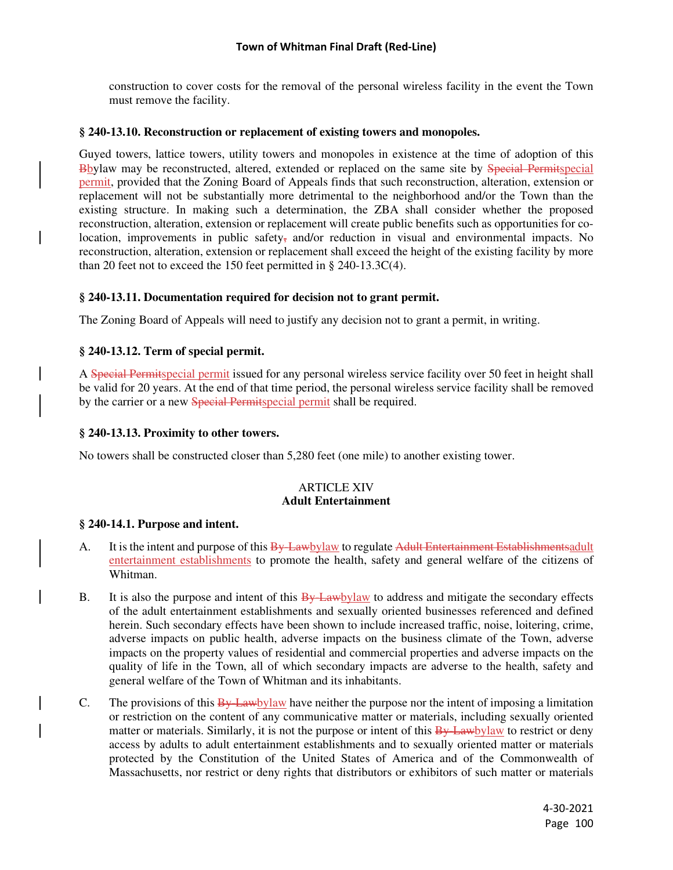construction to cover costs for the removal of the personal wireless facility in the event the Town must remove the facility.

#### **§ 240-13.10. Reconstruction or replacement of existing towers and monopoles.**

Guyed towers, lattice towers, utility towers and monopoles in existence at the time of adoption of this Bbylaw may be reconstructed, altered, extended or replaced on the same site by Special Permitspecial permit, provided that the Zoning Board of Appeals finds that such reconstruction, alteration, extension or replacement will not be substantially more detrimental to the neighborhood and/or the Town than the existing structure. In making such a determination, the ZBA shall consider whether the proposed reconstruction, alteration, extension or replacement will create public benefits such as opportunities for colocation, improvements in public safety, and/or reduction in visual and environmental impacts. No reconstruction, alteration, extension or replacement shall exceed the height of the existing facility by more than 20 feet not to exceed the 150 feet permitted in § 240-13.3C(4).

#### **§ 240-13.11. Documentation required for decision not to grant permit.**

The Zoning Board of Appeals will need to justify any decision not to grant a permit, in writing.

## **§ 240-13.12. Term of special permit.**

A Special Permitspecial permit issued for any personal wireless service facility over 50 feet in height shall be valid for 20 years. At the end of that time period, the personal wireless service facility shall be removed by the carrier or a new Special Permitspecial permit shall be required.

## **§ 240-13.13. Proximity to other towers.**

No towers shall be constructed closer than 5,280 feet (one mile) to another existing tower.

## **ARTICLE XIV Adult Entertainment**

#### **§ 240-14.1. Purpose and intent.**

- A. It is the intent and purpose of this  $\frac{By\text{ Law}}{By\text{ Law}}$  to regulate Adult Entertainment Establishments adult entertainment establishments to promote the health, safety and general welfare of the citizens of Whitman.
- B. It is also the purpose and intent of this  $\frac{By Lawb$ *y*law to address and mitigate the secondary effects of the adult entertainment establishments and sexually oriented businesses referenced and defined herein. Such secondary effects have been shown to include increased traffic, noise, loitering, crime, adverse impacts on public health, adverse impacts on the business climate of the Town, adverse impacts on the property values of residential and commercial properties and adverse impacts on the quality of life in the Town, all of which secondary impacts are adverse to the health, safety and general welfare of the Town of Whitman and its inhabitants.
- C. The provisions of this By-Lawbylaw have neither the purpose nor the intent of imposing a limitation or restriction on the content of any communicative matter or materials, including sexually oriented matter or materials. Similarly, it is not the purpose or intent of this  $\frac{By\text{ Lawbylaw}}{By\text{ Lawbylaw}}}$  to restrict or deny access by adults to adult entertainment establishments and to sexually oriented matter or materials protected by the Constitution of the United States of America and of the Commonwealth of Massachusetts, nor restrict or deny rights that distributors or exhibitors of such matter or materials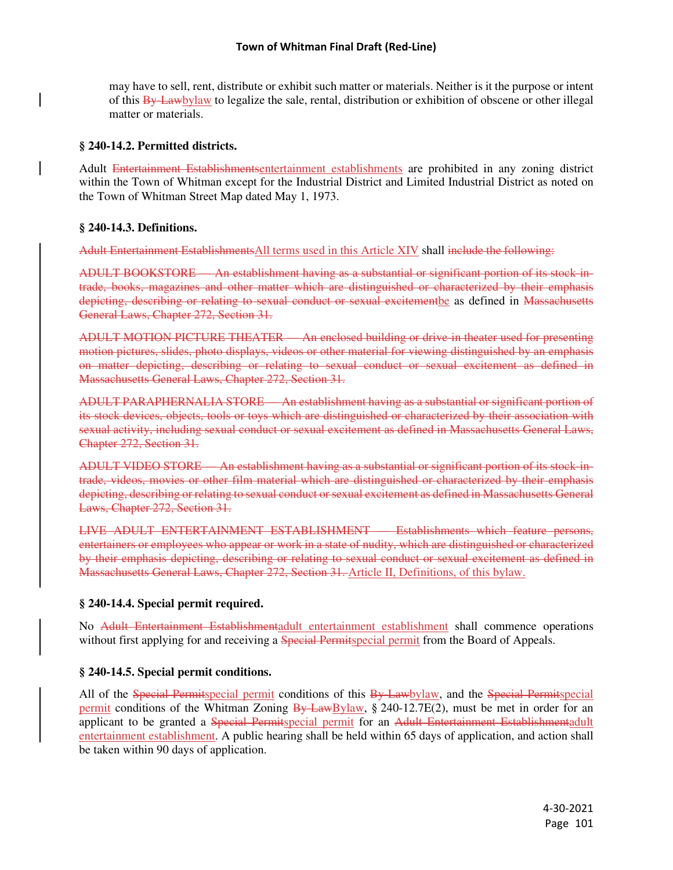may have to sell, rent, distribute or exhibit such matter or materials. Neither is it the purpose or intent of this By-Lawbylaw to legalize the sale, rental, distribution or exhibition of obscene or other illegal matter or materials.

## **§ 240-14.2. Permitted districts.**

Adult Entertainment Establishmentsentertainment establishments are prohibited in any zoning district within the Town of Whitman except for the Industrial District and Limited Industrial District as noted on the Town of Whitman Street Map dated May 1, 1973.

## **§ 240-14.3. Definitions.**

Adult Entertainment EstablishmentsAll terms used in this Article XIV shall include the following:

ADULT BOOKSTORE — An establishment having as a substantial or significant portion of its stock-intrade, books, magazines and other matter which are distinguished or characterized by their emphasis depicting, describing or relating to sexual conduct or sexual excitementbe as defined in Massachusetts General Laws, Chapter 272, Section 31.

ADULT MOTION PICTURE THEATER — An enclosed building or drive-in theater used for presenting motion pictures, slides, photo displays, videos or other material for viewing distinguished by an emphasis on matter depicting, describing or relating to sexual conduct or sexual excitement as defined in Massachusetts General Laws, Chapter 272, Section 31.

ADULT PARAPHERNALIA STORE — An establishment having as a substantial or significant portion of its stock devices, objects, tools or toys which are distinguished or characterized by their association with sexual activity, including sexual conduct or sexual excitement as defined in Massachusetts General Laws, Chapter 272, Section 31.

ADULT VIDEO STORE — An establishment having as a substantial or significant portion of its stock-intrade, videos, movies or other film material which are distinguished or characterized by their emphasis depicting, describing or relating to sexual conduct or sexual excitement as defined in Massachusetts General Laws, Chapter 272, Section 31.

LIVE ADULT ENTERTAINMENT ESTABLISHMENT — Establishments which feature persons, entertainers or employees who appear or work in a state of nudity, which are distinguished or characterized by their emphasis depicting, describing or relating to sexual conduct or sexual excitement as defined in Massachusetts General Laws, Chapter 272, Section 31. Article II, Definitions, of this bylaw.

# **§ 240-14.4. Special permit required.**

No Adult Entertainment Establishmentadult entertainment establishment shall commence operations without first applying for and receiving a **Special Permits** permit from the Board of Appeals.

# **§ 240-14.5. Special permit conditions.**

All of the Special Permitspecial permit conditions of this By-Lawbylaw, and the Special Permitspecial permit conditions of the Whitman Zoning  $\frac{By LawBylaw}{g}$ , § 240-12.7E(2), must be met in order for an applicant to be granted a Special Permitspecial permit for an Adult Entertainment Establishmentadult entertainment establishment. A public hearing shall be held within 65 days of application, and action shall be taken within 90 days of application.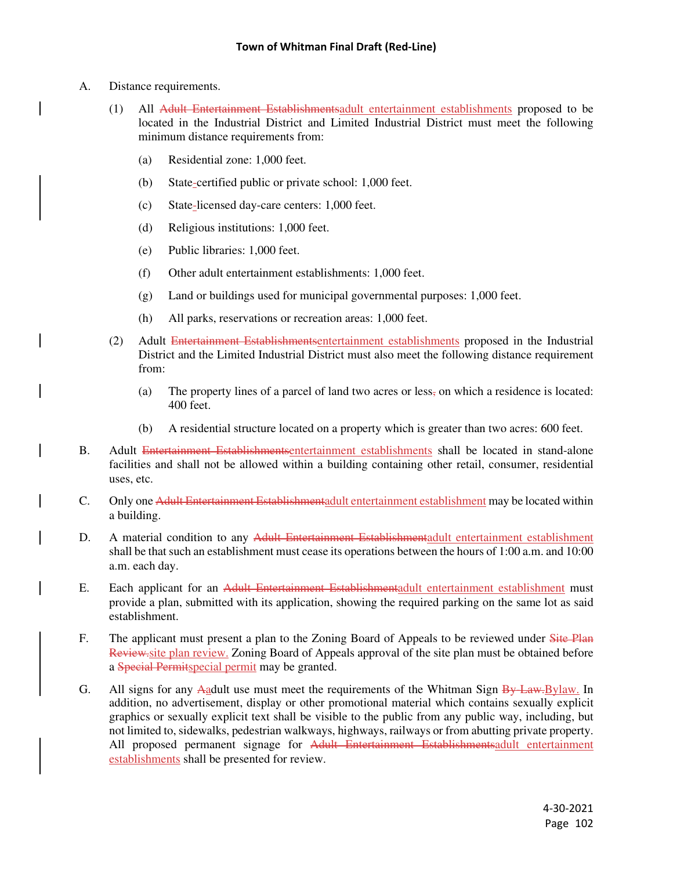- A. Distance requirements.
	- (1) All Adult Entertainment Establishmentsadult entertainment establishments proposed to be located in the Industrial District and Limited Industrial District must meet the following minimum distance requirements from:
		- (a) Residential zone: 1,000 feet.
		- (b) State-certified public or private school: 1,000 feet.
		- (c) State-licensed day-care centers: 1,000 feet.
		- (d) Religious institutions: 1,000 feet.
		- (e) Public libraries: 1,000 feet.
		- (f) Other adult entertainment establishments: 1,000 feet.
		- (g) Land or buildings used for municipal governmental purposes: 1,000 feet.
		- (h) All parks, reservations or recreation areas: 1,000 feet.
	- (2) Adult Entertainment Establishmentsentertainment establishments proposed in the Industrial District and the Limited Industrial District must also meet the following distance requirement from:
		- (a) The property lines of a parcel of land two acres or less, on which a residence is located: 400 feet.
		- (b) A residential structure located on a property which is greater than two acres: 600 feet.
- B. Adult Entertainment Establishmentsentertainment establishments shall be located in stand-alone facilities and shall not be allowed within a building containing other retail, consumer, residential uses, etc.
- C. Only one Adult Entertainment Establishmentadult entertainment establishment may be located within a building.
- D. A material condition to any Adult Entertainment Establishmentadult entertainment establishment shall be that such an establishment must cease its operations between the hours of 1:00 a.m. and 10:00 a.m. each day.
- E. Each applicant for an Adult Entertainment Establishmentadult entertainment establishment must provide a plan, submitted with its application, showing the required parking on the same lot as said establishment.
- F. The applicant must present a plan to the Zoning Board of Appeals to be reviewed under Site Plan Review.site plan review. Zoning Board of Appeals approval of the site plan must be obtained before a Special Permitspecial permit may be granted.
- G. All signs for any Aadult use must meet the requirements of the Whitman Sign By-Law. Bylaw. In addition, no advertisement, display or other promotional material which contains sexually explicit graphics or sexually explicit text shall be visible to the public from any public way, including, but not limited to, sidewalks, pedestrian walkways, highways, railways or from abutting private property. All proposed permanent signage for Adult Entertainment Establishmentsadult entertainment establishments shall be presented for review.